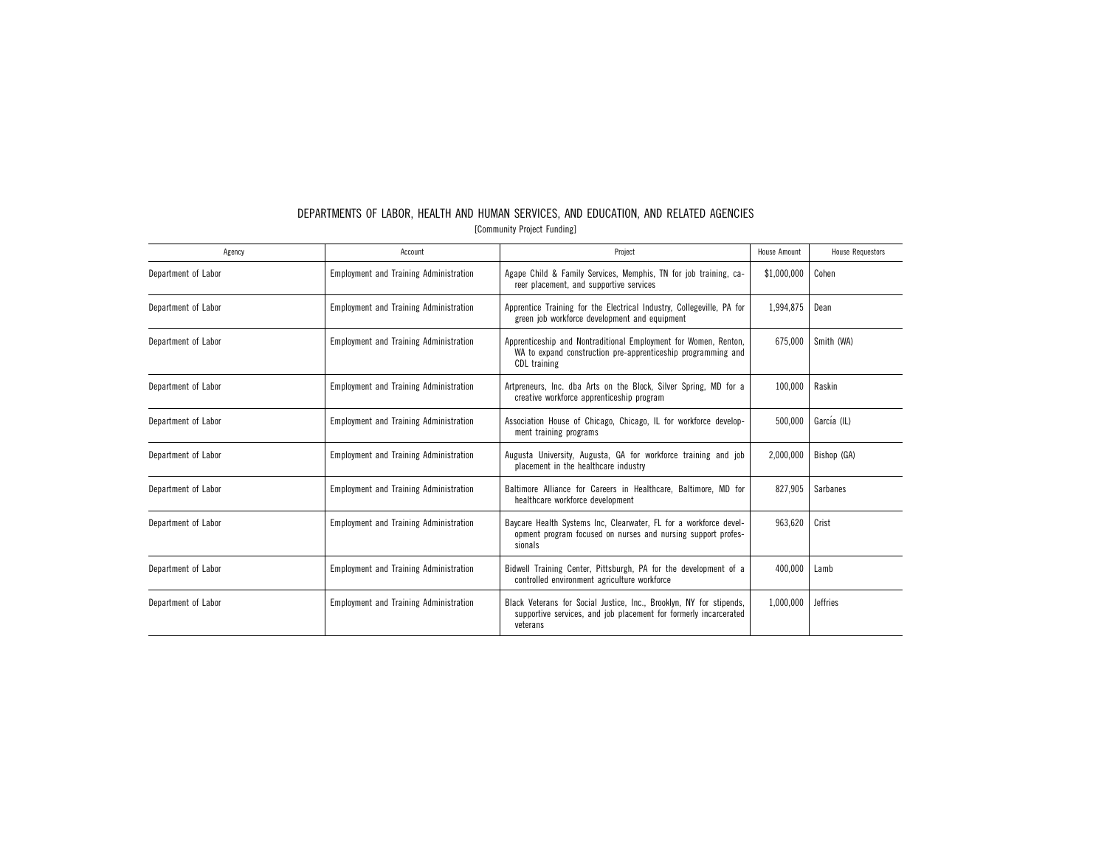| Agency              | Account                                       | Project                                                                                                                                                          | House Amount | <b>House Requestors</b> |
|---------------------|-----------------------------------------------|------------------------------------------------------------------------------------------------------------------------------------------------------------------|--------------|-------------------------|
| Department of Labor | <b>Employment and Training Administration</b> | Agape Child & Family Services, Memphis, TN for job training, ca-<br>reer placement, and supportive services                                                      | \$1,000,000  | Cohen                   |
| Department of Labor | <b>Employment and Training Administration</b> | Apprentice Training for the Electrical Industry, Collegeville, PA for<br>green job workforce development and equipment                                           | 1,994,875    | Dean                    |
| Department of Labor | <b>Employment and Training Administration</b> | Apprenticeship and Nontraditional Employment for Women, Renton,<br>WA to expand construction pre-apprenticeship programming and<br>CDL training                  | 675.000      | Smith (WA)              |
| Department of Labor | <b>Employment and Training Administration</b> | Artpreneurs, Inc. dba Arts on the Block, Silver Spring, MD for a<br>creative workforce apprenticeship program                                                    | 100,000      | Raskin                  |
| Department of Labor | <b>Employment and Training Administration</b> | Association House of Chicago, Chicago, IL for workforce develop-<br>ment training programs                                                                       | 500,000      | García (IL)             |
| Department of Labor | <b>Employment and Training Administration</b> | Augusta University, Augusta, GA for workforce training and job<br>placement in the healthcare industry                                                           | 2,000,000    | Bishop (GA)             |
| Department of Labor | <b>Employment and Training Administration</b> | Baltimore Alliance for Careers in Healthcare, Baltimore, MD for<br>healthcare workforce development                                                              | 827.905      | <b>Sarbanes</b>         |
| Department of Labor | <b>Employment and Training Administration</b> | Baycare Health Systems Inc, Clearwater, FL for a workforce devel-<br>opment program focused on nurses and nursing support profes-<br>sionals                     | 963,620      | Crist                   |
| Department of Labor | <b>Employment and Training Administration</b> | Bidwell Training Center, Pittsburgh, PA for the development of a<br>controlled environment agriculture workforce                                                 | 400.000      | Lamb                    |
| Department of Labor | <b>Employment and Training Administration</b> | 1.000.000<br>Black Veterans for Social Justice, Inc., Brooklyn, NY for stipends,<br>supportive services, and job placement for formerly incarcerated<br>veterans |              | <b>Jeffries</b>         |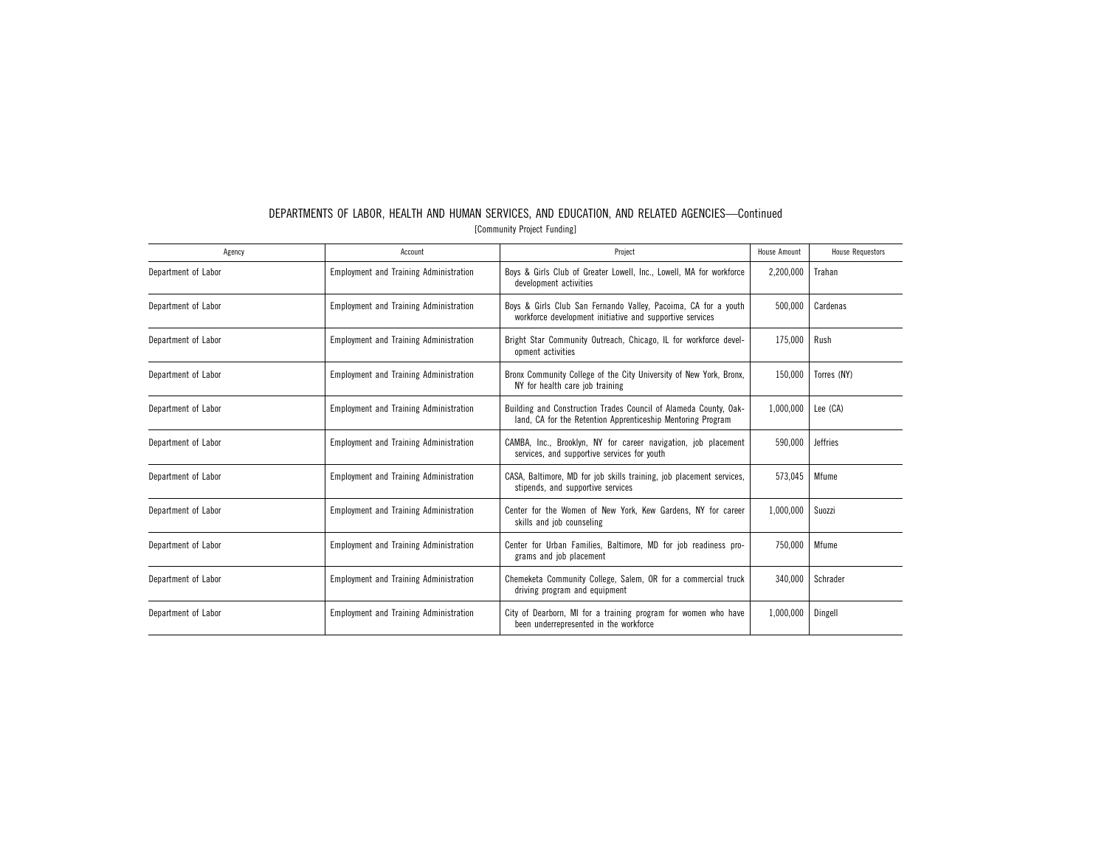| Agency              | Account                                       | Project                                                                                                                         | House Amount | <b>House Requestors</b> |
|---------------------|-----------------------------------------------|---------------------------------------------------------------------------------------------------------------------------------|--------------|-------------------------|
| Department of Labor | <b>Employment and Training Administration</b> | Boys & Girls Club of Greater Lowell, Inc., Lowell, MA for workforce<br>development activities                                   | 2,200,000    | Trahan                  |
| Department of Labor | <b>Employment and Training Administration</b> | Boys & Girls Club San Fernando Valley, Pacoima, CA for a youth<br>workforce development initiative and supportive services      | 500.000      | Cardenas                |
| Department of Labor | <b>Employment and Training Administration</b> | Bright Star Community Outreach, Chicago, IL for workforce devel-<br>opment activities                                           | 175,000      | Rush                    |
| Department of Labor | <b>Employment and Training Administration</b> | Bronx Community College of the City University of New York, Bronx,<br>NY for health care job training                           | 150,000      | Torres (NY)             |
| Department of Labor | <b>Employment and Training Administration</b> | Building and Construction Trades Council of Alameda County, Oak-<br>land, CA for the Retention Apprenticeship Mentoring Program | 1,000,000    | Lee (CA)                |
| Department of Labor | <b>Employment and Training Administration</b> | CAMBA, Inc., Brooklyn, NY for career navigation, job placement<br>services, and supportive services for youth                   | 590,000      | <b>Jeffries</b>         |
| Department of Labor | <b>Employment and Training Administration</b> | CASA, Baltimore, MD for job skills training, job placement services,<br>stipends, and supportive services                       | 573.045      | Mfume                   |
| Department of Labor | <b>Employment and Training Administration</b> | Center for the Women of New York, Kew Gardens, NY for career<br>skills and job counseling                                       | 1,000,000    | Suozzi                  |
| Department of Labor | <b>Employment and Training Administration</b> | Center for Urban Families, Baltimore, MD for job readiness pro-<br>grams and job placement                                      | 750.000      | Mfume                   |
| Department of Labor | <b>Employment and Training Administration</b> | Chemeketa Community College, Salem, OR for a commercial truck<br>driving program and equipment                                  | 340,000      | Schrader                |
| Department of Labor | <b>Employment and Training Administration</b> | City of Dearborn, MI for a training program for women who have<br>been underrepresented in the workforce                        | 1,000,000    | Dingell                 |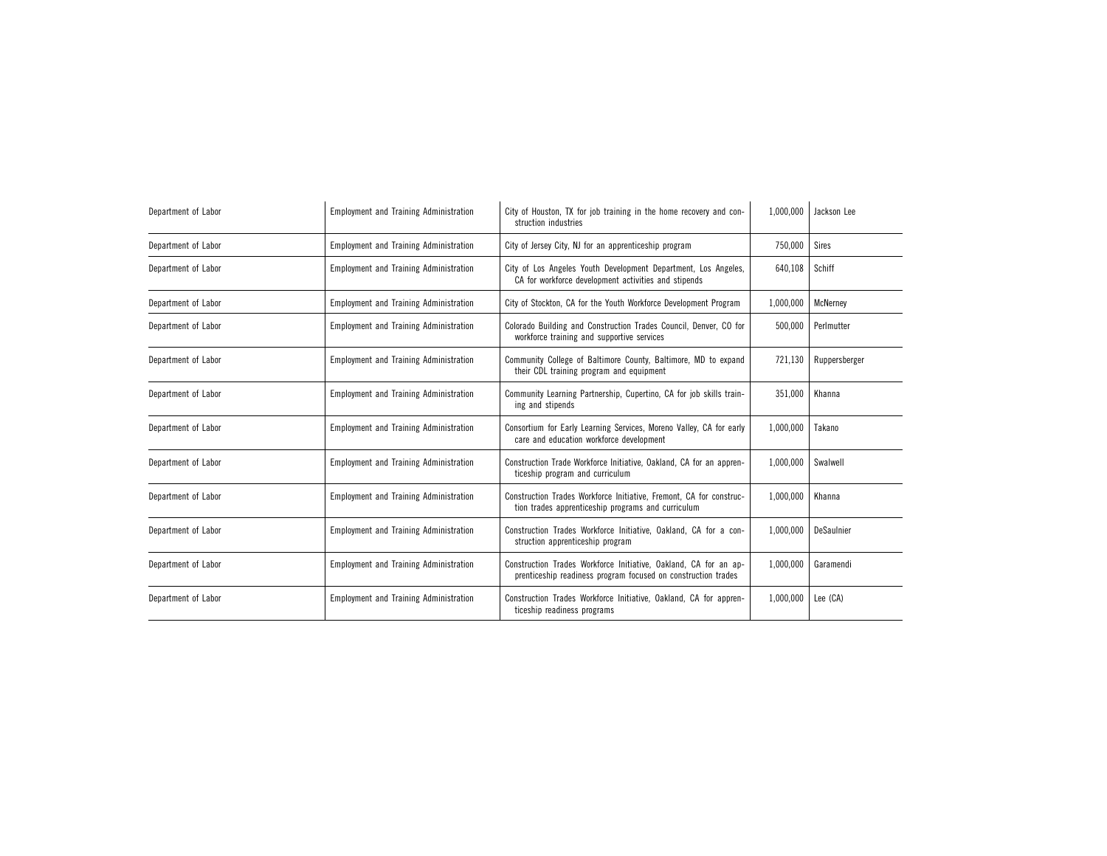| Department of Labor | <b>Employment and Training Administration</b> | City of Houston, TX for job training in the home recovery and con-<br>struction industries                                                     | 1,000,000 | Jackson Lee   |
|---------------------|-----------------------------------------------|------------------------------------------------------------------------------------------------------------------------------------------------|-----------|---------------|
| Department of Labor | <b>Employment and Training Administration</b> | City of Jersey City, NJ for an apprenticeship program                                                                                          | 750,000   | <b>Sires</b>  |
| Department of Labor | <b>Employment and Training Administration</b> | City of Los Angeles Youth Development Department, Los Angeles,<br>CA for workforce development activities and stipends                         | 640.108   | Schiff        |
| Department of Labor | <b>Employment and Training Administration</b> | City of Stockton, CA for the Youth Workforce Development Program                                                                               | 1,000,000 | McNernev      |
| Department of Labor | <b>Employment and Training Administration</b> | Colorado Building and Construction Trades Council, Denver, CO for<br>workforce training and supportive services                                | 500,000   | Perlmutter    |
| Department of Labor | <b>Employment and Training Administration</b> | Community College of Baltimore County, Baltimore, MD to expand<br>their CDL training program and equipment                                     |           | Ruppersberger |
| Department of Labor | <b>Employment and Training Administration</b> | Community Learning Partnership, Cupertino, CA for job skills train-<br>ing and stipends                                                        | 351,000   | Khanna        |
| Department of Labor | <b>Employment and Training Administration</b> | Consortium for Early Learning Services, Moreno Valley, CA for early<br>care and education workforce development                                | 1,000,000 | Takano        |
| Department of Labor | <b>Employment and Training Administration</b> | Construction Trade Workforce Initiative, Oakland, CA for an appren-<br>ticeship program and curriculum                                         | 1,000,000 | Swalwell      |
| Department of Labor | <b>Employment and Training Administration</b> | Construction Trades Workforce Initiative, Fremont, CA for construc-<br>tion trades apprenticeship programs and curriculum                      | 1,000,000 | Khanna        |
| Department of Labor | <b>Employment and Training Administration</b> | 1.000.000<br>Construction Trades Workforce Initiative, Oakland, CA for a con-<br>struction apprenticeship program                              |           | DeSaulnier    |
| Department of Labor | <b>Employment and Training Administration</b> | Construction Trades Workforce Initiative, Oakland, CA for an ap-<br>1,000,000<br>prenticeship readiness program focused on construction trades |           | Garamendi     |
| Department of Labor | <b>Employment and Training Administration</b> | Construction Trades Workforce Initiative, Oakland, CA for appren-<br>1,000,000<br>ticeship readiness programs                                  |           | Lee (CA)      |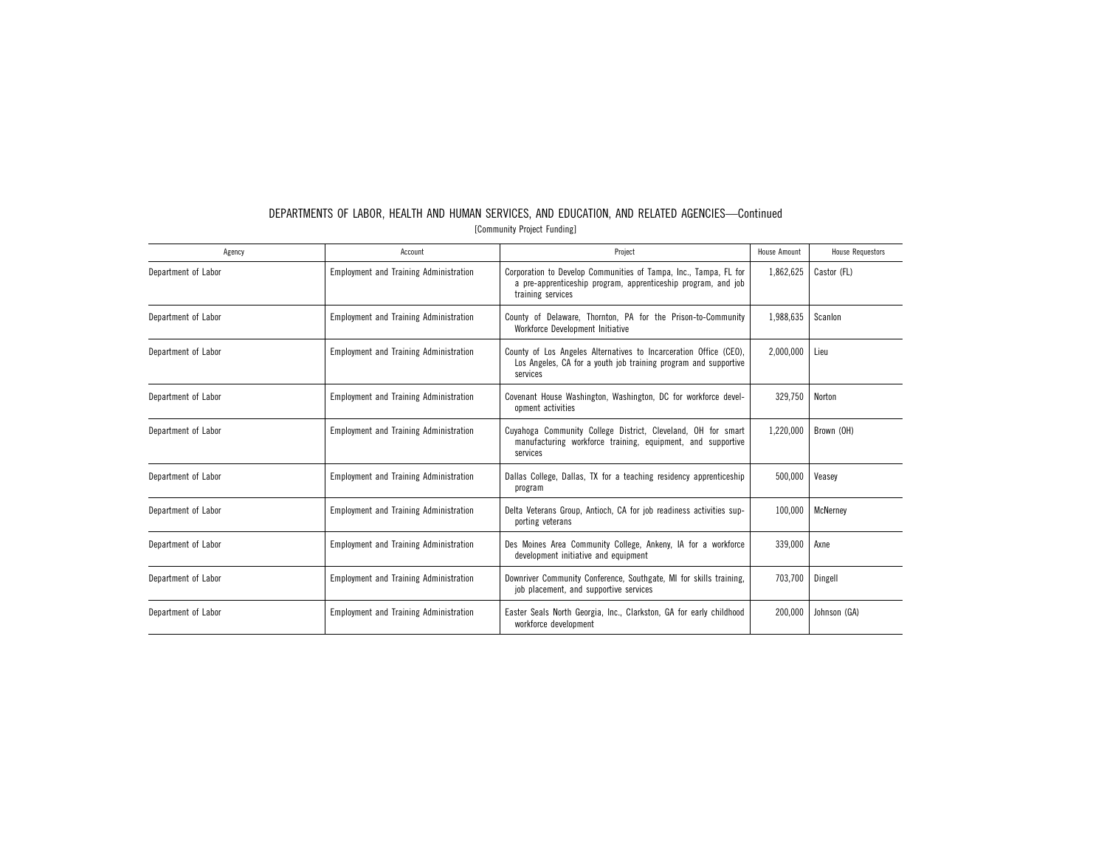| Agency              | Account                                       | Project                                                                                                                                                | House Amount | <b>House Requestors</b> |
|---------------------|-----------------------------------------------|--------------------------------------------------------------------------------------------------------------------------------------------------------|--------------|-------------------------|
| Department of Labor | <b>Employment and Training Administration</b> | Corporation to Develop Communities of Tampa, Inc., Tampa, FL for<br>a pre-apprenticeship program, apprenticeship program, and job<br>training services | 1,862,625    | Castor (FL)             |
| Department of Labor | <b>Employment and Training Administration</b> | County of Delaware, Thornton, PA for the Prison-to-Community<br>Workforce Development Initiative                                                       | 1,988,635    | Scanlon                 |
| Department of Labor | <b>Employment and Training Administration</b> | County of Los Angeles Alternatives to Incarceration Office (CEO),<br>Los Angeles, CA for a youth job training program and supportive<br>services       | 2.000.000    | Lieu                    |
| Department of Labor | <b>Employment and Training Administration</b> | Covenant House Washington, Washington, DC for workforce devel-<br>opment activities                                                                    | 329,750      | Norton                  |
| Department of Labor | <b>Employment and Training Administration</b> | Cuyahoga Community College District, Cleveland, OH for smart<br>manufacturing workforce training, equipment, and supportive<br>services                | 1,220,000    | Brown (OH)              |
| Department of Labor | <b>Employment and Training Administration</b> | Dallas College, Dallas, TX for a teaching residency apprenticeship<br>program                                                                          | 500,000      | Veasey                  |
| Department of Labor | <b>Employment and Training Administration</b> | Delta Veterans Group, Antioch, CA for job readiness activities sup-<br>porting veterans                                                                | 100.000      | McNernev                |
| Department of Labor | <b>Employment and Training Administration</b> | Des Moines Area Community College, Ankeny, IA for a workforce<br>development initiative and equipment                                                  | 339,000      | Axne                    |
| Department of Labor | <b>Employment and Training Administration</b> | Downriver Community Conference, Southgate, MI for skills training,<br>job placement, and supportive services                                           | 703.700      | Dingell                 |
| Department of Labor | <b>Employment and Training Administration</b> | 200.000<br>Easter Seals North Georgia, Inc., Clarkston, GA for early childhood<br>workforce development                                                |              | Johnson (GA)            |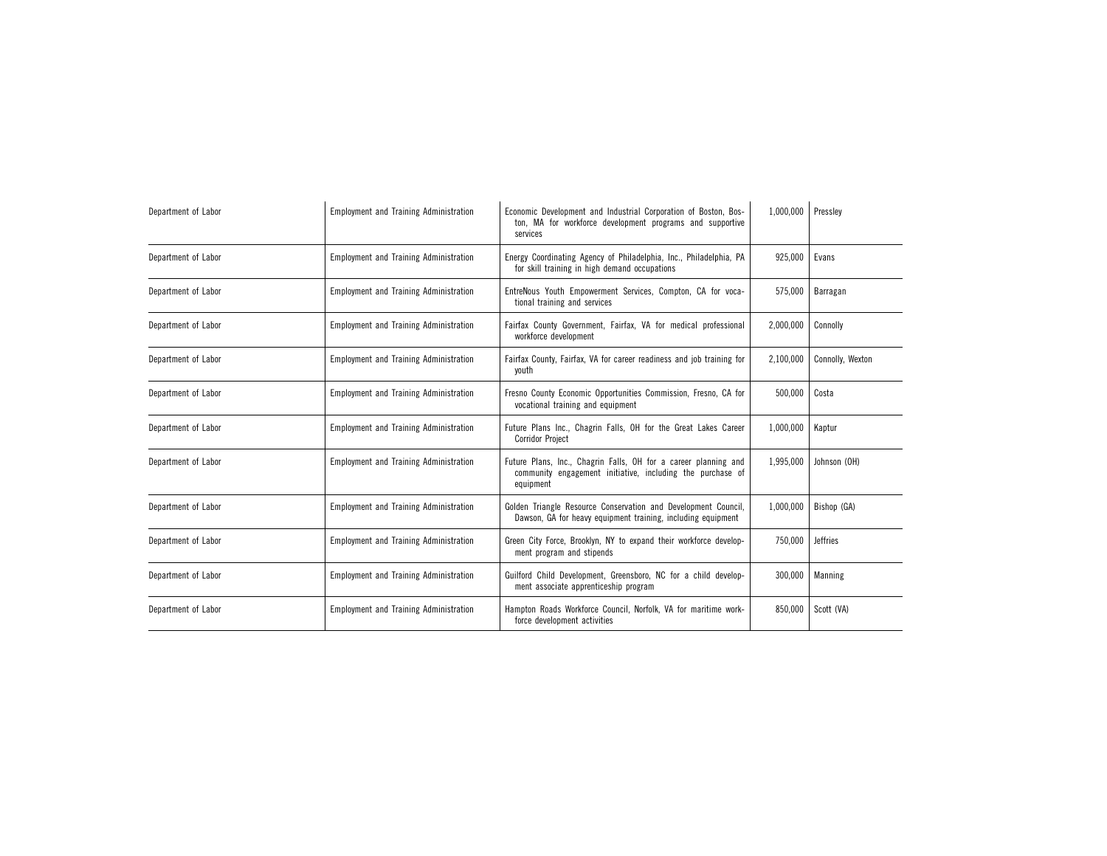| Department of Labor | <b>Employment and Training Administration</b> | Economic Development and Industrial Corporation of Boston, Bos-<br>ton, MA for workforce development programs and supportive<br>services   | 1,000,000 | Presslev         |
|---------------------|-----------------------------------------------|--------------------------------------------------------------------------------------------------------------------------------------------|-----------|------------------|
| Department of Labor | <b>Employment and Training Administration</b> | Energy Coordinating Agency of Philadelphia, Inc., Philadelphia, PA<br>for skill training in high demand occupations                        | 925,000   | Evans            |
| Department of Labor | <b>Employment and Training Administration</b> | EntreNous Youth Empowerment Services, Compton, CA for voca-<br>tional training and services                                                | 575,000   | Barragan         |
| Department of Labor | <b>Employment and Training Administration</b> | Fairfax County Government, Fairfax, VA for medical professional<br>workforce development                                                   | 2,000,000 | Connolly         |
| Department of Labor | <b>Employment and Training Administration</b> | Fairfax County, Fairfax, VA for career readiness and job training for<br>youth                                                             | 2,100,000 | Connolly, Wexton |
| Department of Labor | <b>Employment and Training Administration</b> | Fresno County Economic Opportunities Commission, Fresno, CA for<br>vocational training and equipment                                       | 500,000   | Costa            |
| Department of Labor | <b>Employment and Training Administration</b> | Future Plans Inc., Chagrin Falls, OH for the Great Lakes Career<br><b>Corridor Project</b>                                                 | 1,000,000 | Kaptur           |
| Department of Labor | <b>Employment and Training Administration</b> | Future Plans, Inc., Chagrin Falls, OH for a career planning and<br>community engagement initiative, including the purchase of<br>equipment | 1,995,000 | Johnson (OH)     |
| Department of Labor | <b>Employment and Training Administration</b> | Golden Triangle Resource Conservation and Development Council,<br>Dawson, GA for heavy equipment training, including equipment             | 1,000,000 | Bishop (GA)      |
| Department of Labor | <b>Employment and Training Administration</b> | Green City Force, Brooklyn, NY to expand their workforce develop-<br>750,000<br>ment program and stipends                                  |           | <b>Jeffries</b>  |
| Department of Labor | <b>Employment and Training Administration</b> | Guilford Child Development, Greensboro, NC for a child develop-<br>300,000<br>ment associate apprenticeship program                        |           | Manning          |
| Department of Labor | <b>Employment and Training Administration</b> | Hampton Roads Workforce Council, Norfolk, VA for maritime work-<br>850,000<br>force development activities                                 |           | Scott (VA)       |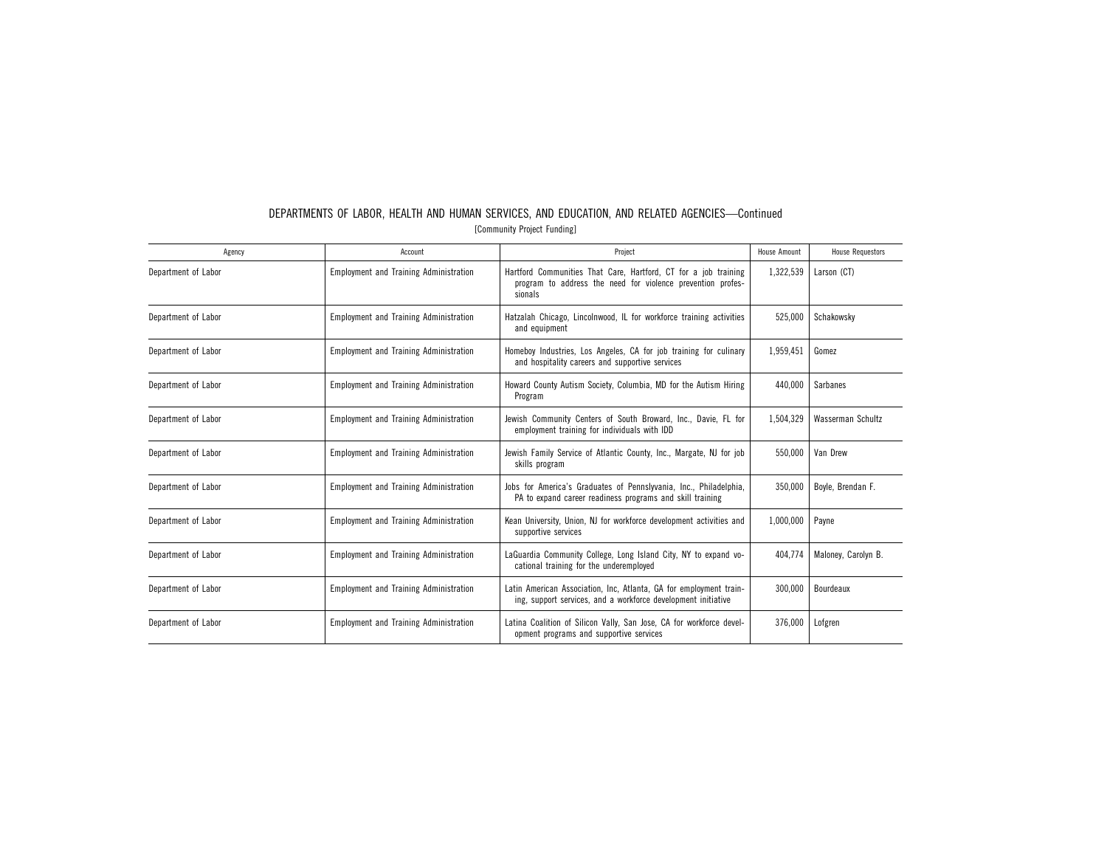| Agency              | Account                                       | Project                                                                                                                                        | House Amount | <b>House Requestors</b> |
|---------------------|-----------------------------------------------|------------------------------------------------------------------------------------------------------------------------------------------------|--------------|-------------------------|
| Department of Labor | <b>Employment and Training Administration</b> | Hartford Communities That Care, Hartford, CT for a job training<br>program to address the need for violence prevention profes-<br>sionals      | 1,322,539    | Larson (CT)             |
| Department of Labor | <b>Employment and Training Administration</b> | Hatzalah Chicago, Lincolnwood, IL for workforce training activities<br>and equipment                                                           | 525,000      | Schakowsky              |
| Department of Labor | <b>Employment and Training Administration</b> | Homeboy Industries, Los Angeles, CA for job training for culinary<br>and hospitality careers and supportive services                           | 1,959,451    | Gomez                   |
| Department of Labor | <b>Employment and Training Administration</b> | Howard County Autism Society, Columbia, MD for the Autism Hiring<br>Program                                                                    | 440.000      | <b>Sarbanes</b>         |
| Department of Labor | <b>Employment and Training Administration</b> | Jewish Community Centers of South Broward, Inc., Davie, FL for<br>employment training for individuals with IDD                                 | 1,504,329    | Wasserman Schultz       |
| Department of Labor | <b>Employment and Training Administration</b> | Jewish Family Service of Atlantic County, Inc., Margate, NJ for job<br>skills program                                                          | 550.000      | Van Drew                |
| Department of Labor | <b>Employment and Training Administration</b> | Jobs for America's Graduates of Pennslyvania, Inc., Philadelphia,<br>PA to expand career readiness programs and skill training                 | 350,000      | Boyle, Brendan F.       |
| Department of Labor | <b>Employment and Training Administration</b> | Kean University, Union, NJ for workforce development activities and<br>supportive services                                                     | 1,000,000    | Payne                   |
| Department of Labor | <b>Employment and Training Administration</b> | LaGuardia Community College, Long Island City, NY to expand vo-<br>cational training for the underemployed                                     | 404.774      | Maloney, Carolyn B.     |
| Department of Labor | <b>Employment and Training Administration</b> | Latin American Association, Inc, Atlanta, GA for employment train-<br>300.000<br>ing, support services, and a workforce development initiative |              | Bourdeaux               |
| Department of Labor | <b>Employment and Training Administration</b> | 376.000<br>Latina Coalition of Silicon Vally, San Jose, CA for workforce devel-<br>opment programs and supportive services                     |              | Lofgren                 |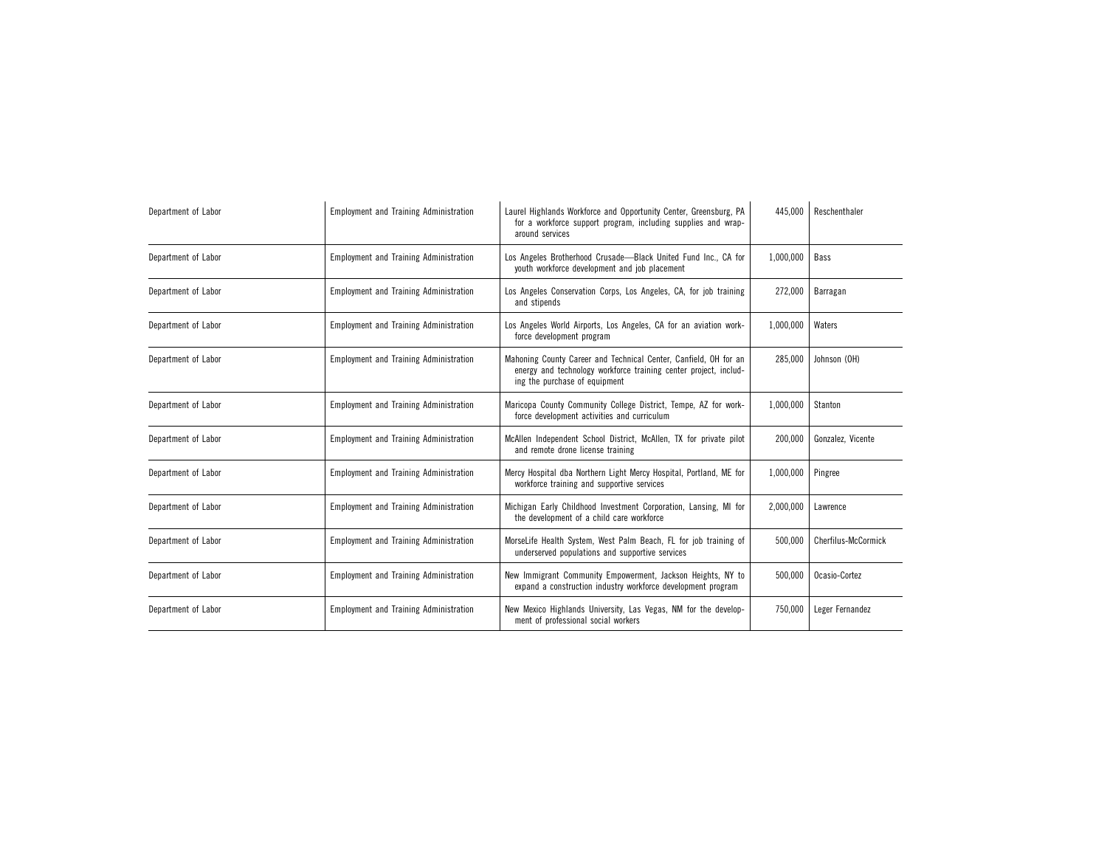| Department of Labor | <b>Employment and Training Administration</b> | Laurel Highlands Workforce and Opportunity Center, Greensburg, PA<br>for a workforce support program, including supplies and wrap-<br>around services                 | 445,000   | Reschenthaler              |
|---------------------|-----------------------------------------------|-----------------------------------------------------------------------------------------------------------------------------------------------------------------------|-----------|----------------------------|
| Department of Labor | <b>Employment and Training Administration</b> | Los Angeles Brotherhood Crusade-Black United Fund Inc., CA for<br>youth workforce development and job placement                                                       | 1,000,000 | Bass                       |
| Department of Labor | <b>Employment and Training Administration</b> | Los Angeles Conservation Corps, Los Angeles, CA, for job training<br>and stipends                                                                                     | 272,000   | Barragan                   |
| Department of Labor | <b>Employment and Training Administration</b> | Los Angeles World Airports, Los Angeles, CA for an aviation work-<br>force development program                                                                        | 1,000,000 | Waters                     |
| Department of Labor | <b>Employment and Training Administration</b> | Mahoning County Career and Technical Center, Canfield, OH for an<br>energy and technology workforce training center project, includ-<br>ing the purchase of equipment | 285,000   | Johnson (OH)               |
| Department of Labor | <b>Employment and Training Administration</b> | Maricopa County Community College District, Tempe, AZ for work-<br>force development activities and curriculum                                                        | 1,000,000 | Stanton                    |
| Department of Labor | <b>Employment and Training Administration</b> | McAllen Independent School District, McAllen, TX for private pilot<br>and remote drone license training                                                               | 200,000   | Gonzalez, Vicente          |
| Department of Labor | <b>Employment and Training Administration</b> | Mercy Hospital dba Northern Light Mercy Hospital, Portland, ME for<br>workforce training and supportive services                                                      | 1,000,000 | Pingree                    |
| Department of Labor | <b>Employment and Training Administration</b> | Michigan Early Childhood Investment Corporation, Lansing, MI for<br>the development of a child care workforce                                                         | 2,000,000 | Lawrence                   |
| Department of Labor | <b>Employment and Training Administration</b> | MorseLife Health System, West Palm Beach, FL for job training of<br>500,000<br>underserved populations and supportive services                                        |           | <b>Cherfilus-McCormick</b> |
| Department of Labor | <b>Employment and Training Administration</b> | New Immigrant Community Empowerment, Jackson Heights, NY to<br>500,000<br>expand a construction industry workforce development program                                |           | Ocasio-Cortez              |
| Department of Labor | <b>Employment and Training Administration</b> | New Mexico Highlands University, Las Vegas, NM for the develop-<br>750,000<br>ment of professional social workers                                                     |           | Leger Fernandez            |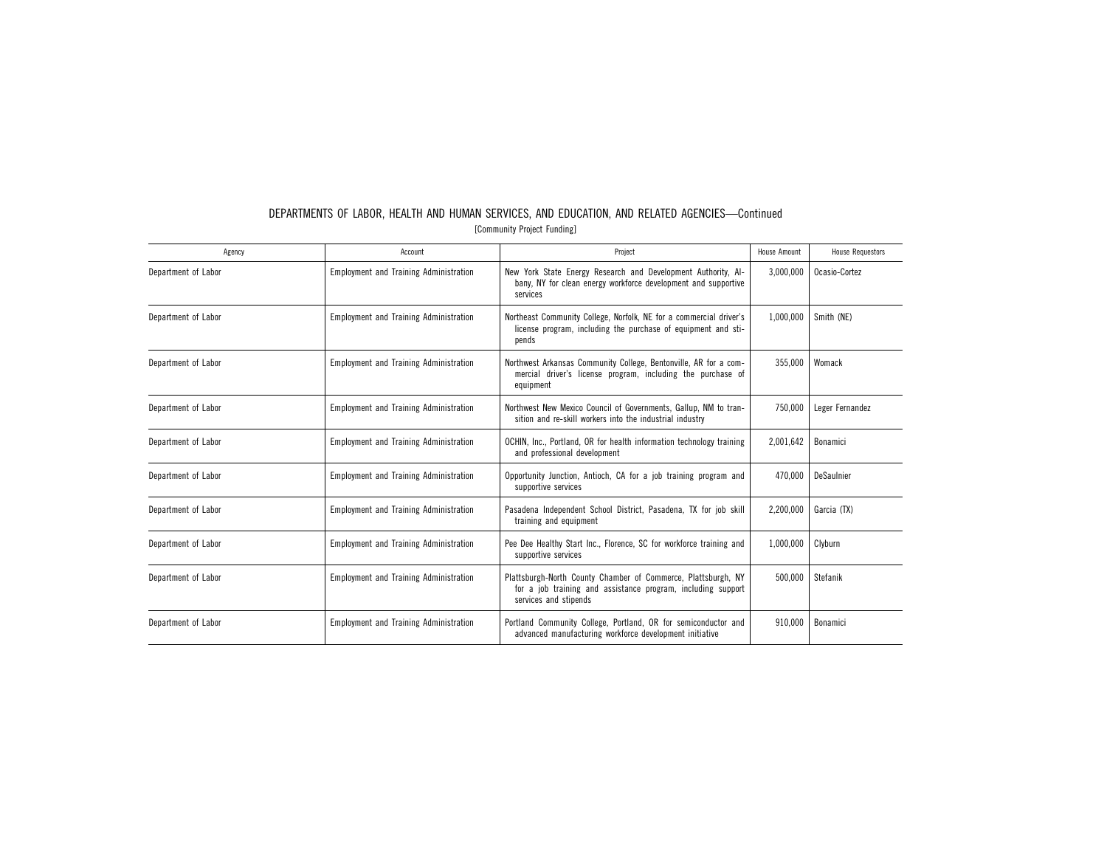| Agency              | Account                                       | Project                                                                                                                                                | House Amount | <b>House Requestors</b> |
|---------------------|-----------------------------------------------|--------------------------------------------------------------------------------------------------------------------------------------------------------|--------------|-------------------------|
| Department of Labor | <b>Employment and Training Administration</b> | New York State Energy Research and Development Authority, Al-<br>bany, NY for clean energy workforce development and supportive<br>services            | 3,000,000    | Ocasio-Cortez           |
| Department of Labor | <b>Employment and Training Administration</b> | Northeast Community College, Norfolk, NE for a commercial driver's<br>license program, including the purchase of equipment and sti-<br>pends           | 1,000,000    | Smith (NE)              |
| Department of Labor | <b>Employment and Training Administration</b> | Northwest Arkansas Community College, Bentonville, AR for a com-<br>mercial driver's license program, including the purchase of<br>equipment           | 355,000      | Womack                  |
| Department of Labor | <b>Employment and Training Administration</b> | Northwest New Mexico Council of Governments, Gallup, NM to tran-<br>sition and re-skill workers into the industrial industry                           | 750,000      | Leger Fernandez         |
| Department of Labor | <b>Employment and Training Administration</b> | OCHIN, Inc., Portland, OR for health information technology training<br>and professional development                                                   | 2,001,642    | Bonamici                |
| Department of Labor | <b>Employment and Training Administration</b> | Opportunity Junction, Antioch, CA for a job training program and<br>supportive services                                                                | 470,000      | DeSaulnier              |
| Department of Labor | <b>Employment and Training Administration</b> | Pasadena Independent School District, Pasadena, TX for job skill<br>training and equipment                                                             | 2,200,000    | Garcia (TX)             |
| Department of Labor | <b>Employment and Training Administration</b> | Pee Dee Healthy Start Inc., Florence, SC for workforce training and<br>supportive services                                                             | 1,000,000    | Clyburn                 |
| Department of Labor | <b>Employment and Training Administration</b> | Plattsburgh-North County Chamber of Commerce, Plattsburgh, NY<br>for a job training and assistance program, including support<br>services and stipends | 500.000      | Stefanik                |
| Department of Labor | <b>Employment and Training Administration</b> | Portland Community College, Portland, OR for semiconductor and<br>advanced manufacturing workforce development initiative                              | 910,000      | Bonamici                |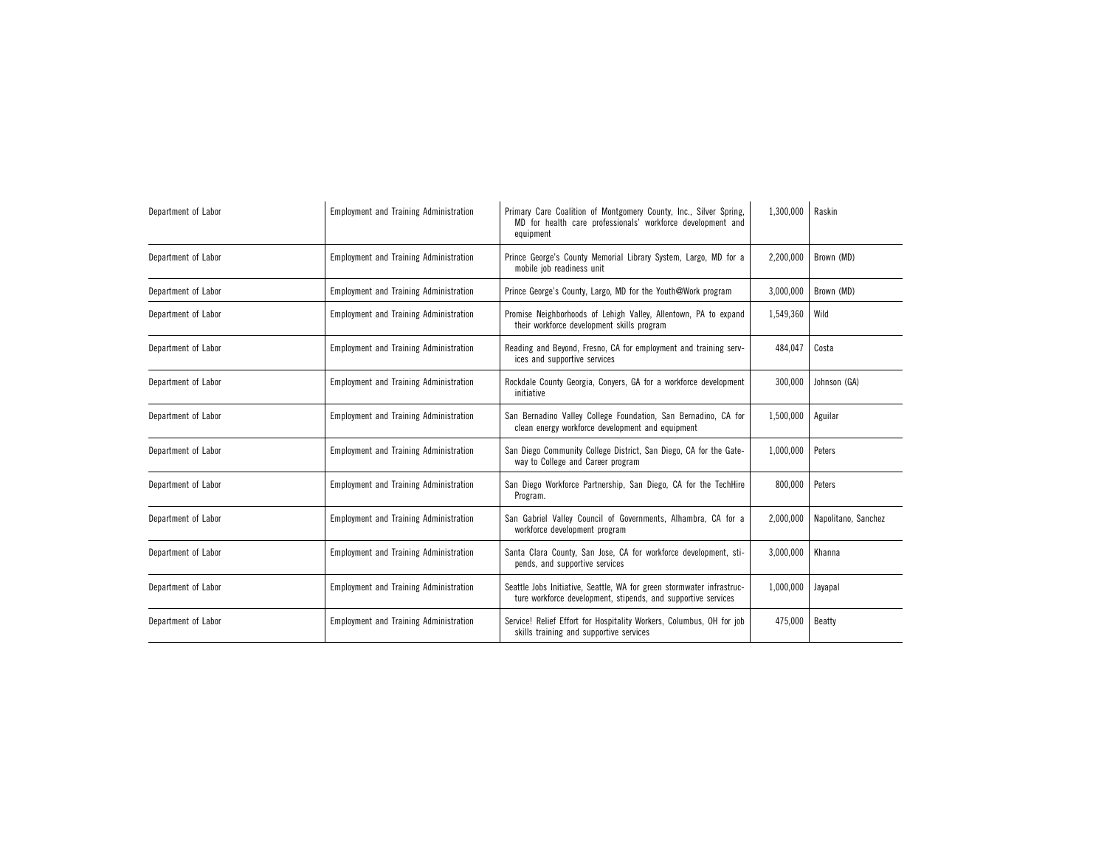| Department of Labor | <b>Employment and Training Administration</b> | Primary Care Coalition of Montgomery County, Inc., Silver Spring,<br>MD for health care professionals' workforce development and<br>equipment       | 1,300,000 | Raskin              |
|---------------------|-----------------------------------------------|-----------------------------------------------------------------------------------------------------------------------------------------------------|-----------|---------------------|
| Department of Labor | <b>Employment and Training Administration</b> | Prince George's County Memorial Library System, Largo, MD for a<br>mobile job readiness unit                                                        | 2,200,000 | Brown (MD)          |
| Department of Labor | <b>Employment and Training Administration</b> | Prince George's County, Largo, MD for the Youth@Work program                                                                                        | 3,000,000 | Brown (MD)          |
| Department of Labor | <b>Employment and Training Administration</b> | Promise Neighborhoods of Lehigh Valley, Allentown, PA to expand<br>their workforce development skills program                                       | 1,549,360 | Wild                |
| Department of Labor | <b>Employment and Training Administration</b> | Reading and Beyond, Fresno, CA for employment and training serv-<br>ices and supportive services                                                    | 484,047   | Costa               |
| Department of Labor | <b>Employment and Training Administration</b> | Rockdale County Georgia, Conyers, GA for a workforce development<br>initiative                                                                      | 300,000   | Johnson (GA)        |
| Department of Labor | <b>Employment and Training Administration</b> | San Bernadino Valley College Foundation, San Bernadino, CA for<br>clean energy workforce development and equipment                                  | 1,500,000 | Aguilar             |
| Department of Labor | <b>Employment and Training Administration</b> | San Diego Community College District, San Diego, CA for the Gate-<br>way to College and Career program                                              | 1,000,000 | Peters              |
| Department of Labor | <b>Employment and Training Administration</b> | San Diego Workforce Partnership, San Diego, CA for the TechHire<br>Program.                                                                         | 800,000   | Peters              |
| Department of Labor | <b>Employment and Training Administration</b> | San Gabriel Valley Council of Governments, Alhambra, CA for a<br>workforce development program                                                      | 2,000,000 | Napolitano, Sanchez |
| Department of Labor | <b>Employment and Training Administration</b> | Santa Clara County, San Jose, CA for workforce development, sti-<br>3,000,000<br>pends, and supportive services                                     |           | Khanna              |
| Department of Labor | <b>Employment and Training Administration</b> | Seattle Jobs Initiative, Seattle, WA for green stormwater infrastruc-<br>1,000,000<br>ture workforce development, stipends, and supportive services |           | Jayapal             |
| Department of Labor | <b>Employment and Training Administration</b> | Service! Relief Effort for Hospitality Workers, Columbus, OH for job<br>475,000<br>skills training and supportive services                          |           | Beatty              |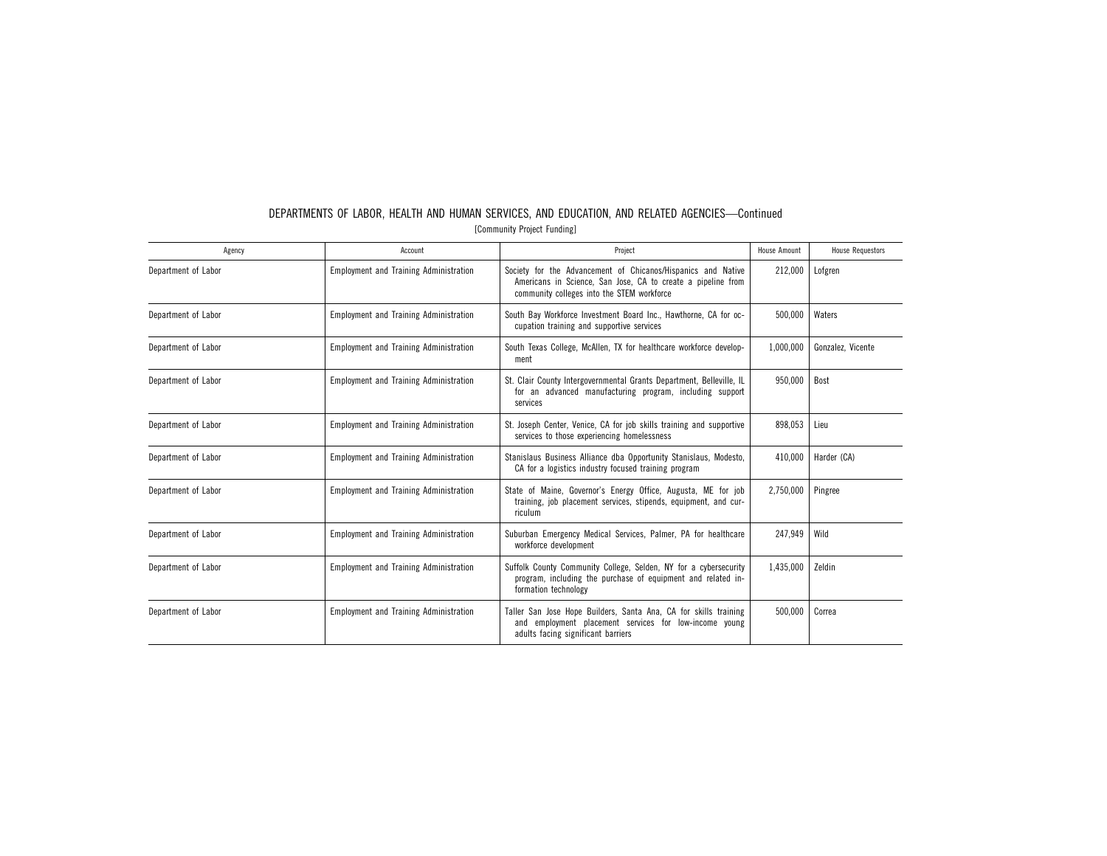| Agency              | Account                                       | Project                                                                                                                                                                    | <b>House Amount</b> | <b>House Requestors</b> |
|---------------------|-----------------------------------------------|----------------------------------------------------------------------------------------------------------------------------------------------------------------------------|---------------------|-------------------------|
| Department of Labor | <b>Employment and Training Administration</b> | Society for the Advancement of Chicanos/Hispanics and Native<br>Americans in Science, San Jose, CA to create a pipeline from<br>community colleges into the STEM workforce | 212,000             | Lofgren                 |
| Department of Labor | <b>Employment and Training Administration</b> | South Bay Workforce Investment Board Inc., Hawthorne, CA for oc-<br>cupation training and supportive services                                                              | 500,000             | Waters                  |
| Department of Labor | <b>Employment and Training Administration</b> | South Texas College, McAllen, TX for healthcare workforce develop-<br>ment                                                                                                 | 1,000,000           | Gonzalez, Vicente       |
| Department of Labor | <b>Employment and Training Administration</b> | St. Clair County Intergovernmental Grants Department, Belleville, IL<br>for an advanced manufacturing program, including support<br>services                               | 950,000             | Bost                    |
| Department of Labor | <b>Employment and Training Administration</b> | St. Joseph Center, Venice, CA for job skills training and supportive<br>services to those experiencing homelessness                                                        | 898,053             | Lieu                    |
| Department of Labor | <b>Employment and Training Administration</b> | Stanislaus Business Alliance dba Opportunity Stanislaus, Modesto,<br>CA for a logistics industry focused training program                                                  | 410,000             | Harder (CA)             |
| Department of Labor | <b>Employment and Training Administration</b> | State of Maine, Governor's Energy Office, Augusta, ME for job<br>training, job placement services, stipends, equipment, and cur-<br>riculum                                | 2,750,000           | Pingree                 |
| Department of Labor | <b>Employment and Training Administration</b> | Suburban Emergency Medical Services, Palmer, PA for healthcare<br>workforce development                                                                                    | 247.949             | Wild                    |
| Department of Labor | <b>Employment and Training Administration</b> | Suffolk County Community College, Selden, NY for a cybersecurity<br>program, including the purchase of equipment and related in-<br>formation technology                   | 1,435,000           | Zeldin                  |
| Department of Labor | <b>Employment and Training Administration</b> | Taller San Jose Hope Builders, Santa Ana, CA for skills training<br>and employment placement services for low-income young<br>adults facing significant barriers           | 500,000             | Correa                  |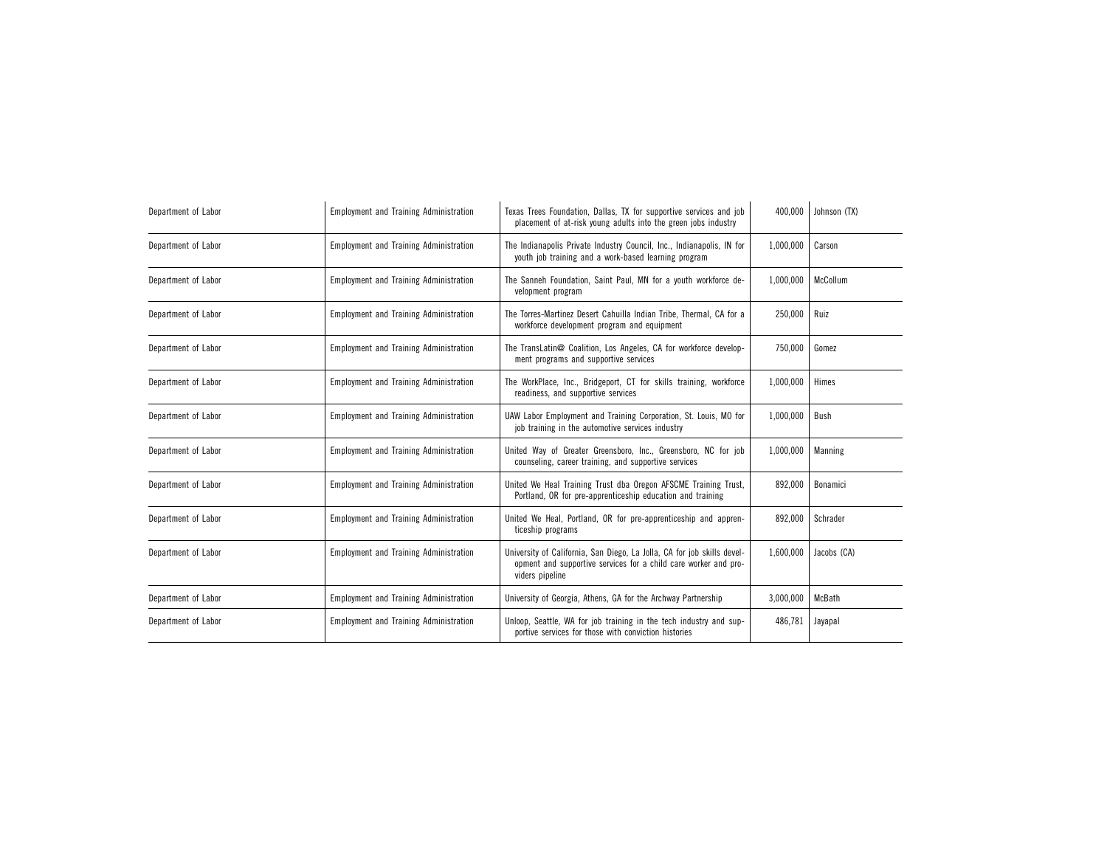| Department of Labor | <b>Employment and Training Administration</b> | Texas Trees Foundation, Dallas, TX for supportive services and job<br>placement of at-risk young adults into the green jobs industry                          | 400,000   | Johnson (TX) |
|---------------------|-----------------------------------------------|---------------------------------------------------------------------------------------------------------------------------------------------------------------|-----------|--------------|
| Department of Labor | <b>Employment and Training Administration</b> | The Indianapolis Private Industry Council, Inc., Indianapolis, IN for<br>youth job training and a work-based learning program                                 | 1,000,000 | Carson       |
| Department of Labor | <b>Employment and Training Administration</b> | The Sanneh Foundation, Saint Paul, MN for a youth workforce de-<br>velopment program                                                                          | 1,000,000 | McCollum     |
| Department of Labor | <b>Employment and Training Administration</b> | The Torres-Martinez Desert Cahuilla Indian Tribe, Thermal, CA for a<br>workforce development program and equipment                                            | 250,000   | Ruiz         |
| Department of Labor | <b>Employment and Training Administration</b> | The TransLatin@ Coalition, Los Angeles, CA for workforce develop-<br>ment programs and supportive services                                                    | 750,000   | Gomez        |
| Department of Labor | <b>Employment and Training Administration</b> | The WorkPlace, Inc., Bridgeport, CT for skills training, workforce<br>readiness, and supportive services                                                      | 1.000.000 | Himes        |
| Department of Labor | <b>Employment and Training Administration</b> | UAW Labor Employment and Training Corporation, St. Louis, MO for<br>job training in the automotive services industry                                          | 1,000,000 | Bush         |
| Department of Labor | <b>Employment and Training Administration</b> | United Way of Greater Greensboro, Inc., Greensboro, NC for job<br>counseling, career training, and supportive services                                        | 1,000,000 | Manning      |
| Department of Labor | <b>Employment and Training Administration</b> | United We Heal Training Trust dba Oregon AFSCME Training Trust,<br>Portland, OR for pre-apprenticeship education and training                                 | 892,000   | Bonamici     |
| Department of Labor | <b>Employment and Training Administration</b> | United We Heal, Portland, OR for pre-apprenticeship and appren-<br>ticeship programs                                                                          | 892,000   | Schrader     |
| Department of Labor | <b>Employment and Training Administration</b> | University of California, San Diego, La Jolla, CA for job skills devel-<br>opment and supportive services for a child care worker and pro-<br>viders pipeline | 1,600,000 | Jacobs (CA)  |
| Department of Labor | <b>Employment and Training Administration</b> | University of Georgia, Athens, GA for the Archway Partnership                                                                                                 | 3,000,000 | McBath       |
| Department of Labor | <b>Employment and Training Administration</b> | Unloop, Seattle, WA for job training in the tech industry and sup-<br>portive services for those with conviction histories                                    | 486,781   | Jayapal      |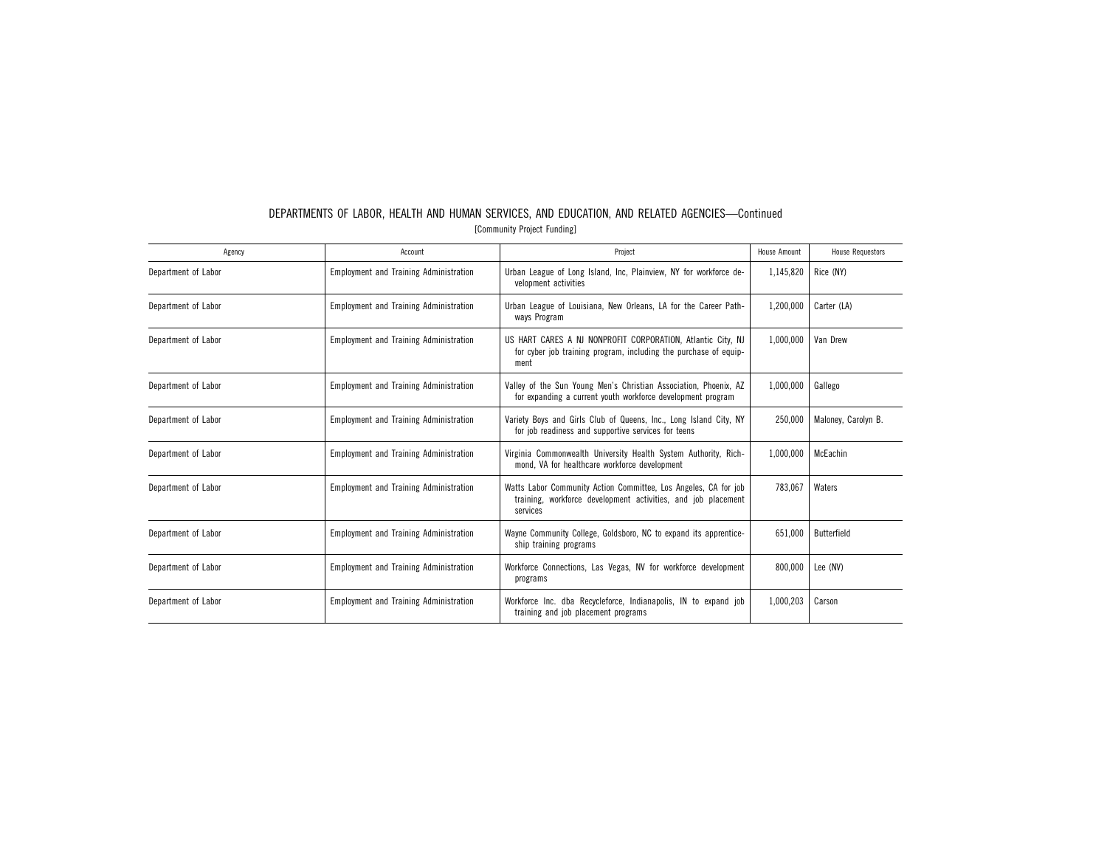| Agency              | Account                                       | Project                                                                                                                                      | House Amount | <b>House Requestors</b> |
|---------------------|-----------------------------------------------|----------------------------------------------------------------------------------------------------------------------------------------------|--------------|-------------------------|
| Department of Labor | <b>Employment and Training Administration</b> | Urban League of Long Island, Inc, Plainview, NY for workforce de-<br>velopment activities                                                    | 1,145,820    | Rice (NY)               |
| Department of Labor | <b>Employment and Training Administration</b> | Urban League of Louisiana, New Orleans, LA for the Career Path-<br>ways Program                                                              | 1,200,000    | Carter (LA)             |
| Department of Labor | <b>Employment and Training Administration</b> | US HART CARES A NJ NONPROFIT CORPORATION, Atlantic City, NJ<br>for cyber job training program, including the purchase of equip-<br>ment      | 1,000,000    | Van Drew                |
| Department of Labor | <b>Employment and Training Administration</b> | Valley of the Sun Young Men's Christian Association, Phoenix, AZ<br>for expanding a current youth workforce development program              | 1,000,000    | Gallego                 |
| Department of Labor | <b>Employment and Training Administration</b> | Variety Boys and Girls Club of Queens, Inc., Long Island City, NY<br>for job readiness and supportive services for teens                     | 250.000      | Maloney, Carolyn B.     |
| Department of Labor | <b>Employment and Training Administration</b> | Virginia Commonwealth University Health System Authority, Rich-<br>mond, VA for healthcare workforce development                             | 1,000,000    | McEachin                |
| Department of Labor | <b>Employment and Training Administration</b> | Watts Labor Community Action Committee, Los Angeles, CA for job<br>training, workforce development activities, and job placement<br>services | 783.067      | Waters                  |
| Department of Labor | <b>Employment and Training Administration</b> | Wayne Community College, Goldsboro, NC to expand its apprentice-<br>ship training programs                                                   | 651,000      | Butterfield             |
| Department of Labor | <b>Employment and Training Administration</b> | Workforce Connections, Las Vegas, NV for workforce development<br>programs                                                                   | 800.000      | Lee (NV)                |
| Department of Labor | <b>Employment and Training Administration</b> | Workforce Inc. dba Recycleforce, Indianapolis, IN to expand job<br>training and job placement programs                                       | 1.000.203    | Carson                  |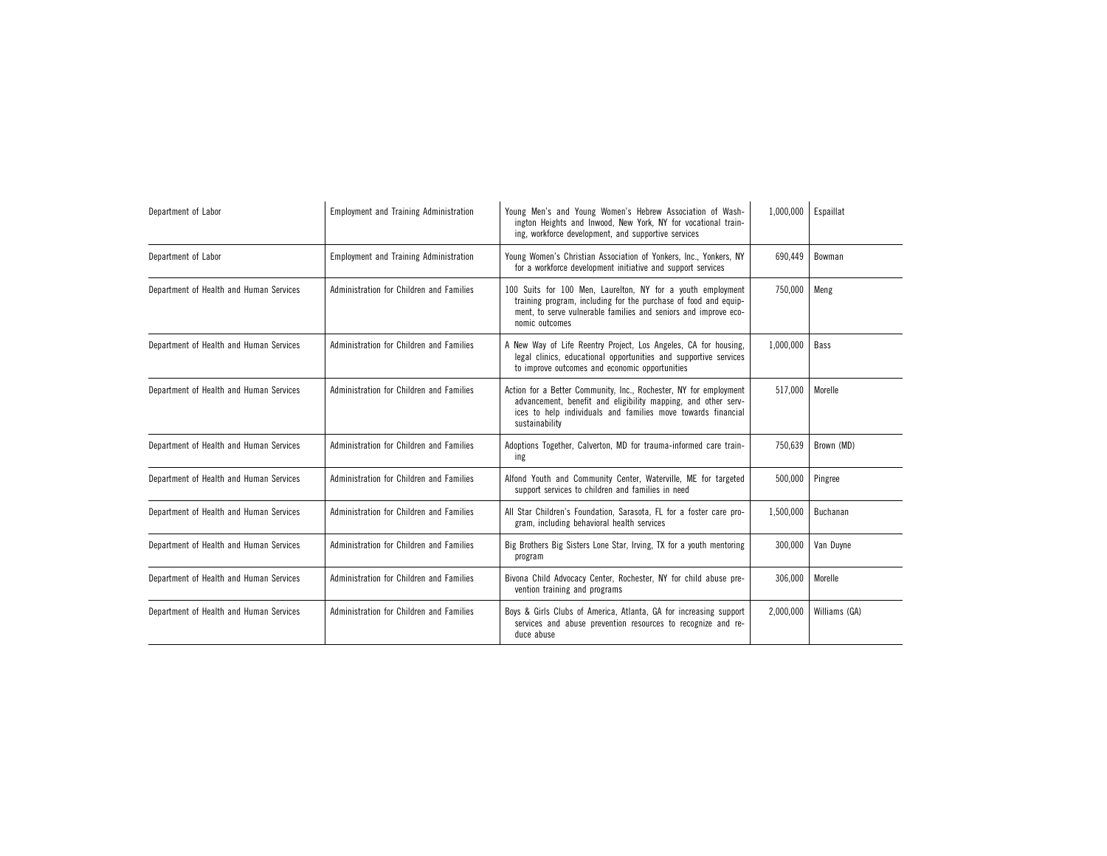| Department of Labor                     | <b>Employment and Training Administration</b> | Young Men's and Young Women's Hebrew Association of Wash-<br>ington Heights and Inwood, New York, NY for vocational train-<br>ing, workforce development, and supportive services                                    | 1,000,000 | Espaillat     |
|-----------------------------------------|-----------------------------------------------|----------------------------------------------------------------------------------------------------------------------------------------------------------------------------------------------------------------------|-----------|---------------|
| Department of Labor                     | <b>Employment and Training Administration</b> | Young Women's Christian Association of Yonkers, Inc., Yonkers, NY<br>for a workforce development initiative and support services                                                                                     | 690,449   | Bowman        |
| Department of Health and Human Services | Administration for Children and Families      | 100 Suits for 100 Men, Laurelton, NY for a youth employment<br>training program, including for the purchase of food and equip-<br>ment, to serve vulnerable families and seniors and improve eco-<br>nomic outcomes  | 750,000   | Meng          |
| Department of Health and Human Services | Administration for Children and Families      | A New Way of Life Reentry Project, Los Angeles, CA for housing,<br>legal clinics, educational opportunities and supportive services<br>to improve outcomes and economic opportunities                                | 1,000,000 | Bass          |
| Department of Health and Human Services | Administration for Children and Families      | Action for a Better Community, Inc., Rochester, NY for employment<br>advancement, benefit and eligibility mapping, and other serv-<br>ices to help individuals and families move towards financial<br>sustainability | 517.000   | Morelle       |
| Department of Health and Human Services | Administration for Children and Families      | Adoptions Together, Calverton, MD for trauma-informed care train-<br>ing                                                                                                                                             | 750,639   | Brown (MD)    |
| Department of Health and Human Services | Administration for Children and Families      | Alfond Youth and Community Center, Waterville, ME for targeted<br>support services to children and families in need                                                                                                  | 500,000   | Pingree       |
| Department of Health and Human Services | Administration for Children and Families      | All Star Children's Foundation, Sarasota, FL for a foster care pro-<br>gram, including behavioral health services                                                                                                    | 1,500,000 | Buchanan      |
| Department of Health and Human Services | Administration for Children and Families      | Big Brothers Big Sisters Lone Star, Irving, TX for a youth mentoring<br>program                                                                                                                                      | 300,000   | Van Duyne     |
| Department of Health and Human Services | Administration for Children and Families      | Bivona Child Advocacy Center, Rochester, NY for child abuse pre-<br>vention training and programs                                                                                                                    | 306,000   | Morelle       |
| Department of Health and Human Services | Administration for Children and Families      | Boys & Girls Clubs of America, Atlanta, GA for increasing support<br>services and abuse prevention resources to recognize and re-<br>duce abuse                                                                      | 2,000,000 | Williams (GA) |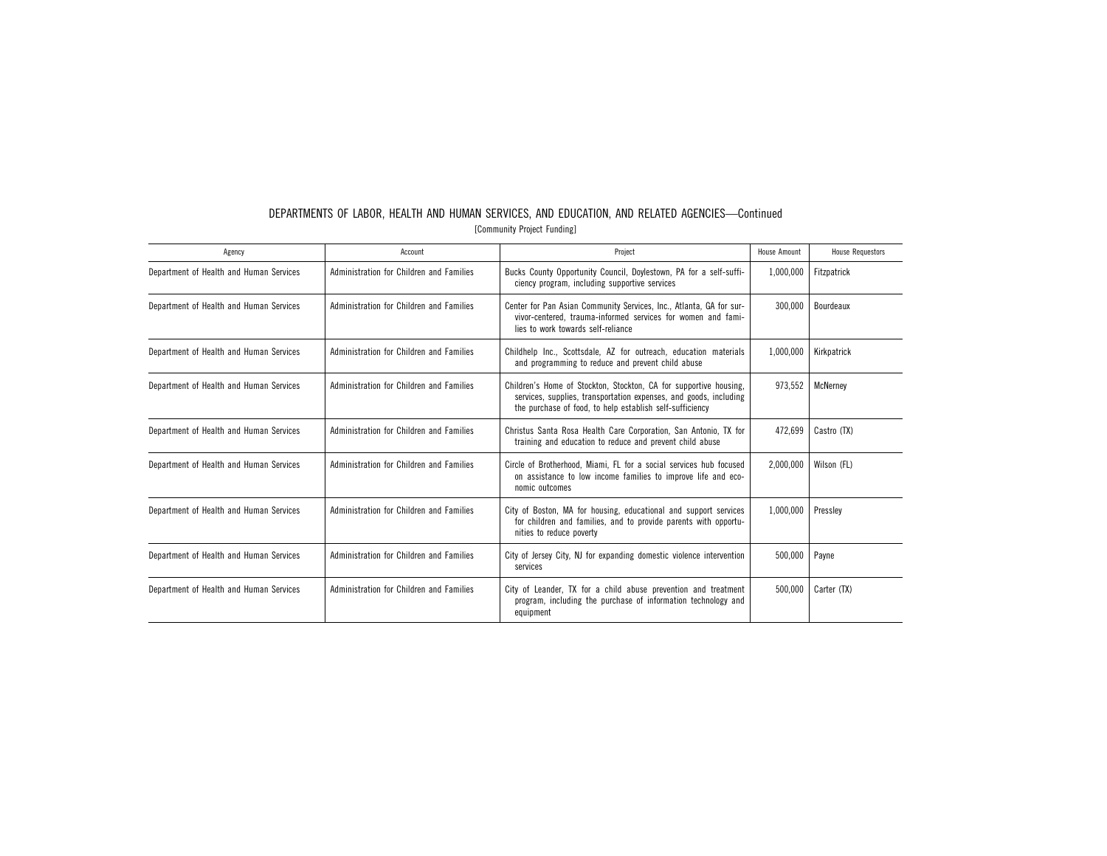| DEPARTMENTS OF LABOR. HEALTH AND HUMAN SERVICES, AND EDUCATION, AND RELATED AGENCIES-Continued |  |  |  |  |  |  |
|------------------------------------------------------------------------------------------------|--|--|--|--|--|--|
| [Community Project Funding]                                                                    |  |  |  |  |  |  |

| Agency                                  | Account                                  | Project                                                                                                                                                                                            | House Amount | <b>House Requestors</b> |
|-----------------------------------------|------------------------------------------|----------------------------------------------------------------------------------------------------------------------------------------------------------------------------------------------------|--------------|-------------------------|
| Department of Health and Human Services | Administration for Children and Families | Bucks County Opportunity Council, Doylestown, PA for a self-suffi-<br>ciency program, including supportive services                                                                                | 1,000,000    | Fitzpatrick             |
| Department of Health and Human Services | Administration for Children and Families | Center for Pan Asian Community Services, Inc., Atlanta, GA for sur-<br>vivor-centered, trauma-informed services for women and fami-<br>lies to work towards self-reliance                          | 300.000      | Bourdeaux               |
| Department of Health and Human Services | Administration for Children and Families | Childhelp Inc., Scottsdale, AZ for outreach, education materials<br>and programming to reduce and prevent child abuse                                                                              | 1,000,000    | Kirkpatrick             |
| Department of Health and Human Services | Administration for Children and Families | Children's Home of Stockton, Stockton, CA for supportive housing.<br>services, supplies, transportation expenses, and goods, including<br>the purchase of food, to help establish self-sufficiency | 973,552      | McNerney                |
| Department of Health and Human Services | Administration for Children and Families | Christus Santa Rosa Health Care Corporation, San Antonio, TX for<br>training and education to reduce and prevent child abuse                                                                       | 472.699      | Castro (TX)             |
| Department of Health and Human Services | Administration for Children and Families | Circle of Brotherhood, Miami, FL for a social services hub focused<br>on assistance to low income families to improve life and eco-<br>nomic outcomes                                              | 2,000,000    | Wilson (FL)             |
| Department of Health and Human Services | Administration for Children and Families | City of Boston, MA for housing, educational and support services<br>for children and families, and to provide parents with opportu-<br>nities to reduce poverty                                    | 1,000,000    | Pressley                |
| Department of Health and Human Services | Administration for Children and Families | City of Jersey City, NJ for expanding domestic violence intervention<br>services                                                                                                                   | 500,000      | Payne                   |
| Department of Health and Human Services | Administration for Children and Families | City of Leander, TX for a child abuse prevention and treatment<br>program, including the purchase of information technology and<br>equipment                                                       | 500,000      | Carter (TX)             |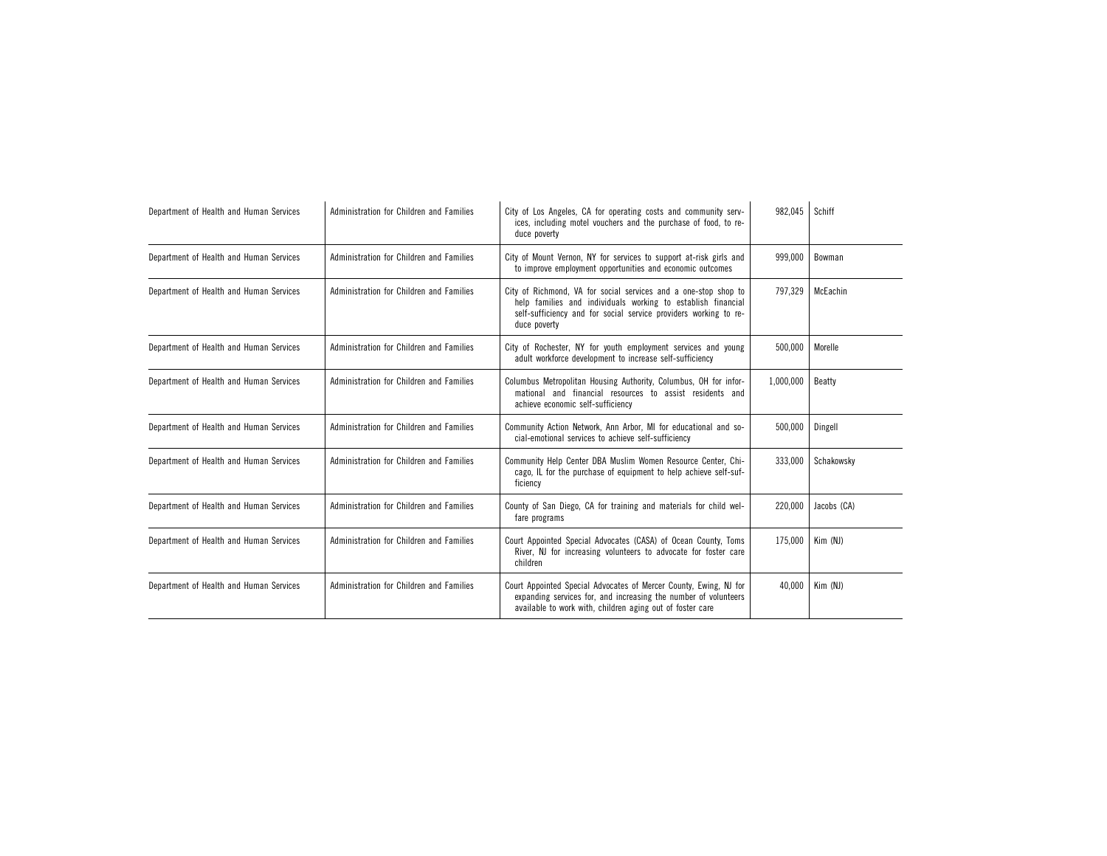| Department of Health and Human Services | Administration for Children and Families | City of Los Angeles, CA for operating costs and community serv-<br>ices, including motel vouchers and the purchase of food, to re-<br>duce poverty                                                                  | 982,045   | Schiff      |
|-----------------------------------------|------------------------------------------|---------------------------------------------------------------------------------------------------------------------------------------------------------------------------------------------------------------------|-----------|-------------|
| Department of Health and Human Services | Administration for Children and Families | City of Mount Vernon, NY for services to support at-risk girls and<br>to improve employment opportunities and economic outcomes                                                                                     | 999,000   | Bowman      |
| Department of Health and Human Services | Administration for Children and Families | City of Richmond, VA for social services and a one-stop shop to<br>help families and individuals working to establish financial<br>self-sufficiency and for social service providers working to re-<br>duce poverty | 797,329   | McEachin    |
| Department of Health and Human Services | Administration for Children and Families | City of Rochester, NY for youth employment services and young<br>adult workforce development to increase self-sufficiency                                                                                           | 500,000   | Morelle     |
| Department of Health and Human Services | Administration for Children and Families | Columbus Metropolitan Housing Authority, Columbus, OH for infor-<br>mational and financial resources to assist residents and<br>achieve economic self-sufficiency                                                   | 1,000,000 | Beatty      |
| Department of Health and Human Services | Administration for Children and Families | Community Action Network, Ann Arbor, MI for educational and so-<br>cial-emotional services to achieve self-sufficiency                                                                                              | 500,000   | Dingell     |
| Department of Health and Human Services | Administration for Children and Families | Community Help Center DBA Muslim Women Resource Center, Chi-<br>cago, IL for the purchase of equipment to help achieve self-suf-<br>ficiency                                                                        | 333,000   | Schakowsky  |
| Department of Health and Human Services | Administration for Children and Families | County of San Diego, CA for training and materials for child wel-<br>fare programs                                                                                                                                  | 220,000   | Jacobs (CA) |
| Department of Health and Human Services | Administration for Children and Families | Court Appointed Special Advocates (CASA) of Ocean County, Toms<br>River, NJ for increasing volunteers to advocate for foster care<br>children                                                                       | 175,000   | Kim (NJ)    |
| Department of Health and Human Services | Administration for Children and Families | Court Appointed Special Advocates of Mercer County, Ewing, NJ for<br>expanding services for, and increasing the number of volunteers<br>available to work with, children aging out of foster care                   | 40,000    | Kim (NJ)    |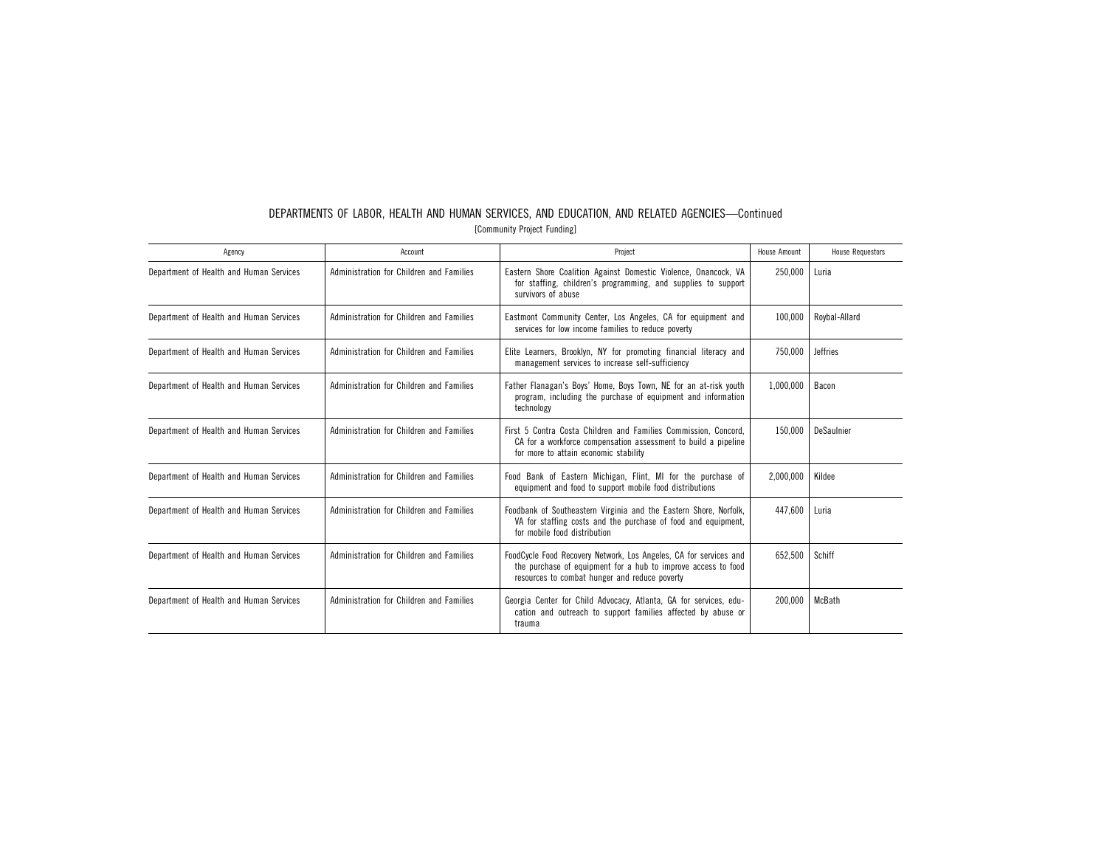| DEPARTMENTS OF LABOR. HEALTH AND HUMAN SERVICES. AND EDUCATION. AND RELATED AGENCIES-Continued |  |  |  |  |  |  |
|------------------------------------------------------------------------------------------------|--|--|--|--|--|--|
| [Community Project Funding]                                                                    |  |  |  |  |  |  |

| Agency                                  | Account                                  | Project                                                                                                                                                                             | House Amount | <b>House Requestors</b> |
|-----------------------------------------|------------------------------------------|-------------------------------------------------------------------------------------------------------------------------------------------------------------------------------------|--------------|-------------------------|
| Department of Health and Human Services | Administration for Children and Families | Eastern Shore Coalition Against Domestic Violence, Onancock, VA<br>for staffing, children's programming, and supplies to support<br>survivors of abuse                              | 250,000      | Luria                   |
| Department of Health and Human Services | Administration for Children and Families | Eastmont Community Center, Los Angeles, CA for equipment and<br>services for low income families to reduce poverty                                                                  | 100,000      | Roybal-Allard           |
| Department of Health and Human Services | Administration for Children and Families | Elite Learners, Brooklyn, NY for promoting financial literacy and<br>management services to increase self-sufficiency                                                               | 750.000      | <b>Jeffries</b>         |
| Department of Health and Human Services | Administration for Children and Families | Father Flanagan's Boys' Home, Boys Town, NE for an at-risk youth<br>program, including the purchase of equipment and information<br>technology                                      | 1,000,000    | Bacon                   |
| Department of Health and Human Services | Administration for Children and Families | First 5 Contra Costa Children and Families Commission, Concord,<br>CA for a workforce compensation assessment to build a pipeline<br>for more to attain economic stability          | 150,000      | DeSaulnier              |
| Department of Health and Human Services | Administration for Children and Families | Food Bank of Eastern Michigan, Flint, MI for the purchase of<br>equipment and food to support mobile food distributions                                                             | 2,000,000    | Kildee                  |
| Department of Health and Human Services | Administration for Children and Families | Foodbank of Southeastern Virginia and the Eastern Shore, Norfolk,<br>VA for staffing costs and the purchase of food and equipment,<br>for mobile food distribution                  | 447.600      | Luria                   |
| Department of Health and Human Services | Administration for Children and Families | FoodCycle Food Recovery Network, Los Angeles, CA for services and<br>the purchase of equipment for a hub to improve access to food<br>resources to combat hunger and reduce poverty | 652.500      | Schiff                  |
| Department of Health and Human Services | Administration for Children and Families | Georgia Center for Child Advocacy, Atlanta, GA for services, edu-<br>cation and outreach to support families affected by abuse or<br>trauma                                         | 200.000      | McBath                  |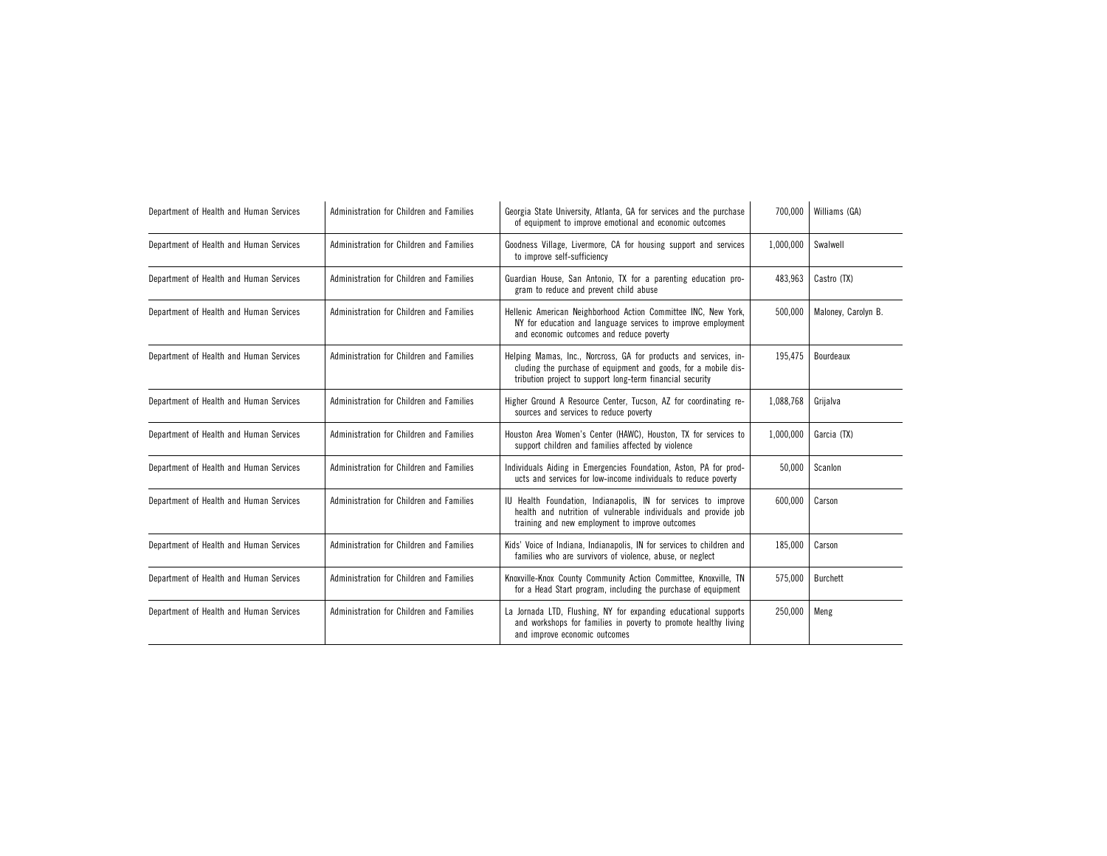| Department of Health and Human Services | Administration for Children and Families | Georgia State University, Atlanta, GA for services and the purchase<br>of equipment to improve emotional and economic outcomes                                                                  | 700.000   | Williams (GA)       |
|-----------------------------------------|------------------------------------------|-------------------------------------------------------------------------------------------------------------------------------------------------------------------------------------------------|-----------|---------------------|
| Department of Health and Human Services | Administration for Children and Families | Goodness Village, Livermore, CA for housing support and services<br>to improve self-sufficiency                                                                                                 | 1,000,000 | Swalwell            |
| Department of Health and Human Services | Administration for Children and Families | Guardian House, San Antonio, TX for a parenting education pro-<br>gram to reduce and prevent child abuse                                                                                        | 483,963   | Castro (TX)         |
| Department of Health and Human Services | Administration for Children and Families | Hellenic American Neighborhood Action Committee INC, New York,<br>NY for education and language services to improve employment<br>and economic outcomes and reduce poverty                      | 500.000   | Maloney, Carolyn B. |
| Department of Health and Human Services | Administration for Children and Families | Helping Mamas, Inc., Norcross, GA for products and services, in-<br>cluding the purchase of equipment and goods, for a mobile dis-<br>tribution project to support long-term financial security | 195,475   | Bourdeaux           |
| Department of Health and Human Services | Administration for Children and Families | Higher Ground A Resource Center, Tucson, AZ for coordinating re-<br>sources and services to reduce poverty                                                                                      | 1,088,768 | Grijalva            |
| Department of Health and Human Services | Administration for Children and Families | Houston Area Women's Center (HAWC), Houston, TX for services to<br>support children and families affected by violence                                                                           | 1,000,000 | Garcia (TX)         |
| Department of Health and Human Services | Administration for Children and Families | Individuals Aiding in Emergencies Foundation, Aston, PA for prod-<br>ucts and services for low-income individuals to reduce poverty                                                             | 50,000    | Scanlon             |
| Department of Health and Human Services | Administration for Children and Families | IU Health Foundation, Indianapolis, IN for services to improve<br>health and nutrition of vulnerable individuals and provide job<br>training and new employment to improve outcomes             | 600,000   | Carson              |
| Department of Health and Human Services | Administration for Children and Families | Kids' Voice of Indiana, Indianapolis, IN for services to children and<br>families who are survivors of violence, abuse, or neglect                                                              | 185,000   | Carson              |
| Department of Health and Human Services | Administration for Children and Families | Knoxville-Knox County Community Action Committee, Knoxville, TN<br>for a Head Start program, including the purchase of equipment                                                                | 575,000   | <b>Burchett</b>     |
| Department of Health and Human Services | Administration for Children and Families | La Jornada LTD, Flushing, NY for expanding educational supports<br>and workshops for families in poverty to promote healthy living<br>and improve economic outcomes                             | 250,000   | Meng                |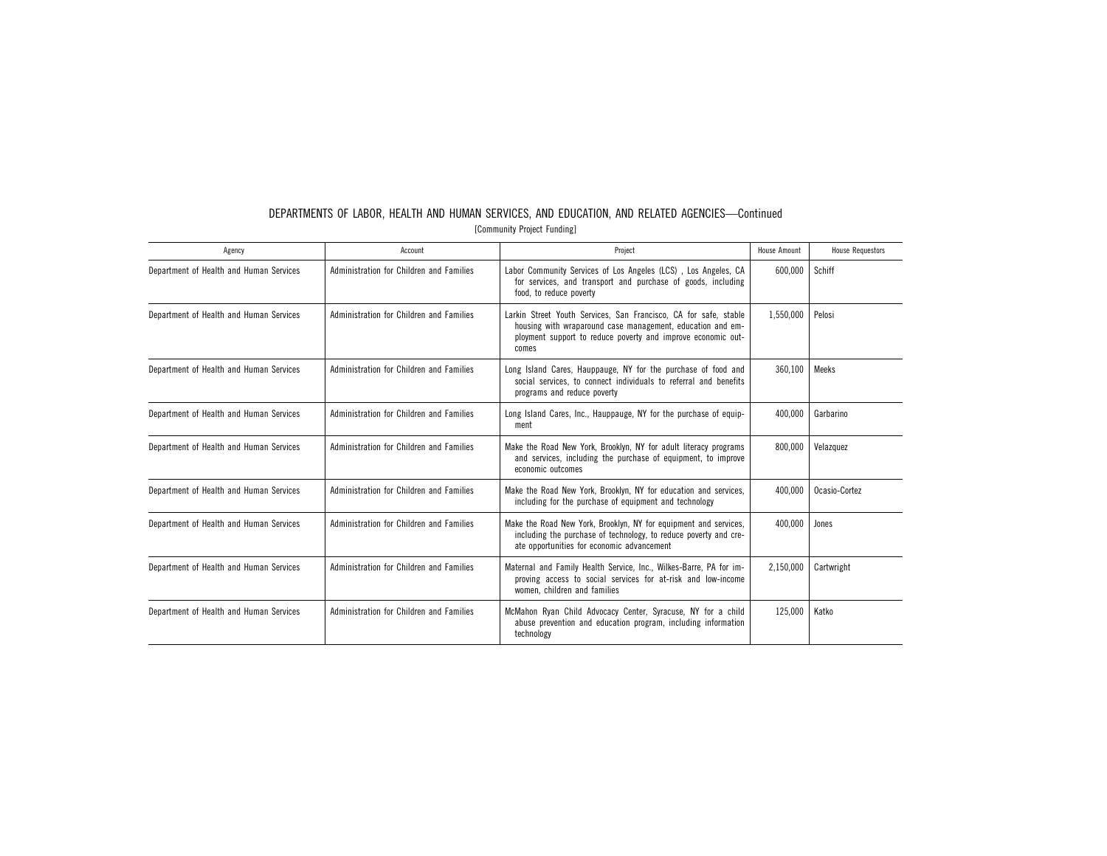| Agency                                  | Account                                  | Project                                                                                                                                                                                                 | <b>House Amount</b> | <b>House Requestors</b> |
|-----------------------------------------|------------------------------------------|---------------------------------------------------------------------------------------------------------------------------------------------------------------------------------------------------------|---------------------|-------------------------|
| Department of Health and Human Services | Administration for Children and Families | Labor Community Services of Los Angeles (LCS), Los Angeles, CA<br>for services, and transport and purchase of goods, including<br>food, to reduce poverty                                               | 600,000             | Schiff                  |
| Department of Health and Human Services | Administration for Children and Families | Larkin Street Youth Services, San Francisco, CA for safe, stable<br>housing with wraparound case management, education and em-<br>ployment support to reduce poverty and improve economic out-<br>comes | 1,550,000           | Pelosi                  |
| Department of Health and Human Services | Administration for Children and Families | Long Island Cares, Hauppauge, NY for the purchase of food and<br>social services, to connect individuals to referral and benefits<br>programs and reduce poverty                                        | 360,100             | Meeks                   |
| Department of Health and Human Services | Administration for Children and Families | Long Island Cares, Inc., Hauppauge, NY for the purchase of equip-<br>ment                                                                                                                               | 400,000             | Garbarino               |
| Department of Health and Human Services | Administration for Children and Families | Make the Road New York, Brooklyn, NY for adult literacy programs<br>and services, including the purchase of equipment, to improve<br>economic outcomes                                                  | 800,000             | Velazquez               |
| Department of Health and Human Services | Administration for Children and Families | Make the Road New York. Brooklyn. NY for education and services.<br>including for the purchase of equipment and technology                                                                              | 400.000             | Ocasio-Cortez           |
| Department of Health and Human Services | Administration for Children and Families | Make the Road New York, Brooklyn, NY for equipment and services,<br>including the purchase of technology, to reduce poverty and cre-<br>ate opportunities for economic advancement                      | 400.000             | Jones                   |
| Department of Health and Human Services | Administration for Children and Families | Maternal and Family Health Service, Inc., Wilkes-Barre, PA for im-<br>proving access to social services for at-risk and low-income<br>women, children and families                                      | 2,150,000           | Cartwright              |
| Department of Health and Human Services | Administration for Children and Families | McMahon Ryan Child Advocacy Center, Syracuse, NY for a child<br>abuse prevention and education program, including information<br>technology                                                             | 125,000             | Katko                   |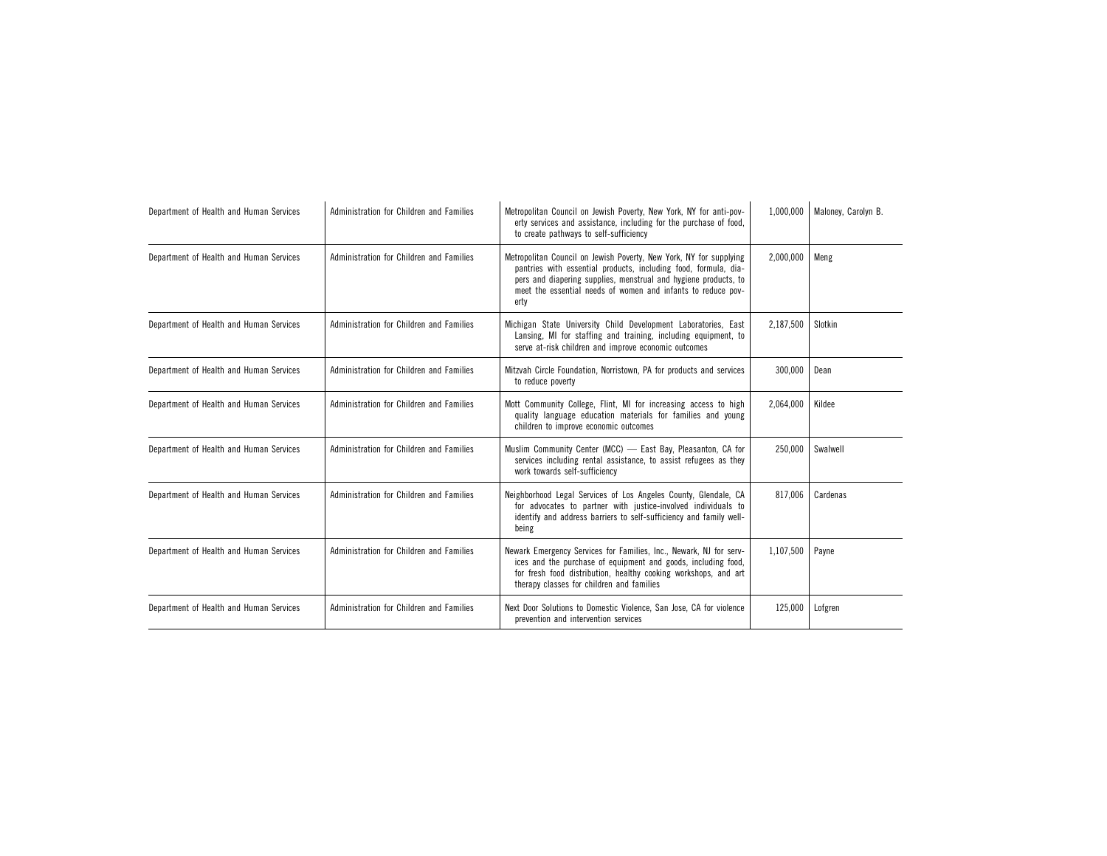| Department of Health and Human Services | Administration for Children and Families | Metropolitan Council on Jewish Poverty, New York, NY for anti-pov-<br>erty services and assistance, including for the purchase of food,<br>to create pathways to self-sufficiency                                                                                                | 1,000,000 | Maloney, Carolyn B. |
|-----------------------------------------|------------------------------------------|----------------------------------------------------------------------------------------------------------------------------------------------------------------------------------------------------------------------------------------------------------------------------------|-----------|---------------------|
| Department of Health and Human Services | Administration for Children and Families | Metropolitan Council on Jewish Poverty, New York, NY for supplying<br>pantries with essential products, including food, formula, dia-<br>pers and diapering supplies, menstrual and hygiene products, to<br>meet the essential needs of women and infants to reduce pov-<br>erty | 2,000,000 | Meng                |
| Department of Health and Human Services | Administration for Children and Families | Michigan State University Child Development Laboratories, East<br>Lansing, MI for staffing and training, including equipment, to<br>serve at-risk children and improve economic outcomes                                                                                         | 2,187,500 | Slotkin             |
| Department of Health and Human Services | Administration for Children and Families | Mitzvah Circle Foundation, Norristown, PA for products and services<br>to reduce poverty                                                                                                                                                                                         | 300,000   | Dean                |
| Department of Health and Human Services | Administration for Children and Families | Mott Community College, Flint, MI for increasing access to high<br>quality language education materials for families and young<br>children to improve economic outcomes                                                                                                          | 2,064,000 | Kildee              |
| Department of Health and Human Services | Administration for Children and Families | Muslim Community Center (MCC) - East Bay, Pleasanton, CA for<br>services including rental assistance, to assist refugees as they<br>work towards self-sufficiency                                                                                                                | 250,000   | Swalwell            |
| Department of Health and Human Services | Administration for Children and Families | Neighborhood Legal Services of Los Angeles County, Glendale, CA<br>for advocates to partner with justice-involved individuals to<br>identify and address barriers to self-sufficiency and family well-<br>being                                                                  | 817.006   | Cardenas            |
| Department of Health and Human Services | Administration for Children and Families | Newark Emergency Services for Families, Inc., Newark, NJ for serv-<br>ices and the purchase of equipment and goods, including food,<br>for fresh food distribution, healthy cooking workshops, and art<br>therapy classes for children and families                              | 1,107,500 | Payne               |
| Department of Health and Human Services | Administration for Children and Families | Next Door Solutions to Domestic Violence, San Jose, CA for violence<br>prevention and intervention services                                                                                                                                                                      | 125,000   | Lofgren             |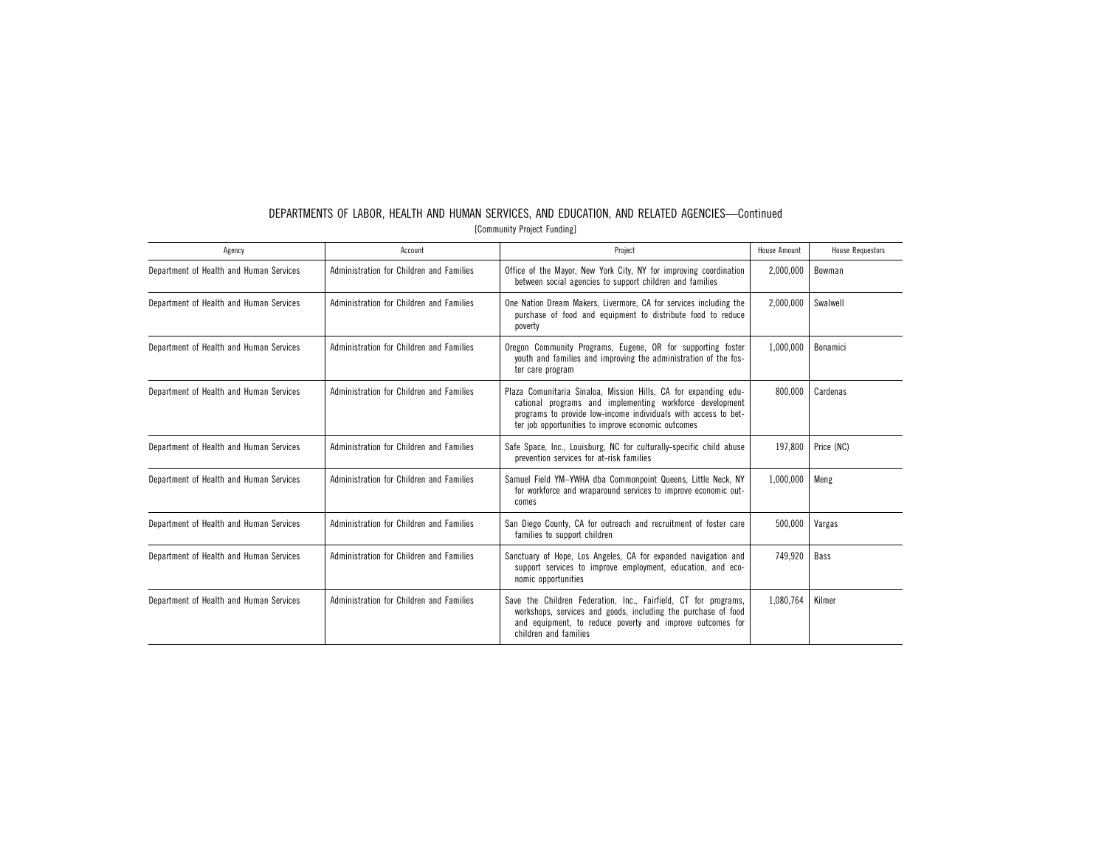|                             |         | DEPARTMENTS OF LABOR, HEALTH AND HUMAN SERVICES, AND EDUCATION, AND RELATED AGENCIES-Continued |              |  |  |  |  |
|-----------------------------|---------|------------------------------------------------------------------------------------------------|--------------|--|--|--|--|
| [Community Project Funding] |         |                                                                                                |              |  |  |  |  |
| <i><b>gency</b></i>         | Account | Project                                                                                        | House Amount |  |  |  |  |

| Agency                                  | Account                                  | Project                                                                                                                                                                                                                                             | House Amount | <b>House Requestors</b> |
|-----------------------------------------|------------------------------------------|-----------------------------------------------------------------------------------------------------------------------------------------------------------------------------------------------------------------------------------------------------|--------------|-------------------------|
| Department of Health and Human Services | Administration for Children and Families | Office of the Mayor, New York City, NY for improving coordination<br>between social agencies to support children and families                                                                                                                       | 2,000,000    | Bowman                  |
| Department of Health and Human Services | Administration for Children and Families | One Nation Dream Makers, Livermore, CA for services including the<br>purchase of food and equipment to distribute food to reduce<br>poverty                                                                                                         | 2,000,000    | Swalwell                |
| Department of Health and Human Services | Administration for Children and Families | Oregon Community Programs, Eugene, OR for supporting foster<br>youth and families and improving the administration of the fos-<br>ter care program                                                                                                  | 1,000,000    | Bonamici                |
| Department of Health and Human Services | Administration for Children and Families | Plaza Comunitaria Sinaloa, Mission Hills, CA for expanding edu-<br>cational programs and implementing workforce development<br>programs to provide low-income individuals with access to bet-<br>ter job opportunities to improve economic outcomes | 800,000      | Cardenas                |
| Department of Health and Human Services | Administration for Children and Families | Safe Space, Inc., Louisburg, NC for culturally-specific child abuse<br>prevention services for at-risk families                                                                                                                                     | 197,800      | Price (NC)              |
| Department of Health and Human Services | Administration for Children and Families | Samuel Field YM-YWHA dba Commonpoint Queens, Little Neck, NY<br>for workforce and wraparound services to improve economic out-<br>comes                                                                                                             | 1,000,000    | Meng                    |
| Department of Health and Human Services | Administration for Children and Families | San Diego County, CA for outreach and recruitment of foster care<br>families to support children                                                                                                                                                    | 500,000      | Vargas                  |
| Department of Health and Human Services | Administration for Children and Families | Sanctuary of Hope, Los Angeles, CA for expanded navigation and<br>support services to improve employment, education, and eco-<br>nomic opportunities                                                                                                | 749,920      | <b>Bass</b>             |
| Department of Health and Human Services | Administration for Children and Families | Save the Children Federation, Inc., Fairfield, CT for programs,<br>workshops, services and goods, including the purchase of food<br>and equipment, to reduce poverty and improve outcomes for<br>children and families                              | 1,080,764    | Kilmer                  |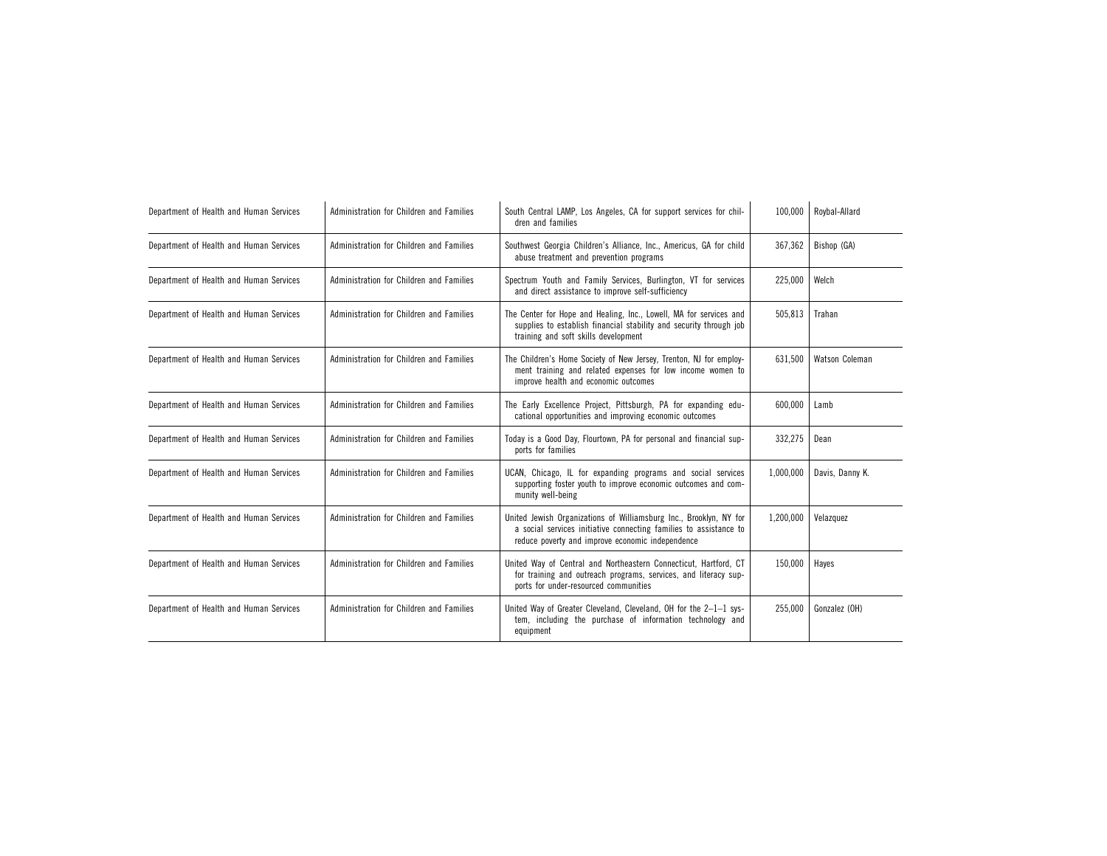| Department of Health and Human Services | Administration for Children and Families | South Central LAMP, Los Angeles, CA for support services for chil-<br>dren and families                                                                                                     | 100.000   | Roybal-Allard   |
|-----------------------------------------|------------------------------------------|---------------------------------------------------------------------------------------------------------------------------------------------------------------------------------------------|-----------|-----------------|
| Department of Health and Human Services | Administration for Children and Families | Southwest Georgia Children's Alliance, Inc., Americus, GA for child<br>abuse treatment and prevention programs                                                                              | 367,362   | Bishop (GA)     |
| Department of Health and Human Services | Administration for Children and Families | Spectrum Youth and Family Services, Burlington, VT for services<br>and direct assistance to improve self-sufficiency                                                                        | 225,000   | Welch           |
| Department of Health and Human Services | Administration for Children and Families | The Center for Hope and Healing, Inc., Lowell, MA for services and<br>supplies to establish financial stability and security through job<br>training and soft skills development            | 505,813   | Trahan          |
| Department of Health and Human Services | Administration for Children and Families | The Children's Home Society of New Jersey, Trenton, NJ for employ-<br>ment training and related expenses for low income women to<br>improve health and economic outcomes                    | 631,500   | Watson Coleman  |
| Department of Health and Human Services | Administration for Children and Families | The Early Excellence Project, Pittsburgh, PA for expanding edu-<br>cational opportunities and improving economic outcomes                                                                   | 600.000   | Lamb            |
| Department of Health and Human Services | Administration for Children and Families | Today is a Good Day, Flourtown, PA for personal and financial sup-<br>ports for families                                                                                                    | 332,275   | Dean            |
| Department of Health and Human Services | Administration for Children and Families | UCAN, Chicago, IL for expanding programs and social services<br>supporting foster youth to improve economic outcomes and com-<br>munity well-being                                          | 1,000,000 | Davis, Danny K. |
| Department of Health and Human Services | Administration for Children and Families | United Jewish Organizations of Williamsburg Inc., Brooklyn, NY for<br>a social services initiative connecting families to assistance to<br>reduce poverty and improve economic independence | 1,200,000 | Velazquez       |
| Department of Health and Human Services | Administration for Children and Families | United Way of Central and Northeastern Connecticut, Hartford, CT<br>for training and outreach programs, services, and literacy sup-<br>ports for under-resourced communities                | 150,000   | Hayes           |
| Department of Health and Human Services | Administration for Children and Families | United Way of Greater Cleveland, Cleveland, OH for the 2-1-1 sys-<br>tem, including the purchase of information technology and<br>equipment                                                 | 255,000   | Gonzalez (OH)   |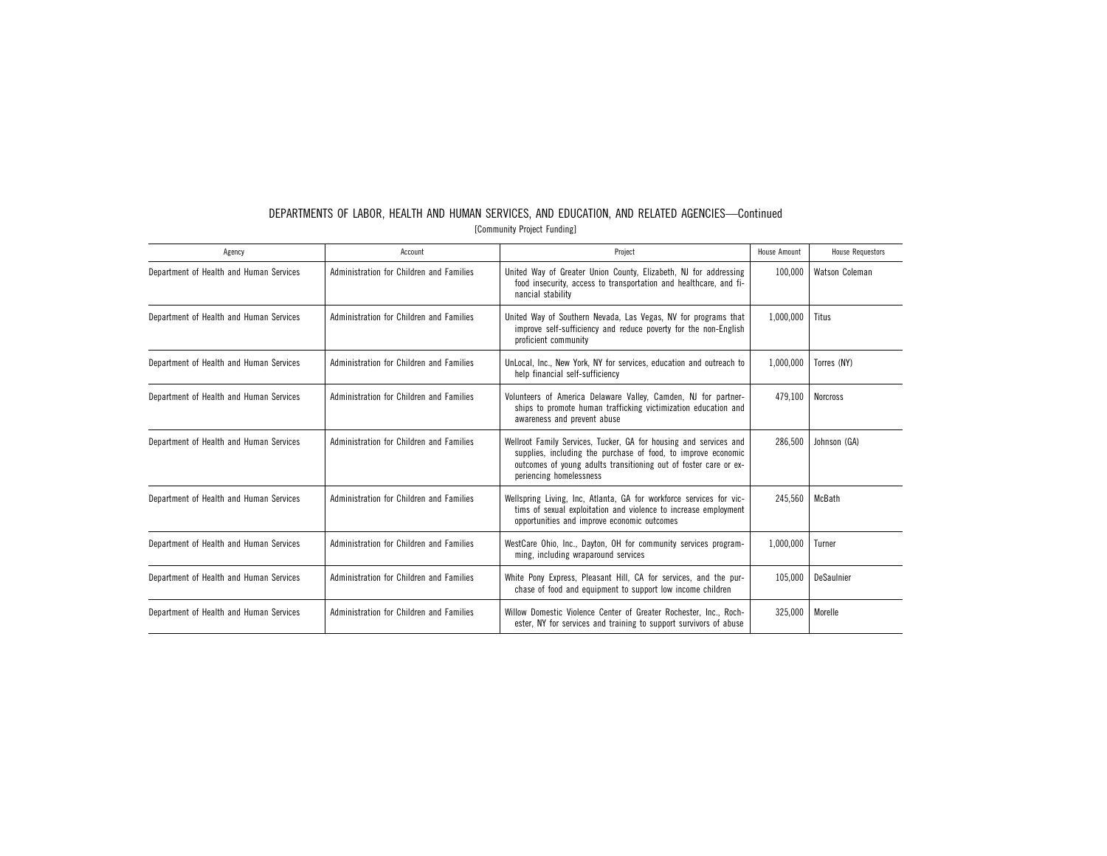| DEPARTMENTS OF LABOR, HEALTH AND HUMAN SERVICES, AND EDUCATION, AND RELATED AGENCIES-Continued |  |  |                             |  |  |  |
|------------------------------------------------------------------------------------------------|--|--|-----------------------------|--|--|--|
|                                                                                                |  |  | [Community Project Funding] |  |  |  |

| Agency                                  | Account                                  | Project                                                                                                                                                                                                                           | House Amount | <b>House Requestors</b> |
|-----------------------------------------|------------------------------------------|-----------------------------------------------------------------------------------------------------------------------------------------------------------------------------------------------------------------------------------|--------------|-------------------------|
| Department of Health and Human Services | Administration for Children and Families | United Way of Greater Union County, Elizabeth, NJ for addressing<br>food insecurity, access to transportation and healthcare, and fi-<br>nancial stability                                                                        | 100,000      | Watson Coleman          |
| Department of Health and Human Services | Administration for Children and Families | United Way of Southern Nevada, Las Vegas, NV for programs that<br>improve self-sufficiency and reduce poverty for the non-English<br>proficient community                                                                         | 1,000,000    | Titus                   |
| Department of Health and Human Services | Administration for Children and Families | UnLocal, Inc., New York, NY for services, education and outreach to<br>help financial self-sufficiency                                                                                                                            | 1,000,000    | Torres (NY)             |
| Department of Health and Human Services | Administration for Children and Families | Volunteers of America Delaware Valley, Camden, NJ for partner-<br>ships to promote human trafficking victimization education and<br>awareness and prevent abuse                                                                   | 479.100      | <b>Norcross</b>         |
| Department of Health and Human Services | Administration for Children and Families | Wellroot Family Services, Tucker, GA for housing and services and<br>supplies, including the purchase of food, to improve economic<br>outcomes of young adults transitioning out of foster care or ex-<br>periencing homelessness | 286,500      | Johnson (GA)            |
| Department of Health and Human Services | Administration for Children and Families | Wellspring Living, Inc, Atlanta, GA for workforce services for vic-<br>tims of sexual exploitation and violence to increase employment<br>opportunities and improve economic outcomes                                             | 245,560      | McBath                  |
| Department of Health and Human Services | Administration for Children and Families | WestCare Ohio, Inc., Dayton, OH for community services program-<br>ming, including wraparound services                                                                                                                            | 1,000,000    | Turner                  |
| Department of Health and Human Services | Administration for Children and Families | White Pony Express, Pleasant Hill, CA for services, and the pur-<br>chase of food and equipment to support low income children                                                                                                    | 105.000      | DeSaulnier              |
| Department of Health and Human Services | Administration for Children and Families | Willow Domestic Violence Center of Greater Rochester, Inc., Roch-<br>ester, NY for services and training to support survivors of abuse                                                                                            | 325,000      | Morelle                 |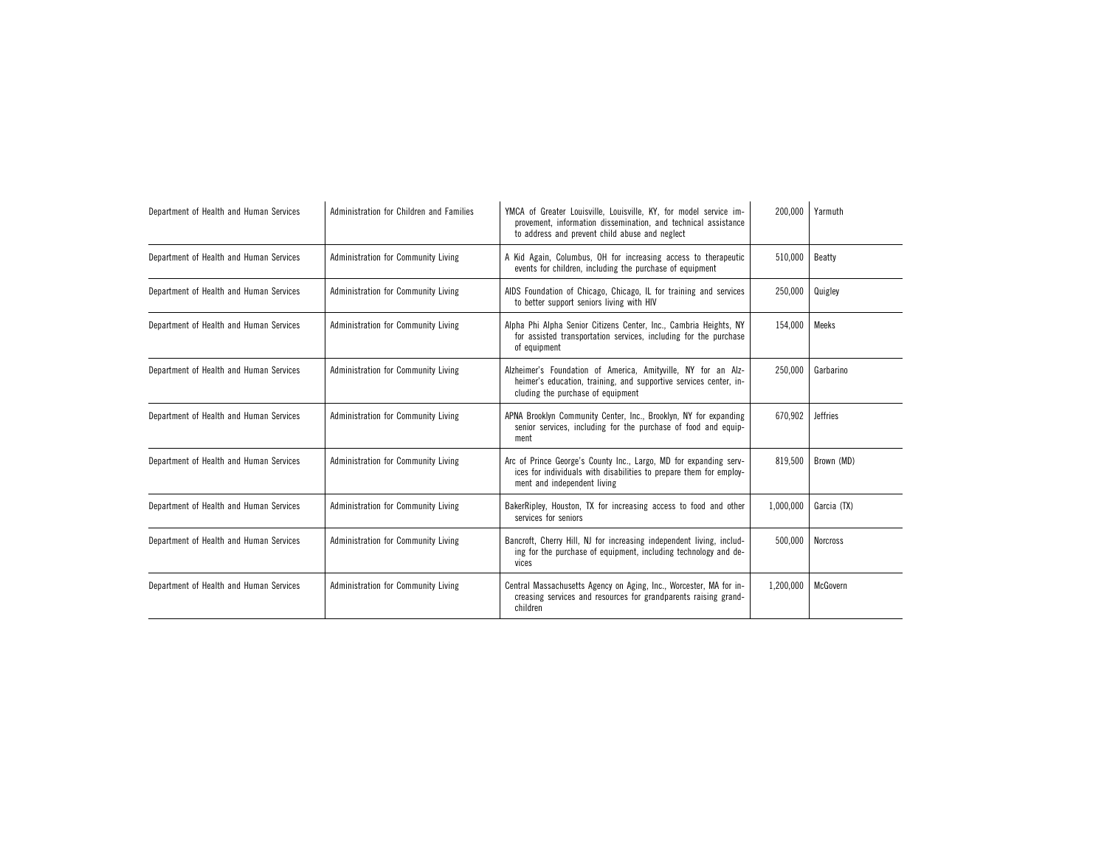| Department of Health and Human Services | Administration for Children and Families | YMCA of Greater Louisville, Louisville, KY, for model service im-<br>provement, information dissemination, and technical assistance<br>to address and prevent child abuse and neglect | 200,000   | Yarmuth         |
|-----------------------------------------|------------------------------------------|---------------------------------------------------------------------------------------------------------------------------------------------------------------------------------------|-----------|-----------------|
| Department of Health and Human Services | Administration for Community Living      | A Kid Again, Columbus, OH for increasing access to therapeutic<br>events for children, including the purchase of equipment                                                            | 510.000   | Beatty          |
| Department of Health and Human Services | Administration for Community Living      | AIDS Foundation of Chicago, Chicago, IL for training and services<br>to better support seniors living with HIV                                                                        | 250,000   | Quigley         |
| Department of Health and Human Services | Administration for Community Living      | Alpha Phi Alpha Senior Citizens Center, Inc., Cambria Heights, NY<br>for assisted transportation services, including for the purchase<br>of equipment                                 | 154,000   | Meeks           |
| Department of Health and Human Services | Administration for Community Living      | Alzheimer's Foundation of America, Amityville, NY for an Alz-<br>heimer's education, training, and supportive services center, in-<br>cluding the purchase of equipment               | 250,000   | Garbarino       |
| Department of Health and Human Services | Administration for Community Living      | APNA Brooklyn Community Center, Inc., Brooklyn, NY for expanding<br>senior services, including for the purchase of food and equip-<br>ment                                            | 670,902   | <b>Jeffries</b> |
| Department of Health and Human Services | Administration for Community Living      | Arc of Prince George's County Inc., Largo, MD for expanding serv-<br>ices for individuals with disabilities to prepare them for employ-<br>ment and independent living                | 819,500   | Brown (MD)      |
| Department of Health and Human Services | Administration for Community Living      | BakerRipley, Houston, TX for increasing access to food and other<br>services for seniors                                                                                              | 1,000,000 | Garcia (TX)     |
| Department of Health and Human Services | Administration for Community Living      | Bancroft, Cherry Hill, NJ for increasing independent living, includ-<br>ing for the purchase of equipment, including technology and de-<br>vices                                      | 500,000   | <b>Norcross</b> |
| Department of Health and Human Services | Administration for Community Living      | Central Massachusetts Agency on Aging, Inc., Worcester, MA for in-<br>creasing services and resources for grandparents raising grand-<br>children                                     | 1,200,000 | McGovern        |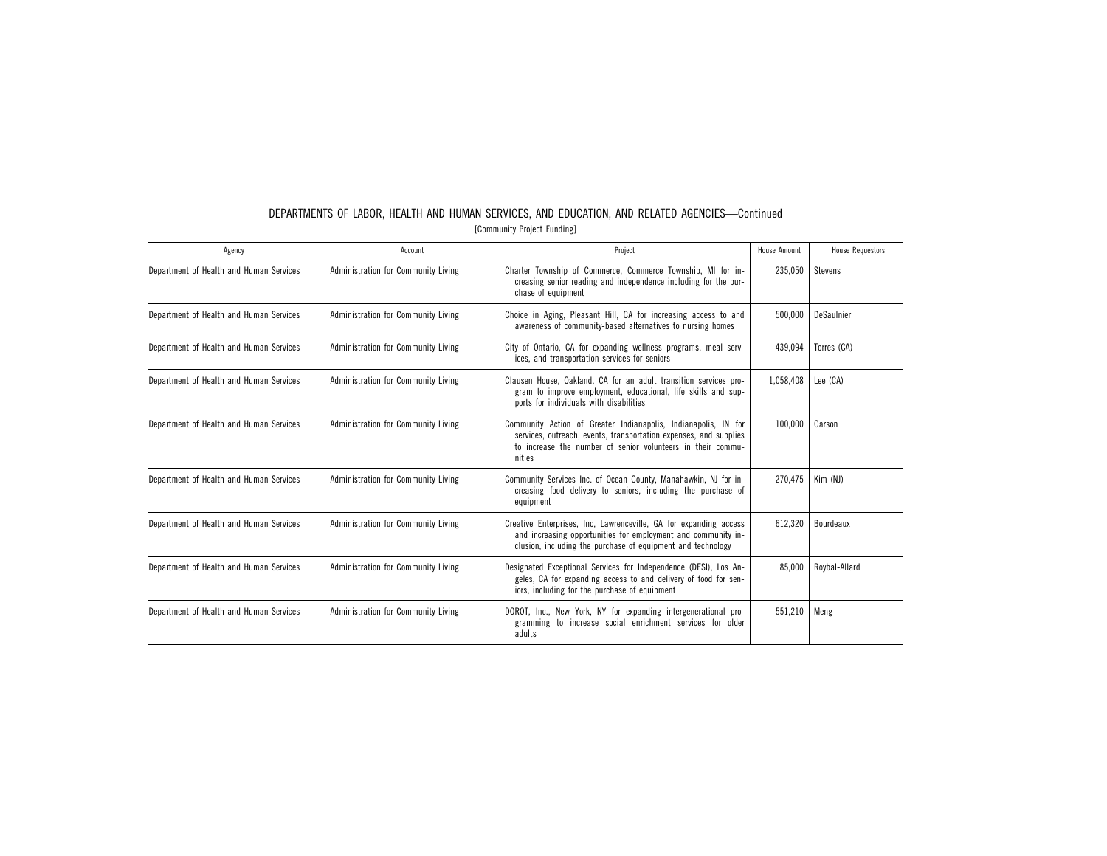| Agency                                  | Account                             | Project                                                                                                                                                                                                      | <b>House Amount</b> | <b>House Requestors</b> |
|-----------------------------------------|-------------------------------------|--------------------------------------------------------------------------------------------------------------------------------------------------------------------------------------------------------------|---------------------|-------------------------|
| Department of Health and Human Services | Administration for Community Living | Charter Township of Commerce, Commerce Township, MI for in-<br>creasing senior reading and independence including for the pur-<br>chase of equipment                                                         | 235,050             | Stevens                 |
| Department of Health and Human Services | Administration for Community Living | Choice in Aging, Pleasant Hill, CA for increasing access to and<br>awareness of community-based alternatives to nursing homes                                                                                | 500.000             | DeSaulnier              |
| Department of Health and Human Services | Administration for Community Living | City of Ontario, CA for expanding wellness programs, meal serv-<br>ices, and transportation services for seniors                                                                                             | 439,094             | Torres (CA)             |
| Department of Health and Human Services | Administration for Community Living | Clausen House, Oakland, CA for an adult transition services pro-<br>gram to improve employment, educational, life skills and sup-<br>ports for individuals with disabilities                                 | 1,058,408           | Lee (CA)                |
| Department of Health and Human Services | Administration for Community Living | Community Action of Greater Indianapolis, Indianapolis, IN for<br>services, outreach, events, transportation expenses, and supplies<br>to increase the number of senior volunteers in their commu-<br>nities | 100,000             | Carson                  |
| Department of Health and Human Services | Administration for Community Living | Community Services Inc. of Ocean County, Manahawkin, NJ for in-<br>creasing food delivery to seniors, including the purchase of<br>equipment                                                                 | 270.475             | Kim (NJ)                |
| Department of Health and Human Services | Administration for Community Living | Creative Enterprises, Inc. Lawrenceville, GA for expanding access<br>and increasing opportunities for employment and community in-<br>clusion, including the purchase of equipment and technology            | 612,320             | Bourdeaux               |
| Department of Health and Human Services | Administration for Community Living | Designated Exceptional Services for Independence (DESI), Los An-<br>geles, CA for expanding access to and delivery of food for sen-<br>iors, including for the purchase of equipment                         | 85,000              | Roybal-Allard           |
| Department of Health and Human Services | Administration for Community Living | DOROT, Inc., New York, NY for expanding intergenerational pro-<br>gramming to increase social enrichment services for older<br>adults                                                                        | 551.210             | Meng                    |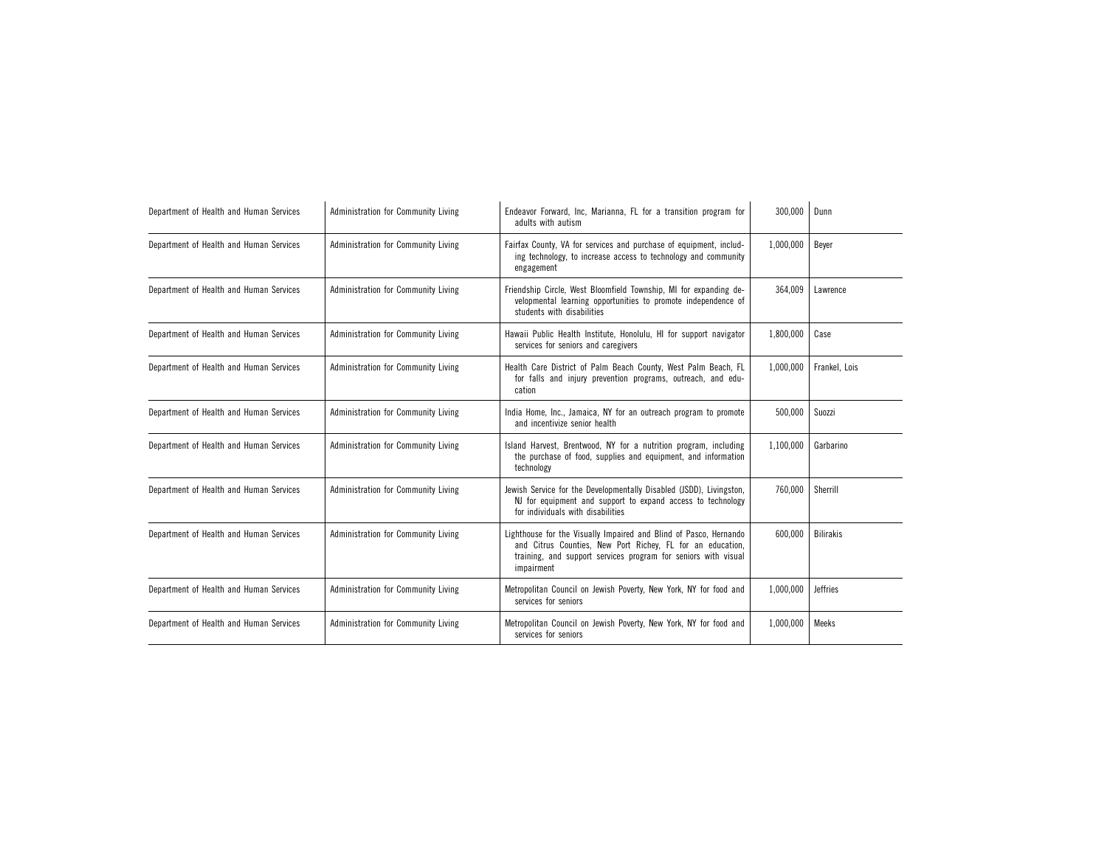| Department of Health and Human Services | Administration for Community Living | Endeavor Forward, Inc. Marianna, FL for a transition program for<br>adults with autism                                                                                                                          | 300,000   | Dunn             |
|-----------------------------------------|-------------------------------------|-----------------------------------------------------------------------------------------------------------------------------------------------------------------------------------------------------------------|-----------|------------------|
| Department of Health and Human Services | Administration for Community Living | Fairfax County, VA for services and purchase of equipment, includ-<br>ing technology, to increase access to technology and community<br>engagement                                                              | 1,000,000 | Beyer            |
| Department of Health and Human Services | Administration for Community Living | Friendship Circle, West Bloomfield Township, MI for expanding de-<br>velopmental learning opportunities to promote independence of<br>students with disabilities                                                | 364,009   | Lawrence         |
| Department of Health and Human Services | Administration for Community Living | Hawaii Public Health Institute, Honolulu, HI for support navigator<br>services for seniors and caregivers                                                                                                       | 1,800,000 | Case             |
| Department of Health and Human Services | Administration for Community Living | Health Care District of Palm Beach County, West Palm Beach, FL<br>for falls and injury prevention programs, outreach, and edu-<br>cation                                                                        | 1,000,000 | Frankel, Lois    |
| Department of Health and Human Services | Administration for Community Living | India Home, Inc., Jamaica, NY for an outreach program to promote<br>and incentivize senior health                                                                                                               | 500,000   | Suozzi           |
| Department of Health and Human Services | Administration for Community Living | Island Harvest, Brentwood, NY for a nutrition program, including<br>the purchase of food, supplies and equipment, and information<br>technology                                                                 | 1,100,000 | Garbarino        |
| Department of Health and Human Services | Administration for Community Living | Jewish Service for the Developmentally Disabled (JSDD), Livingston,<br>NJ for equipment and support to expand access to technology<br>for individuals with disabilities                                         | 760,000   | Sherrill         |
| Department of Health and Human Services | Administration for Community Living | Lighthouse for the Visually Impaired and Blind of Pasco, Hernando<br>and Citrus Counties, New Port Richey, FL for an education,<br>training, and support services program for seniors with visual<br>impairment | 600,000   | <b>Bilirakis</b> |
| Department of Health and Human Services | Administration for Community Living | Metropolitan Council on Jewish Poverty, New York, NY for food and<br>services for seniors                                                                                                                       | 1,000,000 | <b>Jeffries</b>  |
| Department of Health and Human Services | Administration for Community Living | Metropolitan Council on Jewish Poverty, New York, NY for food and<br>services for seniors                                                                                                                       | 1,000,000 | Meeks            |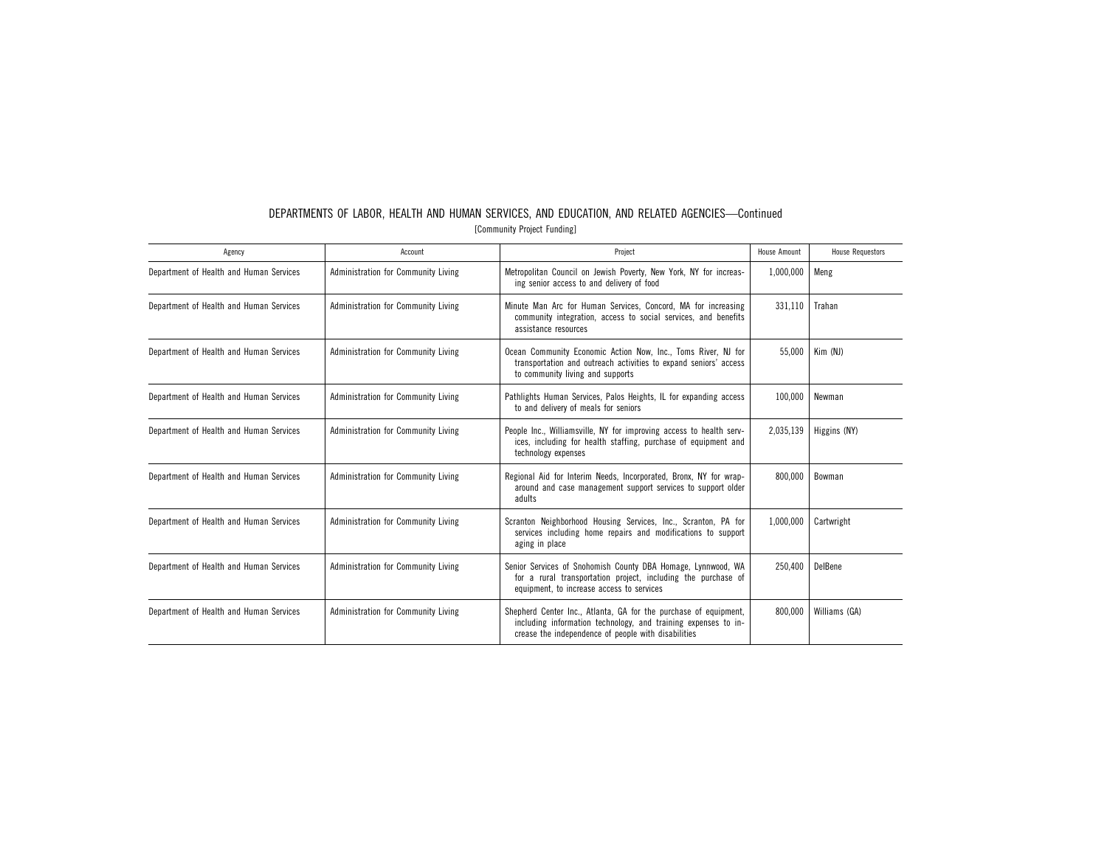| DEPARTMENTS OF LABOR. HEALTH AND HUMAN SERVICES, AND EDUCATION, AND RELATED AGENCIES-Continued |  |  |                             |  |  |  |
|------------------------------------------------------------------------------------------------|--|--|-----------------------------|--|--|--|
|                                                                                                |  |  | [Community Project Funding] |  |  |  |

| Agency                                  | Account                             | Project                                                                                                                                                                                   | <b>House Amount</b> | <b>House Requestors</b> |
|-----------------------------------------|-------------------------------------|-------------------------------------------------------------------------------------------------------------------------------------------------------------------------------------------|---------------------|-------------------------|
| Department of Health and Human Services | Administration for Community Living | Metropolitan Council on Jewish Poverty, New York, NY for increas-<br>ing senior access to and delivery of food                                                                            | 1,000,000           | Meng                    |
| Department of Health and Human Services | Administration for Community Living | Minute Man Arc for Human Services, Concord, MA for increasing<br>community integration, access to social services, and benefits<br>assistance resources                                   | 331,110             | Trahan                  |
| Department of Health and Human Services | Administration for Community Living | Ocean Community Economic Action Now, Inc., Toms River, NJ for<br>transportation and outreach activities to expand seniors' access<br>to community living and supports                     | 55,000              | Kim (NJ)                |
| Department of Health and Human Services | Administration for Community Living | Pathlights Human Services, Palos Heights, IL for expanding access<br>to and delivery of meals for seniors                                                                                 | 100,000             | Newman                  |
| Department of Health and Human Services | Administration for Community Living | People Inc., Williamsville, NY for improving access to health serv-<br>ices, including for health staffing, purchase of equipment and<br>technology expenses                              | 2,035,139           | Higgins (NY)            |
| Department of Health and Human Services | Administration for Community Living | Regional Aid for Interim Needs, Incorporated, Bronx, NY for wrap-<br>around and case management support services to support older<br>adults                                               | 800,000             | Bowman                  |
| Department of Health and Human Services | Administration for Community Living | Scranton Neighborhood Housing Services, Inc., Scranton, PA for<br>services including home repairs and modifications to support<br>aging in place                                          | 1,000,000           | Cartwright              |
| Department of Health and Human Services | Administration for Community Living | Senior Services of Snohomish County DBA Homage, Lynnwood, WA<br>for a rural transportation project, including the purchase of<br>equipment, to increase access to services                | 250.400             | DelBene                 |
| Department of Health and Human Services | Administration for Community Living | Shepherd Center Inc., Atlanta, GA for the purchase of equipment,<br>including information technology, and training expenses to in-<br>crease the independence of people with disabilities | 800,000             | Williams (GA)           |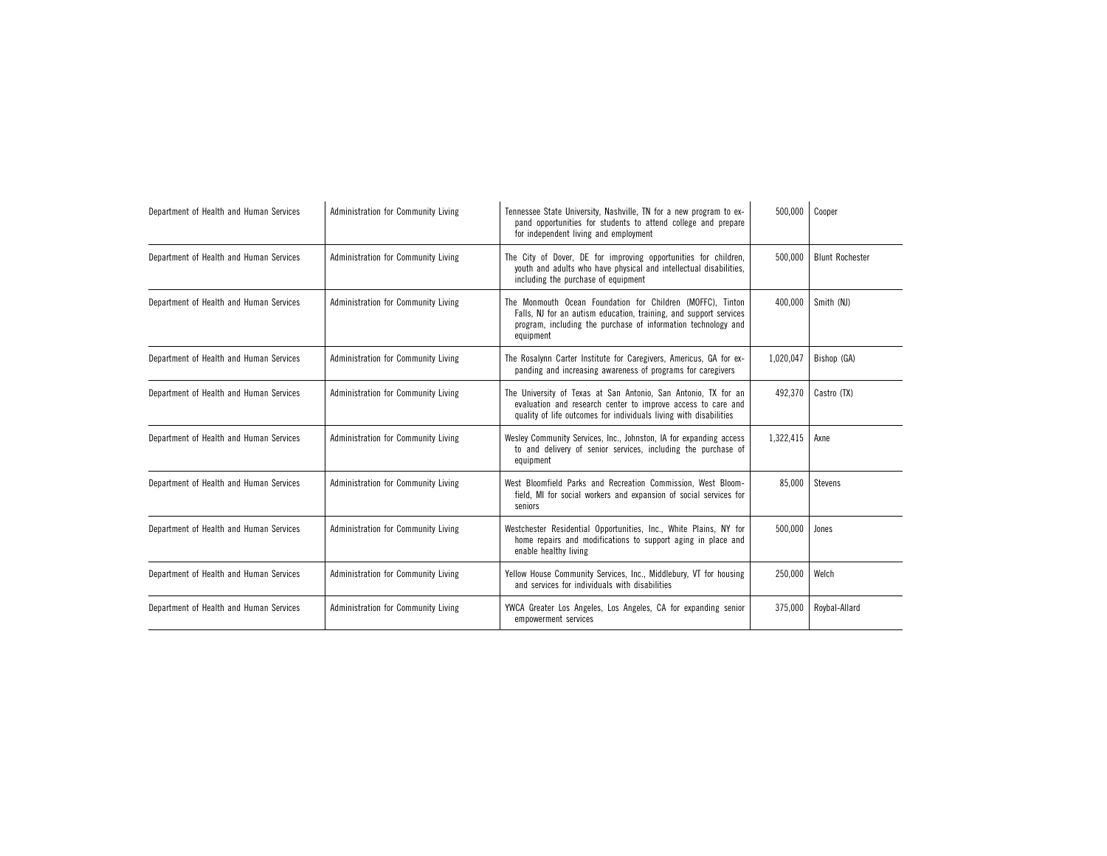| Department of Health and Human Services | Administration for Community Living | Tennessee State University, Nashville, TN for a new program to ex-<br>pand opportunities for students to attend college and prepare<br>for independent living and employment                                  | 500,000   | Cooper                 |
|-----------------------------------------|-------------------------------------|---------------------------------------------------------------------------------------------------------------------------------------------------------------------------------------------------------------|-----------|------------------------|
| Department of Health and Human Services | Administration for Community Living | The City of Dover, DE for improving opportunities for children,<br>youth and adults who have physical and intellectual disabilities,<br>including the purchase of equipment                                   | 500.000   | <b>Blunt Rochester</b> |
| Department of Health and Human Services | Administration for Community Living | The Monmouth Ocean Foundation for Children (MOFFC). Tinton<br>Falls, NJ for an autism education, training, and support services<br>program, including the purchase of information technology and<br>equipment | 400.000   | Smith (NJ)             |
| Department of Health and Human Services | Administration for Community Living | The Rosalynn Carter Institute for Caregivers, Americus, GA for ex-<br>panding and increasing awareness of programs for caregivers                                                                             | 1,020,047 | Bishop (GA)            |
| Department of Health and Human Services | Administration for Community Living | The University of Texas at San Antonio, San Antonio, TX for an<br>evaluation and research center to improve access to care and<br>quality of life outcomes for individuals living with disabilities           | 492,370   | Castro (TX)            |
| Department of Health and Human Services | Administration for Community Living | Wesley Community Services, Inc., Johnston, IA for expanding access<br>to and delivery of senior services, including the purchase of<br>equipment                                                              | 1,322,415 | Axne                   |
| Department of Health and Human Services | Administration for Community Living | West Bloomfield Parks and Recreation Commission, West Bloom-<br>field, MI for social workers and expansion of social services for<br>seniors                                                                  | 85,000    | <b>Stevens</b>         |
| Department of Health and Human Services | Administration for Community Living | Westchester Residential Opportunities, Inc., White Plains, NY for<br>home repairs and modifications to support aging in place and<br>enable healthy living                                                    | 500,000   | Jones                  |
| Department of Health and Human Services | Administration for Community Living | Yellow House Community Services, Inc., Middlebury, VT for housing<br>and services for individuals with disabilities                                                                                           | 250,000   | Welch                  |
| Department of Health and Human Services | Administration for Community Living | YWCA Greater Los Angeles, Los Angeles, CA for expanding senior<br>empowerment services                                                                                                                        | 375,000   | Roybal-Allard          |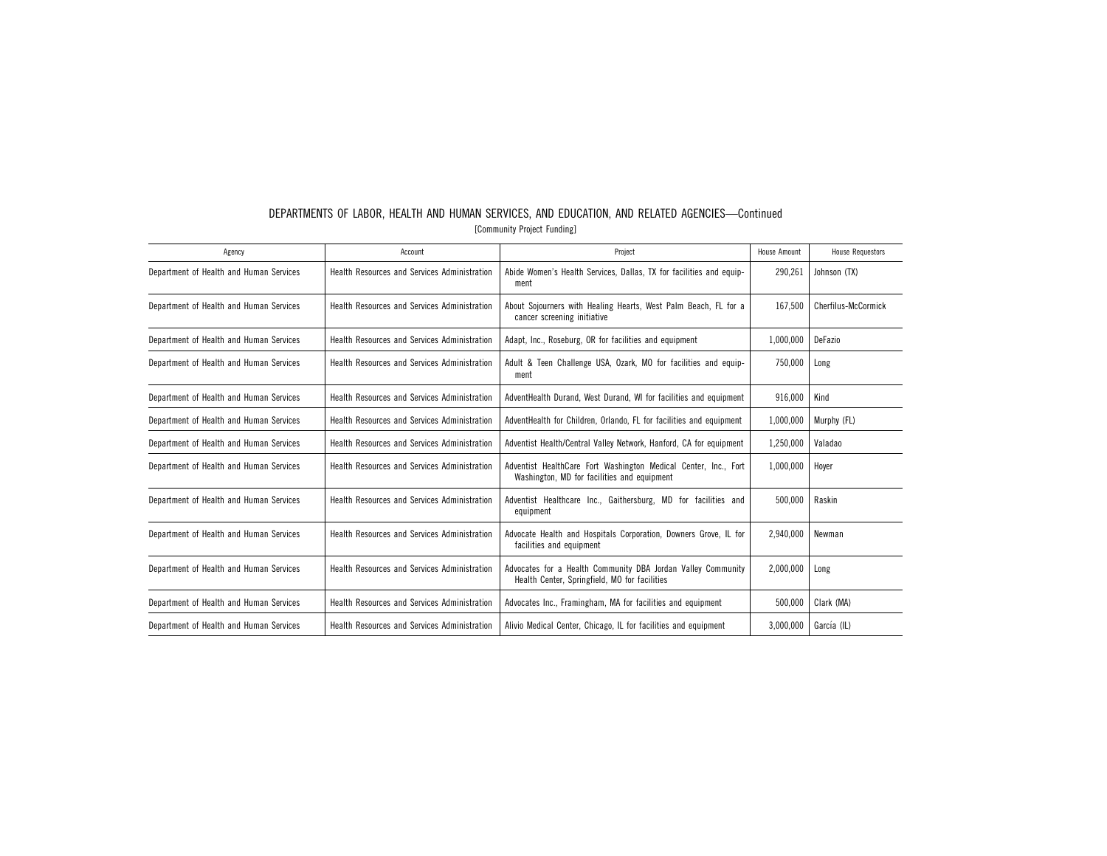| Agency                                  | Account                                             | Project                                                                                                        | House Amount | <b>House Requestors</b> |
|-----------------------------------------|-----------------------------------------------------|----------------------------------------------------------------------------------------------------------------|--------------|-------------------------|
| Department of Health and Human Services | Health Resources and Services Administration        | Abide Women's Health Services, Dallas, TX for facilities and equip-<br>ment                                    | 290,261      | Johnson (TX)            |
| Department of Health and Human Services | Health Resources and Services Administration        | About Sojourners with Healing Hearts, West Palm Beach, FL for a<br>cancer screening initiative                 | 167.500      | Cherfilus-McCormick     |
| Department of Health and Human Services | <b>Health Resources and Services Administration</b> | Adapt, Inc., Roseburg, OR for facilities and equipment                                                         | 1.000.000    | DeFazio                 |
| Department of Health and Human Services | <b>Health Resources and Services Administration</b> | Adult & Teen Challenge USA, Ozark, MO for facilities and equip-<br>ment                                        | 750,000      | Long                    |
| Department of Health and Human Services | Health Resources and Services Administration        | AdventHealth Durand, West Durand, WI for facilities and equipment                                              | 916,000      | Kind                    |
| Department of Health and Human Services | <b>Health Resources and Services Administration</b> | AdventHealth for Children, Orlando, FL for facilities and equipment                                            | 1,000,000    | Murphy (FL)             |
| Department of Health and Human Services | Health Resources and Services Administration        | Adventist Health/Central Valley Network, Hanford, CA for equipment                                             | 1,250,000    | Valadao                 |
| Department of Health and Human Services | Health Resources and Services Administration        | Adventist HealthCare Fort Washington Medical Center, Inc., Fort<br>Washington, MD for facilities and equipment | 1,000,000    | Hover                   |
| Department of Health and Human Services | Health Resources and Services Administration        | Adventist Healthcare Inc., Gaithersburg, MD for facilities and<br>equipment                                    | 500,000      | Raskin                  |
| Department of Health and Human Services | Health Resources and Services Administration        | Advocate Health and Hospitals Corporation, Downers Grove, IL for<br>facilities and equipment                   | 2.940.000    | Newman                  |
| Department of Health and Human Services | Health Resources and Services Administration        | Advocates for a Health Community DBA Jordan Valley Community<br>Health Center, Springfield, MO for facilities  | 2,000,000    | Long                    |
| Department of Health and Human Services | Health Resources and Services Administration        | Advocates Inc., Framingham, MA for facilities and equipment                                                    | 500.000      | Clark (MA)              |
| Department of Health and Human Services | Health Resources and Services Administration        | Alivio Medical Center, Chicago, IL for facilities and equipment                                                | 3,000,000    | García (IL)             |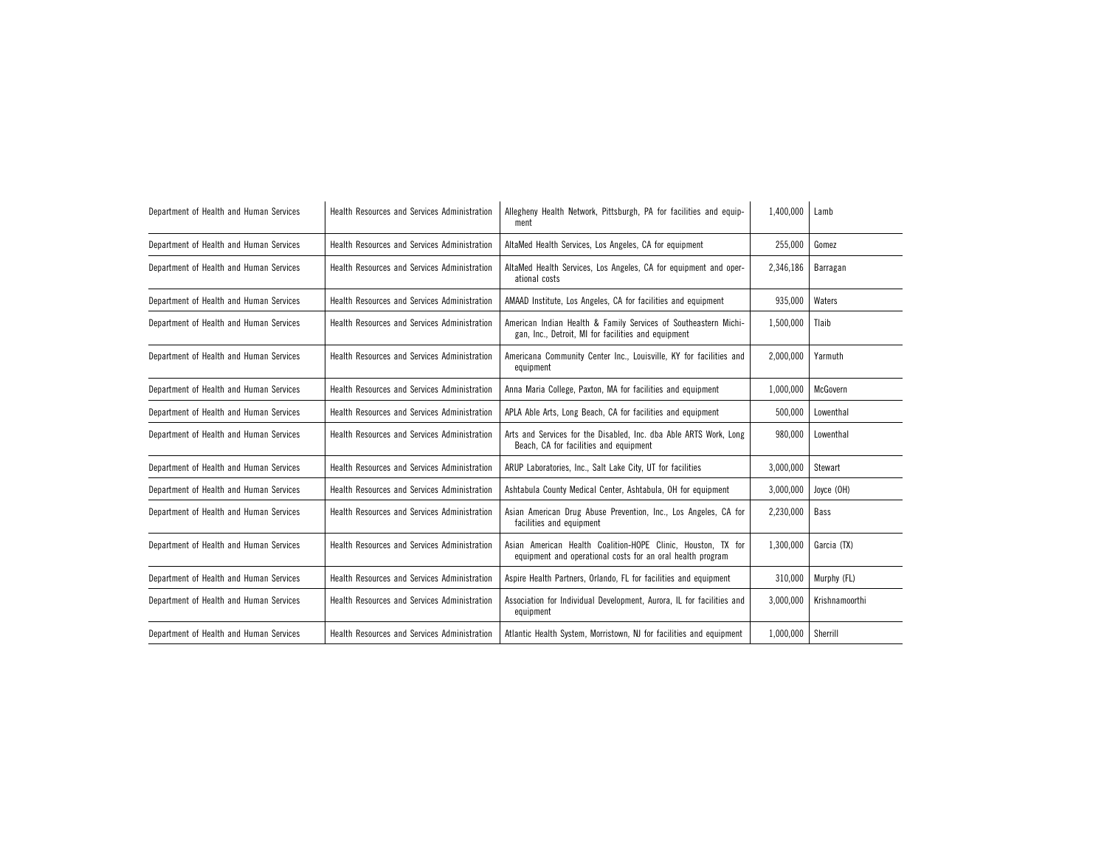| Department of Health and Human Services | Health Resources and Services Administration | Allegheny Health Network, Pittsburgh, PA for facilities and equip-<br>ment                                                 | 1,400,000 | Lamb           |
|-----------------------------------------|----------------------------------------------|----------------------------------------------------------------------------------------------------------------------------|-----------|----------------|
| Department of Health and Human Services | Health Resources and Services Administration | AltaMed Health Services, Los Angeles, CA for equipment                                                                     | 255,000   | Gomez          |
| Department of Health and Human Services | Health Resources and Services Administration | AltaMed Health Services, Los Angeles, CA for equipment and oper-<br>ational costs                                          | 2,346,186 | Barragan       |
| Department of Health and Human Services | Health Resources and Services Administration | AMAAD Institute, Los Angeles, CA for facilities and equipment                                                              | 935,000   | Waters         |
| Department of Health and Human Services | Health Resources and Services Administration | American Indian Health & Family Services of Southeastern Michi-<br>gan, Inc., Detroit, MI for facilities and equipment     | 1,500,000 | Tlaib          |
| Department of Health and Human Services | Health Resources and Services Administration | Americana Community Center Inc., Louisville, KY for facilities and<br>equipment                                            | 2,000,000 | Yarmuth        |
| Department of Health and Human Services | Health Resources and Services Administration | Anna Maria College, Paxton, MA for facilities and equipment                                                                | 1,000,000 | McGovern       |
| Department of Health and Human Services | Health Resources and Services Administration | APLA Able Arts, Long Beach, CA for facilities and equipment                                                                | 500,000   | Lowenthal      |
| Department of Health and Human Services | Health Resources and Services Administration | Arts and Services for the Disabled, Inc. dba Able ARTS Work, Long<br>Beach, CA for facilities and equipment                | 980,000   | Lowenthal      |
| Department of Health and Human Services | Health Resources and Services Administration | ARUP Laboratories, Inc., Salt Lake City, UT for facilities                                                                 | 3,000,000 | Stewart        |
| Department of Health and Human Services | Health Resources and Services Administration | Ashtabula County Medical Center, Ashtabula, OH for equipment                                                               | 3,000,000 | Joyce (OH)     |
| Department of Health and Human Services | Health Resources and Services Administration | Asian American Drug Abuse Prevention, Inc., Los Angeles, CA for<br>facilities and equipment                                | 2,230,000 | Bass           |
| Department of Health and Human Services | Health Resources and Services Administration | Asian American Health Coalition-HOPE Clinic, Houston, TX for<br>equipment and operational costs for an oral health program | 1,300,000 | Garcia (TX)    |
| Department of Health and Human Services | Health Resources and Services Administration | Aspire Health Partners, Orlando, FL for facilities and equipment                                                           | 310,000   | Murphy (FL)    |
| Department of Health and Human Services | Health Resources and Services Administration | Association for Individual Development, Aurora, IL for facilities and<br>equipment                                         | 3,000,000 | Krishnamoorthi |
| Department of Health and Human Services | Health Resources and Services Administration | Atlantic Health System, Morristown, NJ for facilities and equipment                                                        | 1,000,000 | Sherrill       |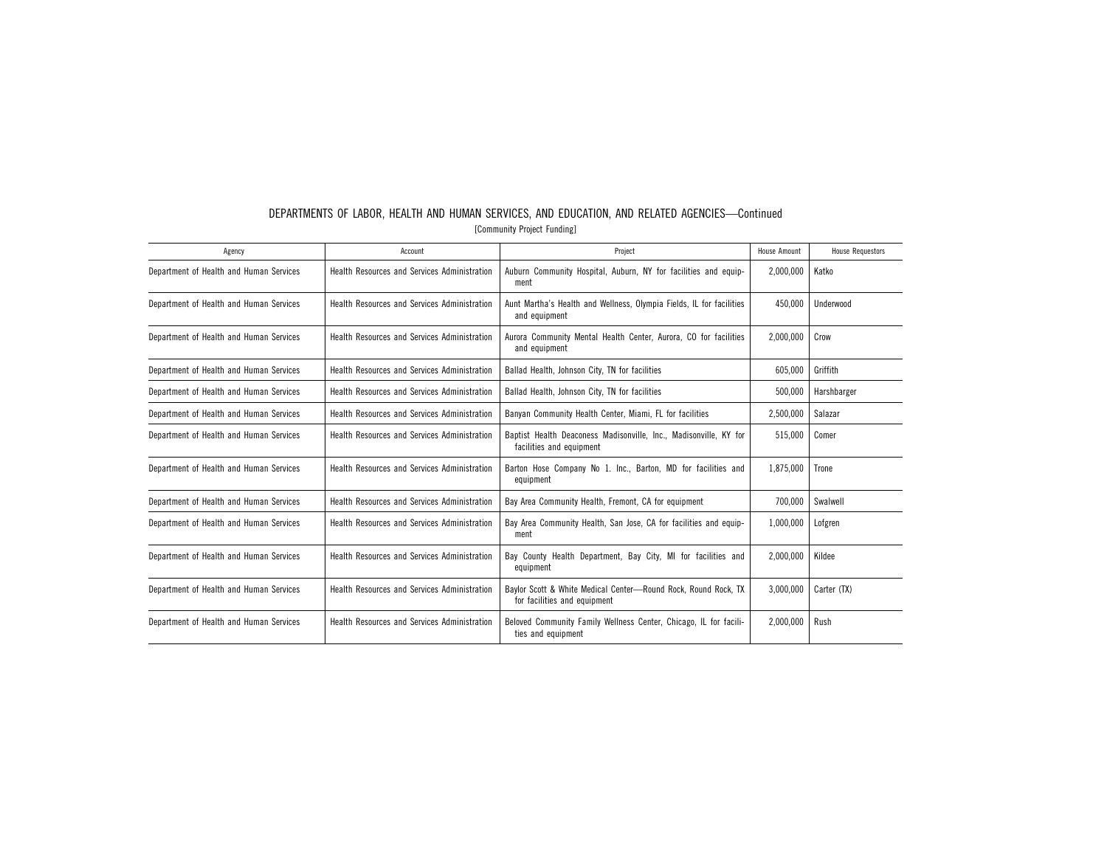| Agency                                  | Account                                             | Project                                                                                        | House Amount | <b>House Requestors</b> |
|-----------------------------------------|-----------------------------------------------------|------------------------------------------------------------------------------------------------|--------------|-------------------------|
| Department of Health and Human Services | <b>Health Resources and Services Administration</b> | Auburn Community Hospital, Auburn, NY for facilities and equip-<br>ment                        | 2,000,000    | Katko                   |
| Department of Health and Human Services | <b>Health Resources and Services Administration</b> | Aunt Martha's Health and Wellness, Olympia Fields, IL for facilities<br>and equipment          | 450.000      | Underwood               |
| Department of Health and Human Services | Health Resources and Services Administration        | Aurora Community Mental Health Center, Aurora, CO for facilities<br>and equipment              | 2,000,000    | Crow                    |
| Department of Health and Human Services | <b>Health Resources and Services Administration</b> | Ballad Health, Johnson City, TN for facilities                                                 | 605.000      | Griffith                |
| Department of Health and Human Services | <b>Health Resources and Services Administration</b> | Ballad Health, Johnson City, TN for facilities                                                 | 500.000      | Harshbarger             |
| Department of Health and Human Services | Health Resources and Services Administration        | Banyan Community Health Center, Miami, FL for facilities                                       | 2,500,000    | Salazar                 |
| Department of Health and Human Services | Health Resources and Services Administration        | Baptist Health Deaconess Madisonville, Inc., Madisonville, KY for<br>facilities and equipment  | 515.000      | Comer                   |
| Department of Health and Human Services | Health Resources and Services Administration        | Barton Hose Company No 1. Inc., Barton, MD for facilities and<br>equipment                     | 1,875,000    | Trone                   |
| Department of Health and Human Services | Health Resources and Services Administration        | Bay Area Community Health, Fremont, CA for equipment                                           | 700,000      | Swalwell                |
| Department of Health and Human Services | Health Resources and Services Administration        | Bay Area Community Health, San Jose, CA for facilities and equip-<br>ment                      | 1,000,000    | Lofgren                 |
| Department of Health and Human Services | Health Resources and Services Administration        | Bay County Health Department, Bay City, MI for facilities and<br>equipment                     | 2,000,000    | Kildee                  |
| Department of Health and Human Services | Health Resources and Services Administration        | Baylor Scott & White Medical Center-Round Rock, Round Rock, TX<br>for facilities and equipment | 3,000,000    | Carter (TX)             |
| Department of Health and Human Services | <b>Health Resources and Services Administration</b> | Beloved Community Family Wellness Center, Chicago, IL for facili-<br>ties and equipment        | 2,000,000    | Rush                    |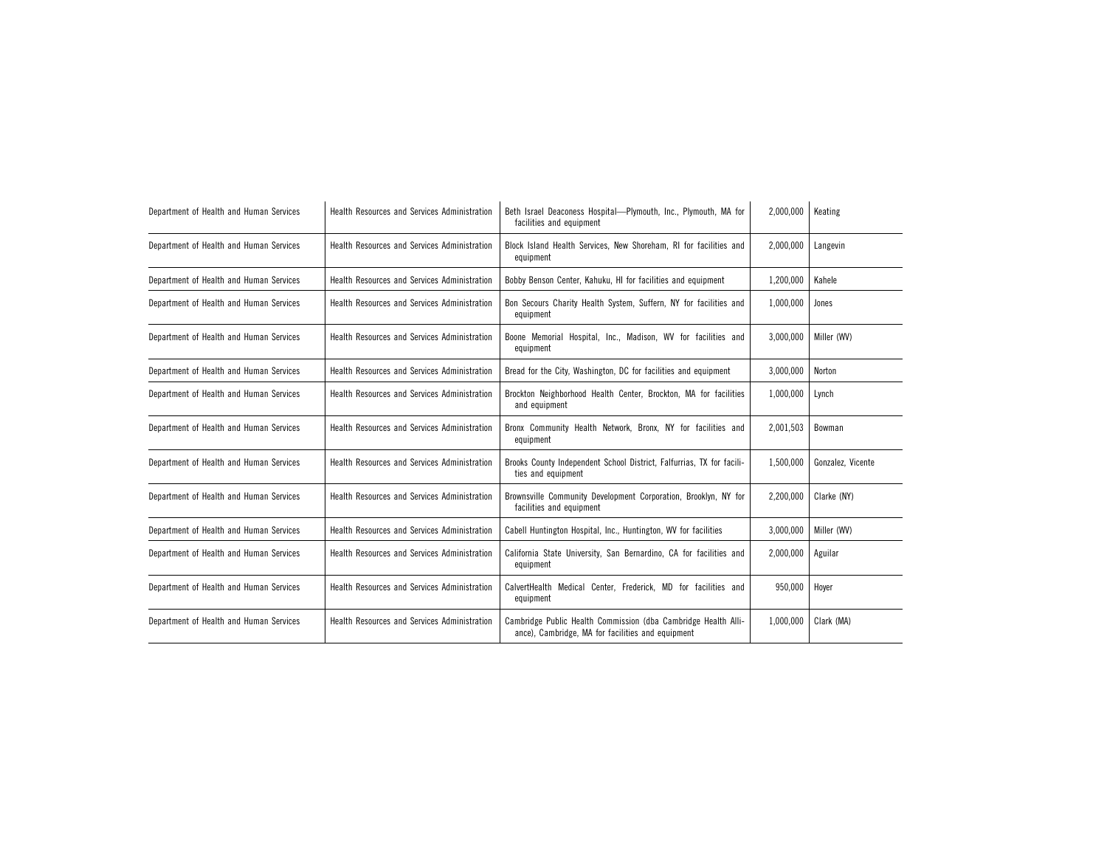| Department of Health and Human Services | Health Resources and Services Administration | Beth Israel Deaconess Hospital-Plymouth, Inc., Plymouth, MA for<br>facilities and equipment                         | 2,000,000 | Keating           |  |
|-----------------------------------------|----------------------------------------------|---------------------------------------------------------------------------------------------------------------------|-----------|-------------------|--|
| Department of Health and Human Services | Health Resources and Services Administration | Block Island Health Services, New Shoreham, RI for facilities and<br>equipment                                      | 2,000,000 | Langevin          |  |
| Department of Health and Human Services | Health Resources and Services Administration | Bobby Benson Center, Kahuku, HI for facilities and equipment                                                        | 1,200,000 | Kahele            |  |
| Department of Health and Human Services | Health Resources and Services Administration | Bon Secours Charity Health System, Suffern, NY for facilities and<br>equipment                                      | 1,000,000 | Jones             |  |
| Department of Health and Human Services | Health Resources and Services Administration | Boone Memorial Hospital, Inc., Madison, WV for facilities and<br>equipment                                          | 3,000,000 | Miller (WV)       |  |
| Department of Health and Human Services | Health Resources and Services Administration | Bread for the City, Washington, DC for facilities and equipment                                                     | 3,000,000 | Norton            |  |
| Department of Health and Human Services | Health Resources and Services Administration | Brockton Neighborhood Health Center, Brockton, MA for facilities<br>and equipment                                   | 1,000,000 | Lynch             |  |
| Department of Health and Human Services | Health Resources and Services Administration | Bronx Community Health Network, Bronx, NY for facilities and<br>equipment                                           | 2,001,503 | Bowman            |  |
| Department of Health and Human Services | Health Resources and Services Administration | Brooks County Independent School District, Falfurrias, TX for facili-<br>ties and equipment                         | 1,500,000 | Gonzalez. Vicente |  |
| Department of Health and Human Services | Health Resources and Services Administration | Brownsville Community Development Corporation, Brooklyn, NY for<br>facilities and equipment                         | 2,200,000 | Clarke (NY)       |  |
| Department of Health and Human Services | Health Resources and Services Administration | Cabell Huntington Hospital, Inc., Huntington, WV for facilities                                                     | 3,000,000 | Miller (WV)       |  |
| Department of Health and Human Services | Health Resources and Services Administration | California State University, San Bernardino, CA for facilities and<br>equipment                                     | 2,000,000 | Aguilar           |  |
| Department of Health and Human Services | Health Resources and Services Administration | CalvertHealth Medical Center, Frederick, MD for facilities and<br>equipment                                         | 950,000   | Hoyer             |  |
| Department of Health and Human Services | Health Resources and Services Administration | Cambridge Public Health Commission (dba Cambridge Health Alli-<br>ance), Cambridge, MA for facilities and equipment | 1,000,000 | Clark (MA)        |  |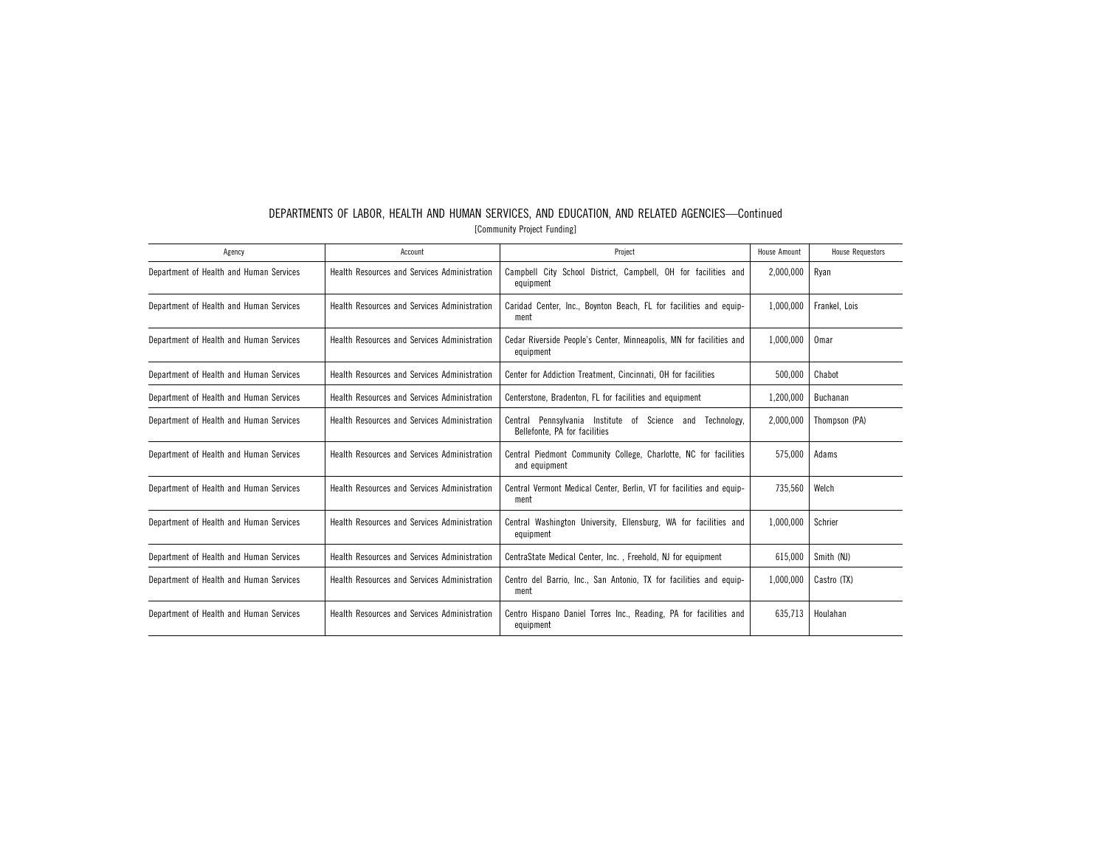| Agency                                  | Account                                             | Project                                                                                    | House Amount | <b>House Requestors</b> |
|-----------------------------------------|-----------------------------------------------------|--------------------------------------------------------------------------------------------|--------------|-------------------------|
| Department of Health and Human Services | Health Resources and Services Administration        | Campbell City School District, Campbell, OH for facilities and<br>equipment                | 2,000,000    | Ryan                    |
| Department of Health and Human Services | Health Resources and Services Administration        | Caridad Center, Inc., Boynton Beach, FL for facilities and equip-<br>ment                  | 1.000.000    | Frankel, Lois           |
| Department of Health and Human Services | Health Resources and Services Administration        | Cedar Riverside People's Center, Minneapolis, MN for facilities and<br>equipment           | 1,000,000    | Omar                    |
| Department of Health and Human Services | Health Resources and Services Administration        | Center for Addiction Treatment, Cincinnati, OH for facilities                              | 500.000      | Chabot                  |
| Department of Health and Human Services | <b>Health Resources and Services Administration</b> | Centerstone, Bradenton, FL for facilities and equipment                                    | 1,200,000    | Buchanan                |
| Department of Health and Human Services | Health Resources and Services Administration        | Central Pennsylvania Institute of Science and Technology.<br>Bellefonte, PA for facilities | 2.000.000    | Thompson (PA)           |
| Department of Health and Human Services | Health Resources and Services Administration        | Central Piedmont Community College, Charlotte, NC for facilities<br>and equipment          | 575.000      | Adams                   |
| Department of Health and Human Services | Health Resources and Services Administration        | Central Vermont Medical Center, Berlin, VT for facilities and equip-<br>ment               | 735,560      | Welch                   |
| Department of Health and Human Services | Health Resources and Services Administration        | Central Washington University, Ellensburg, WA for facilities and<br>equipment              | 1.000.000    | Schrier                 |
| Department of Health and Human Services | Health Resources and Services Administration        | CentraState Medical Center, Inc., Freehold, NJ for equipment                               | 615.000      | Smith (NJ)              |
| Department of Health and Human Services | Health Resources and Services Administration        | Centro del Barrio, Inc., San Antonio, TX for facilities and equip-<br>1.000.000<br>ment    |              | Castro (TX)             |
| Department of Health and Human Services | Health Resources and Services Administration        | Centro Hispano Daniel Torres Inc., Reading, PA for facilities and<br>equipment             | 635,713      | Houlahan                |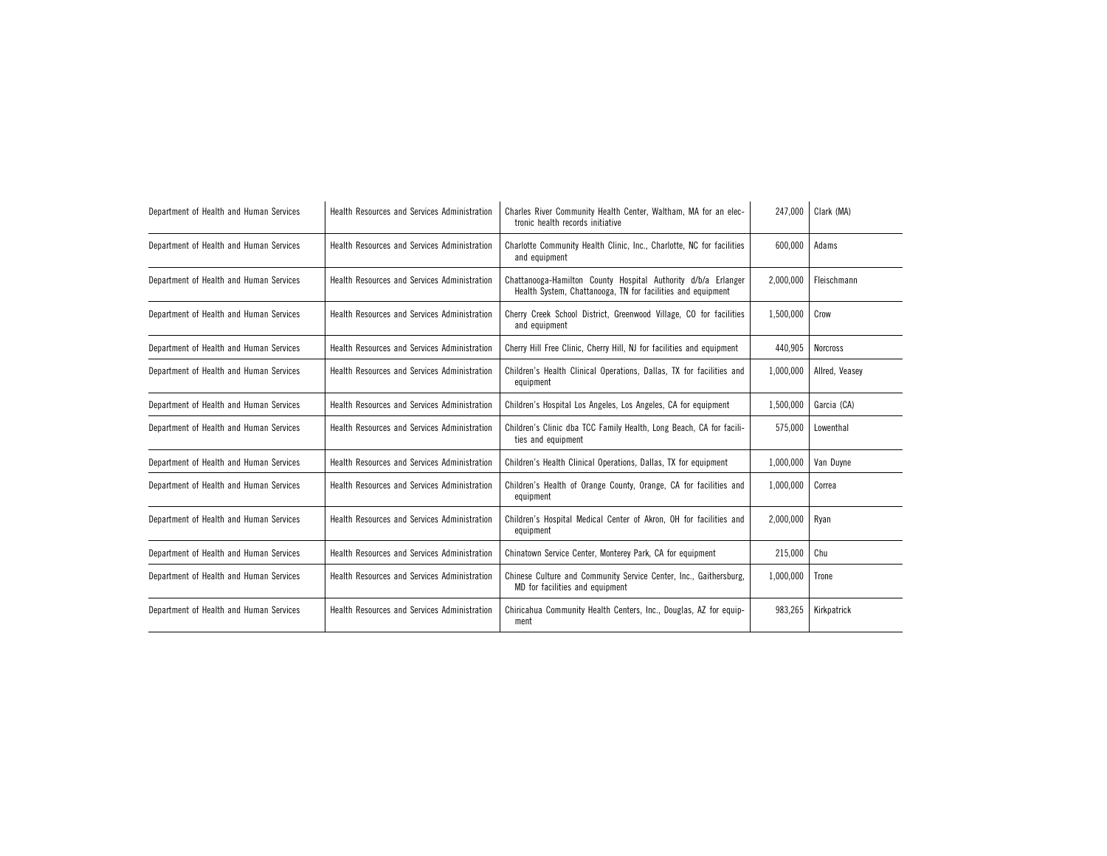| Department of Health and Human Services | Health Resources and Services Administration | Charles River Community Health Center, Waltham, MA for an elec-<br>tronic health records initiative                                       |           | Clark (MA)      |
|-----------------------------------------|----------------------------------------------|-------------------------------------------------------------------------------------------------------------------------------------------|-----------|-----------------|
| Department of Health and Human Services | Health Resources and Services Administration | Charlotte Community Health Clinic, Inc., Charlotte, NC for facilities<br>600.000<br>and equipment                                         |           | Adams           |
| Department of Health and Human Services | Health Resources and Services Administration | Chattanooga-Hamilton County Hospital Authority d/b/a Erlanger<br>2,000,000<br>Health System, Chattanooga, TN for facilities and equipment |           | Fleischmann     |
| Department of Health and Human Services | Health Resources and Services Administration | Cherry Creek School District, Greenwood Village, CO for facilities<br>and equipment                                                       |           | Crow            |
| Department of Health and Human Services | Health Resources and Services Administration | Cherry Hill Free Clinic, Cherry Hill, NJ for facilities and equipment                                                                     | 440,905   | <b>Norcross</b> |
| Department of Health and Human Services | Health Resources and Services Administration | Children's Health Clinical Operations, Dallas, TX for facilities and<br>equipment                                                         | 1,000,000 | Allred. Veasev  |
| Department of Health and Human Services | Health Resources and Services Administration | Children's Hospital Los Angeles, Los Angeles, CA for equipment                                                                            | 1,500,000 | Garcia (CA)     |
| Department of Health and Human Services | Health Resources and Services Administration | Children's Clinic dba TCC Family Health, Long Beach, CA for facili-<br>ties and equipment                                                 |           | Lowenthal       |
| Department of Health and Human Services | Health Resources and Services Administration | Children's Health Clinical Operations, Dallas, TX for equipment                                                                           |           | Van Duyne       |
| Department of Health and Human Services | Health Resources and Services Administration | Children's Health of Orange County, Orange, CA for facilities and<br>equipment                                                            | 1,000,000 | Correa          |
| Department of Health and Human Services | Health Resources and Services Administration | Children's Hospital Medical Center of Akron, OH for facilities and<br>2,000,000<br>equipment                                              |           | Ryan            |
| Department of Health and Human Services | Health Resources and Services Administration | 215,000<br>Chinatown Service Center, Monterey Park, CA for equipment                                                                      |           | Chu             |
| Department of Health and Human Services | Health Resources and Services Administration | Chinese Culture and Community Service Center, Inc., Gaithersburg,<br>1,000,000<br>MD for facilities and equipment                         |           | Trone           |
| Department of Health and Human Services | Health Resources and Services Administration | Chiricahua Community Health Centers, Inc., Douglas, AZ for equip-<br>983,265<br>ment                                                      |           | Kirkpatrick     |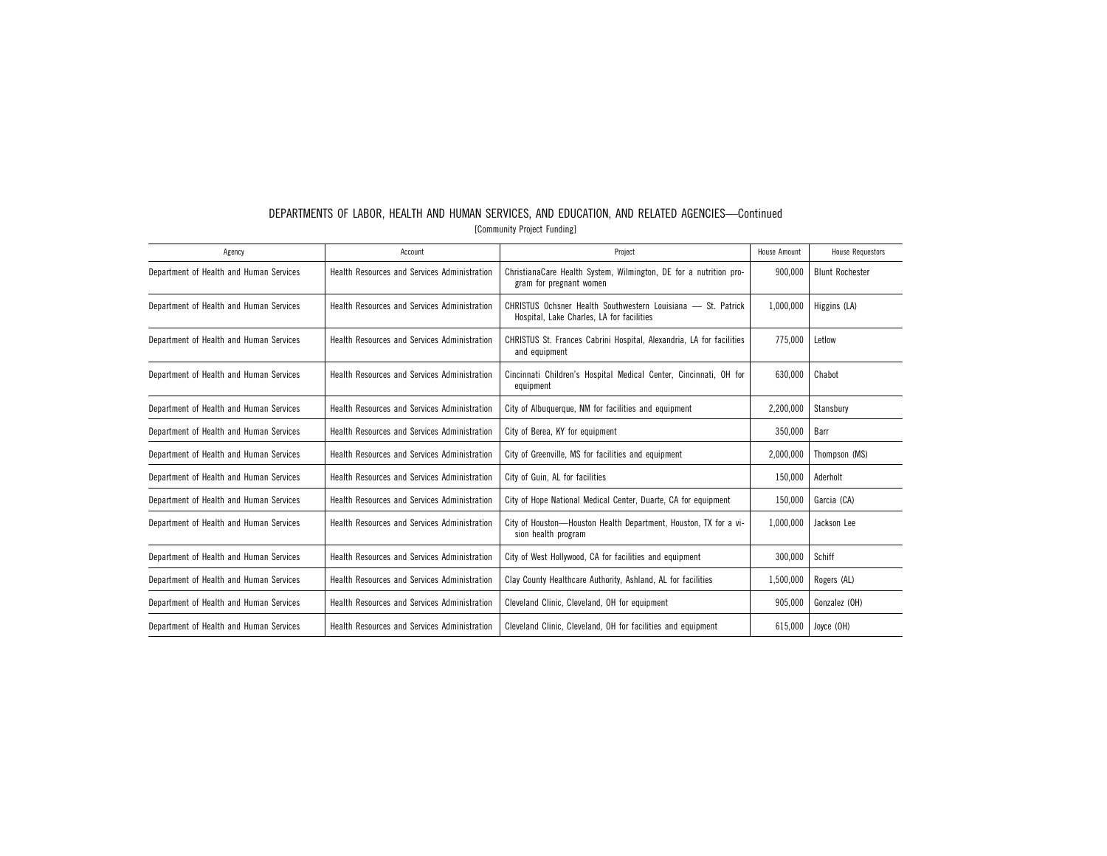| Agency                                  | Account                                             | Project                                                                                                   | House Amount | <b>House Requestors</b> |
|-----------------------------------------|-----------------------------------------------------|-----------------------------------------------------------------------------------------------------------|--------------|-------------------------|
| Department of Health and Human Services | Health Resources and Services Administration        | ChristianaCare Health System, Wilmington, DE for a nutrition pro-<br>gram for pregnant women              | 900.000      | <b>Blunt Rochester</b>  |
| Department of Health and Human Services | Health Resources and Services Administration        | CHRISTUS Ochsner Health Southwestern Louisiana - St. Patrick<br>Hospital, Lake Charles, LA for facilities | 1,000,000    | Higgins (LA)            |
| Department of Health and Human Services | Health Resources and Services Administration        | CHRISTUS St. Frances Cabrini Hospital, Alexandria, LA for facilities<br>and equipment                     | 775.000      | Letlow                  |
| Department of Health and Human Services | Health Resources and Services Administration        | Cincinnati Children's Hospital Medical Center, Cincinnati, OH for<br>equipment                            | 630.000      | Chabot                  |
| Department of Health and Human Services | Health Resources and Services Administration        | City of Albuquerque, NM for facilities and equipment                                                      | 2,200,000    | Stansbury               |
| Department of Health and Human Services | Health Resources and Services Administration        | City of Berea, KY for equipment                                                                           | 350,000      | Barr                    |
| Department of Health and Human Services | Health Resources and Services Administration        | City of Greenville, MS for facilities and equipment                                                       | 2,000,000    | Thompson (MS)           |
| Department of Health and Human Services | Health Resources and Services Administration        | City of Guin, AL for facilities                                                                           | 150,000      | Aderholt                |
| Department of Health and Human Services | Health Resources and Services Administration        | City of Hope National Medical Center, Duarte, CA for equipment                                            | 150,000      | Garcia (CA)             |
| Department of Health and Human Services | <b>Health Resources and Services Administration</b> | City of Houston-Houston Health Department, Houston, TX for a vi-<br>sion health program                   |              | Jackson Lee             |
| Department of Health and Human Services | Health Resources and Services Administration        | City of West Hollywood, CA for facilities and equipment                                                   |              | Schiff                  |
| Department of Health and Human Services | Health Resources and Services Administration        | Clay County Healthcare Authority, Ashland, AL for facilities<br>1,500,000                                 |              | Rogers (AL)             |
| Department of Health and Human Services | Health Resources and Services Administration        | Cleveland Clinic, Cleveland, OH for equipment                                                             |              | Gonzalez (OH)           |
| Department of Health and Human Services | Health Resources and Services Administration        | Cleveland Clinic, Cleveland, OH for facilities and equipment                                              | 615.000      | Joyce (OH)              |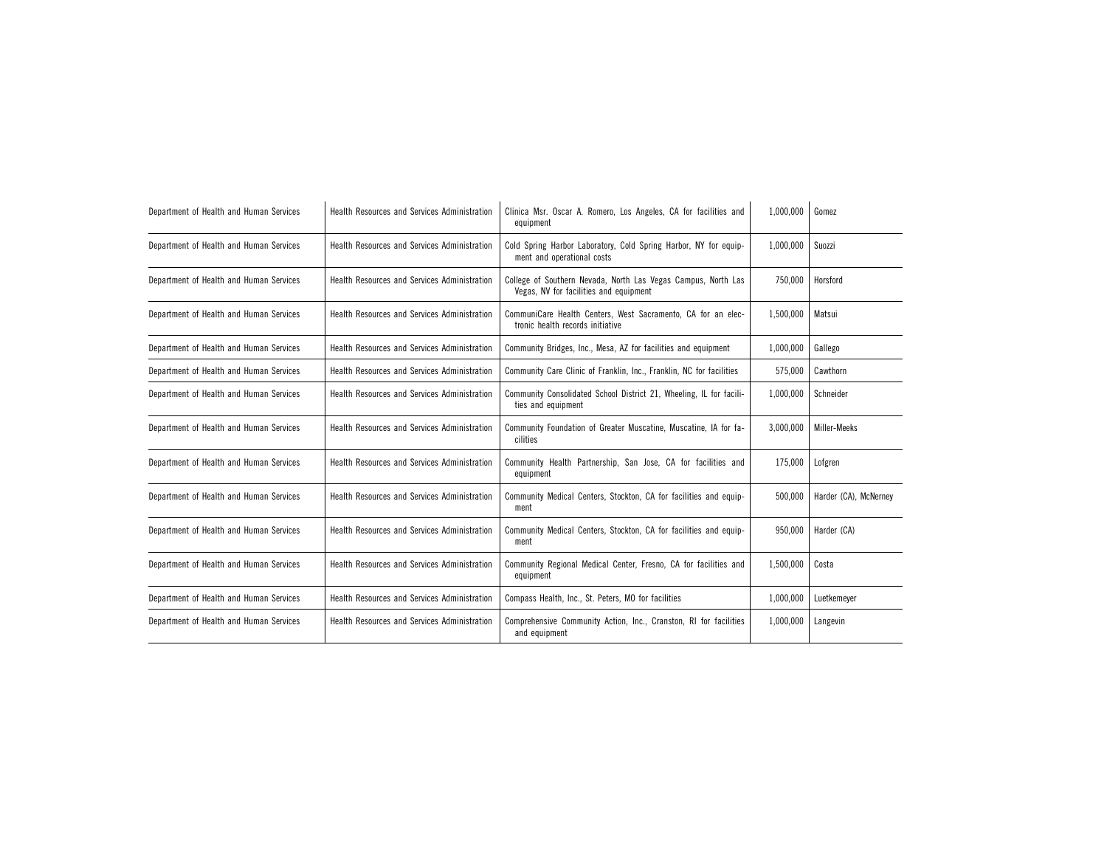| Department of Health and Human Services | <b>Health Resources and Services Administration</b> | Clinica Msr. Oscar A. Romero, Los Angeles, CA for facilities and<br>equipment                           | 1,000,000 | Gomez                 |
|-----------------------------------------|-----------------------------------------------------|---------------------------------------------------------------------------------------------------------|-----------|-----------------------|
| Department of Health and Human Services | Health Resources and Services Administration        | Cold Spring Harbor Laboratory, Cold Spring Harbor, NY for equip-<br>ment and operational costs          | 1,000,000 | Suozzi                |
| Department of Health and Human Services | Health Resources and Services Administration        | College of Southern Nevada, North Las Vegas Campus, North Las<br>Vegas, NV for facilities and equipment | 750,000   | Horsford              |
| Department of Health and Human Services | Health Resources and Services Administration        | CommuniCare Health Centers, West Sacramento, CA for an elec-<br>tronic health records initiative        | 1,500,000 | Matsui                |
| Department of Health and Human Services | Health Resources and Services Administration        | Community Bridges, Inc., Mesa, AZ for facilities and equipment                                          | 1,000,000 | Gallego               |
| Department of Health and Human Services | Health Resources and Services Administration        | Community Care Clinic of Franklin, Inc., Franklin, NC for facilities                                    | 575,000   | Cawthorn              |
| Department of Health and Human Services | Health Resources and Services Administration        | Community Consolidated School District 21, Wheeling, IL for facili-<br>ties and equipment               | 1,000,000 | Schneider             |
| Department of Health and Human Services | Health Resources and Services Administration        | Community Foundation of Greater Muscatine, Muscatine, IA for fa-<br>cilities                            | 3.000.000 | Miller-Meeks          |
| Department of Health and Human Services | Health Resources and Services Administration        | Community Health Partnership, San Jose, CA for facilities and<br>equipment                              | 175,000   | Lofgren               |
| Department of Health and Human Services | Health Resources and Services Administration        | Community Medical Centers, Stockton, CA for facilities and equip-<br>ment                               | 500,000   | Harder (CA), McNerney |
| Department of Health and Human Services | Health Resources and Services Administration        | Community Medical Centers, Stockton, CA for facilities and equip-<br>ment                               | 950,000   | Harder (CA)           |
| Department of Health and Human Services | Health Resources and Services Administration        | Community Regional Medical Center, Fresno, CA for facilities and<br>equipment                           | 1,500,000 | Costa                 |
| Department of Health and Human Services | Health Resources and Services Administration        | Compass Health, Inc., St. Peters, MO for facilities                                                     | 1,000,000 | Luetkemeyer           |
| Department of Health and Human Services | Health Resources and Services Administration        | Comprehensive Community Action, Inc., Cranston, RI for facilities<br>and equipment                      | 1,000,000 | Langevin              |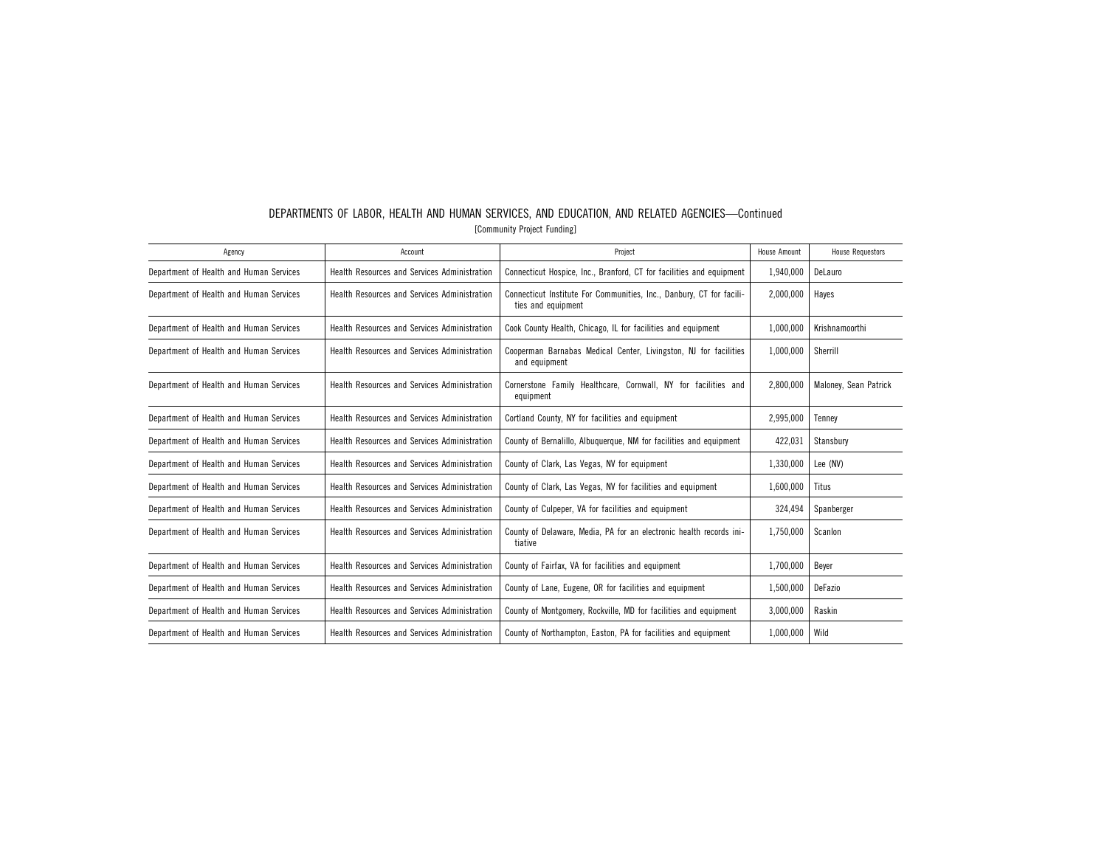| Agency                                  | Account                                             | Project                                                                                                 | House Amount | <b>House Requestors</b> |
|-----------------------------------------|-----------------------------------------------------|---------------------------------------------------------------------------------------------------------|--------------|-------------------------|
| Department of Health and Human Services | Health Resources and Services Administration        | Connecticut Hospice, Inc., Branford, CT for facilities and equipment                                    | 1,940,000    | DeLauro                 |
| Department of Health and Human Services | Health Resources and Services Administration        | Connecticut Institute For Communities, Inc., Danbury, CT for facili-<br>2,000,000<br>ties and equipment |              | Hayes                   |
| Department of Health and Human Services | Health Resources and Services Administration        | Cook County Health, Chicago, IL for facilities and equipment                                            | 1,000,000    | Krishnamoorthi          |
| Department of Health and Human Services | Health Resources and Services Administration        | Cooperman Barnabas Medical Center, Livingston, NJ for facilities<br>and equipment                       | 1,000,000    | Sherrill                |
| Department of Health and Human Services | Health Resources and Services Administration        | Cornerstone Family Healthcare, Cornwall, NY for facilities and<br>equipment                             | 2,800,000    | Maloney, Sean Patrick   |
| Department of Health and Human Services | <b>Health Resources and Services Administration</b> | Cortland County, NY for facilities and equipment                                                        | 2,995,000    | Tenney                  |
| Department of Health and Human Services | Health Resources and Services Administration        | County of Bernalillo, Albuquerque, NM for facilities and equipment                                      | 422.031      | Stansbury               |
| Department of Health and Human Services | Health Resources and Services Administration        | County of Clark, Las Vegas, NV for equipment                                                            | 1,330,000    | Lee (NV)                |
| Department of Health and Human Services | Health Resources and Services Administration        | County of Clark, Las Vegas, NV for facilities and equipment                                             | 1,600,000    | <b>Titus</b>            |
| Department of Health and Human Services | Health Resources and Services Administration        | County of Culpeper, VA for facilities and equipment                                                     | 324,494      | Spanberger              |
| Department of Health and Human Services | Health Resources and Services Administration        | County of Delaware, Media, PA for an electronic health records ini-<br>1,750,000<br>tiative             |              | Scanlon                 |
| Department of Health and Human Services | Health Resources and Services Administration        | 1,700,000<br>County of Fairfax, VA for facilities and equipment                                         |              | Beyer                   |
| Department of Health and Human Services | <b>Health Resources and Services Administration</b> | County of Lane, Eugene, OR for facilities and equipment<br>1,500,000                                    |              | DeFazio                 |
| Department of Health and Human Services | Health Resources and Services Administration        | County of Montgomery, Rockville, MD for facilities and equipment<br>3,000,000                           |              | Raskin                  |
| Department of Health and Human Services | Health Resources and Services Administration        | 1,000,000<br>County of Northampton, Easton, PA for facilities and equipment<br>Wild                     |              |                         |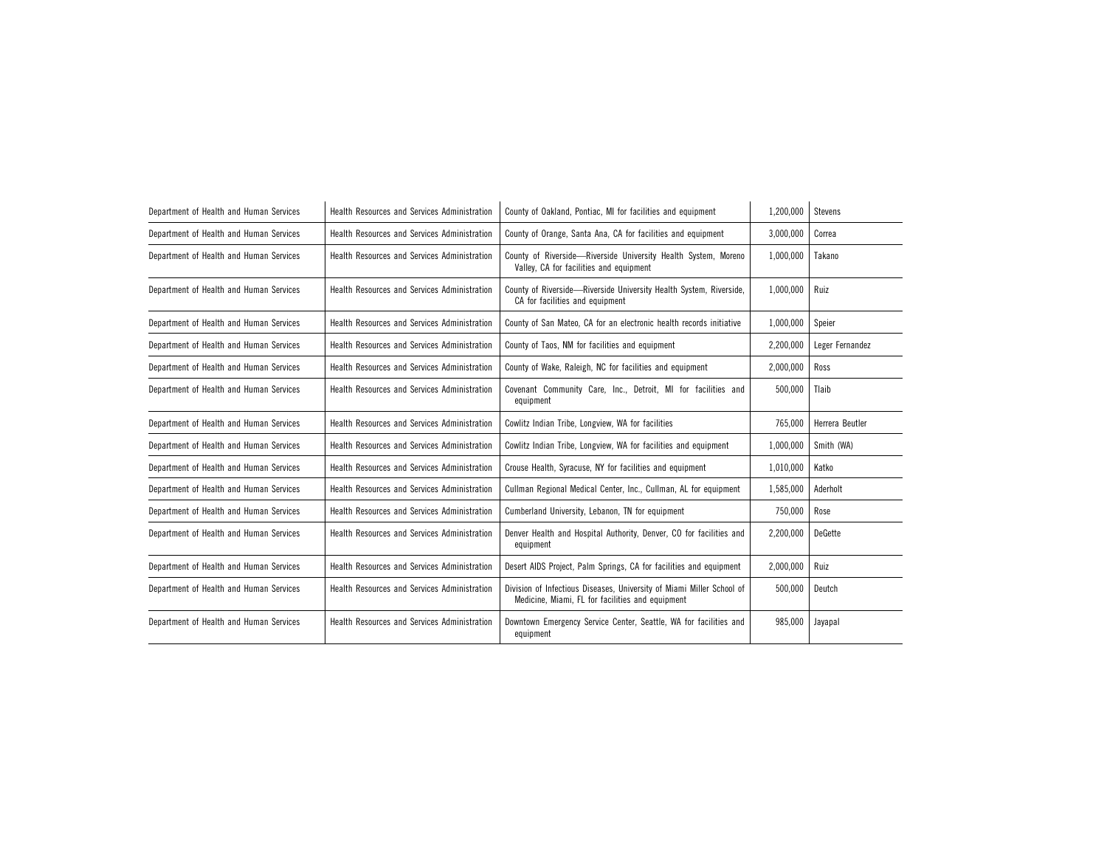| Department of Health and Human Services | <b>Health Resources and Services Administration</b> | County of Oakland, Pontiac, MI for facilities and equipment                                                               | 1,200,000 | <b>Stevens</b>  |
|-----------------------------------------|-----------------------------------------------------|---------------------------------------------------------------------------------------------------------------------------|-----------|-----------------|
| Department of Health and Human Services | Health Resources and Services Administration        | County of Orange, Santa Ana, CA for facilities and equipment                                                              | 3,000,000 | Correa          |
| Department of Health and Human Services | Health Resources and Services Administration        | County of Riverside-Riverside University Health System, Moreno<br>Valley, CA for facilities and equipment                 | 1,000,000 | Takano          |
| Department of Health and Human Services | Health Resources and Services Administration        | County of Riverside-Riverside University Health System, Riverside,<br>CA for facilities and equipment                     | 1,000,000 | Ruiz            |
| Department of Health and Human Services | <b>Health Resources and Services Administration</b> | County of San Mateo, CA for an electronic health records initiative                                                       | 1,000,000 | Speier          |
| Department of Health and Human Services | Health Resources and Services Administration        | County of Taos, NM for facilities and equipment                                                                           | 2,200,000 | Leger Fernandez |
| Department of Health and Human Services | Health Resources and Services Administration        | County of Wake, Raleigh, NC for facilities and equipment                                                                  | 2,000,000 | Ross            |
| Department of Health and Human Services | Health Resources and Services Administration        | Covenant Community Care, Inc., Detroit, MI for facilities and<br>equipment                                                | 500,000   | Tlaib           |
| Department of Health and Human Services | Health Resources and Services Administration        | Cowlitz Indian Tribe, Longview, WA for facilities                                                                         | 765,000   | Herrera Beutler |
| Department of Health and Human Services | Health Resources and Services Administration        | Cowlitz Indian Tribe, Longview, WA for facilities and equipment                                                           | 1,000,000 | Smith (WA)      |
| Department of Health and Human Services | Health Resources and Services Administration        | Crouse Health, Syracuse, NY for facilities and equipment                                                                  | 1,010,000 | Katko           |
| Department of Health and Human Services | Health Resources and Services Administration        | Cullman Regional Medical Center, Inc., Cullman, AL for equipment                                                          | 1,585,000 | Aderholt        |
| Department of Health and Human Services | Health Resources and Services Administration        | Cumberland University, Lebanon, TN for equipment                                                                          | 750,000   | Rose            |
| Department of Health and Human Services | Health Resources and Services Administration        | Denver Health and Hospital Authority, Denver, CO for facilities and<br>equipment                                          | 2,200,000 | DeGette         |
| Department of Health and Human Services | Health Resources and Services Administration        | Desert AIDS Project, Palm Springs, CA for facilities and equipment                                                        | 2,000,000 | Ruiz            |
| Department of Health and Human Services | Health Resources and Services Administration        | Division of Infectious Diseases, University of Miami Miller School of<br>Medicine, Miami, FL for facilities and equipment | 500,000   | Deutch          |
| Department of Health and Human Services | Health Resources and Services Administration        | Downtown Emergency Service Center, Seattle, WA for facilities and<br>equipment                                            | 985,000   | Jayapal         |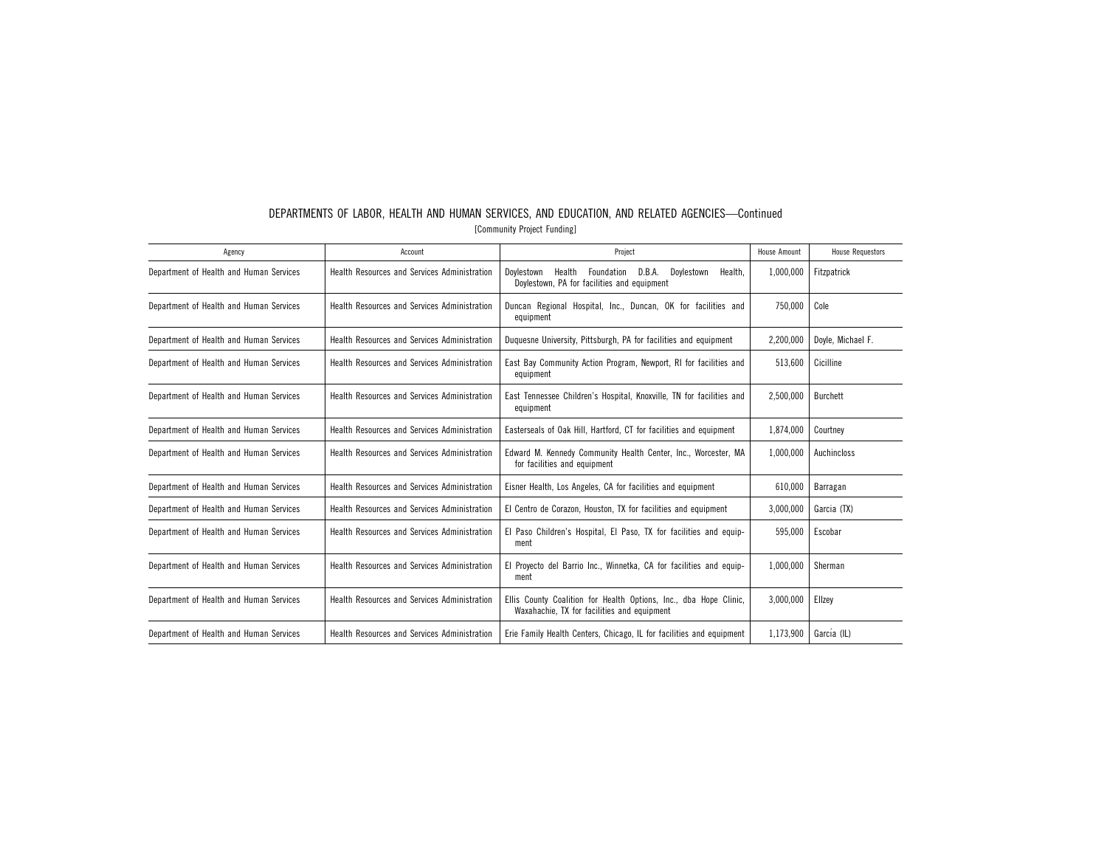| Agency                                  | Account                                             | Project                                                                                                              | House Amount | <b>House Requestors</b> |
|-----------------------------------------|-----------------------------------------------------|----------------------------------------------------------------------------------------------------------------------|--------------|-------------------------|
| Department of Health and Human Services | Health Resources and Services Administration        | D.B.A.<br>Doylestown<br>Health<br>Foundation<br>Dovlestown<br>Health.<br>Doylestown, PA for facilities and equipment | 1,000,000    | Fitzpatrick             |
| Department of Health and Human Services | Health Resources and Services Administration        | Duncan Regional Hospital, Inc., Duncan, OK for facilities and<br>equipment                                           | 750.000      | Cole                    |
| Department of Health and Human Services | Health Resources and Services Administration        | Duquesne University, Pittsburgh, PA for facilities and equipment                                                     | 2,200,000    | Doyle, Michael F.       |
| Department of Health and Human Services | Health Resources and Services Administration        | East Bay Community Action Program, Newport, RI for facilities and<br>equipment                                       | 513,600      | Cicilline               |
| Department of Health and Human Services | Health Resources and Services Administration        | East Tennessee Children's Hospital, Knoxville, TN for facilities and<br>equipment                                    | 2,500,000    | Burchett                |
| Department of Health and Human Services | Health Resources and Services Administration        | Easterseals of Oak Hill, Hartford, CT for facilities and equipment                                                   | 1,874,000    | Courtney                |
| Department of Health and Human Services | <b>Health Resources and Services Administration</b> | Edward M. Kennedy Community Health Center, Inc., Worcester, MA<br>for facilities and equipment                       | 1,000,000    | Auchincloss             |
| Department of Health and Human Services | Health Resources and Services Administration        | Eisner Health, Los Angeles, CA for facilities and equipment                                                          | 610,000      | Barragan                |
| Department of Health and Human Services | Health Resources and Services Administration        | El Centro de Corazon, Houston, TX for facilities and equipment                                                       | 3,000,000    | Garcia (TX)             |
| Department of Health and Human Services | Health Resources and Services Administration        | El Paso Children's Hospital, El Paso, TX for facilities and equip-<br>ment                                           | 595.000      | Escobar                 |
| Department of Health and Human Services | Health Resources and Services Administration        | El Proyecto del Barrio Inc., Winnetka, CA for facilities and equip-<br>ment                                          | 1,000,000    | Sherman                 |
| Department of Health and Human Services | Health Resources and Services Administration        | Ellis County Coalition for Health Options, Inc., dba Hope Clinic,<br>Waxahachie, TX for facilities and equipment     | 3,000,000    | Ellzev                  |
| Department of Health and Human Services | Health Resources and Services Administration        | Erie Family Health Centers, Chicago, IL for facilities and equipment                                                 | 1,173,900    | García (IL)             |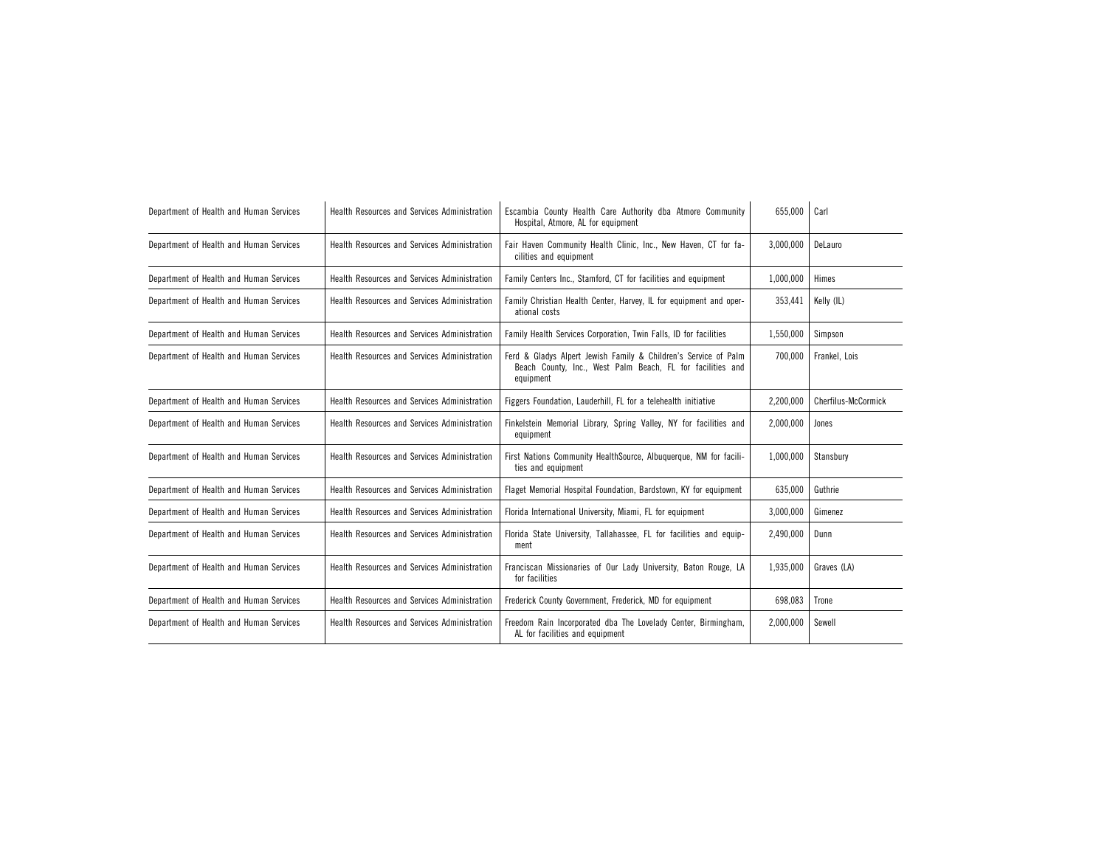| Department of Health and Human Services | Health Resources and Services Administration | Escambia County Health Care Authority dba Atmore Community<br>Hospital, Atmore, AL for equipment                                           | 655,000   | Carl                |
|-----------------------------------------|----------------------------------------------|--------------------------------------------------------------------------------------------------------------------------------------------|-----------|---------------------|
| Department of Health and Human Services | Health Resources and Services Administration | Fair Haven Community Health Clinic, Inc., New Haven, CT for fa-<br>cilities and equipment                                                  | 3,000,000 | DeLauro             |
| Department of Health and Human Services | Health Resources and Services Administration | Family Centers Inc., Stamford, CT for facilities and equipment                                                                             | 1,000,000 | Himes               |
| Department of Health and Human Services | Health Resources and Services Administration | Family Christian Health Center, Harvey, IL for equipment and oper-<br>ational costs                                                        | 353,441   | Kelly (IL)          |
| Department of Health and Human Services | Health Resources and Services Administration | Family Health Services Corporation, Twin Falls, ID for facilities                                                                          | 1,550,000 | Simpson             |
| Department of Health and Human Services | Health Resources and Services Administration | Ferd & Gladys Alpert Jewish Family & Children's Service of Palm<br>Beach County, Inc., West Palm Beach, FL for facilities and<br>equipment | 700,000   | Frankel, Lois       |
| Department of Health and Human Services | Health Resources and Services Administration | Figgers Foundation, Lauderhill, FL for a telehealth initiative                                                                             | 2.200.000 | Cherfilus-McCormick |
| Department of Health and Human Services | Health Resources and Services Administration | Finkelstein Memorial Library, Spring Valley, NY for facilities and<br>equipment                                                            | 2,000,000 | Jones               |
| Department of Health and Human Services | Health Resources and Services Administration | First Nations Community HealthSource, Albuquerque, NM for facili-<br>ties and equipment                                                    | 1,000,000 | Stansbury           |
| Department of Health and Human Services | Health Resources and Services Administration | Flaget Memorial Hospital Foundation, Bardstown, KY for equipment                                                                           | 635.000   | Guthrie             |
| Department of Health and Human Services | Health Resources and Services Administration | Florida International University, Miami, FL for equipment                                                                                  | 3,000,000 | Gimenez             |
| Department of Health and Human Services | Health Resources and Services Administration | Florida State University, Tallahassee, FL for facilities and equip-<br>ment                                                                | 2,490,000 | Dunn                |
| Department of Health and Human Services | Health Resources and Services Administration | Franciscan Missionaries of Our Lady University, Baton Rouge, LA<br>for facilities                                                          | 1,935,000 | Graves (LA)         |
| Department of Health and Human Services | Health Resources and Services Administration | Frederick County Government, Frederick, MD for equipment                                                                                   | 698,083   | Trone               |
| Department of Health and Human Services | Health Resources and Services Administration | Freedom Rain Incorporated dba The Lovelady Center, Birmingham,<br>AL for facilities and equipment                                          | 2,000,000 | Sewell              |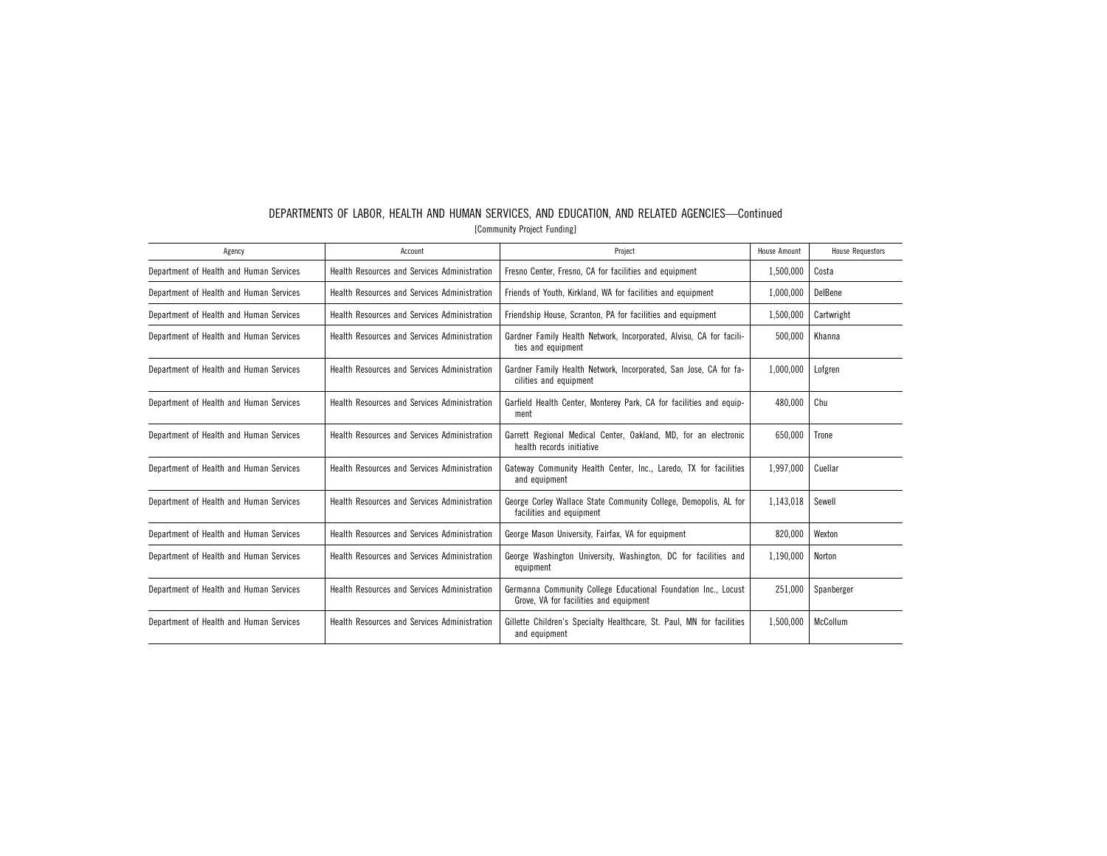| DEPARTMENTS OF LABOR. HEALTH AND HUMAN SERVICES, AND EDUCATION, AND RELATED AGENCIES-Continued |                             |  |  |  |
|------------------------------------------------------------------------------------------------|-----------------------------|--|--|--|
|                                                                                                | [Community Project Funding] |  |  |  |

| Agency                                  | Account                                             | Project                                                                                                  | House Amount | <b>House Requestors</b> |
|-----------------------------------------|-----------------------------------------------------|----------------------------------------------------------------------------------------------------------|--------------|-------------------------|
| Department of Health and Human Services | Health Resources and Services Administration        | Fresno Center, Fresno, CA for facilities and equipment                                                   | 1,500,000    | Costa                   |
| Department of Health and Human Services | <b>Health Resources and Services Administration</b> | Friends of Youth, Kirkland, WA for facilities and equipment                                              | 1,000,000    | DelBene                 |
| Department of Health and Human Services | <b>Health Resources and Services Administration</b> | Friendship House, Scranton, PA for facilities and equipment                                              | 1,500,000    | Cartwright              |
| Department of Health and Human Services | Health Resources and Services Administration        | Gardner Family Health Network, Incorporated, Alviso, CA for facili-<br>ties and equipment                | 500,000      | Khanna                  |
| Department of Health and Human Services | Health Resources and Services Administration        | Gardner Family Health Network, Incorporated, San Jose, CA for fa-<br>cilities and equipment              | 1,000,000    | Lofgren                 |
| Department of Health and Human Services | Health Resources and Services Administration        | Garfield Health Center, Monterey Park, CA for facilities and equip-<br>ment                              | 480,000      | Chu                     |
| Department of Health and Human Services | Health Resources and Services Administration        | Garrett Regional Medical Center, Oakland, MD, for an electronic<br>health records initiative             | 650.000      | Trone                   |
| Department of Health and Human Services | Health Resources and Services Administration        | Gateway Community Health Center, Inc., Laredo, TX for facilities<br>and equipment                        | 1,997,000    | Cuellar                 |
| Department of Health and Human Services | Health Resources and Services Administration        | George Corley Wallace State Community College, Demopolis, AL for<br>facilities and equipment             | 1,143,018    | Sewell                  |
| Department of Health and Human Services | Health Resources and Services Administration        | George Mason University, Fairfax, VA for equipment                                                       | 820,000      | Wexton                  |
| Department of Health and Human Services | <b>Health Resources and Services Administration</b> | George Washington University, Washington, DC for facilities and<br>equipment                             | 1,190,000    | Norton                  |
| Department of Health and Human Services | Health Resources and Services Administration        | Germanna Community College Educational Foundation Inc., Locust<br>Grove, VA for facilities and equipment | 251.000      | Spanberger              |
| Department of Health and Human Services | Health Resources and Services Administration        | Gillette Children's Specialty Healthcare, St. Paul, MN for facilities<br>and equipment                   | 1.500.000    | McCollum                |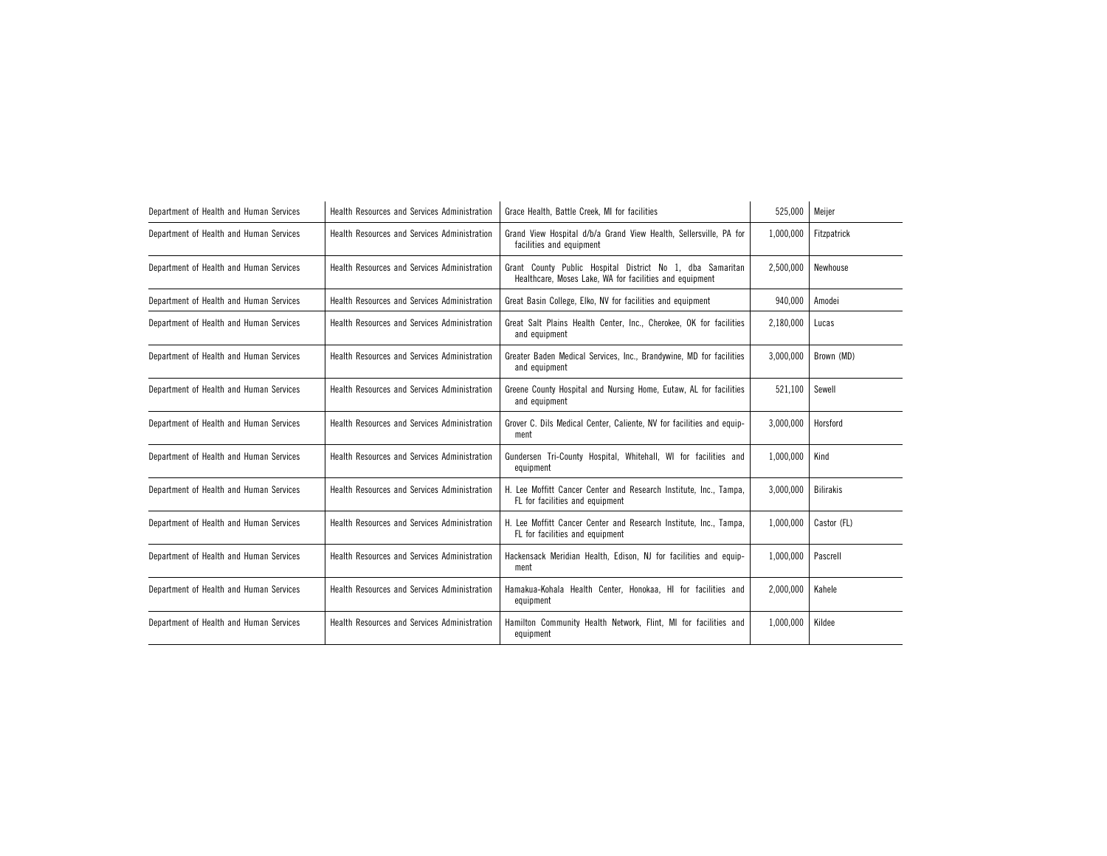| Department of Health and Human Services | Health Resources and Services Administration        | Grace Health, Battle Creek, MI for facilities                                                                        | 525,000   | Meijer           |
|-----------------------------------------|-----------------------------------------------------|----------------------------------------------------------------------------------------------------------------------|-----------|------------------|
| Department of Health and Human Services | Health Resources and Services Administration        | Grand View Hospital d/b/a Grand View Health, Sellersville, PA for<br>facilities and equipment                        | 1,000,000 | Fitzpatrick      |
| Department of Health and Human Services | Health Resources and Services Administration        | Grant County Public Hospital District No 1, dba Samaritan<br>Healthcare, Moses Lake, WA for facilities and equipment | 2,500,000 | Newhouse         |
| Department of Health and Human Services | Health Resources and Services Administration        | Great Basin College, Elko, NV for facilities and equipment                                                           | 940,000   | Amodei           |
| Department of Health and Human Services | Health Resources and Services Administration        | Great Salt Plains Health Center, Inc., Cherokee, OK for facilities<br>and equipment                                  | 2,180,000 | Lucas            |
| Department of Health and Human Services | Health Resources and Services Administration        | Greater Baden Medical Services, Inc., Brandywine, MD for facilities<br>and equipment                                 | 3,000,000 | Brown (MD)       |
| Department of Health and Human Services | Health Resources and Services Administration        | Greene County Hospital and Nursing Home, Eutaw, AL for facilities<br>and equipment                                   | 521,100   | Sewell           |
| Department of Health and Human Services | Health Resources and Services Administration        | Grover C. Dils Medical Center, Caliente, NV for facilities and equip-<br>ment                                        | 3.000.000 | Horsford         |
| Department of Health and Human Services | Health Resources and Services Administration        | Gundersen Tri-County Hospital, Whitehall, WI for facilities and<br>equipment                                         | 1,000,000 | Kind             |
| Department of Health and Human Services | <b>Health Resources and Services Administration</b> | H. Lee Moffitt Cancer Center and Research Institute, Inc., Tampa,<br>FL for facilities and equipment                 | 3.000.000 | <b>Bilirakis</b> |
| Department of Health and Human Services | Health Resources and Services Administration        | H. Lee Moffitt Cancer Center and Research Institute, Inc., Tampa,<br>FL for facilities and equipment                 | 1,000,000 | Castor (FL)      |
| Department of Health and Human Services | Health Resources and Services Administration        | Hackensack Meridian Health, Edison, NJ for facilities and equip-<br>ment                                             | 1.000.000 | Pascrell         |
| Department of Health and Human Services | Health Resources and Services Administration        | Hamakua-Kohala Health Center, Honokaa, HI for facilities and<br>equipment                                            | 2.000.000 | Kahele           |
| Department of Health and Human Services | Health Resources and Services Administration        | Hamilton Community Health Network, Flint, MI for facilities and<br>equipment                                         | 1,000,000 | Kildee           |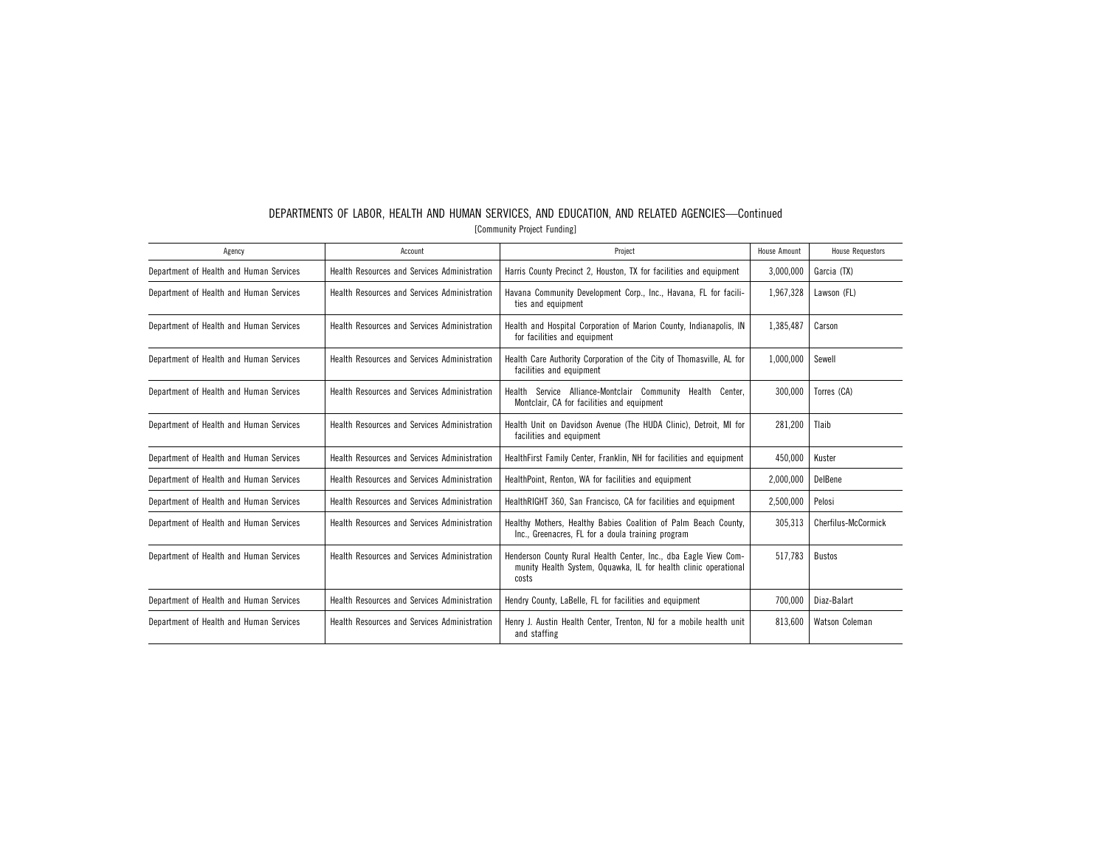| Agency                                  | Account                                             | Project                                                                                                                                     | <b>House Amount</b> | <b>House Requestors</b> |
|-----------------------------------------|-----------------------------------------------------|---------------------------------------------------------------------------------------------------------------------------------------------|---------------------|-------------------------|
| Department of Health and Human Services | Health Resources and Services Administration        | Harris County Precinct 2, Houston, TX for facilities and equipment                                                                          | 3,000,000           | Garcia (TX)             |
| Department of Health and Human Services | <b>Health Resources and Services Administration</b> | Havana Community Development Corp., Inc., Havana, FL for facili-<br>ties and equipment                                                      | 1,967,328           | Lawson (FL)             |
| Department of Health and Human Services | Health Resources and Services Administration        | Health and Hospital Corporation of Marion County, Indianapolis, IN<br>for facilities and equipment                                          | 1,385,487           | Carson                  |
| Department of Health and Human Services | Health Resources and Services Administration        | Health Care Authority Corporation of the City of Thomasville, AL for<br>facilities and equipment                                            | 1,000,000           | Sewell                  |
| Department of Health and Human Services | Health Resources and Services Administration        | Service<br>Alliance-Montclair Community<br>Health<br>Health<br>Center.<br>Montclair, CA for facilities and equipment                        | 300.000             | Torres (CA)             |
| Department of Health and Human Services | Health Resources and Services Administration        | Health Unit on Davidson Avenue (The HUDA Clinic), Detroit, MI for<br>facilities and equipment                                               | 281,200             | Tlaib                   |
| Department of Health and Human Services | Health Resources and Services Administration        | HealthFirst Family Center, Franklin, NH for facilities and equipment                                                                        | 450,000             | Kuster                  |
| Department of Health and Human Services | Health Resources and Services Administration        | HealthPoint, Renton, WA for facilities and equipment                                                                                        | 2,000,000           | DelBene                 |
| Department of Health and Human Services | <b>Health Resources and Services Administration</b> | HealthRIGHT 360, San Francisco, CA for facilities and equipment                                                                             | 2,500,000           | Pelosi                  |
| Department of Health and Human Services | Health Resources and Services Administration        | Healthy Mothers, Healthy Babies Coalition of Palm Beach County,<br>Inc., Greenacres, FL for a doula training program                        | 305.313             | Cherfilus-McCormick     |
| Department of Health and Human Services | Health Resources and Services Administration        | Henderson County Rural Health Center, Inc., dba Eagle View Com-<br>munity Health System, Oquawka, IL for health clinic operational<br>costs | 517.783             | Bustos                  |
| Department of Health and Human Services | Health Resources and Services Administration        | Hendry County, LaBelle, FL for facilities and equipment                                                                                     | 700.000             | Diaz-Balart             |
| Department of Health and Human Services | Health Resources and Services Administration        | Henry J. Austin Health Center, Trenton, NJ for a mobile health unit<br>and staffing                                                         | 813.600             | Watson Coleman          |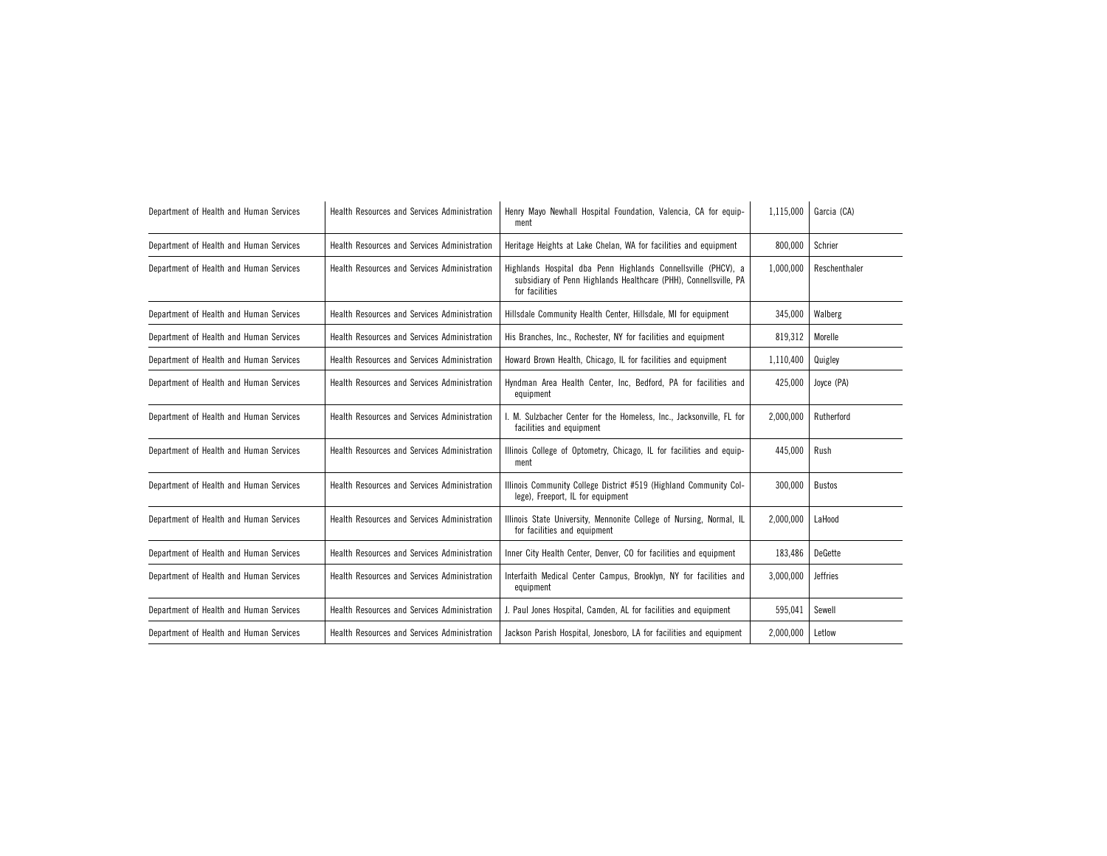| Department of Health and Human Services | <b>Health Resources and Services Administration</b> | Henry Mayo Newhall Hospital Foundation, Valencia, CA for equip-<br>ment                                                                             | 1,115,000 | Garcia (CA)     |
|-----------------------------------------|-----------------------------------------------------|-----------------------------------------------------------------------------------------------------------------------------------------------------|-----------|-----------------|
| Department of Health and Human Services | Health Resources and Services Administration        | Heritage Heights at Lake Chelan, WA for facilities and equipment                                                                                    | 800,000   | Schrier         |
| Department of Health and Human Services | Health Resources and Services Administration        | Highlands Hospital dba Penn Highlands Connellsville (PHCV), a<br>subsidiary of Penn Highlands Healthcare (PHH), Connellsville, PA<br>for facilities | 1.000.000 | Reschenthaler   |
| Department of Health and Human Services | Health Resources and Services Administration        | Hillsdale Community Health Center, Hillsdale, MI for equipment                                                                                      | 345,000   | Walberg         |
| Department of Health and Human Services | Health Resources and Services Administration        | His Branches, Inc., Rochester, NY for facilities and equipment                                                                                      | 819,312   | Morelle         |
| Department of Health and Human Services | Health Resources and Services Administration        | Howard Brown Health, Chicago, IL for facilities and equipment                                                                                       | 1,110,400 | Quigley         |
| Department of Health and Human Services | Health Resources and Services Administration        | Hyndman Area Health Center, Inc, Bedford, PA for facilities and<br>equipment                                                                        | 425,000   | Joyce (PA)      |
| Department of Health and Human Services | Health Resources and Services Administration        | I. M. Sulzbacher Center for the Homeless, Inc., Jacksonville, FL for<br>facilities and equipment                                                    | 2,000,000 | Rutherford      |
| Department of Health and Human Services | Health Resources and Services Administration        | Illinois College of Optometry, Chicago, IL for facilities and equip-<br>ment                                                                        | 445.000   | Rush            |
| Department of Health and Human Services | Health Resources and Services Administration        | Illinois Community College District #519 (Highland Community Col-<br>lege), Freeport, IL for equipment                                              | 300,000   | <b>Bustos</b>   |
| Department of Health and Human Services | Health Resources and Services Administration        | Illinois State University, Mennonite College of Nursing, Normal, IL<br>for facilities and equipment                                                 | 2.000.000 | LaHood          |
| Department of Health and Human Services | Health Resources and Services Administration        | Inner City Health Center, Denver, CO for facilities and equipment                                                                                   | 183,486   | DeGette         |
| Department of Health and Human Services | Health Resources and Services Administration        | Interfaith Medical Center Campus, Brooklyn, NY for facilities and<br>equipment                                                                      | 3,000,000 | <b>Jeffries</b> |
| Department of Health and Human Services | Health Resources and Services Administration        | J. Paul Jones Hospital, Camden, AL for facilities and equipment                                                                                     | 595,041   | Sewell          |
| Department of Health and Human Services | Health Resources and Services Administration        | Jackson Parish Hospital, Jonesboro, LA for facilities and equipment                                                                                 | 2,000,000 | Letlow          |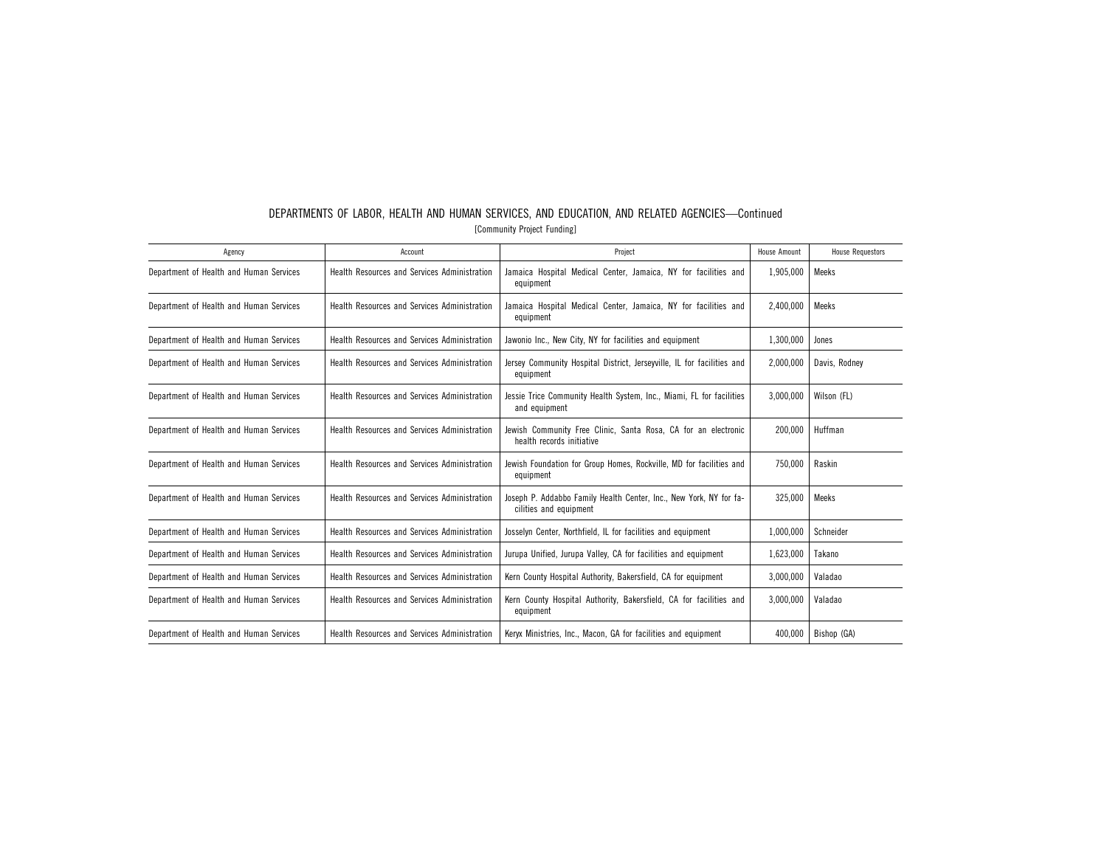| Agency                                  | Account                                             | Project                                                                                      | House Amount | <b>House Requestors</b> |
|-----------------------------------------|-----------------------------------------------------|----------------------------------------------------------------------------------------------|--------------|-------------------------|
| Department of Health and Human Services | Health Resources and Services Administration        | Jamaica Hospital Medical Center, Jamaica, NY for facilities and<br>equipment                 | 1,905,000    | Meeks                   |
| Department of Health and Human Services | Health Resources and Services Administration        | Jamaica Hospital Medical Center, Jamaica, NY for facilities and<br>equipment                 | 2,400,000    | Meeks                   |
| Department of Health and Human Services | Health Resources and Services Administration        | Jawonio Inc., New City, NY for facilities and equipment                                      | 1,300,000    | Jones                   |
| Department of Health and Human Services | Health Resources and Services Administration        | Jersey Community Hospital District, Jerseyville, IL for facilities and<br>equipment          | 2,000,000    | Davis, Rodney           |
| Department of Health and Human Services | Health Resources and Services Administration        | Jessie Trice Community Health System, Inc., Miami, FL for facilities<br>and equipment        | 3,000,000    | Wilson (FL)             |
| Department of Health and Human Services | Health Resources and Services Administration        | Jewish Community Free Clinic, Santa Rosa, CA for an electronic<br>health records initiative  | 200.000      | Huffman                 |
| Department of Health and Human Services | Health Resources and Services Administration        | Jewish Foundation for Group Homes, Rockville, MD for facilities and<br>equipment             | 750.000      | Raskin                  |
| Department of Health and Human Services | Health Resources and Services Administration        | Joseph P. Addabbo Family Health Center, Inc., New York, NY for fa-<br>cilities and equipment | 325.000      | Meeks                   |
| Department of Health and Human Services | Health Resources and Services Administration        | Josselyn Center, Northfield, IL for facilities and equipment                                 | 1,000,000    | Schneider               |
| Department of Health and Human Services | Health Resources and Services Administration        | Jurupa Unified, Jurupa Valley, CA for facilities and equipment                               | 1,623,000    | Takano                  |
| Department of Health and Human Services | Health Resources and Services Administration        | Kern County Hospital Authority, Bakersfield, CA for equipment                                | 3,000,000    | Valadao                 |
| Department of Health and Human Services | <b>Health Resources and Services Administration</b> | Kern County Hospital Authority, Bakersfield, CA for facilities and<br>equipment              | 3.000.000    | Valadao                 |
| Department of Health and Human Services | Health Resources and Services Administration        | Keryx Ministries, Inc., Macon, GA for facilities and equipment                               | 400,000      | Bishop (GA)             |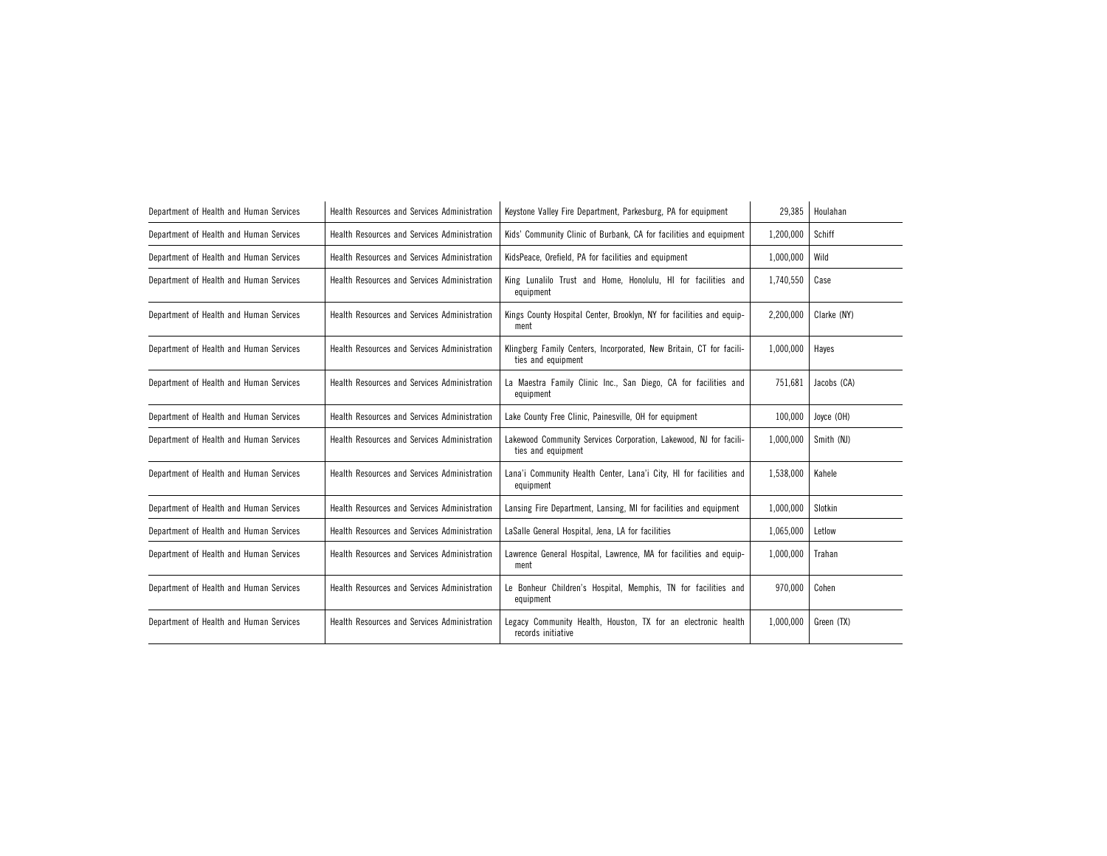| Department of Health and Human Services | Health Resources and Services Administration        | Keystone Valley Fire Department, Parkesburg, PA for equipment                             | 29,385    | Houlahan    |
|-----------------------------------------|-----------------------------------------------------|-------------------------------------------------------------------------------------------|-----------|-------------|
| Department of Health and Human Services | Health Resources and Services Administration        | Kids' Community Clinic of Burbank, CA for facilities and equipment                        | 1,200,000 | Schiff      |
| Department of Health and Human Services | Health Resources and Services Administration        | KidsPeace, Orefield, PA for facilities and equipment                                      | 1,000,000 | Wild        |
| Department of Health and Human Services | Health Resources and Services Administration        | King Lunalilo Trust and Home, Honolulu, HI for facilities and<br>equipment                | 1,740,550 | Case        |
| Department of Health and Human Services | Health Resources and Services Administration        | Kings County Hospital Center, Brooklyn, NY for facilities and equip-<br>ment              | 2,200,000 | Clarke (NY) |
| Department of Health and Human Services | Health Resources and Services Administration        | Klingberg Family Centers, Incorporated, New Britain, CT for facili-<br>ties and equipment | 1,000,000 | Hayes       |
| Department of Health and Human Services | Health Resources and Services Administration        | La Maestra Family Clinic Inc., San Diego, CA for facilities and<br>equipment              | 751.681   | Jacobs (CA) |
| Department of Health and Human Services | Health Resources and Services Administration        | Lake County Free Clinic, Painesville, OH for equipment                                    | 100,000   | Joyce (OH)  |
| Department of Health and Human Services | Health Resources and Services Administration        | Lakewood Community Services Corporation, Lakewood, NJ for facili-<br>ties and equipment   | 1,000,000 | Smith (NJ)  |
| Department of Health and Human Services | Health Resources and Services Administration        | Lana'i Community Health Center, Lana'i City, HI for facilities and<br>equipment           | 1,538,000 | Kahele      |
| Department of Health and Human Services | Health Resources and Services Administration        | Lansing Fire Department, Lansing, MI for facilities and equipment                         | 1,000,000 | Slotkin     |
| Department of Health and Human Services | <b>Health Resources and Services Administration</b> | LaSalle General Hospital, Jena, LA for facilities                                         | 1,065,000 | Letlow      |
| Department of Health and Human Services | Health Resources and Services Administration        | Lawrence General Hospital, Lawrence, MA for facilities and equip-<br>ment                 | 1,000,000 | Trahan      |
| Department of Health and Human Services | Health Resources and Services Administration        | Le Bonheur Children's Hospital, Memphis, TN for facilities and<br>equipment               | 970,000   | Cohen       |
| Department of Health and Human Services | Health Resources and Services Administration        | Legacy Community Health, Houston, TX for an electronic health<br>records initiative       | 1,000,000 | Green (TX)  |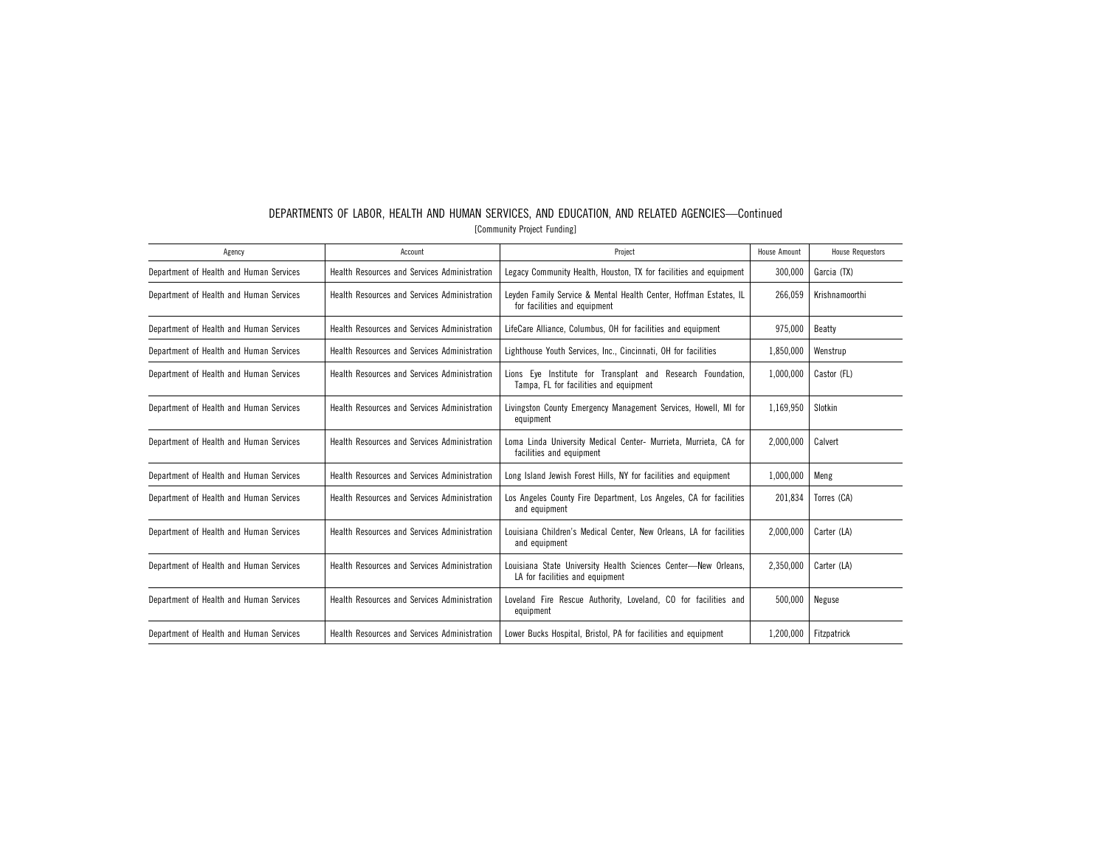| Agency                                  | Account                                      | Project                                                                                               | House Amount | <b>House Requestors</b> |
|-----------------------------------------|----------------------------------------------|-------------------------------------------------------------------------------------------------------|--------------|-------------------------|
| Department of Health and Human Services | Health Resources and Services Administration | Legacy Community Health, Houston, TX for facilities and equipment                                     | 300,000      | Garcia (TX)             |
| Department of Health and Human Services | Health Resources and Services Administration | Leyden Family Service & Mental Health Center, Hoffman Estates, IL<br>for facilities and equipment     | 266,059      | Krishnamoorthi          |
| Department of Health and Human Services | Health Resources and Services Administration | LifeCare Alliance, Columbus, OH for facilities and equipment                                          | 975,000      | Beatty                  |
| Department of Health and Human Services | Health Resources and Services Administration | Lighthouse Youth Services, Inc., Cincinnati, OH for facilities                                        | 1,850,000    | Wenstrup                |
| Department of Health and Human Services | Health Resources and Services Administration | Lions Eye Institute for Transplant and Research Foundation,<br>Tampa, FL for facilities and equipment | 1,000,000    | Castor (FL)             |
| Department of Health and Human Services | Health Resources and Services Administration | Livingston County Emergency Management Services, Howell, MI for<br>equipment                          | 1,169,950    | Slotkin                 |
| Department of Health and Human Services | Health Resources and Services Administration | Loma Linda University Medical Center- Murrieta, Murrieta, CA for<br>facilities and equipment          | 2,000,000    | Calvert                 |
| Department of Health and Human Services | Health Resources and Services Administration | Long Island Jewish Forest Hills, NY for facilities and equipment                                      | 1,000,000    | Meng                    |
| Department of Health and Human Services | Health Resources and Services Administration | Los Angeles County Fire Department, Los Angeles, CA for facilities<br>and equipment                   | 201,834      | Torres (CA)             |
| Department of Health and Human Services | Health Resources and Services Administration | Louisiana Children's Medical Center, New Orleans, LA for facilities<br>and equipment                  | 2.000.000    | Carter (LA)             |
| Department of Health and Human Services | Health Resources and Services Administration | Louisiana State University Health Sciences Center-New Orleans,<br>LA for facilities and equipment     | 2,350,000    | Carter (LA)             |
| Department of Health and Human Services | Health Resources and Services Administration | Loveland Fire Rescue Authority, Loveland, CO for facilities and<br>equipment                          | 500.000      | Neguse                  |
| Department of Health and Human Services | Health Resources and Services Administration | Lower Bucks Hospital, Bristol, PA for facilities and equipment                                        | 1,200,000    | Fitzpatrick             |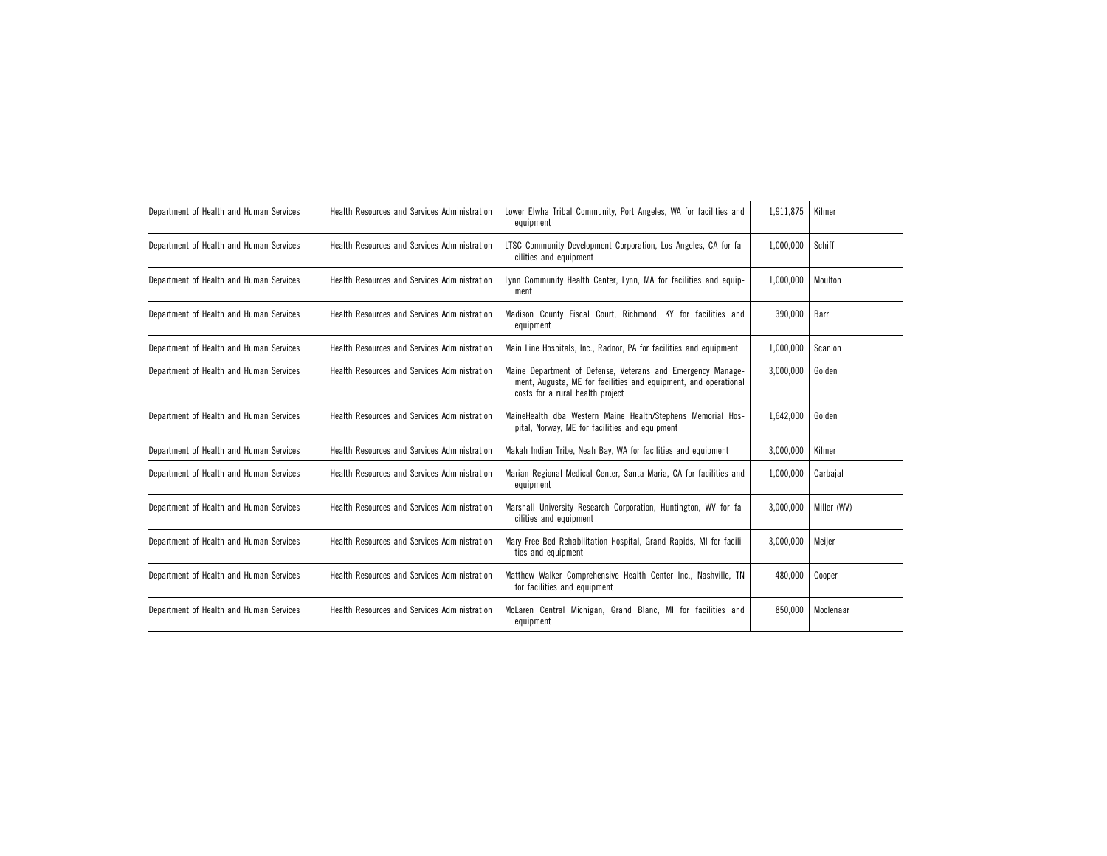| Department of Health and Human Services | Health Resources and Services Administration | Lower Elwha Tribal Community, Port Angeles, WA for facilities and<br>equipment                                                                                     | 1,911,875 | Kilmer      |  |
|-----------------------------------------|----------------------------------------------|--------------------------------------------------------------------------------------------------------------------------------------------------------------------|-----------|-------------|--|
| Department of Health and Human Services | Health Resources and Services Administration | LTSC Community Development Corporation, Los Angeles, CA for fa-<br>cilities and equipment                                                                          | 1,000,000 | Schiff      |  |
| Department of Health and Human Services | Health Resources and Services Administration | Lynn Community Health Center, Lynn, MA for facilities and equip-<br>ment                                                                                           | 1.000.000 | Moulton     |  |
| Department of Health and Human Services | Health Resources and Services Administration | Madison County Fiscal Court, Richmond, KY for facilities and<br>equipment                                                                                          | 390,000   | Barr        |  |
| Department of Health and Human Services | Health Resources and Services Administration | Main Line Hospitals, Inc., Radnor, PA for facilities and equipment                                                                                                 | 1,000,000 | Scanlon     |  |
| Department of Health and Human Services | Health Resources and Services Administration | Maine Department of Defense, Veterans and Emergency Manage-<br>ment, Augusta, ME for facilities and equipment, and operational<br>costs for a rural health project | 3,000,000 | Golden      |  |
| Department of Health and Human Services | Health Resources and Services Administration | MaineHealth dba Western Maine Health/Stephens Memorial Hos-<br>pital, Norway, ME for facilities and equipment                                                      | 1,642,000 | Golden      |  |
| Department of Health and Human Services | Health Resources and Services Administration | Makah Indian Tribe, Neah Bay, WA for facilities and equipment                                                                                                      | 3,000,000 | Kilmer      |  |
| Department of Health and Human Services | Health Resources and Services Administration | Marian Regional Medical Center, Santa Maria, CA for facilities and<br>equipment                                                                                    | 1,000,000 | Carbajal    |  |
| Department of Health and Human Services | Health Resources and Services Administration | Marshall University Research Corporation, Huntington, WV for fa-<br>cilities and equipment                                                                         | 3,000,000 | Miller (WV) |  |
| Department of Health and Human Services | Health Resources and Services Administration | Mary Free Bed Rehabilitation Hospital, Grand Rapids, MI for facili-<br>ties and equipment                                                                          | 3,000,000 | Meijer      |  |
| Department of Health and Human Services | Health Resources and Services Administration | Matthew Walker Comprehensive Health Center Inc., Nashville, TN<br>for facilities and equipment                                                                     | 480,000   | Cooper      |  |
| Department of Health and Human Services | Health Resources and Services Administration | McLaren Central Michigan, Grand Blanc, MI for facilities and<br>equipment                                                                                          | 850.000   | Moolenaar   |  |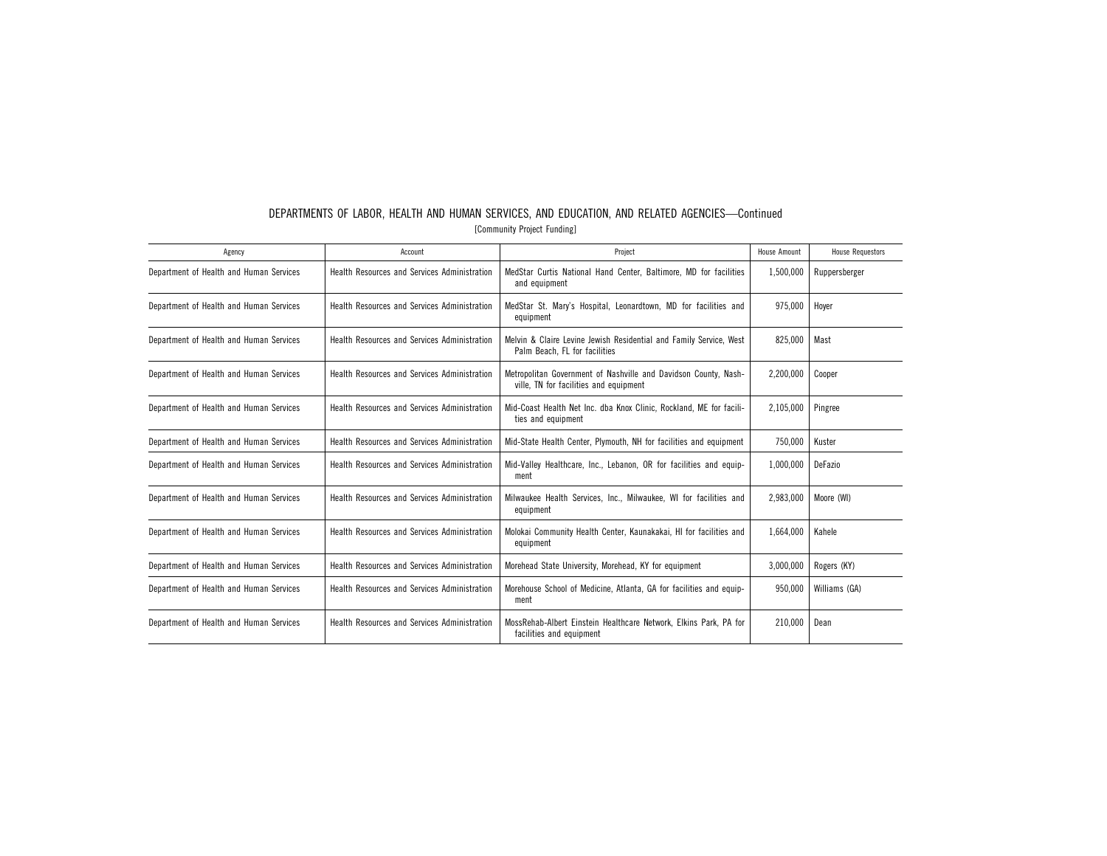| Agency                                  | Account                                             | Project                                                                                                   | <b>House Amount</b> | <b>House Requestors</b> |
|-----------------------------------------|-----------------------------------------------------|-----------------------------------------------------------------------------------------------------------|---------------------|-------------------------|
| Department of Health and Human Services | Health Resources and Services Administration        | MedStar Curtis National Hand Center, Baltimore, MD for facilities<br>and equipment                        | 1,500,000           | Ruppersberger           |
| Department of Health and Human Services | Health Resources and Services Administration        | MedStar St. Mary's Hospital, Leonardtown, MD for facilities and<br>equipment                              | 975.000             | Hover                   |
| Department of Health and Human Services | Health Resources and Services Administration        | Melvin & Claire Levine Jewish Residential and Family Service, West<br>Palm Beach. FL for facilities       | 825,000             | Mast                    |
| Department of Health and Human Services | Health Resources and Services Administration        | Metropolitan Government of Nashville and Davidson County, Nash-<br>ville, TN for facilities and equipment | 2.200.000           | Cooper                  |
| Department of Health and Human Services | Health Resources and Services Administration        | Mid-Coast Health Net Inc. dba Knox Clinic, Rockland, ME for facili-<br>ties and equipment                 | 2,105,000           | Pingree                 |
| Department of Health and Human Services | Health Resources and Services Administration        | Mid-State Health Center, Plymouth, NH for facilities and equipment                                        | 750.000             | Kuster                  |
| Department of Health and Human Services | Health Resources and Services Administration        | Mid-Valley Healthcare, Inc., Lebanon, OR for facilities and equip-<br>ment                                | 1.000.000           | DeFazio                 |
| Department of Health and Human Services | Health Resources and Services Administration        | Milwaukee Health Services, Inc., Milwaukee, WI for facilities and<br>equipment                            | 2.983.000           | Moore (WI)              |
| Department of Health and Human Services | Health Resources and Services Administration        | Molokai Community Health Center, Kaunakakai, HI for facilities and<br>equipment                           | 1.664.000           | Kahele                  |
| Department of Health and Human Services | Health Resources and Services Administration        | Morehead State University, Morehead, KY for equipment                                                     | 3,000,000           | Rogers (KY)             |
| Department of Health and Human Services | <b>Health Resources and Services Administration</b> | Morehouse School of Medicine, Atlanta, GA for facilities and equip-<br>ment                               | 950.000             | Williams (GA)           |
| Department of Health and Human Services | Health Resources and Services Administration        | MossRehab-Albert Einstein Healthcare Network. Elkins Park. PA for<br>facilities and equipment             | 210.000             | Dean                    |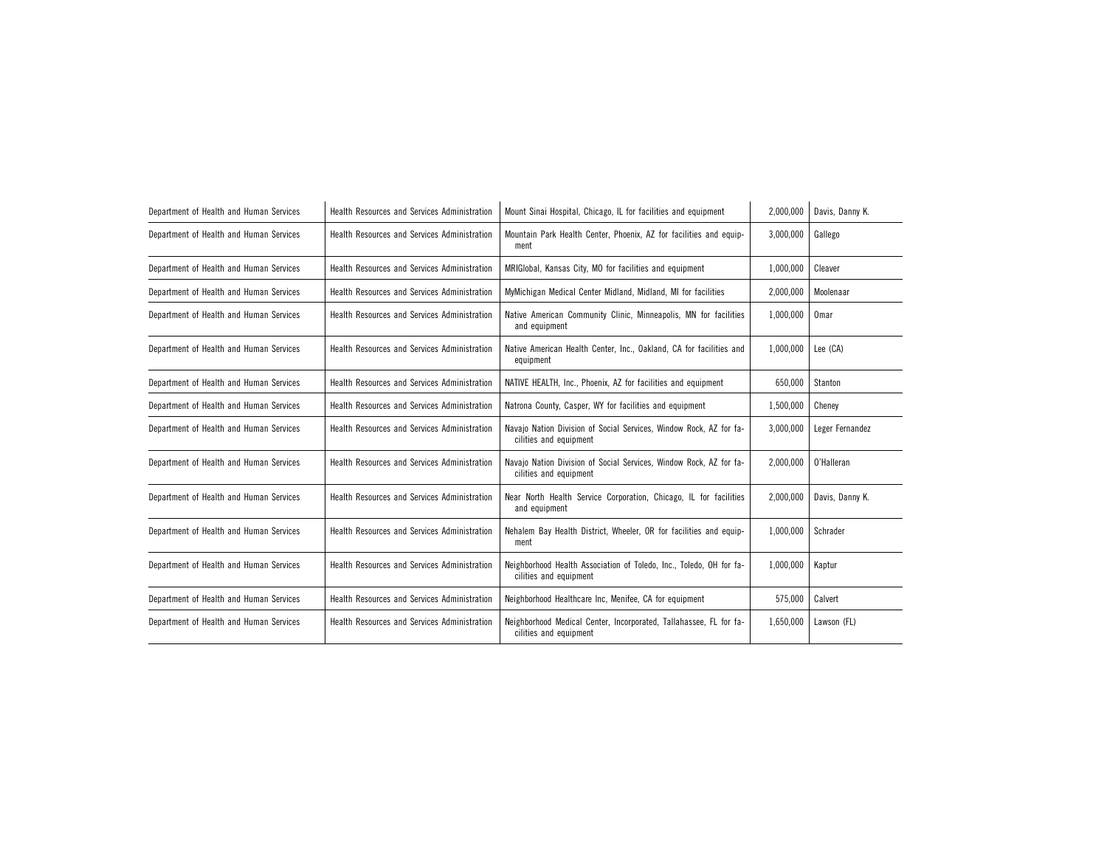| Department of Health and Human Services | Health Resources and Services Administration        | Mount Sinai Hospital, Chicago, IL for facilities and equipment                                | 2,000,000 | Davis, Danny K. |
|-----------------------------------------|-----------------------------------------------------|-----------------------------------------------------------------------------------------------|-----------|-----------------|
| Department of Health and Human Services | Health Resources and Services Administration        | Mountain Park Health Center, Phoenix, AZ for facilities and equip-<br>ment                    | 3,000,000 | Gallego         |
| Department of Health and Human Services | Health Resources and Services Administration        | MRIGIobal, Kansas City, MO for facilities and equipment                                       | 1,000,000 | Cleaver         |
| Department of Health and Human Services | <b>Health Resources and Services Administration</b> | MyMichigan Medical Center Midland, Midland, MI for facilities                                 | 2,000,000 | Moolenaar       |
| Department of Health and Human Services | <b>Health Resources and Services Administration</b> | Native American Community Clinic, Minneapolis, MN for facilities<br>and equipment             | 1,000,000 | <b>Omar</b>     |
| Department of Health and Human Services | Health Resources and Services Administration        | Native American Health Center, Inc., Oakland, CA for facilities and<br>equipment              | 1,000,000 | Lee (CA)        |
| Department of Health and Human Services | Health Resources and Services Administration        | NATIVE HEALTH, Inc., Phoenix, AZ for facilities and equipment                                 | 650,000   | Stanton         |
| Department of Health and Human Services | Health Resources and Services Administration        | Natrona County, Casper, WY for facilities and equipment                                       | 1,500,000 | Cheney          |
| Department of Health and Human Services | Health Resources and Services Administration        | Navajo Nation Division of Social Services, Window Rock, AZ for fa-<br>cilities and equipment  | 3,000,000 | Leger Fernandez |
| Department of Health and Human Services | Health Resources and Services Administration        | Navajo Nation Division of Social Services, Window Rock, AZ for fa-<br>cilities and equipment  | 2,000,000 | O'Halleran      |
| Department of Health and Human Services | Health Resources and Services Administration        | Near North Health Service Corporation, Chicago, IL for facilities<br>and equipment            | 2,000,000 | Davis, Danny K. |
| Department of Health and Human Services | Health Resources and Services Administration        | Nehalem Bay Health District, Wheeler, OR for facilities and equip-<br>ment                    | 1,000,000 | Schrader        |
| Department of Health and Human Services | Health Resources and Services Administration        | Neighborhood Health Association of Toledo, Inc., Toledo, OH for fa-<br>cilities and equipment | 1,000,000 | Kaptur          |
| Department of Health and Human Services | Health Resources and Services Administration        | Neighborhood Healthcare Inc, Menifee, CA for equipment                                        | 575,000   | Calvert         |
| Department of Health and Human Services | Health Resources and Services Administration        | Neighborhood Medical Center, Incorporated, Tallahassee, FL for fa-<br>cilities and equipment  | 1,650,000 | Lawson (FL)     |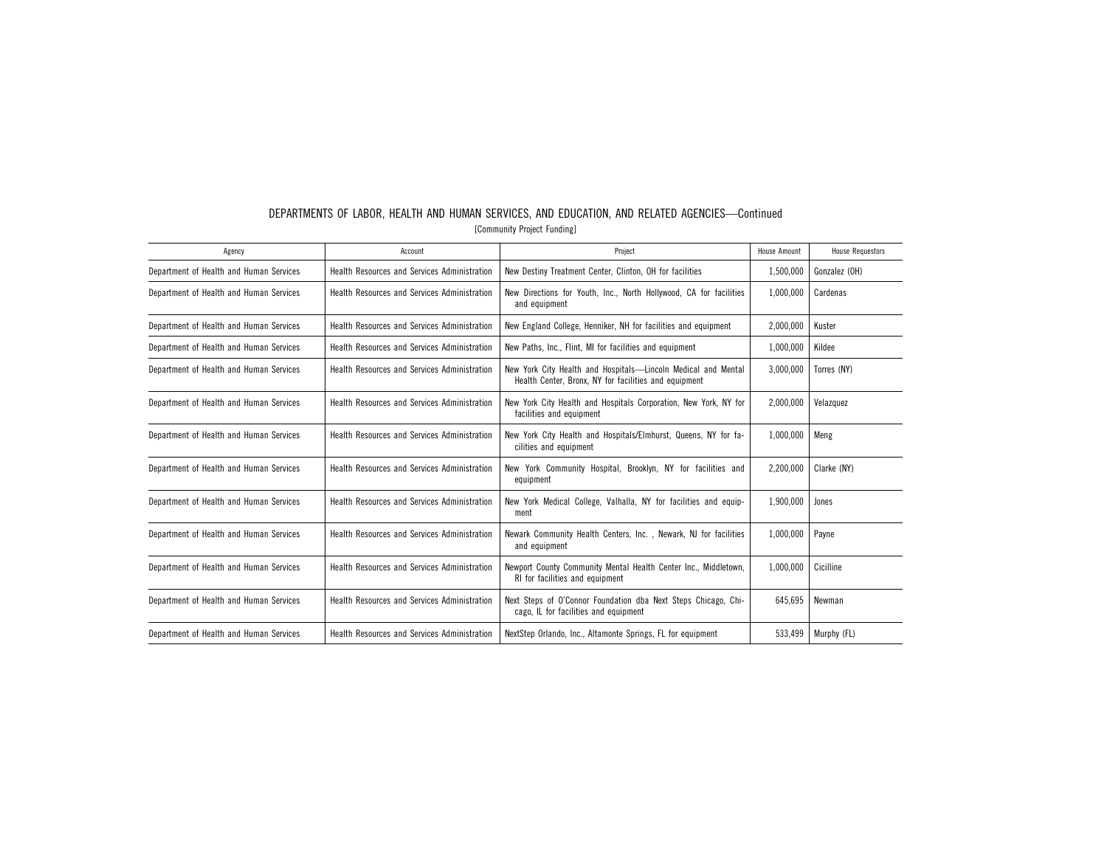| DEPARTMENTS OF LABOR, HEALTH AND HUMAN SERVICES, AND EDUCATION, AND RELATED AGENCIES-Continued |  |  |
|------------------------------------------------------------------------------------------------|--|--|
| [Community Project Funding]                                                                    |  |  |

| Agency                                  | Account                                             | Project                                                                                                                | House Amount | <b>House Requestors</b> |
|-----------------------------------------|-----------------------------------------------------|------------------------------------------------------------------------------------------------------------------------|--------------|-------------------------|
| Department of Health and Human Services | Health Resources and Services Administration        | New Destiny Treatment Center, Clinton, OH for facilities                                                               | 1,500,000    | Gonzalez (OH)           |
| Department of Health and Human Services | <b>Health Resources and Services Administration</b> | New Directions for Youth, Inc., North Hollywood, CA for facilities<br>and equipment                                    | 1,000,000    | Cardenas                |
| Department of Health and Human Services | Health Resources and Services Administration        | New England College, Henniker, NH for facilities and equipment                                                         | 2,000,000    | Kuster                  |
| Department of Health and Human Services | Health Resources and Services Administration        | New Paths, Inc., Flint, MI for facilities and equipment                                                                | 1,000,000    | Kildee                  |
| Department of Health and Human Services | Health Resources and Services Administration        | New York City Health and Hospitals—Lincoln Medical and Mental<br>Health Center, Bronx, NY for facilities and equipment | 3,000,000    | Torres (NY)             |
| Department of Health and Human Services | <b>Health Resources and Services Administration</b> | New York City Health and Hospitals Corporation, New York, NY for<br>facilities and equipment                           | 2,000,000    | Velazquez               |
| Department of Health and Human Services | Health Resources and Services Administration        | New York City Health and Hospitals/Elmhurst, Queens, NY for fa-<br>cilities and equipment                              | 1,000,000    | Meng                    |
| Department of Health and Human Services | Health Resources and Services Administration        | New York Community Hospital, Brooklyn, NY for facilities and<br>equipment                                              | 2,200,000    | Clarke (NY)             |
| Department of Health and Human Services | Health Resources and Services Administration        | New York Medical College, Valhalla, NY for facilities and equip-<br>ment                                               | 1,900,000    | Jones                   |
| Department of Health and Human Services | Health Resources and Services Administration        | Newark Community Health Centers, Inc., Newark, NJ for facilities<br>and equipment                                      | 1,000,000    | Payne                   |
| Department of Health and Human Services | Health Resources and Services Administration        | Newport County Community Mental Health Center Inc., Middletown,<br>RI for facilities and equipment                     | 1,000,000    | Cicilline               |
| Department of Health and Human Services | Health Resources and Services Administration        | Next Steps of O'Connor Foundation dba Next Steps Chicago, Chi-<br>cago, IL for facilities and equipment                | 645,695      | Newman                  |
| Department of Health and Human Services | Health Resources and Services Administration        | NextStep Orlando, Inc., Altamonte Springs, FL for equipment                                                            | 533,499      | Murphy (FL)             |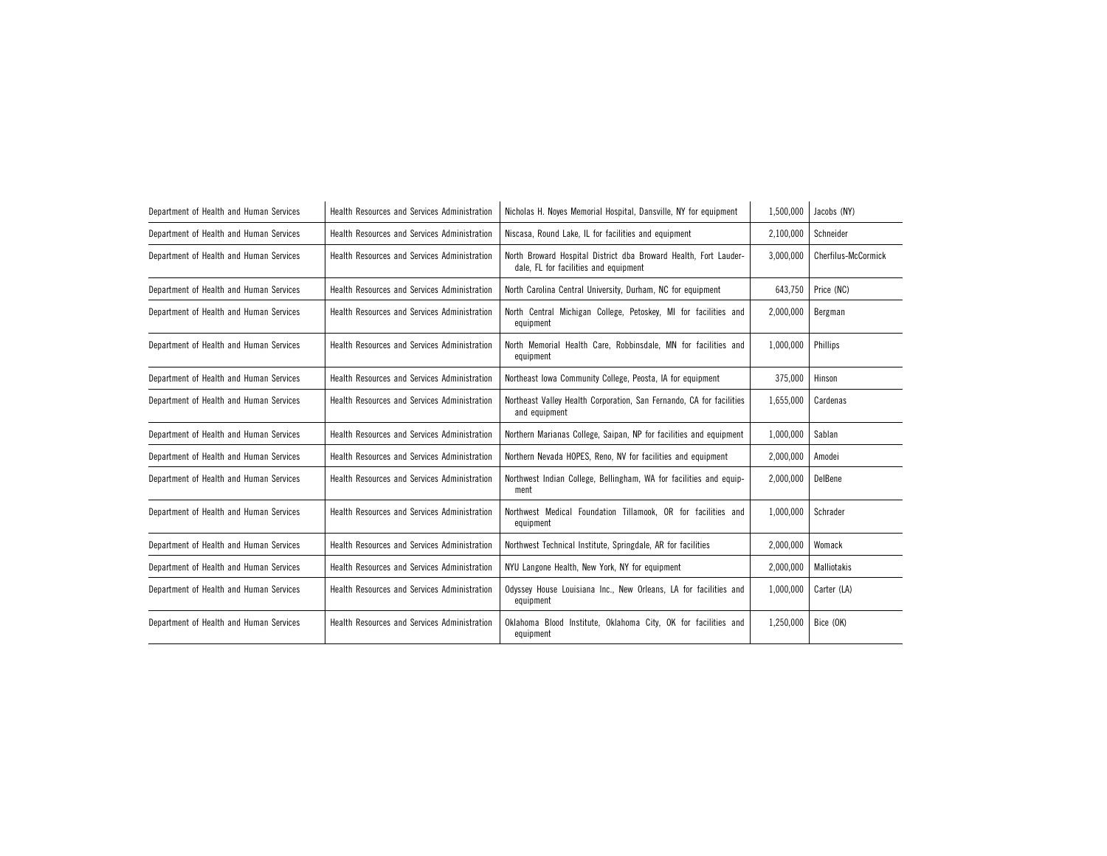| Department of Health and Human Services | Health Resources and Services Administration | Nicholas H. Noyes Memorial Hospital, Dansville, NY for equipment                                          | 1,500,000 | Jacobs (NY)         |
|-----------------------------------------|----------------------------------------------|-----------------------------------------------------------------------------------------------------------|-----------|---------------------|
| Department of Health and Human Services | Health Resources and Services Administration | Niscasa, Round Lake, IL for facilities and equipment                                                      | 2,100,000 | Schneider           |
| Department of Health and Human Services | Health Resources and Services Administration | North Broward Hospital District dba Broward Health, Fort Lauder-<br>dale, FL for facilities and equipment | 3,000,000 | Cherfilus-McCormick |
| Department of Health and Human Services | Health Resources and Services Administration | North Carolina Central University, Durham, NC for equipment                                               | 643,750   | Price (NC)          |
| Department of Health and Human Services | Health Resources and Services Administration | North Central Michigan College, Petoskey, MI for facilities and<br>equipment                              | 2,000,000 | Bergman             |
| Department of Health and Human Services | Health Resources and Services Administration | North Memorial Health Care, Robbinsdale, MN for facilities and<br>equipment                               | 1,000,000 | Phillips            |
| Department of Health and Human Services | Health Resources and Services Administration | Northeast Iowa Community College, Peosta, IA for equipment                                                | 375,000   | Hinson              |
| Department of Health and Human Services | Health Resources and Services Administration | Northeast Valley Health Corporation, San Fernando, CA for facilities<br>and equipment                     | 1,655,000 | Cardenas            |
| Department of Health and Human Services | Health Resources and Services Administration | Northern Marianas College, Saipan, NP for facilities and equipment                                        | 1,000,000 | Sablan              |
| Department of Health and Human Services | Health Resources and Services Administration | Northern Nevada HOPES, Reno, NV for facilities and equipment                                              | 2,000,000 | Amodei              |
| Department of Health and Human Services | Health Resources and Services Administration | Northwest Indian College, Bellingham, WA for facilities and equip-<br>ment                                | 2,000,000 | DelBene             |
| Department of Health and Human Services | Health Resources and Services Administration | Northwest Medical Foundation Tillamook, OR for facilities and<br>equipment                                | 1,000,000 | Schrader            |
| Department of Health and Human Services | Health Resources and Services Administration | Northwest Technical Institute, Springdale, AR for facilities                                              | 2,000,000 | Womack              |
| Department of Health and Human Services | Health Resources and Services Administration | NYU Langone Health, New York, NY for equipment                                                            | 2,000,000 | Malliotakis         |
| Department of Health and Human Services | Health Resources and Services Administration | Odyssey House Louisiana Inc., New Orleans, LA for facilities and<br>1,000,000<br>equipment                |           | Carter (LA)         |
| Department of Health and Human Services | Health Resources and Services Administration | Oklahoma Blood Institute, Oklahoma City, OK for facilities and<br>equipment                               | 1,250,000 | Bice (OK)           |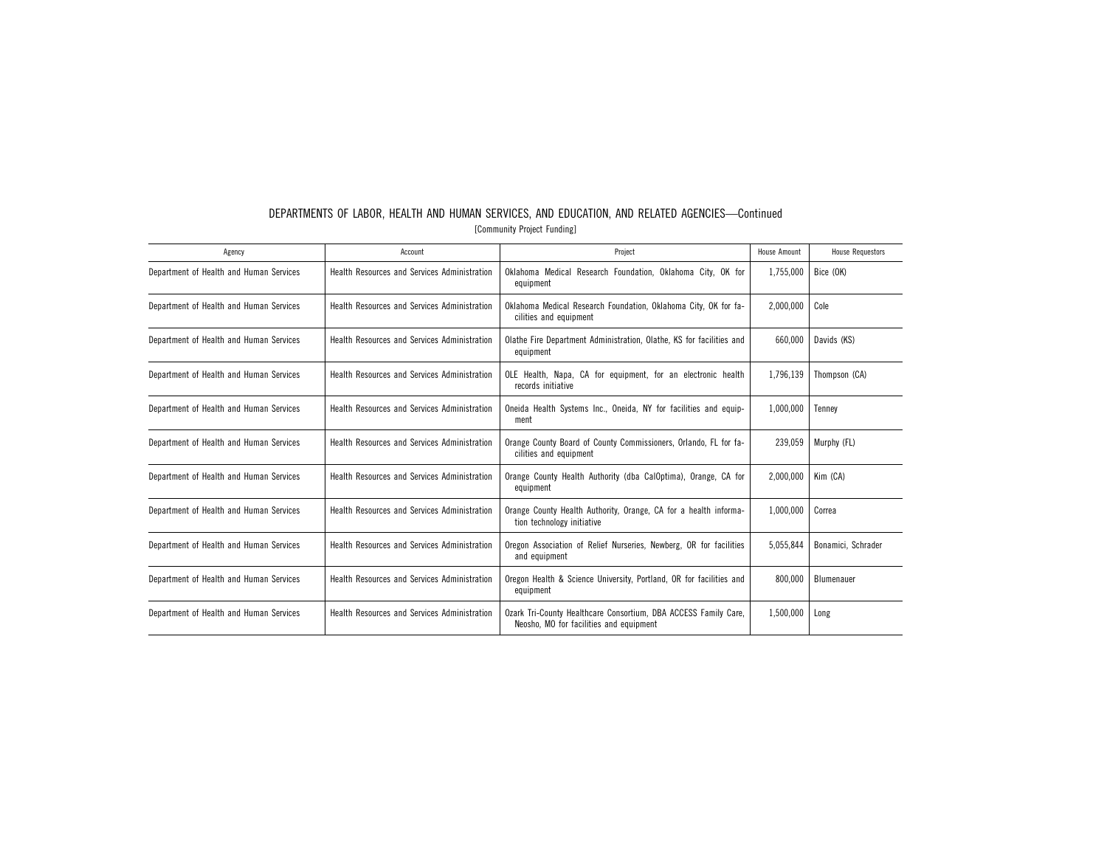| Agency                                  | Account                                      | Project                                                                                                    | House Amount | <b>House Requestors</b> |
|-----------------------------------------|----------------------------------------------|------------------------------------------------------------------------------------------------------------|--------------|-------------------------|
| Department of Health and Human Services | Health Resources and Services Administration | Oklahoma Medical Research Foundation, Oklahoma City, OK for<br>equipment                                   | 1,755,000    | Bice (OK)               |
| Department of Health and Human Services | Health Resources and Services Administration | Oklahoma Medical Research Foundation, Oklahoma City, OK for fa-<br>cilities and equipment                  | 2,000,000    | Cole                    |
| Department of Health and Human Services | Health Resources and Services Administration | Olathe Fire Department Administration, Olathe, KS for facilities and<br>equipment                          | 660.000      | Davids (KS)             |
| Department of Health and Human Services | Health Resources and Services Administration | OLE Health, Napa, CA for equipment, for an electronic health<br>records initiative                         | 1,796,139    | Thompson (CA)           |
| Department of Health and Human Services | Health Resources and Services Administration | Oneida Health Systems Inc., Oneida, NY for facilities and equip-<br>ment                                   | 1.000.000    | Tennev                  |
| Department of Health and Human Services | Health Resources and Services Administration | Orange County Board of County Commissioners, Orlando, FL for fa-<br>cilities and equipment                 | 239.059      | Murphy (FL)             |
| Department of Health and Human Services | Health Resources and Services Administration | Orange County Health Authority (dba CalOptima), Orange, CA for<br>equipment                                | 2.000.000    | Kim (CA)                |
| Department of Health and Human Services | Health Resources and Services Administration | Orange County Health Authority, Orange, CA for a health informa-<br>tion technology initiative             | 1,000,000    | Correa                  |
| Department of Health and Human Services | Health Resources and Services Administration | Oregon Association of Relief Nurseries, Newberg, OR for facilities<br>and equipment                        | 5,055,844    | Bonamici, Schrader      |
| Department of Health and Human Services | Health Resources and Services Administration | Oregon Health & Science University, Portland, OR for facilities and<br>equipment                           | 800,000      | Blumenauer              |
| Department of Health and Human Services | Health Resources and Services Administration | Ozark Tri-County Healthcare Consortium, DBA ACCESS Family Care,<br>Neosho, MO for facilities and equipment | 1,500,000    | Long                    |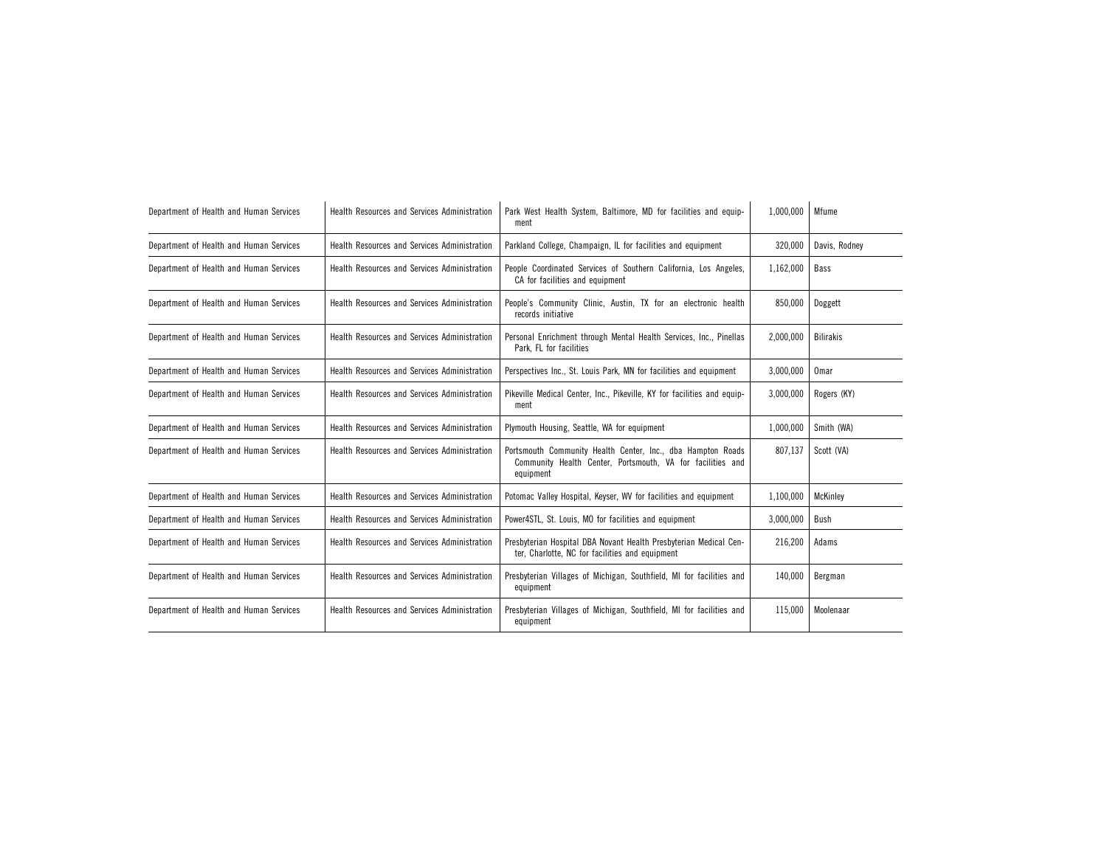| Department of Health and Human Services | <b>Health Resources and Services Administration</b> | Park West Health System, Baltimore, MD for facilities and equip-<br>ment                                                               | 1,000,000 | Mfume            |
|-----------------------------------------|-----------------------------------------------------|----------------------------------------------------------------------------------------------------------------------------------------|-----------|------------------|
| Department of Health and Human Services | Health Resources and Services Administration        | Parkland College, Champaign, IL for facilities and equipment                                                                           | 320,000   | Davis, Rodney    |
| Department of Health and Human Services | Health Resources and Services Administration        | People Coordinated Services of Southern California, Los Angeles,<br>CA for facilities and equipment                                    | 1,162,000 | Bass             |
| Department of Health and Human Services | Health Resources and Services Administration        | People's Community Clinic, Austin, TX for an electronic health<br>records initiative                                                   | 850,000   | Doggett          |
| Department of Health and Human Services | Health Resources and Services Administration        | Personal Enrichment through Mental Health Services, Inc., Pinellas<br>Park, FL for facilities                                          | 2,000,000 | <b>Bilirakis</b> |
| Department of Health and Human Services | Health Resources and Services Administration        | Perspectives Inc., St. Louis Park, MN for facilities and equipment                                                                     | 3,000,000 | Omar             |
| Department of Health and Human Services | Health Resources and Services Administration        | Pikeville Medical Center, Inc., Pikeville, KY for facilities and equip-<br>ment                                                        | 3,000,000 | Rogers (KY)      |
| Department of Health and Human Services | Health Resources and Services Administration        | Plymouth Housing, Seattle, WA for equipment                                                                                            | 1,000,000 | Smith (WA)       |
| Department of Health and Human Services | Health Resources and Services Administration        | Portsmouth Community Health Center, Inc., dba Hampton Roads<br>Community Health Center, Portsmouth, VA for facilities and<br>equipment | 807,137   | Scott (VA)       |
| Department of Health and Human Services | Health Resources and Services Administration        | Potomac Valley Hospital, Keyser, WV for facilities and equipment                                                                       | 1,100,000 | McKinley         |
| Department of Health and Human Services | Health Resources and Services Administration        | Power4STL, St. Louis, MO for facilities and equipment                                                                                  | 3,000,000 | Bush             |
| Department of Health and Human Services | Health Resources and Services Administration        | Presbyterian Hospital DBA Novant Health Presbyterian Medical Cen-<br>ter, Charlotte, NC for facilities and equipment                   | 216,200   | Adams            |
| Department of Health and Human Services | Health Resources and Services Administration        | Presbyterian Villages of Michigan, Southfield, MI for facilities and<br>equipment                                                      | 140.000   | Bergman          |
| Department of Health and Human Services | Health Resources and Services Administration        | Presbyterian Villages of Michigan, Southfield, MI for facilities and<br>equipment                                                      | 115.000   | Moolenaar        |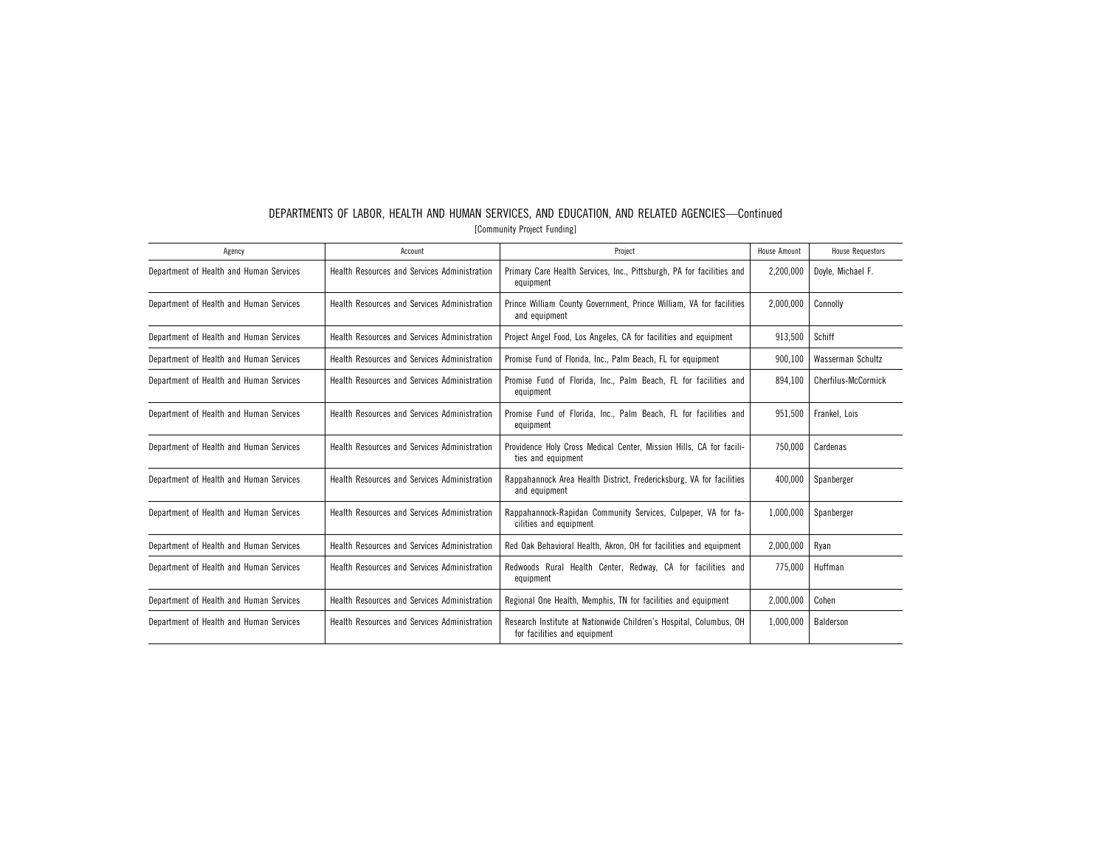| Agency                                  | Account                                             | Project                                                                                            | House Amount | <b>House Requestors</b> |
|-----------------------------------------|-----------------------------------------------------|----------------------------------------------------------------------------------------------------|--------------|-------------------------|
| Department of Health and Human Services | <b>Health Resources and Services Administration</b> | Primary Care Health Services, Inc., Pittsburgh, PA for facilities and<br>equipment                 | 2,200,000    | Dovle, Michael F.       |
| Department of Health and Human Services | Health Resources and Services Administration        | Prince William County Government, Prince William, VA for facilities<br>and equipment               | 2,000,000    | Connolly                |
| Department of Health and Human Services | <b>Health Resources and Services Administration</b> | Project Angel Food, Los Angeles, CA for facilities and equipment                                   | 913,500      | Schiff                  |
| Department of Health and Human Services | <b>Health Resources and Services Administration</b> | Promise Fund of Florida, Inc., Palm Beach, FL for equipment                                        | 900.100      | Wasserman Schultz       |
| Department of Health and Human Services | Health Resources and Services Administration        | Promise Fund of Florida, Inc., Palm Beach, FL for facilities and<br>equipment                      | 894,100      | Cherfilus-McCormick     |
| Department of Health and Human Services | Health Resources and Services Administration        | Promise Fund of Florida, Inc., Palm Beach, FL for facilities and<br>equipment                      | 951.500      | Frankel, Lois           |
| Department of Health and Human Services | Health Resources and Services Administration        | Providence Holy Cross Medical Center, Mission Hills, CA for facili-<br>ties and equipment          | 750,000      | Cardenas                |
| Department of Health and Human Services | Health Resources and Services Administration        | Rappahannock Area Health District, Fredericksburg, VA for facilities<br>and equipment              | 400.000      | Spanberger              |
| Department of Health and Human Services | Health Resources and Services Administration        | Rappahannock-Rapidan Community Services, Culpeper, VA for fa-<br>cilities and equipment            | 1,000,000    | Spanberger              |
| Department of Health and Human Services | Health Resources and Services Administration        | Red Oak Behavioral Health, Akron, OH for facilities and equipment                                  | 2,000,000    | Ryan                    |
| Department of Health and Human Services | <b>Health Resources and Services Administration</b> | Redwoods Rural Health Center, Redway, CA for facilities and<br>equipment                           | 775.000      | Huffman                 |
| Department of Health and Human Services | Health Resources and Services Administration        | Regional One Health, Memphis, TN for facilities and equipment                                      | 2,000,000    | Cohen                   |
| Department of Health and Human Services | <b>Health Resources and Services Administration</b> | Research Institute at Nationwide Children's Hospital, Columbus, OH<br>for facilities and equipment | 1.000.000    | Balderson               |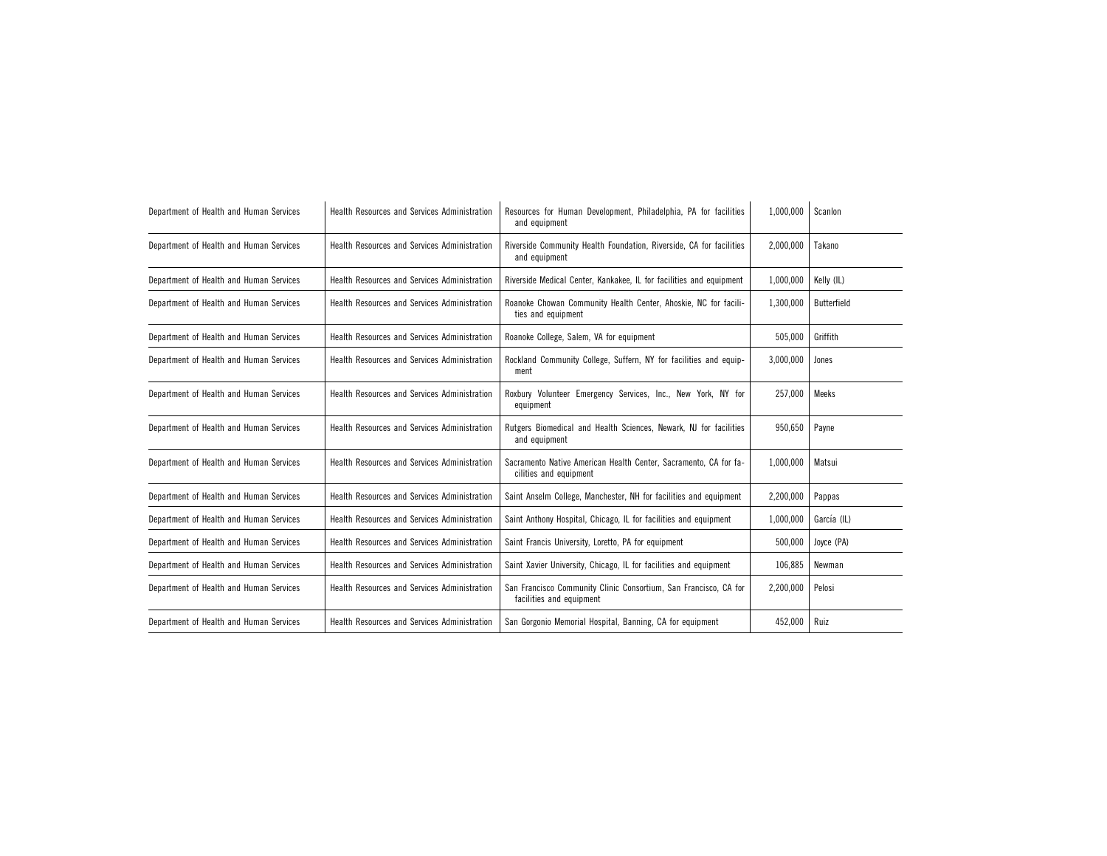| Department of Health and Human Services | Health Resources and Services Administration | Resources for Human Development, Philadelphia, PA for facilities<br>and equipment            | 1,000,000 | Scanlon     |
|-----------------------------------------|----------------------------------------------|----------------------------------------------------------------------------------------------|-----------|-------------|
| Department of Health and Human Services | Health Resources and Services Administration | Riverside Community Health Foundation, Riverside, CA for facilities<br>and equipment         | 2,000,000 | Takano      |
| Department of Health and Human Services | Health Resources and Services Administration | Riverside Medical Center, Kankakee, IL for facilities and equipment                          | 1,000,000 | Kelly (IL)  |
| Department of Health and Human Services | Health Resources and Services Administration | Roanoke Chowan Community Health Center, Ahoskie, NC for facili-<br>ties and equipment        | 1,300,000 | Butterfield |
| Department of Health and Human Services | Health Resources and Services Administration | Roanoke College, Salem, VA for equipment                                                     | 505,000   | Griffith    |
| Department of Health and Human Services | Health Resources and Services Administration | Rockland Community College, Suffern, NY for facilities and equip-<br>ment                    | 3,000,000 | Jones       |
| Department of Health and Human Services | Health Resources and Services Administration | Roxbury Volunteer Emergency Services, Inc., New York, NY for<br>equipment                    | 257,000   | Meeks       |
| Department of Health and Human Services | Health Resources and Services Administration | Rutgers Biomedical and Health Sciences, Newark, NJ for facilities<br>and equipment           | 950,650   | Payne       |
| Department of Health and Human Services | Health Resources and Services Administration | Sacramento Native American Health Center, Sacramento, CA for fa-<br>cilities and equipment   | 1,000,000 | Matsui      |
| Department of Health and Human Services | Health Resources and Services Administration | Saint Anselm College, Manchester, NH for facilities and equipment                            | 2,200,000 | Pappas      |
| Department of Health and Human Services | Health Resources and Services Administration | Saint Anthony Hospital, Chicago, IL for facilities and equipment                             | 1,000,000 | García (IL) |
| Department of Health and Human Services | Health Resources and Services Administration | Saint Francis University, Loretto, PA for equipment                                          | 500,000   | Joyce (PA)  |
| Department of Health and Human Services | Health Resources and Services Administration | Saint Xavier University, Chicago, IL for facilities and equipment                            | 106,885   | Newman      |
| Department of Health and Human Services | Health Resources and Services Administration | San Francisco Community Clinic Consortium, San Francisco, CA for<br>facilities and equipment | 2,200,000 | Pelosi      |
| Department of Health and Human Services | Health Resources and Services Administration | San Gorgonio Memorial Hospital, Banning, CA for equipment                                    | 452,000   | Ruiz        |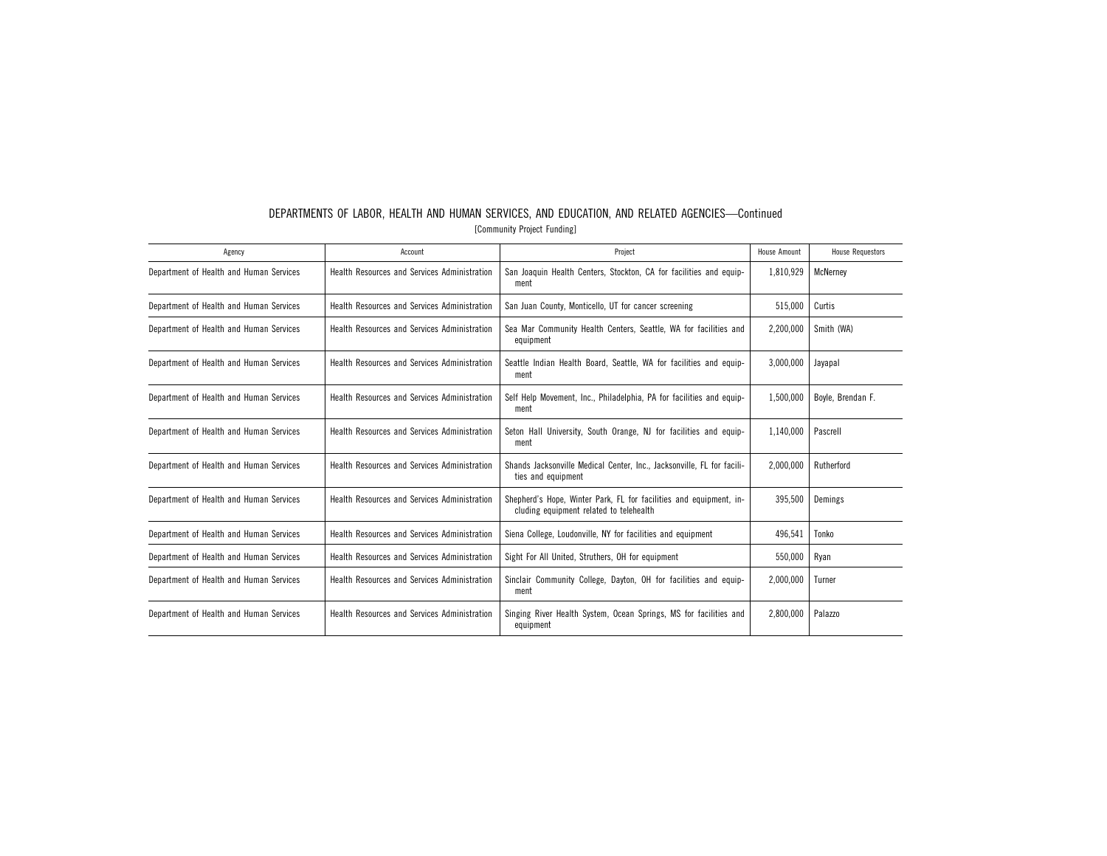| Agency                                  | Account                                             | Project                                                                                                       | House Amount | <b>House Requestors</b> |
|-----------------------------------------|-----------------------------------------------------|---------------------------------------------------------------------------------------------------------------|--------------|-------------------------|
| Department of Health and Human Services | <b>Health Resources and Services Administration</b> | San Joaquin Health Centers, Stockton, CA for facilities and equip-<br>ment                                    | 1,810,929    | McNerney                |
| Department of Health and Human Services | Health Resources and Services Administration        | San Juan County, Monticello, UT for cancer screening                                                          | 515,000      | Curtis                  |
| Department of Health and Human Services | Health Resources and Services Administration        | Sea Mar Community Health Centers, Seattle, WA for facilities and<br>equipment                                 | 2,200,000    | Smith (WA)              |
| Department of Health and Human Services | Health Resources and Services Administration        | Seattle Indian Health Board, Seattle, WA for facilities and equip-<br>ment                                    | 3.000.000    | Jayapal                 |
| Department of Health and Human Services | Health Resources and Services Administration        | Self Help Movement, Inc., Philadelphia, PA for facilities and equip-<br>ment                                  | 1.500.000    | Bovle, Brendan F.       |
| Department of Health and Human Services | Health Resources and Services Administration        | Seton Hall University, South Orange, NJ for facilities and equip-<br>ment                                     | 1.140.000    | Pascrell                |
| Department of Health and Human Services | Health Resources and Services Administration        | Shands Jacksonville Medical Center, Inc., Jacksonville, FL for facili-<br>ties and equipment                  | 2.000.000    | Rutherford              |
| Department of Health and Human Services | Health Resources and Services Administration        | Shepherd's Hope, Winter Park, FL for facilities and equipment, in-<br>cluding equipment related to telehealth | 395.500      | Demings                 |
| Department of Health and Human Services | Health Resources and Services Administration        | Siena College, Loudonville, NY for facilities and equipment                                                   | 496,541      | Tonko                   |
| Department of Health and Human Services | Health Resources and Services Administration        | Sight For All United, Struthers, OH for equipment                                                             | 550,000      | Ryan                    |
| Department of Health and Human Services | Health Resources and Services Administration        | Sinclair Community College, Dayton, OH for facilities and equip-<br>ment                                      | 2,000,000    | Turner                  |
| Department of Health and Human Services | Health Resources and Services Administration        | Singing River Health System, Ocean Springs, MS for facilities and<br>equipment                                | 2,800,000    | Palazzo                 |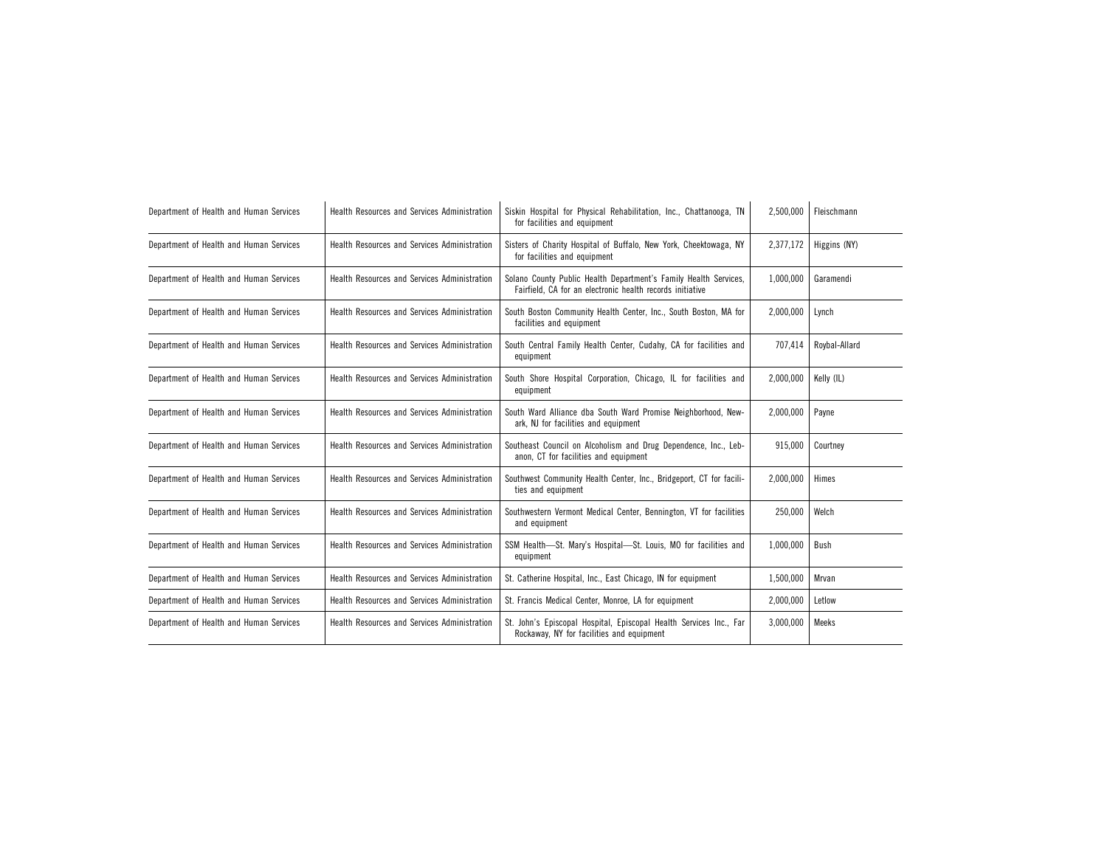| Department of Health and Human Services | Health Resources and Services Administration | Siskin Hospital for Physical Rehabilitation, Inc., Chattanooga, TN<br>for facilities and equipment                            | 2,500,000 | Fleischmann   |
|-----------------------------------------|----------------------------------------------|-------------------------------------------------------------------------------------------------------------------------------|-----------|---------------|
| Department of Health and Human Services | Health Resources and Services Administration | Sisters of Charity Hospital of Buffalo, New York, Cheektowaga, NY<br>for facilities and equipment                             | 2,377,172 | Higgins (NY)  |
| Department of Health and Human Services | Health Resources and Services Administration | Solano County Public Health Department's Family Health Services,<br>Fairfield, CA for an electronic health records initiative | 1.000.000 | Garamendi     |
| Department of Health and Human Services | Health Resources and Services Administration | South Boston Community Health Center, Inc., South Boston, MA for<br>facilities and equipment                                  | 2,000,000 | Lynch         |
| Department of Health and Human Services | Health Resources and Services Administration | South Central Family Health Center, Cudahy, CA for facilities and<br>equipment                                                | 707,414   | Roybal-Allard |
| Department of Health and Human Services | Health Resources and Services Administration | South Shore Hospital Corporation, Chicago, IL for facilities and<br>equipment                                                 | 2,000,000 | Kelly (IL)    |
| Department of Health and Human Services | Health Resources and Services Administration | South Ward Alliance dba South Ward Promise Neighborhood, New-<br>ark, NJ for facilities and equipment                         | 2,000,000 | Payne         |
| Department of Health and Human Services | Health Resources and Services Administration | Southeast Council on Alcoholism and Drug Dependence, Inc., Leb-<br>anon, CT for facilities and equipment                      | 915,000   | Courtney      |
| Department of Health and Human Services | Health Resources and Services Administration | Southwest Community Health Center, Inc., Bridgeport, CT for facili-<br>ties and equipment                                     | 2,000,000 | Himes         |
| Department of Health and Human Services | Health Resources and Services Administration | Southwestern Vermont Medical Center, Bennington, VT for facilities<br>and equipment                                           | 250,000   | Welch         |
| Department of Health and Human Services | Health Resources and Services Administration | SSM Health-St. Mary's Hospital-St. Louis, MO for facilities and<br>equipment                                                  | 1,000,000 | Bush          |
| Department of Health and Human Services | Health Resources and Services Administration | St. Catherine Hospital, Inc., East Chicago, IN for equipment                                                                  | 1,500,000 | Mrvan         |
| Department of Health and Human Services | Health Resources and Services Administration | St. Francis Medical Center, Monroe, LA for equipment                                                                          | 2,000,000 | Letlow        |
| Department of Health and Human Services | Health Resources and Services Administration | St. John's Episcopal Hospital, Episcopal Health Services Inc., Far<br>Rockaway, NY for facilities and equipment               | 3,000,000 | Meeks         |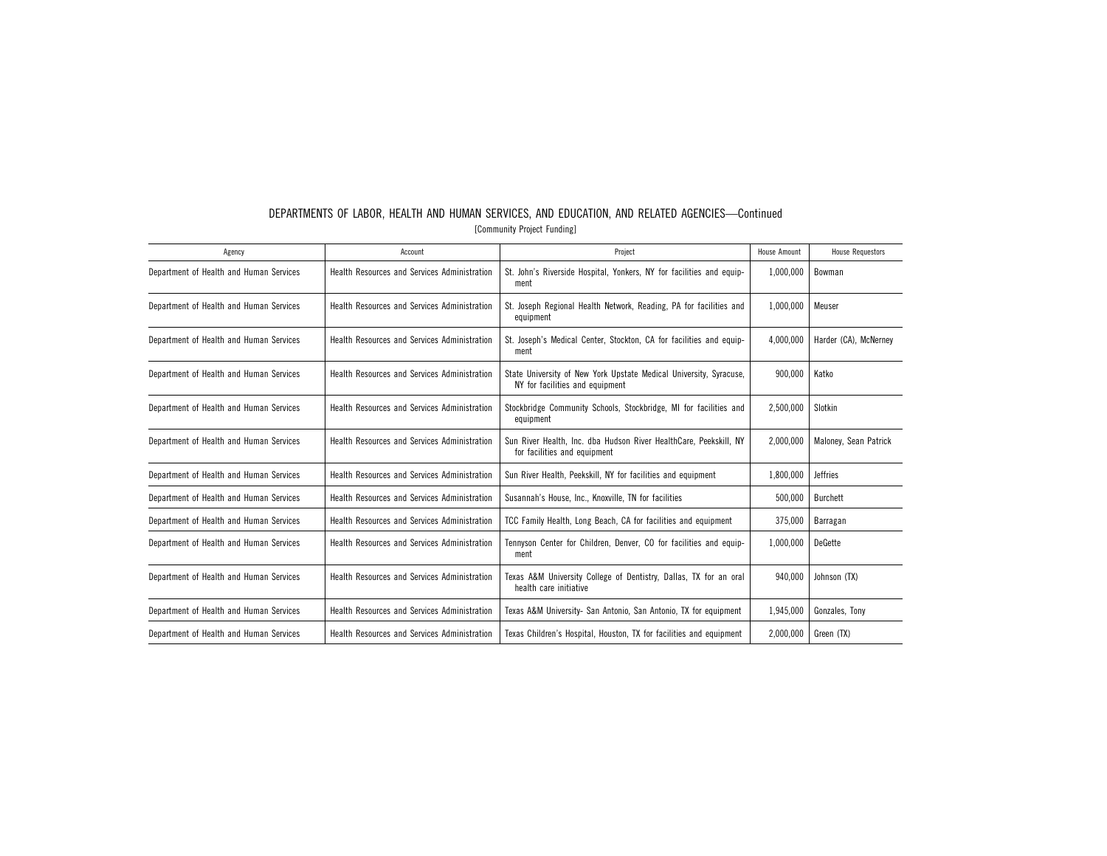| Agency                                  | Account                                      | Project                                                                                               | House Amount | <b>House Requestors</b> |
|-----------------------------------------|----------------------------------------------|-------------------------------------------------------------------------------------------------------|--------------|-------------------------|
| Department of Health and Human Services | Health Resources and Services Administration | St. John's Riverside Hospital, Yonkers, NY for facilities and equip-<br>ment                          | 1,000,000    | Bowman                  |
| Department of Health and Human Services | Health Resources and Services Administration | St. Joseph Regional Health Network, Reading, PA for facilities and<br>equipment                       | 1,000,000    | Meuser                  |
| Department of Health and Human Services | Health Resources and Services Administration | St. Joseph's Medical Center, Stockton, CA for facilities and equip-<br>ment                           | 4,000,000    | Harder (CA), McNerney   |
| Department of Health and Human Services | Health Resources and Services Administration | State University of New York Upstate Medical University, Syracuse,<br>NY for facilities and equipment | 900.000      | Katko                   |
| Department of Health and Human Services | Health Resources and Services Administration | Stockbridge Community Schools, Stockbridge, MI for facilities and<br>equipment                        | 2,500,000    | Slotkin                 |
| Department of Health and Human Services | Health Resources and Services Administration | Sun River Health, Inc. dba Hudson River HealthCare, Peekskill, NY<br>for facilities and equipment     | 2,000,000    | Maloney, Sean Patrick   |
| Department of Health and Human Services | Health Resources and Services Administration | Sun River Health, Peekskill, NY for facilities and equipment                                          | 1,800,000    | <b>Jeffries</b>         |
| Department of Health and Human Services | Health Resources and Services Administration | Susannah's House, Inc., Knoxville, TN for facilities                                                  | 500,000      | Burchett                |
| Department of Health and Human Services | Health Resources and Services Administration | TCC Family Health, Long Beach, CA for facilities and equipment                                        | 375,000      | Barragan                |
| Department of Health and Human Services | Health Resources and Services Administration | Tennyson Center for Children, Denver, CO for facilities and equip-<br>ment                            | 1,000,000    | DeGette                 |
| Department of Health and Human Services | Health Resources and Services Administration | Texas A&M University College of Dentistry, Dallas, TX for an oral<br>health care initiative           | 940,000      | Johnson (TX)            |
| Department of Health and Human Services | Health Resources and Services Administration | Texas A&M University- San Antonio, San Antonio, TX for equipment                                      | 1,945,000    | Gonzales, Tony          |
| Department of Health and Human Services | Health Resources and Services Administration | Texas Children's Hospital, Houston, TX for facilities and equipment                                   | 2,000,000    | Green (TX)              |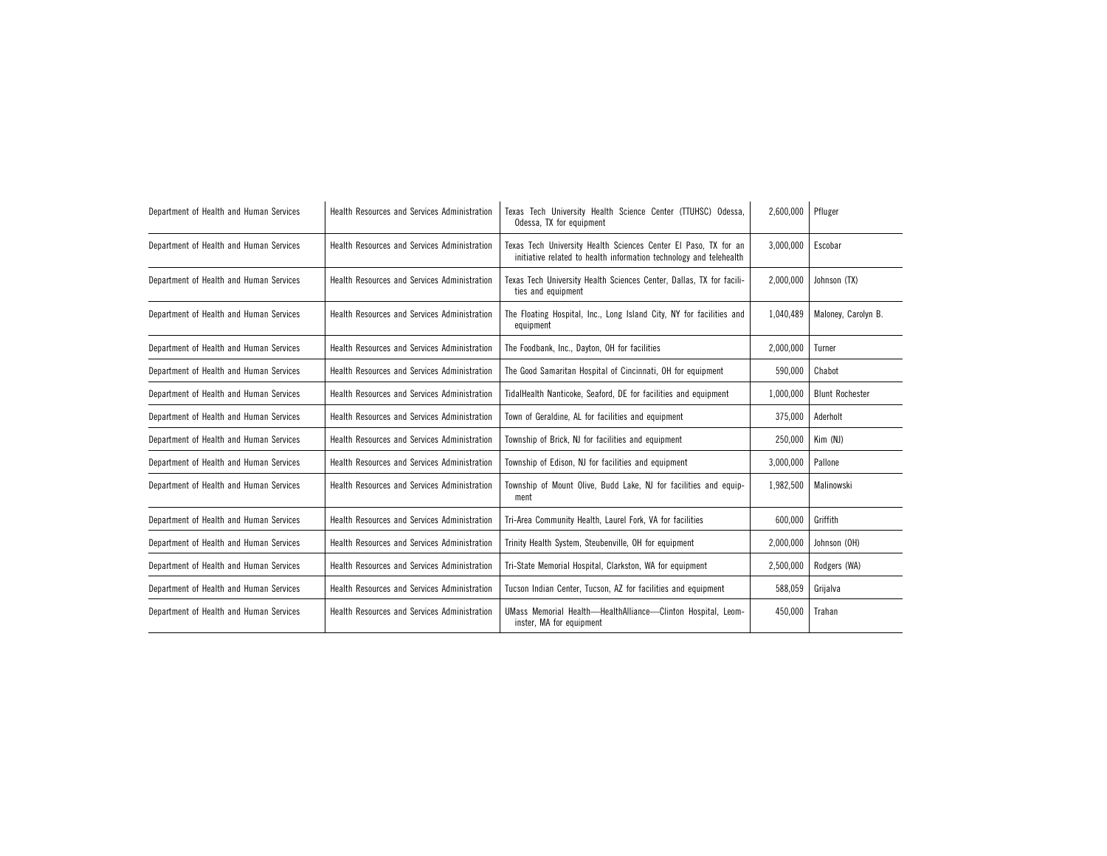| Department of Health and Human Services | Health Resources and Services Administration | Texas Tech University Health Science Center (TTUHSC) Odessa,<br>Odessa, TX for equipment                                              | 2,600,000 | Pfluger                |
|-----------------------------------------|----------------------------------------------|---------------------------------------------------------------------------------------------------------------------------------------|-----------|------------------------|
| Department of Health and Human Services | Health Resources and Services Administration | Texas Tech University Health Sciences Center El Paso, TX for an<br>initiative related to health information technology and telehealth | 3,000,000 | Escobar                |
| Department of Health and Human Services | Health Resources and Services Administration | Texas Tech University Health Sciences Center, Dallas, TX for facili-<br>ties and equipment                                            | 2,000,000 | Johnson (TX)           |
| Department of Health and Human Services | Health Resources and Services Administration | The Floating Hospital, Inc., Long Island City, NY for facilities and<br>equipment                                                     | 1.040.489 | Maloney, Carolyn B.    |
| Department of Health and Human Services | Health Resources and Services Administration | The Foodbank, Inc., Dayton, OH for facilities                                                                                         | 2,000,000 | Turner                 |
| Department of Health and Human Services | Health Resources and Services Administration | The Good Samaritan Hospital of Cincinnati, OH for equipment                                                                           | 590,000   | Chabot                 |
| Department of Health and Human Services | Health Resources and Services Administration | TidalHealth Nanticoke, Seaford, DE for facilities and equipment                                                                       | 1,000,000 | <b>Blunt Rochester</b> |
| Department of Health and Human Services | Health Resources and Services Administration | Town of Geraldine, AL for facilities and equipment                                                                                    | 375,000   | Aderholt               |
| Department of Health and Human Services | Health Resources and Services Administration | Township of Brick, NJ for facilities and equipment                                                                                    | 250,000   | Kim (NJ)               |
| Department of Health and Human Services | Health Resources and Services Administration | Township of Edison, NJ for facilities and equipment                                                                                   | 3,000,000 | Pallone                |
| Department of Health and Human Services | Health Resources and Services Administration | Township of Mount Olive, Budd Lake, NJ for facilities and equip-<br>ment                                                              | 1,982,500 | Malinowski             |
| Department of Health and Human Services | Health Resources and Services Administration | Tri-Area Community Health, Laurel Fork, VA for facilities                                                                             | 600,000   | Griffith               |
| Department of Health and Human Services | Health Resources and Services Administration | Trinity Health System, Steubenville, OH for equipment                                                                                 | 2,000,000 | Johnson (OH)           |
| Department of Health and Human Services | Health Resources and Services Administration | Tri-State Memorial Hospital, Clarkston, WA for equipment                                                                              | 2,500,000 | Rodgers (WA)           |
| Department of Health and Human Services | Health Resources and Services Administration | Tucson Indian Center, Tucson, AZ for facilities and equipment                                                                         | 588,059   | Grijalva               |
| Department of Health and Human Services | Health Resources and Services Administration | UMass Memorial Health-HealthAlliance-Clinton Hospital, Leom-<br>inster, MA for equipment                                              | 450,000   | Trahan                 |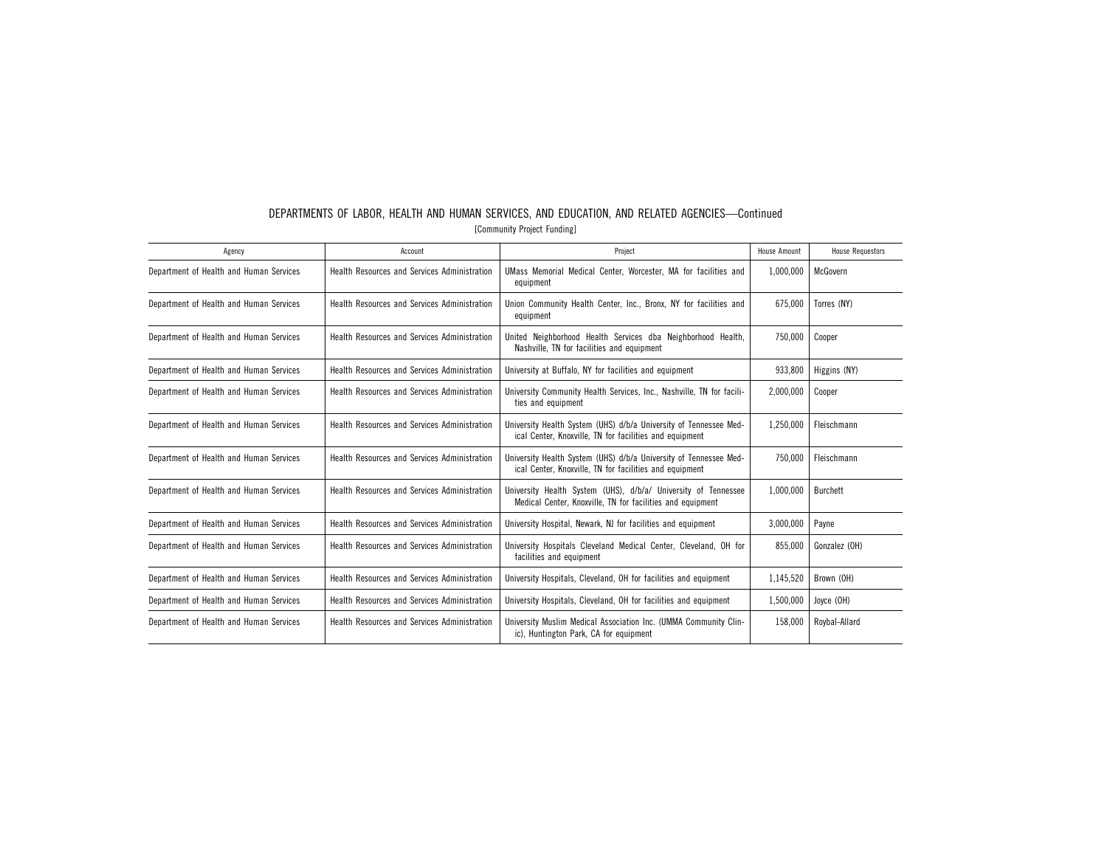| Agency                                  | Account                                             | Project                                                                                                                      | House Amount | <b>House Requestors</b> |
|-----------------------------------------|-----------------------------------------------------|------------------------------------------------------------------------------------------------------------------------------|--------------|-------------------------|
| Department of Health and Human Services | Health Resources and Services Administration        | UMass Memorial Medical Center, Worcester, MA for facilities and<br>equipment                                                 | 1,000,000    | McGovern                |
| Department of Health and Human Services | Health Resources and Services Administration        | Union Community Health Center, Inc., Bronx, NY for facilities and<br>equipment                                               | 675.000      | Torres (NY)             |
| Department of Health and Human Services | <b>Health Resources and Services Administration</b> | United Neighborhood Health Services dba Neighborhood Health,<br>Nashville, TN for facilities and equipment                   | 750,000      | Cooper                  |
| Department of Health and Human Services | <b>Health Resources and Services Administration</b> | University at Buffalo, NY for facilities and equipment                                                                       | 933,800      | Higgins (NY)            |
| Department of Health and Human Services | Health Resources and Services Administration        | University Community Health Services, Inc., Nashville, TN for facili-<br>ties and equipment                                  | 2,000,000    | Cooper                  |
| Department of Health and Human Services | Health Resources and Services Administration        | University Health System (UHS) d/b/a University of Tennessee Med-<br>ical Center, Knoxville, TN for facilities and equipment | 1,250,000    | Fleischmann             |
| Department of Health and Human Services | Health Resources and Services Administration        | University Health System (UHS) d/b/a University of Tennessee Med-<br>ical Center, Knoxville, TN for facilities and equipment | 750.000      | Fleischmann             |
| Department of Health and Human Services | Health Resources and Services Administration        | University Health System (UHS), d/b/a/ University of Tennessee<br>Medical Center, Knoxville, TN for facilities and equipment | 1.000.000    | <b>Burchett</b>         |
| Department of Health and Human Services | Health Resources and Services Administration        | University Hospital, Newark, NJ for facilities and equipment                                                                 | 3,000,000    | Payne                   |
| Department of Health and Human Services | Health Resources and Services Administration        | University Hospitals Cleveland Medical Center, Cleveland, OH for<br>facilities and equipment                                 | 855.000      | Gonzalez (OH)           |
| Department of Health and Human Services | Health Resources and Services Administration        | University Hospitals, Cleveland, OH for facilities and equipment                                                             | 1,145,520    | Brown (OH)              |
| Department of Health and Human Services | Health Resources and Services Administration        | University Hospitals, Cleveland, OH for facilities and equipment                                                             | 1,500,000    | Joyce (OH)              |
| Department of Health and Human Services | Health Resources and Services Administration        | University Muslim Medical Association Inc. (UMMA Community Clin-<br>ic), Huntington Park, CA for equipment                   | 158,000      | Roybal-Allard           |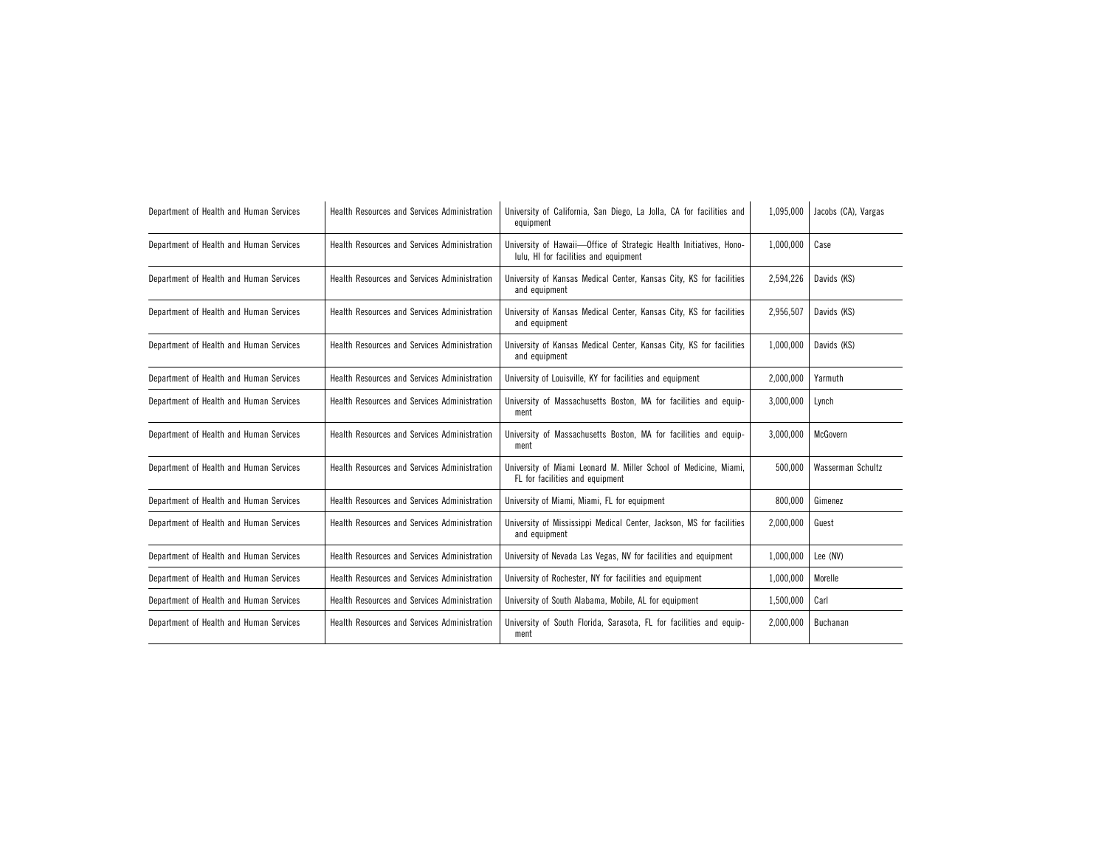| Department of Health and Human Services | Health Resources and Services Administration        | University of California, San Diego, La Jolla, CA for facilities and<br>equipment                           | 1,095,000 | Jacobs (CA), Vargas |
|-----------------------------------------|-----------------------------------------------------|-------------------------------------------------------------------------------------------------------------|-----------|---------------------|
| Department of Health and Human Services | Health Resources and Services Administration        | University of Hawaii-Office of Strategic Health Initiatives, Hono-<br>lulu, HI for facilities and equipment | 1,000,000 | Case                |
| Department of Health and Human Services | Health Resources and Services Administration        | University of Kansas Medical Center, Kansas City, KS for facilities<br>and equipment                        | 2,594,226 | Davids (KS)         |
| Department of Health and Human Services | Health Resources and Services Administration        | University of Kansas Medical Center, Kansas City, KS for facilities<br>and equipment                        | 2,956,507 | Davids (KS)         |
| Department of Health and Human Services | Health Resources and Services Administration        | University of Kansas Medical Center, Kansas City, KS for facilities<br>and equipment                        | 1,000,000 | Davids (KS)         |
| Department of Health and Human Services | <b>Health Resources and Services Administration</b> | University of Louisville, KY for facilities and equipment                                                   | 2,000,000 | Yarmuth             |
| Department of Health and Human Services | Health Resources and Services Administration        | University of Massachusetts Boston, MA for facilities and equip-<br>ment                                    | 3.000.000 | Lynch               |
| Department of Health and Human Services | Health Resources and Services Administration        | University of Massachusetts Boston, MA for facilities and equip-<br>ment                                    | 3,000,000 | McGovern            |
| Department of Health and Human Services | Health Resources and Services Administration        | University of Miami Leonard M. Miller School of Medicine, Miami,<br>FL for facilities and equipment         | 500.000   | Wasserman Schultz   |
| Department of Health and Human Services | Health Resources and Services Administration        | University of Miami, Miami, FL for equipment                                                                | 800,000   | Gimenez             |
| Department of Health and Human Services | Health Resources and Services Administration        | University of Mississippi Medical Center, Jackson, MS for facilities<br>and equipment                       | 2,000,000 | Guest               |
| Department of Health and Human Services | Health Resources and Services Administration        | University of Nevada Las Vegas, NV for facilities and equipment                                             | 1,000,000 | Lee (NV)            |
| Department of Health and Human Services | Health Resources and Services Administration        | University of Rochester, NY for facilities and equipment                                                    | 1,000,000 | Morelle             |
| Department of Health and Human Services | Health Resources and Services Administration        | University of South Alabama, Mobile, AL for equipment                                                       | 1,500,000 | Carl                |
| Department of Health and Human Services | Health Resources and Services Administration        | University of South Florida, Sarasota, FL for facilities and equip-<br>2,000,000<br>ment                    |           | Buchanan            |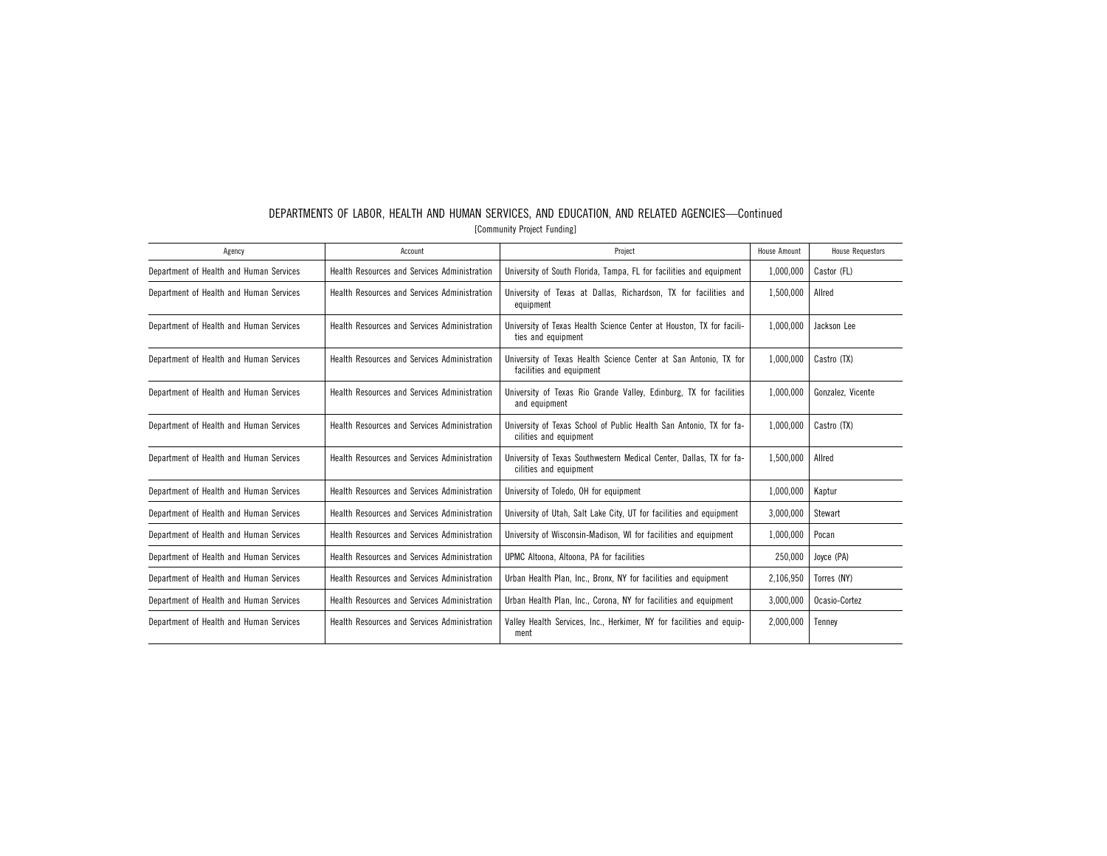| DEPARTMENTS OF LABOR, HEALTH AND HUMAN SERVICES, AND EDUCATION, AND RELATED AGENCIES-Continued |
|------------------------------------------------------------------------------------------------|
| [Community Project Funding]                                                                    |

| Agency                                  | Account                                             | Project                                                                                       | House Amount | <b>House Requestors</b> |
|-----------------------------------------|-----------------------------------------------------|-----------------------------------------------------------------------------------------------|--------------|-------------------------|
| Department of Health and Human Services | Health Resources and Services Administration        | University of South Florida, Tampa, FL for facilities and equipment                           | 1,000,000    | Castor (FL)             |
| Department of Health and Human Services | Health Resources and Services Administration        | University of Texas at Dallas, Richardson, TX for facilities and<br>equipment                 | 1,500,000    | Allred                  |
| Department of Health and Human Services | Health Resources and Services Administration        | University of Texas Health Science Center at Houston, TX for facili-<br>ties and equipment    | 1,000,000    | Jackson Lee             |
| Department of Health and Human Services | Health Resources and Services Administration        | University of Texas Health Science Center at San Antonio, TX for<br>facilities and equipment  | 1,000,000    | Castro (TX)             |
| Department of Health and Human Services | <b>Health Resources and Services Administration</b> | University of Texas Rio Grande Valley, Edinburg, TX for facilities<br>and equipment           | 1,000,000    | Gonzalez, Vicente       |
| Department of Health and Human Services | Health Resources and Services Administration        | University of Texas School of Public Health San Antonio, TX for fa-<br>cilities and equipment | 1.000.000    | Castro (TX)             |
| Department of Health and Human Services | Health Resources and Services Administration        | University of Texas Southwestern Medical Center, Dallas, TX for fa-<br>cilities and equipment | 1,500,000    | Allred                  |
| Department of Health and Human Services | Health Resources and Services Administration        | University of Toledo, OH for equipment                                                        | 1,000,000    | Kaptur                  |
| Department of Health and Human Services | Health Resources and Services Administration        | University of Utah, Salt Lake City, UT for facilities and equipment                           | 3,000,000    | Stewart                 |
| Department of Health and Human Services | Health Resources and Services Administration        | University of Wisconsin-Madison, WI for facilities and equipment                              | 1,000,000    | Pocan                   |
| Department of Health and Human Services | Health Resources and Services Administration        | UPMC Altoona, Altoona, PA for facilities                                                      | 250,000      | Joyce (PA)              |
| Department of Health and Human Services | Health Resources and Services Administration        | Urban Health Plan, Inc., Bronx, NY for facilities and equipment                               | 2,106,950    | Torres (NY)             |
| Department of Health and Human Services | Health Resources and Services Administration        | Urban Health Plan, Inc., Corona, NY for facilities and equipment                              | 3,000,000    | Ocasio-Cortez           |
| Department of Health and Human Services | <b>Health Resources and Services Administration</b> | Valley Health Services, Inc., Herkimer, NY for facilities and equip-<br>ment                  | 2.000.000    | Tennev                  |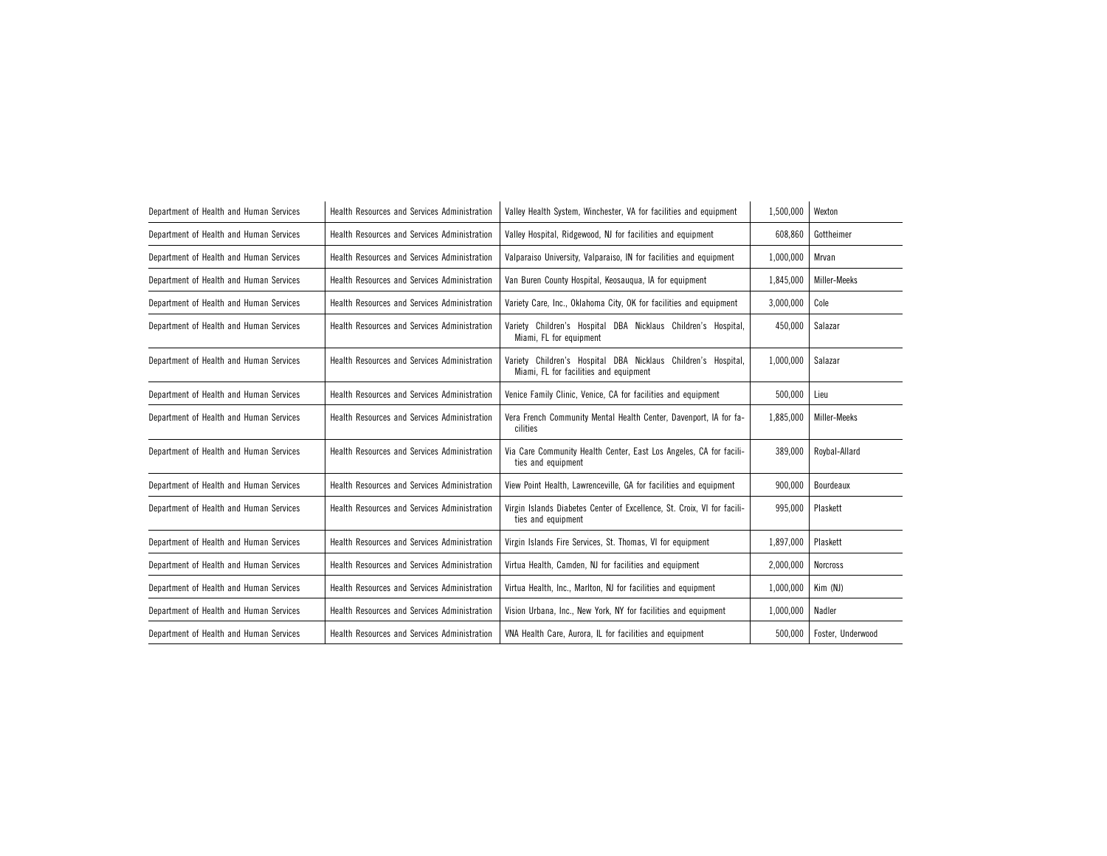| Department of Health and Human Services | Health Resources and Services Administration | Valley Health System, Winchester, VA for facilities and equipment                                       | 1,500,000 | Wexton            |
|-----------------------------------------|----------------------------------------------|---------------------------------------------------------------------------------------------------------|-----------|-------------------|
| Department of Health and Human Services | Health Resources and Services Administration | Valley Hospital, Ridgewood, NJ for facilities and equipment                                             | 608,860   | Gottheimer        |
| Department of Health and Human Services | Health Resources and Services Administration | Valparaiso University, Valparaiso, IN for facilities and equipment                                      | 1,000,000 | Mrvan             |
| Department of Health and Human Services | Health Resources and Services Administration | Van Buren County Hospital, Keosaugua, IA for equipment                                                  | 1,845,000 | Miller-Meeks      |
| Department of Health and Human Services | Health Resources and Services Administration | Variety Care, Inc., Oklahoma City, OK for facilities and equipment                                      | 3,000,000 | Cole              |
| Department of Health and Human Services | Health Resources and Services Administration | Variety Children's Hospital DBA Nicklaus Children's Hospital,<br>Miami, FL for equipment                |           | Salazar           |
| Department of Health and Human Services | Health Resources and Services Administration | Variety Children's Hospital DBA Nicklaus Children's Hospital,<br>Miami, FL for facilities and equipment | 1,000,000 | Salazar           |
| Department of Health and Human Services | Health Resources and Services Administration | Venice Family Clinic, Venice, CA for facilities and equipment                                           | 500.000   | Lieu              |
| Department of Health and Human Services | Health Resources and Services Administration | Vera French Community Mental Health Center, Davenport, IA for fa-<br>cilities                           | 1,885,000 | Miller-Meeks      |
| Department of Health and Human Services | Health Resources and Services Administration | Via Care Community Health Center, East Los Angeles, CA for facili-<br>ties and equipment                | 389,000   | Roybal-Allard     |
| Department of Health and Human Services | Health Resources and Services Administration | View Point Health, Lawrenceville, GA for facilities and equipment                                       | 900,000   | Bourdeaux         |
| Department of Health and Human Services | Health Resources and Services Administration | Virgin Islands Diabetes Center of Excellence, St. Croix, VI for facili-<br>ties and equipment           | 995,000   | Plaskett          |
| Department of Health and Human Services | Health Resources and Services Administration | Virgin Islands Fire Services, St. Thomas, VI for equipment                                              | 1,897,000 | Plaskett          |
| Department of Health and Human Services | Health Resources and Services Administration | Virtua Health, Camden, NJ for facilities and equipment                                                  | 2,000,000 | <b>Norcross</b>   |
| Department of Health and Human Services | Health Resources and Services Administration | Virtua Health, Inc., Marlton, NJ for facilities and equipment                                           | 1,000,000 | Kim (NJ)          |
| Department of Health and Human Services | Health Resources and Services Administration | Vision Urbana, Inc., New York, NY for facilities and equipment                                          | 1,000,000 | Nadler            |
| Department of Health and Human Services | Health Resources and Services Administration | VNA Health Care, Aurora, IL for facilities and equipment                                                | 500,000   | Foster, Underwood |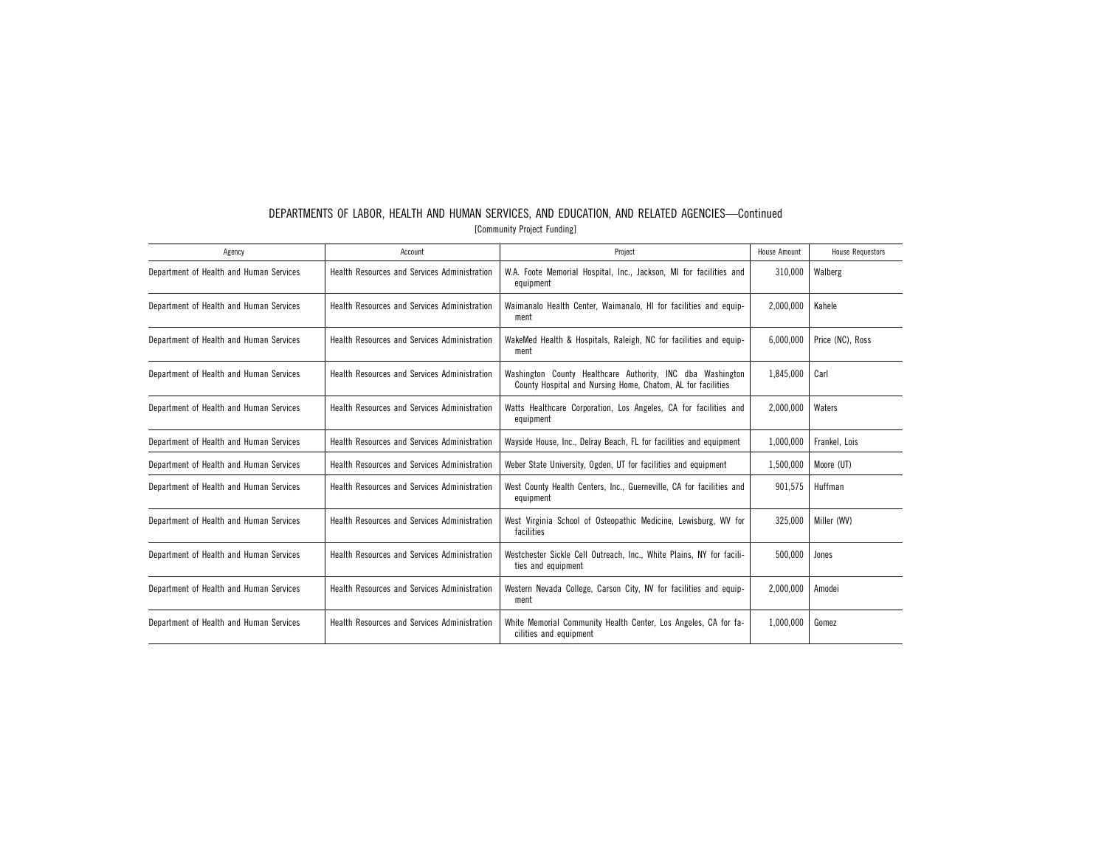| Agency                                  | Account                                      | Project                                                                                                                   | House Amount | <b>House Requestors</b> |
|-----------------------------------------|----------------------------------------------|---------------------------------------------------------------------------------------------------------------------------|--------------|-------------------------|
| Department of Health and Human Services | Health Resources and Services Administration | W.A. Foote Memorial Hospital, Inc., Jackson, MI for facilities and<br>equipment                                           | 310,000      | Walberg                 |
| Department of Health and Human Services | Health Resources and Services Administration | Waimanalo Health Center, Waimanalo, HI for facilities and equip-<br>ment                                                  | 2,000,000    | Kahele                  |
| Department of Health and Human Services | Health Resources and Services Administration | WakeMed Health & Hospitals, Raleigh, NC for facilities and equip-<br>ment                                                 | 6,000,000    | Price (NC), Ross        |
| Department of Health and Human Services | Health Resources and Services Administration | Washington County Healthcare Authority. INC dba Washington<br>County Hospital and Nursing Home, Chatom, AL for facilities | 1.845.000    | Carl                    |
| Department of Health and Human Services | Health Resources and Services Administration | Watts Healthcare Corporation, Los Angeles, CA for facilities and<br>equipment                                             | 2,000,000    | Waters                  |
| Department of Health and Human Services | Health Resources and Services Administration | Wayside House, Inc., Delray Beach, FL for facilities and equipment                                                        | 1,000,000    | Frankel, Lois           |
| Department of Health and Human Services | Health Resources and Services Administration | Weber State University, Ogden, UT for facilities and equipment                                                            | 1,500,000    | Moore (UT)              |
| Department of Health and Human Services | Health Resources and Services Administration | West County Health Centers, Inc., Guerneville, CA for facilities and<br>equipment                                         | 901,575      | Huffman                 |
| Department of Health and Human Services | Health Resources and Services Administration | West Virginia School of Osteopathic Medicine, Lewisburg, WV for<br>facilities                                             | 325,000      | Miller (WV)             |
| Department of Health and Human Services | Health Resources and Services Administration | Westchester Sickle Cell Outreach, Inc., White Plains, NY for facili-<br>ties and equipment                                | 500.000      | Jones                   |
| Department of Health and Human Services | Health Resources and Services Administration | Western Nevada College, Carson City, NV for facilities and equip-<br>ment                                                 | 2,000,000    | Amodei                  |
| Department of Health and Human Services | Health Resources and Services Administration | White Memorial Community Health Center, Los Angeles, CA for fa-<br>cilities and equipment                                 | 1,000,000    | Gomez                   |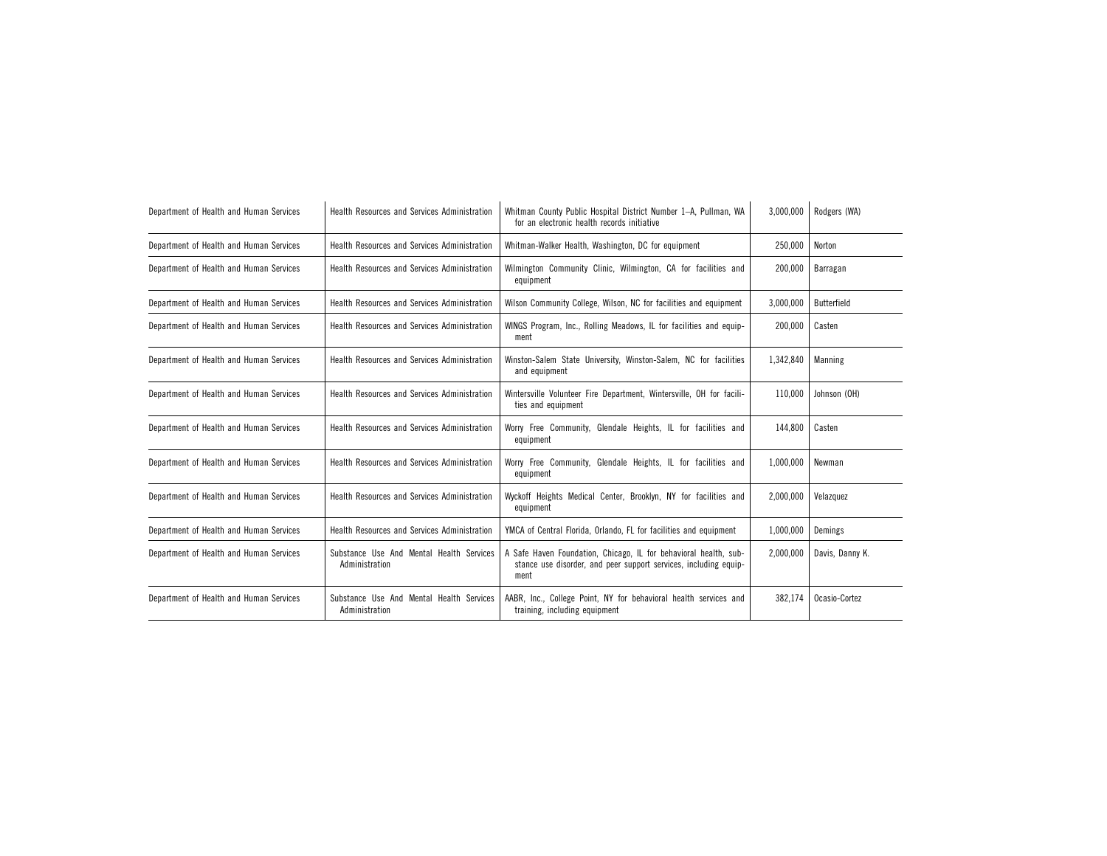| Department of Health and Human Services | <b>Health Resources and Services Administration</b>        | Whitman County Public Hospital District Number 1-A, Pullman, WA<br>for an electronic health records initiative                               | 3,000,000 | Rodgers (WA)    |
|-----------------------------------------|------------------------------------------------------------|----------------------------------------------------------------------------------------------------------------------------------------------|-----------|-----------------|
| Department of Health and Human Services | Health Resources and Services Administration               | Whitman-Walker Health, Washington, DC for equipment                                                                                          | 250,000   | Norton          |
| Department of Health and Human Services | Health Resources and Services Administration               | Wilmington Community Clinic, Wilmington, CA for facilities and<br>equipment                                                                  | 200,000   | Barragan        |
| Department of Health and Human Services | Health Resources and Services Administration               | Wilson Community College, Wilson, NC for facilities and equipment                                                                            | 3.000.000 | Butterfield     |
| Department of Health and Human Services | <b>Health Resources and Services Administration</b>        | WINGS Program, Inc., Rolling Meadows, IL for facilities and equip-<br>ment                                                                   | 200,000   | Casten          |
| Department of Health and Human Services | Health Resources and Services Administration               | Winston-Salem State University, Winston-Salem, NC for facilities<br>and equipment                                                            | 1,342,840 | Manning         |
| Department of Health and Human Services | Health Resources and Services Administration               | Wintersville Volunteer Fire Department, Wintersville, OH for facili-<br>ties and equipment                                                   | 110,000   | Johnson (OH)    |
| Department of Health and Human Services | <b>Health Resources and Services Administration</b>        | Worry Free Community, Glendale Heights, IL for facilities and<br>equipment                                                                   | 144,800   | Casten          |
| Department of Health and Human Services | Health Resources and Services Administration               | Worry Free Community, Glendale Heights, IL for facilities and<br>equipment                                                                   | 1,000,000 | Newman          |
| Department of Health and Human Services | Health Resources and Services Administration               | Wyckoff Heights Medical Center, Brooklyn, NY for facilities and<br>equipment                                                                 | 2,000,000 | Velazquez       |
| Department of Health and Human Services | Health Resources and Services Administration               | YMCA of Central Florida, Orlando, FL for facilities and equipment                                                                            | 1,000,000 | Demings         |
| Department of Health and Human Services | Substance Use And Mental Health Services<br>Administration | A Safe Haven Foundation, Chicago, IL for behavioral health, sub-<br>stance use disorder, and peer support services, including equip-<br>ment | 2,000,000 | Davis, Danny K. |
| Department of Health and Human Services | Substance Use And Mental Health Services<br>Administration | AABR, Inc., College Point, NY for behavioral health services and<br>training, including equipment                                            | 382,174   | Ocasio-Cortez   |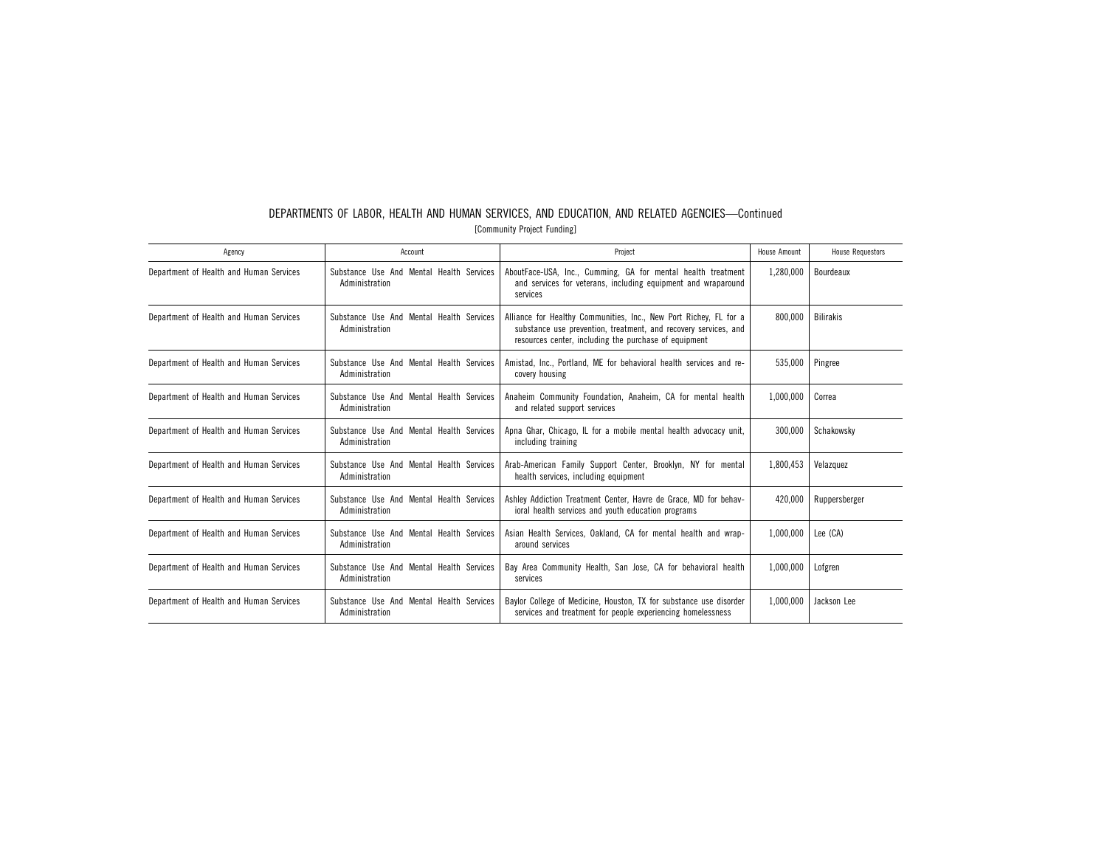| $\sqrt{2}$                              |                                                            |                                                                                                                                                                                               |                     |                         |  |  |  |
|-----------------------------------------|------------------------------------------------------------|-----------------------------------------------------------------------------------------------------------------------------------------------------------------------------------------------|---------------------|-------------------------|--|--|--|
| Agency                                  | Account                                                    | Project                                                                                                                                                                                       | <b>House Amount</b> | <b>House Requestors</b> |  |  |  |
| Department of Health and Human Services | Substance Use And Mental Health Services<br>Administration | AboutFace-USA, Inc., Cumming, GA for mental health treatment<br>and services for veterans, including equipment and wraparound<br>services                                                     | 1,280,000           | Bourdeaux               |  |  |  |
| Department of Health and Human Services | Substance Use And Mental Health Services<br>Administration | Alliance for Healthy Communities, Inc., New Port Richey, FL for a<br>substance use prevention, treatment, and recovery services, and<br>resources center, including the purchase of equipment | 800.000             | <b>Bilirakis</b>        |  |  |  |
| Department of Health and Human Services | Substance Use And Mental Health Services<br>Administration | Amistad, Inc., Portland, ME for behavioral health services and re-<br>covery housing                                                                                                          | 535,000             | Pingree                 |  |  |  |
| Department of Health and Human Services | Substance Use And Mental Health Services<br>Administration | Anaheim Community Foundation, Anaheim, CA for mental health<br>and related support services                                                                                                   | 1,000,000           | Correa                  |  |  |  |
| Department of Health and Human Services | Substance Use And Mental Health Services<br>Administration | Apna Ghar, Chicago, IL for a mobile mental health advocacy unit,<br>including training                                                                                                        | 300,000             | Schakowsky              |  |  |  |
| Department of Health and Human Services | Substance Use And Mental Health Services<br>Administration | Arab-American Family Support Center, Brooklyn, NY for mental<br>health services, including equipment                                                                                          | 1,800,453           | Velazquez               |  |  |  |
| Department of Health and Human Services | Substance Use And Mental Health Services<br>Administration | Ashley Addiction Treatment Center, Havre de Grace, MD for behav-<br>ioral health services and youth education programs                                                                        | 420,000             | Ruppersberger           |  |  |  |
| Department of Health and Human Services | Substance Use And Mental Health Services<br>Administration | Asian Health Services, Oakland, CA for mental health and wrap-<br>around services                                                                                                             | 1.000.000           | Lee (CA)                |  |  |  |
| Department of Health and Human Services | Substance Use And Mental Health Services<br>Administration | Bay Area Community Health, San Jose, CA for behavioral health<br>services                                                                                                                     | 1,000,000           | Lofgren                 |  |  |  |
| Department of Health and Human Services | Substance Use And Mental Health Services<br>Administration | Baylor College of Medicine, Houston, TX for substance use disorder<br>services and treatment for people experiencing homelessness                                                             | 1.000.000           | Jackson Lee             |  |  |  |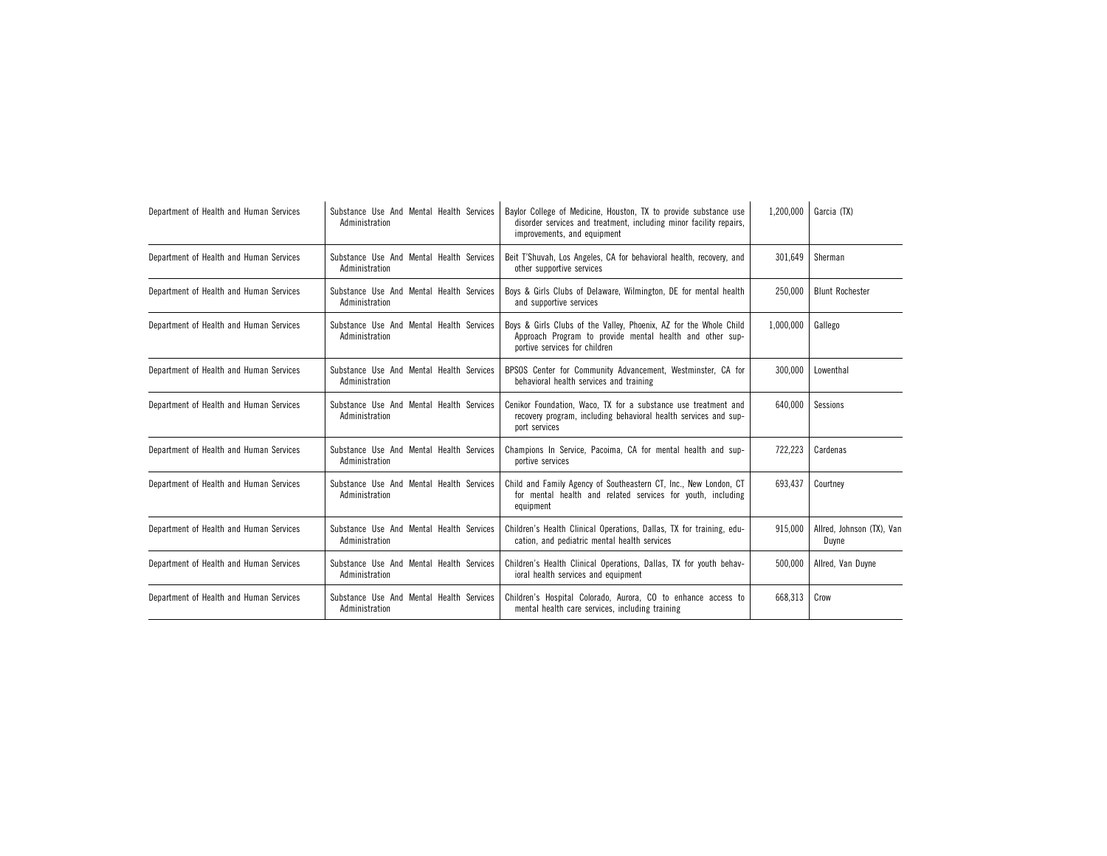| Department of Health and Human Services | Substance Use And Mental Health Services<br>Administration | Baylor College of Medicine, Houston, TX to provide substance use<br>disorder services and treatment, including minor facility repairs,<br>improvements, and equipment | 1,200,000 | Garcia (TX)                        |
|-----------------------------------------|------------------------------------------------------------|-----------------------------------------------------------------------------------------------------------------------------------------------------------------------|-----------|------------------------------------|
| Department of Health and Human Services | Substance Use And Mental Health Services<br>Administration | Beit T'Shuvah, Los Angeles, CA for behavioral health, recovery, and<br>other supportive services                                                                      | 301,649   | Sherman                            |
| Department of Health and Human Services | Substance Use And Mental Health Services<br>Administration | Boys & Girls Clubs of Delaware, Wilmington, DE for mental health<br>and supportive services                                                                           | 250.000   | <b>Blunt Rochester</b>             |
| Department of Health and Human Services | Substance Use And Mental Health Services<br>Administration | Boys & Girls Clubs of the Valley, Phoenix, AZ for the Whole Child<br>Approach Program to provide mental health and other sup-<br>portive services for children        | 1,000,000 | Gallego                            |
| Department of Health and Human Services | Substance Use And Mental Health Services<br>Administration | BPSOS Center for Community Advancement, Westminster, CA for<br>behavioral health services and training                                                                | 300,000   | Lowenthal                          |
| Department of Health and Human Services | Substance Use And Mental Health Services<br>Administration | Cenikor Foundation, Waco, TX for a substance use treatment and<br>recovery program, including behavioral health services and sup-<br>port services                    | 640,000   | Sessions                           |
| Department of Health and Human Services | Substance Use And Mental Health Services<br>Administration | Champions In Service, Pacoima, CA for mental health and sup-<br>portive services                                                                                      | 722,223   | Cardenas                           |
| Department of Health and Human Services | Substance Use And Mental Health Services<br>Administration | Child and Family Agency of Southeastern CT, Inc., New London, CT<br>for mental health and related services for youth, including<br>equipment                          | 693.437   | Courtney                           |
| Department of Health and Human Services | Substance Use And Mental Health Services<br>Administration | Children's Health Clinical Operations, Dallas, TX for training, edu-<br>cation, and pediatric mental health services                                                  | 915.000   | Allred, Johnson (TX), Van<br>Duyne |
| Department of Health and Human Services | Substance Use And Mental Health Services<br>Administration | Children's Health Clinical Operations, Dallas, TX for youth behav-<br>ioral health services and equipment                                                             | 500.000   | Allred, Van Duyne                  |
| Department of Health and Human Services | Substance Use And Mental Health Services<br>Administration | Children's Hospital Colorado, Aurora, CO to enhance access to<br>mental health care services, including training                                                      | 668,313   | Crow                               |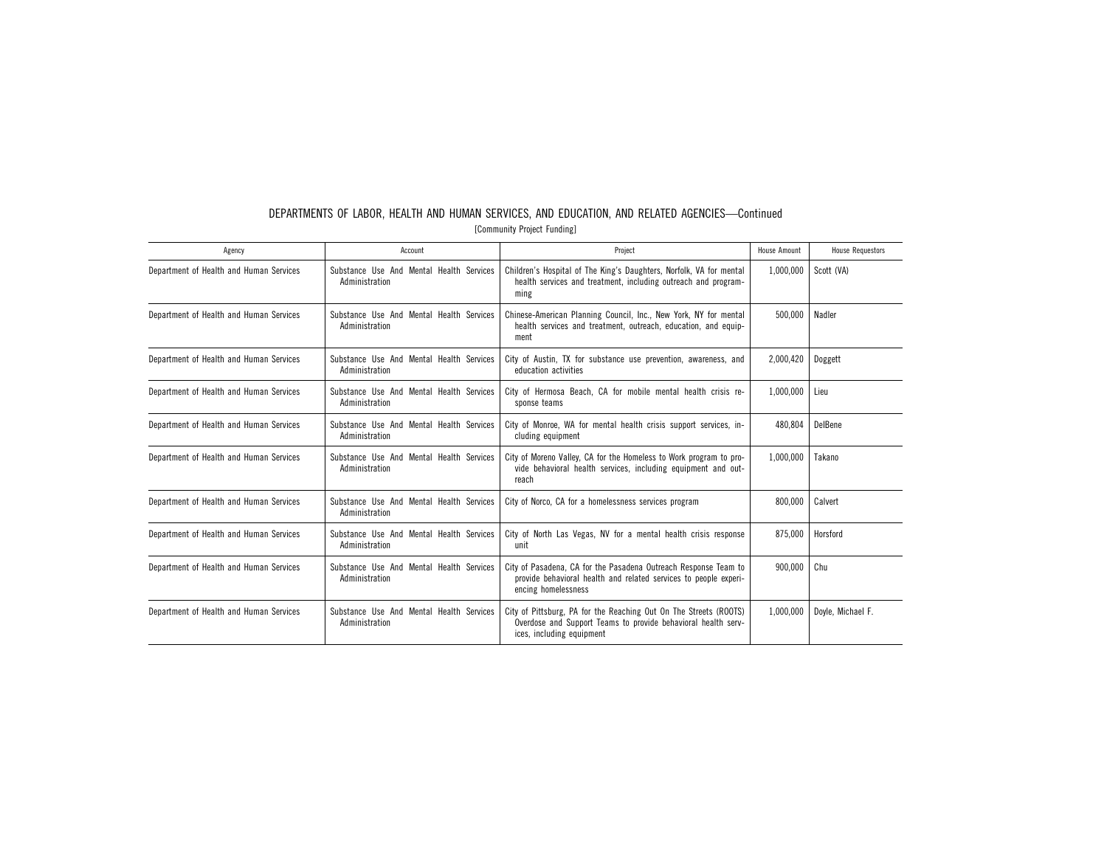| DEPARTMENTS OF LABOR. HEALTH AND HUMAN SERVICES, AND EDUCATION, AND RELATED AGENCIES—Continued |  |  |  |  |  |  |  |  |  |  |
|------------------------------------------------------------------------------------------------|--|--|--|--|--|--|--|--|--|--|
| [Community Project Funding]                                                                    |  |  |  |  |  |  |  |  |  |  |

| Agency                                  | Account                                                    | Project                                                                                                                                                         | <b>House Amount</b> | <b>House Requestors</b> |
|-----------------------------------------|------------------------------------------------------------|-----------------------------------------------------------------------------------------------------------------------------------------------------------------|---------------------|-------------------------|
| Department of Health and Human Services | Substance Use And Mental Health Services<br>Administration | Children's Hospital of The King's Daughters, Norfolk, VA for mental<br>health services and treatment, including outreach and program-<br>ming                   | 1,000,000           | Scott (VA)              |
| Department of Health and Human Services | Substance Use And Mental Health Services<br>Administration | Chinese-American Planning Council, Inc., New York, NY for mental<br>health services and treatment, outreach, education, and equip-<br>ment                      | 500.000             | Nadler                  |
| Department of Health and Human Services | Substance Use And Mental Health Services<br>Administration | City of Austin, TX for substance use prevention, awareness, and<br>education activities                                                                         | 2,000,420           | Doggett                 |
| Department of Health and Human Services | Substance Use And Mental Health Services<br>Administration | City of Hermosa Beach, CA for mobile mental health crisis re-<br>sponse teams                                                                                   | 1,000,000           | Lieu                    |
| Department of Health and Human Services | Substance Use And Mental Health Services<br>Administration | City of Monroe, WA for mental health crisis support services, in-<br>cluding equipment                                                                          | 480,804             | DelBene                 |
| Department of Health and Human Services | Substance Use And Mental Health Services<br>Administration | City of Moreno Valley, CA for the Homeless to Work program to pro-<br>vide behavioral health services, including equipment and out-<br>reach                    | 1,000,000           | Takano                  |
| Department of Health and Human Services | Substance Use And Mental Health Services<br>Administration | City of Norco, CA for a homelessness services program                                                                                                           | 800,000             | Calvert                 |
| Department of Health and Human Services | Substance Use And Mental Health Services<br>Administration | City of North Las Vegas, NV for a mental health crisis response<br>unit                                                                                         | 875.000             | Horsford                |
| Department of Health and Human Services | Substance Use And Mental Health Services<br>Administration | City of Pasadena. CA for the Pasadena Outreach Response Team to<br>provide behavioral health and related services to people experi-<br>encing homelessness      | 900.000             | Chu                     |
| Department of Health and Human Services | Substance Use And Mental Health Services<br>Administration | City of Pittsburg, PA for the Reaching Out On The Streets (ROOTS)<br>Overdose and Support Teams to provide behavioral health serv-<br>ices, including equipment | 1,000,000           | Doyle, Michael F.       |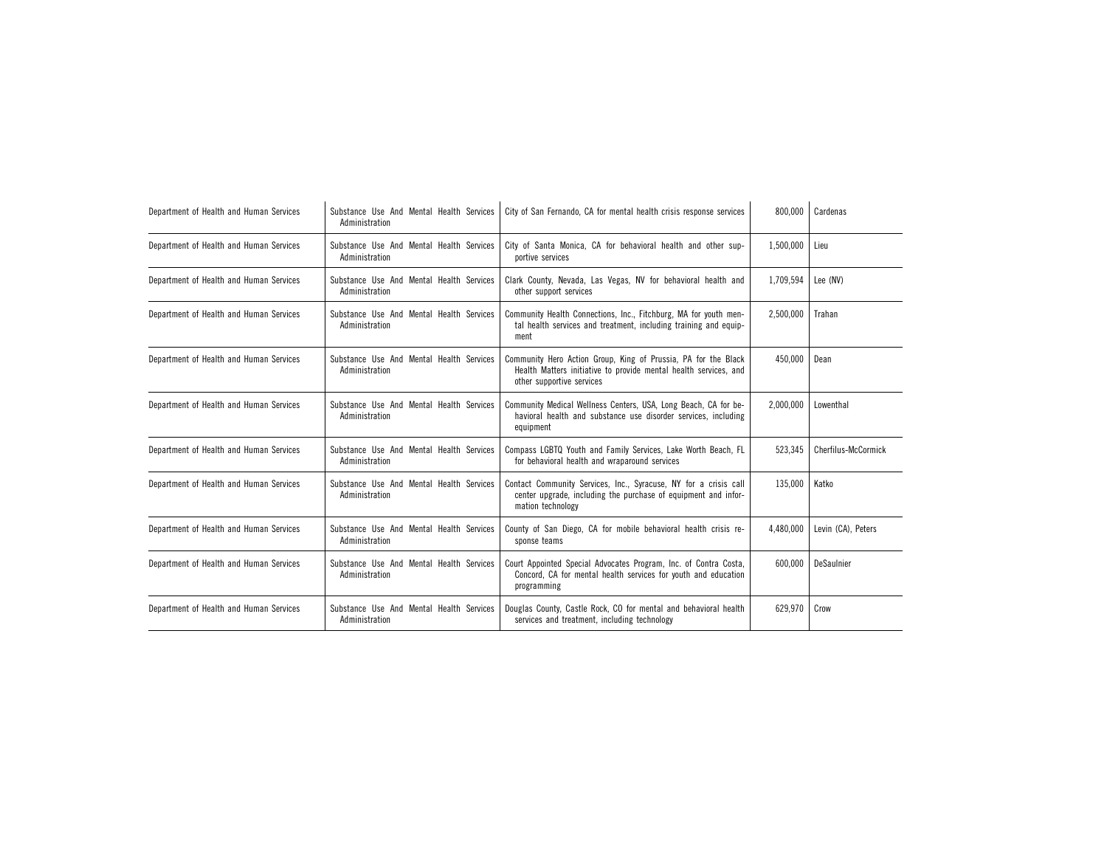| Department of Health and Human Services | Substance Use And Mental Health Services<br>Administration | City of San Fernando. CA for mental health crisis response services                                                                                             | 800.000   | Cardenas            |
|-----------------------------------------|------------------------------------------------------------|-----------------------------------------------------------------------------------------------------------------------------------------------------------------|-----------|---------------------|
| Department of Health and Human Services | Substance Use And Mental Health Services<br>Administration | City of Santa Monica, CA for behavioral health and other sup-<br>portive services                                                                               | 1,500,000 | Lieu                |
| Department of Health and Human Services | Substance Use And Mental Health Services<br>Administration | Clark County, Nevada, Las Vegas, NV for behavioral health and<br>other support services                                                                         | 1.709.594 | Lee (NV)            |
| Department of Health and Human Services | Substance Use And Mental Health Services<br>Administration | Community Health Connections, Inc., Fitchburg, MA for youth men-<br>tal health services and treatment, including training and equip-<br>ment                    | 2,500,000 | Trahan              |
| Department of Health and Human Services | Substance Use And Mental Health Services<br>Administration | Community Hero Action Group, King of Prussia, PA for the Black<br>Health Matters initiative to provide mental health services, and<br>other supportive services | 450,000   | Dean                |
| Department of Health and Human Services | Substance Use And Mental Health Services<br>Administration | Community Medical Wellness Centers, USA, Long Beach, CA for be-<br>havioral health and substance use disorder services, including<br>equipment                  | 2,000,000 | Lowenthal           |
| Department of Health and Human Services | Substance Use And Mental Health Services<br>Administration | Compass LGBTQ Youth and Family Services, Lake Worth Beach, FL<br>for behavioral health and wraparound services                                                  | 523.345   | Cherfilus-McCormick |
| Department of Health and Human Services | Substance Use And Mental Health Services<br>Administration | Contact Community Services, Inc., Syracuse, NY for a crisis call<br>center upgrade, including the purchase of equipment and infor-<br>mation technology         | 135,000   | Katko               |
| Department of Health and Human Services | Substance Use And Mental Health Services<br>Administration | County of San Diego, CA for mobile behavioral health crisis re-<br>sponse teams                                                                                 | 4,480,000 | Levin (CA), Peters  |
| Department of Health and Human Services | Substance Use And Mental Health Services<br>Administration | Court Appointed Special Advocates Program, Inc. of Contra Costa,<br>Concord, CA for mental health services for youth and education<br>programming               | 600,000   | DeSaulnier          |
| Department of Health and Human Services | Substance Use And Mental Health Services<br>Administration | Douglas County, Castle Rock, CO for mental and behavioral health<br>services and treatment, including technology                                                | 629.970   | Crow                |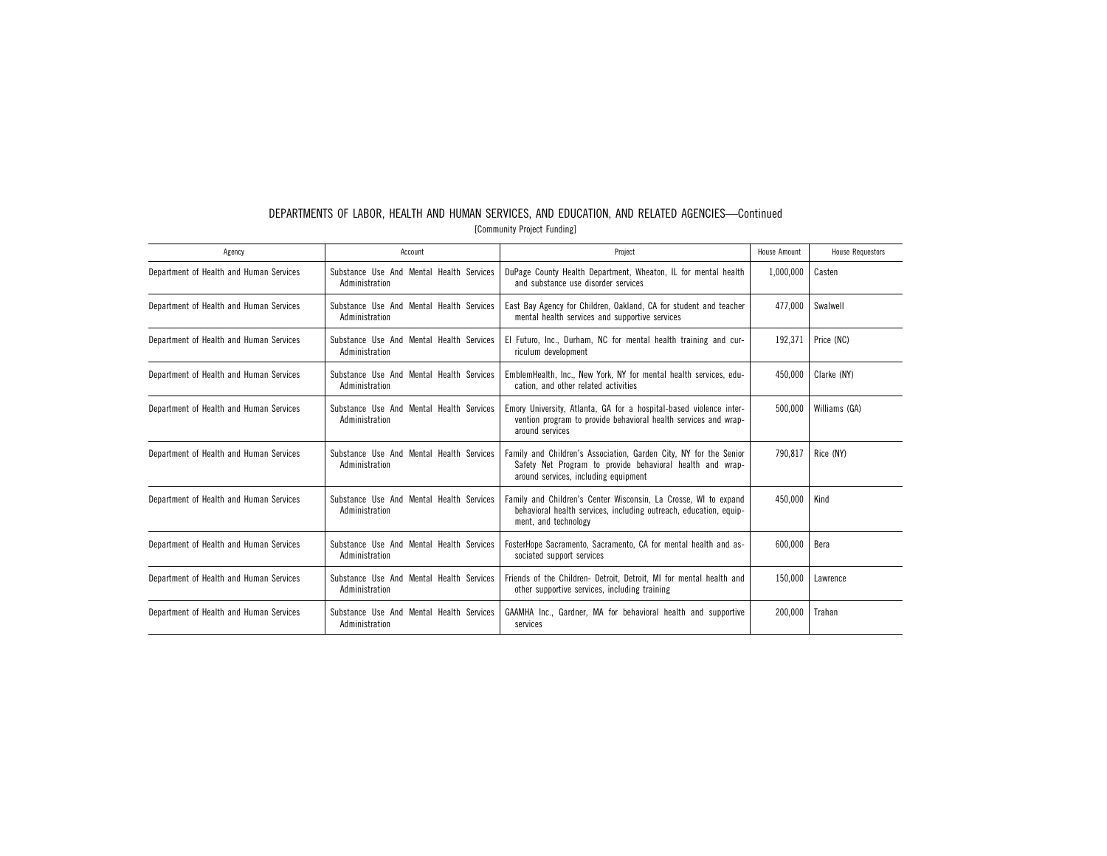| DEPARTMENTS OF LABOR. HEALTH AND HUMAN SERVICES. AND EDUCATION. AND RELATED AGENCIES-Continued |  |  |  |  |  |  |  |
|------------------------------------------------------------------------------------------------|--|--|--|--|--|--|--|
| [Community Project Funding]                                                                    |  |  |  |  |  |  |  |

| Agency                                  | Account                                                    | Project                                                                                                                                                                | House Amount | <b>House Requestors</b> |
|-----------------------------------------|------------------------------------------------------------|------------------------------------------------------------------------------------------------------------------------------------------------------------------------|--------------|-------------------------|
| Department of Health and Human Services | Substance Use And Mental Health Services<br>Administration | DuPage County Health Department, Wheaton, IL for mental health<br>and substance use disorder services                                                                  | 1,000,000    | Casten                  |
| Department of Health and Human Services | Substance Use And Mental Health Services<br>Administration | East Bay Agency for Children, Oakland, CA for student and teacher<br>mental health services and supportive services                                                    | 477.000      | Swalwell                |
| Department of Health and Human Services | Substance Use And Mental Health Services<br>Administration | El Futuro, Inc., Durham, NC for mental health training and cur-<br>riculum development                                                                                 | 192.371      | Price (NC)              |
| Department of Health and Human Services | Substance Use And Mental Health Services<br>Administration | EmblemHealth, Inc., New York, NY for mental health services, edu-<br>cation, and other related activities                                                              | 450.000      | Clarke (NY)             |
| Department of Health and Human Services | Substance Use And Mental Health Services<br>Administration | Emory University, Atlanta, GA for a hospital-based violence inter-<br>vention program to provide behavioral health services and wrap-<br>around services               | 500.000      | Williams (GA)           |
| Department of Health and Human Services | Substance Use And Mental Health Services<br>Administration | Family and Children's Association, Garden City, NY for the Senior<br>Safety Net Program to provide behavioral health and wrap-<br>around services, including equipment | 790.817      | Rice (NY)               |
| Department of Health and Human Services | Substance Use And Mental Health Services<br>Administration | Family and Children's Center Wisconsin, La Crosse, WI to expand<br>behavioral health services, including outreach, education, equip-<br>ment, and technology           | 450.000      | Kind                    |
| Department of Health and Human Services | Substance Use And Mental Health Services<br>Administration | FosterHope Sacramento, Sacramento, CA for mental health and as-<br>sociated support services                                                                           | 600,000      | Bera                    |
| Department of Health and Human Services | Substance Use And Mental Health Services<br>Administration | Friends of the Children- Detroit, Detroit, MI for mental health and<br>other supportive services, including training                                                   | 150,000      | Lawrence                |
| Department of Health and Human Services | Substance Use And Mental Health Services<br>Administration | GAAMHA Inc., Gardner, MA for behavioral health and supportive<br>services                                                                                              | 200.000      | Trahan                  |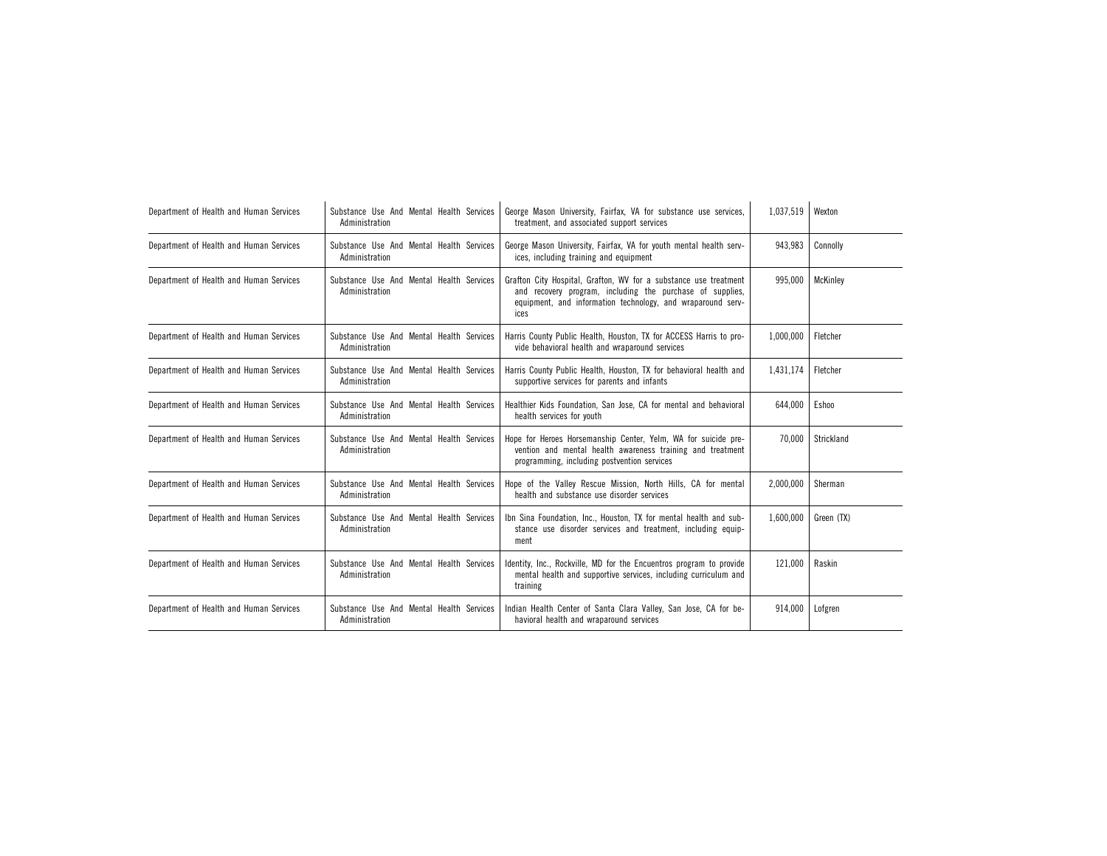| Department of Health and Human Services | Substance Use And Mental Health Services<br>Administration | George Mason University, Fairfax, VA for substance use services,<br>treatment, and associated support services                                                                                       | 1,037,519 | Wexton     |
|-----------------------------------------|------------------------------------------------------------|------------------------------------------------------------------------------------------------------------------------------------------------------------------------------------------------------|-----------|------------|
| Department of Health and Human Services | Substance Use And Mental Health Services<br>Administration | George Mason University, Fairfax, VA for youth mental health serv-<br>ices, including training and equipment                                                                                         | 943.983   | Connolly   |
| Department of Health and Human Services | Substance Use And Mental Health Services<br>Administration | Grafton City Hospital, Grafton, WV for a substance use treatment<br>and recovery program, including the purchase of supplies,<br>equipment, and information technology, and wraparound serv-<br>ices | 995.000   | McKinley   |
| Department of Health and Human Services | Substance Use And Mental Health Services<br>Administration | Harris County Public Health, Houston, TX for ACCESS Harris to pro-<br>vide behavioral health and wraparound services                                                                                 | 1.000.000 | Fletcher   |
| Department of Health and Human Services | Substance Use And Mental Health Services<br>Administration | Harris County Public Health, Houston, TX for behavioral health and<br>supportive services for parents and infants                                                                                    | 1.431.174 | Fletcher   |
| Department of Health and Human Services | Substance Use And Mental Health Services<br>Administration | Healthier Kids Foundation, San Jose, CA for mental and behavioral<br>health services for youth                                                                                                       | 644,000   | Eshoo      |
| Department of Health and Human Services | Substance Use And Mental Health Services<br>Administration | Hope for Heroes Horsemanship Center, Yelm, WA for suicide pre-<br>vention and mental health awareness training and treatment<br>programming, including postvention services                          | 70.000    | Strickland |
| Department of Health and Human Services | Substance Use And Mental Health Services<br>Administration | Hope of the Valley Rescue Mission, North Hills, CA for mental<br>health and substance use disorder services                                                                                          | 2,000,000 | Sherman    |
| Department of Health and Human Services | Substance Use And Mental Health Services<br>Administration | Ibn Sina Foundation, Inc., Houston, TX for mental health and sub-<br>stance use disorder services and treatment, including equip-<br>ment                                                            | 1.600.000 | Green (TX) |
| Department of Health and Human Services | Substance Use And Mental Health Services<br>Administration | Identity, Inc., Rockville, MD for the Encuentros program to provide<br>mental health and supportive services, including curriculum and<br>training                                                   | 121,000   | Raskin     |
| Department of Health and Human Services | Substance Use And Mental Health Services<br>Administration | Indian Health Center of Santa Clara Valley, San Jose, CA for be-<br>havioral health and wraparound services                                                                                          | 914.000   | Lofgren    |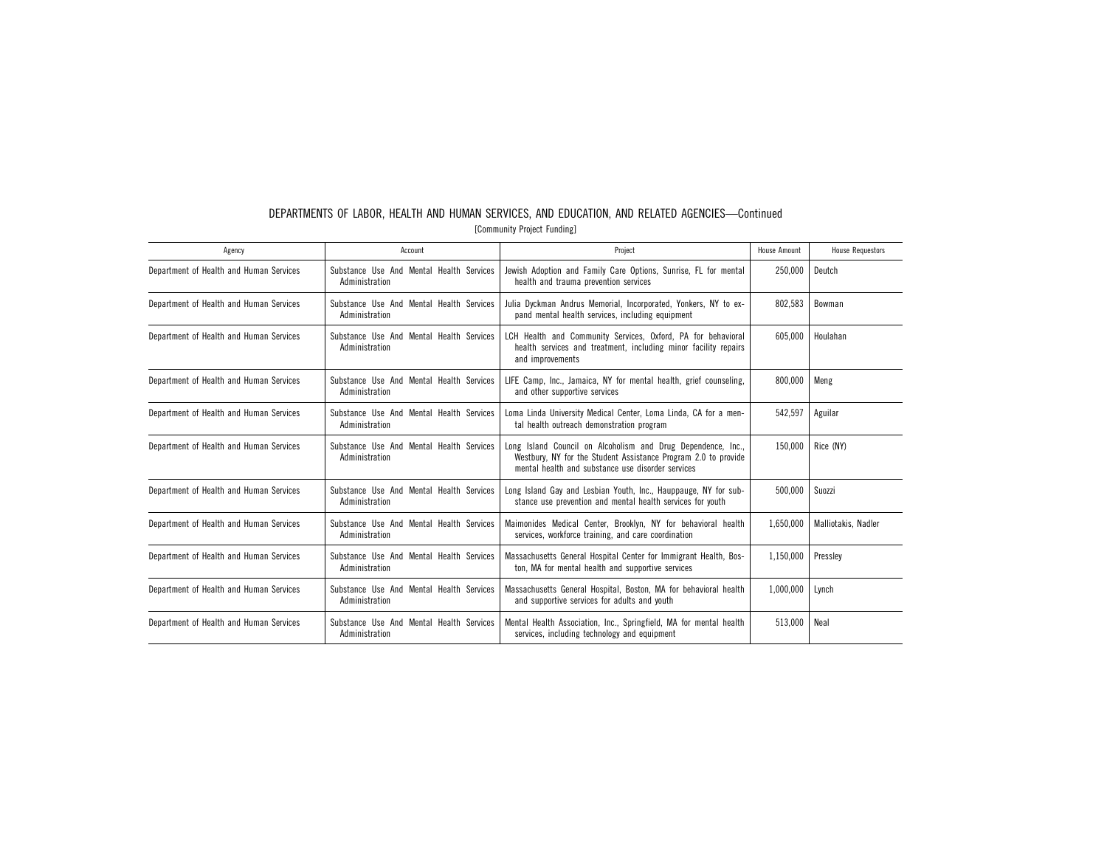| [Community Project Funding] |                |                                                                                                                                                       |              |                         |  |  |
|-----------------------------|----------------|-------------------------------------------------------------------------------------------------------------------------------------------------------|--------------|-------------------------|--|--|
| Agency                      | Account        | Project                                                                                                                                               | House Amount | <b>House Requestors</b> |  |  |
| Health and Human Services   | Administration | Substance Use And Mental Health Services   Jewish Adoption and Family Care Options, Sunrise, FL for mental  <br>health and trauma prevention services | 250.000      | Deutch                  |  |  |
| Health and Human Services   |                | Substance Use And Mental Health Services   Julia Dyckman Andrus Memorial Incorporated Yonkers NY to ex-                                               |              | 802 583   Bowman        |  |  |

Department of

# DEPARTMENTS OF LABOR, HEALTH AND HUMAN SERVICES, AND EDUCATION, AND RELATED AGENCIES—Continued

| Department of Health and Human Services | Substance Use And Mental Health Services<br>Administration | Julia Dyckman Andrus Memorial, Incorporated, Yonkers, NY to ex-<br>pand mental health services, including equipment                                                                 | 802.583   | Bowman              |
|-----------------------------------------|------------------------------------------------------------|-------------------------------------------------------------------------------------------------------------------------------------------------------------------------------------|-----------|---------------------|
| Department of Health and Human Services | Substance Use And Mental Health Services<br>Administration | LCH Health and Community Services, Oxford, PA for behavioral<br>health services and treatment, including minor facility repairs<br>and improvements                                 | 605.000   | Houlahan            |
| Department of Health and Human Services | Substance Use And Mental Health Services<br>Administration | LIFE Camp, Inc., Jamaica, NY for mental health, grief counseling,<br>and other supportive services                                                                                  | 800.000   | Meng                |
| Department of Health and Human Services | Substance Use And Mental Health Services<br>Administration | Loma Linda University Medical Center, Loma Linda, CA for a men-<br>tal health outreach demonstration program                                                                        | 542,597   | Aguilar             |
| Department of Health and Human Services | Substance Use And Mental Health Services<br>Administration | Long Island Council on Alcoholism and Drug Dependence, Inc.,<br>Westbury, NY for the Student Assistance Program 2.0 to provide<br>mental health and substance use disorder services | 150.000   | Rice (NY)           |
| Department of Health and Human Services | Substance Use And Mental Health Services<br>Administration | Long Island Gay and Lesbian Youth, Inc., Hauppauge, NY for sub-<br>stance use prevention and mental health services for youth                                                       | 500,000   | Suozzi              |
| Department of Health and Human Services | Substance Use And Mental Health Services<br>Administration | Maimonides Medical Center, Brooklyn, NY for behavioral health<br>services, workforce training, and care coordination                                                                | 1,650,000 | Malliotakis, Nadler |
| Department of Health and Human Services | Substance Use And Mental Health Services<br>Administration | Massachusetts General Hospital Center for Immigrant Health, Bos-<br>ton, MA for mental health and supportive services                                                               | 1,150,000 | Presslev            |
| Department of Health and Human Services | Substance Use And Mental Health Services<br>Administration | Massachusetts General Hospital, Boston, MA for behavioral health<br>and supportive services for adults and youth                                                                    | 1,000,000 | Lynch               |
| Department of Health and Human Services | Substance Use And Mental Health Services<br>Administration | Mental Health Association, Inc., Springfield, MA for mental health<br>services, including technology and equipment                                                                  | 513,000   | Neal                |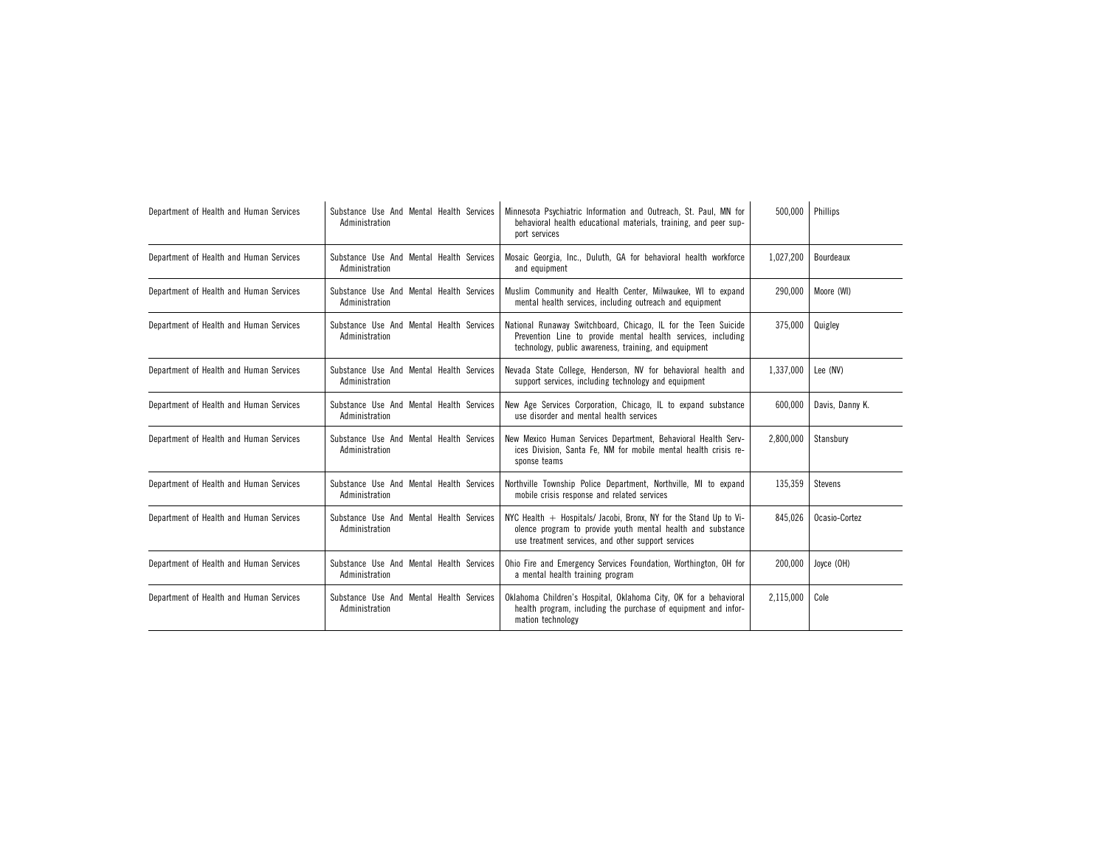| Department of Health and Human Services | Substance Use And Mental Health Services<br>Administration | Minnesota Psychiatric Information and Outreach, St. Paul, MN for<br>behavioral health educational materials, training, and peer sup-<br>port services                                    | 500,000   | Phillips        |
|-----------------------------------------|------------------------------------------------------------|------------------------------------------------------------------------------------------------------------------------------------------------------------------------------------------|-----------|-----------------|
| Department of Health and Human Services | Substance Use And Mental Health Services<br>Administration | Mosaic Georgia, Inc., Duluth, GA for behavioral health workforce<br>and equipment                                                                                                        | 1,027,200 | Bourdeaux       |
| Department of Health and Human Services | Substance Use And Mental Health Services<br>Administration | Muslim Community and Health Center, Milwaukee, WI to expand<br>mental health services, including outreach and equipment                                                                  | 290,000   | Moore (WI)      |
| Department of Health and Human Services | Substance Use And Mental Health Services<br>Administration | National Runaway Switchboard, Chicago, IL for the Teen Suicide<br>Prevention Line to provide mental health services, including<br>technology, public awareness, training, and equipment  | 375,000   | Quigley         |
| Department of Health and Human Services | Substance Use And Mental Health Services<br>Administration | Nevada State College, Henderson, NV for behavioral health and<br>support services, including technology and equipment                                                                    | 1,337,000 | Lee (NV)        |
| Department of Health and Human Services | Substance Use And Mental Health Services<br>Administration | New Age Services Corporation, Chicago, IL to expand substance<br>use disorder and mental health services                                                                                 | 600,000   | Davis, Danny K. |
| Department of Health and Human Services | Substance Use And Mental Health Services<br>Administration | New Mexico Human Services Department, Behavioral Health Serv-<br>ices Division, Santa Fe, NM for mobile mental health crisis re-<br>sponse teams                                         | 2,800,000 | Stansburv       |
| Department of Health and Human Services | Substance Use And Mental Health Services<br>Administration | Northville Township Police Department, Northville, MI to expand<br>mobile crisis response and related services                                                                           | 135,359   | <b>Stevens</b>  |
| Department of Health and Human Services | Substance Use And Mental Health Services<br>Administration | NYC Health $+$ Hospitals/ Jacobi, Bronx, NY for the Stand Up to Vi-<br>olence program to provide youth mental health and substance<br>use treatment services, and other support services | 845,026   | Ocasio-Cortez   |
| Department of Health and Human Services | Substance Use And Mental Health Services<br>Administration | Ohio Fire and Emergency Services Foundation, Worthington, OH for<br>a mental health training program                                                                                     | 200,000   | Joyce (OH)      |
| Department of Health and Human Services | Substance Use And Mental Health Services<br>Administration | Oklahoma Children's Hospital, Oklahoma City, OK for a behavioral<br>health program, including the purchase of equipment and infor-<br>mation technology                                  | 2,115,000 | Cole            |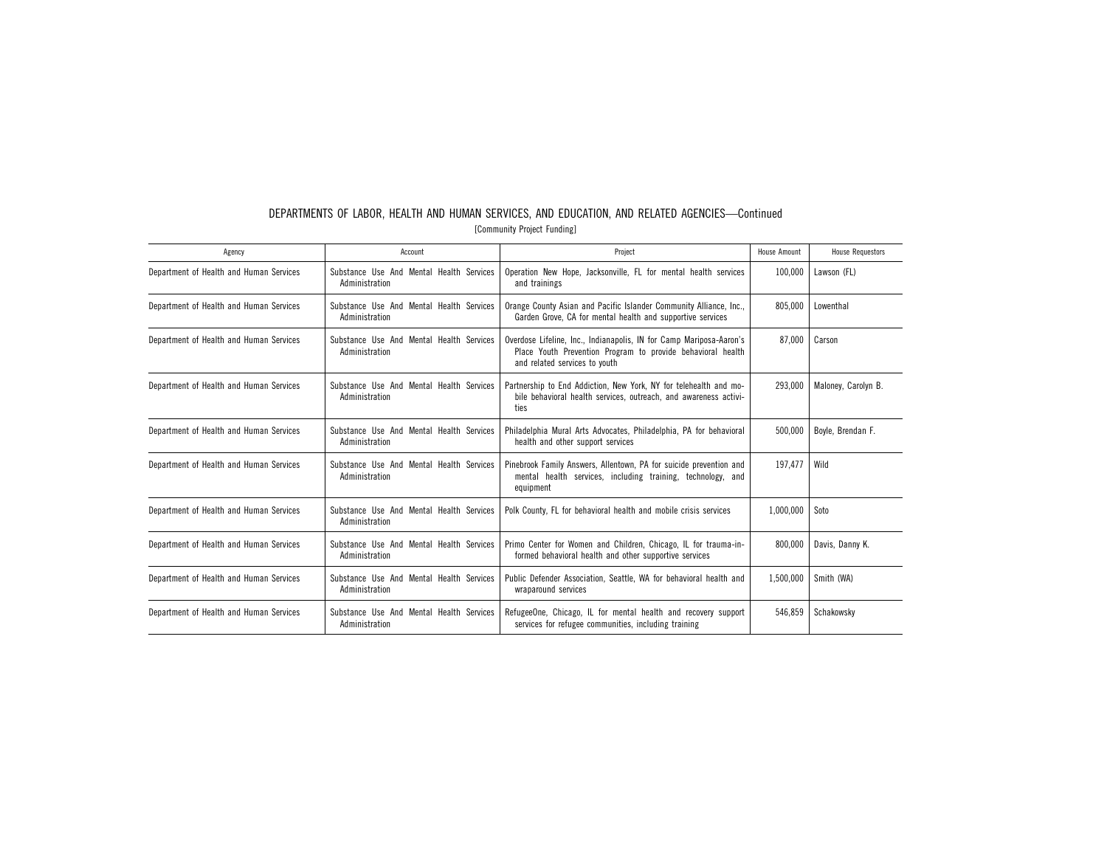| Agency                                  | Account                                                    | Project                                                                                                                                                             | House Amount | <b>House Requestors</b> |
|-----------------------------------------|------------------------------------------------------------|---------------------------------------------------------------------------------------------------------------------------------------------------------------------|--------------|-------------------------|
| Department of Health and Human Services | Substance Use And Mental Health Services<br>Administration | Operation New Hope, Jacksonville, FL for mental health services<br>and trainings                                                                                    | 100.000      | Lawson (FL)             |
| Department of Health and Human Services | Substance Use And Mental Health Services<br>Administration | Orange County Asian and Pacific Islander Community Alliance, Inc.,<br>Garden Grove, CA for mental health and supportive services                                    | 805.000      | Lowenthal               |
| Department of Health and Human Services | Substance Use And Mental Health Services<br>Administration | Overdose Lifeline, Inc., Indianapolis, IN for Camp Mariposa-Aaron's<br>Place Youth Prevention Program to provide behavioral health<br>and related services to youth | 87.000       | Carson                  |
| Department of Health and Human Services | Substance Use And Mental Health Services<br>Administration | Partnership to End Addiction, New York, NY for telehealth and mo-<br>bile behavioral health services, outreach, and awareness activi-<br>ties                       | 293,000      | Maloney, Carolyn B.     |
| Department of Health and Human Services | Substance Use And Mental Health Services<br>Administration | Philadelphia Mural Arts Advocates, Philadelphia, PA for behavioral<br>health and other support services                                                             | 500,000      | Boyle, Brendan F.       |
| Department of Health and Human Services | Substance Use And Mental Health Services<br>Administration | Pinebrook Family Answers, Allentown, PA for suicide prevention and<br>mental health services, including training, technology, and<br>equipment                      | 197.477      | Wild                    |
| Department of Health and Human Services | Substance Use And Mental Health Services<br>Administration | Polk County, FL for behavioral health and mobile crisis services                                                                                                    | 1,000,000    | Soto                    |
| Department of Health and Human Services | Substance Use And Mental Health Services<br>Administration | Primo Center for Women and Children, Chicago, IL for trauma-in-<br>formed behavioral health and other supportive services                                           | 800.000      | Davis, Danny K.         |
| Department of Health and Human Services | Substance Use And Mental Health Services<br>Administration | Public Defender Association, Seattle, WA for behavioral health and<br>wraparound services                                                                           | 1,500,000    | Smith (WA)              |
| Department of Health and Human Services | Substance Use And Mental Health Services<br>Administration | RefugeeOne, Chicago, IL for mental health and recovery support<br>services for refugee communities, including training                                              | 546.859      | Schakowsky              |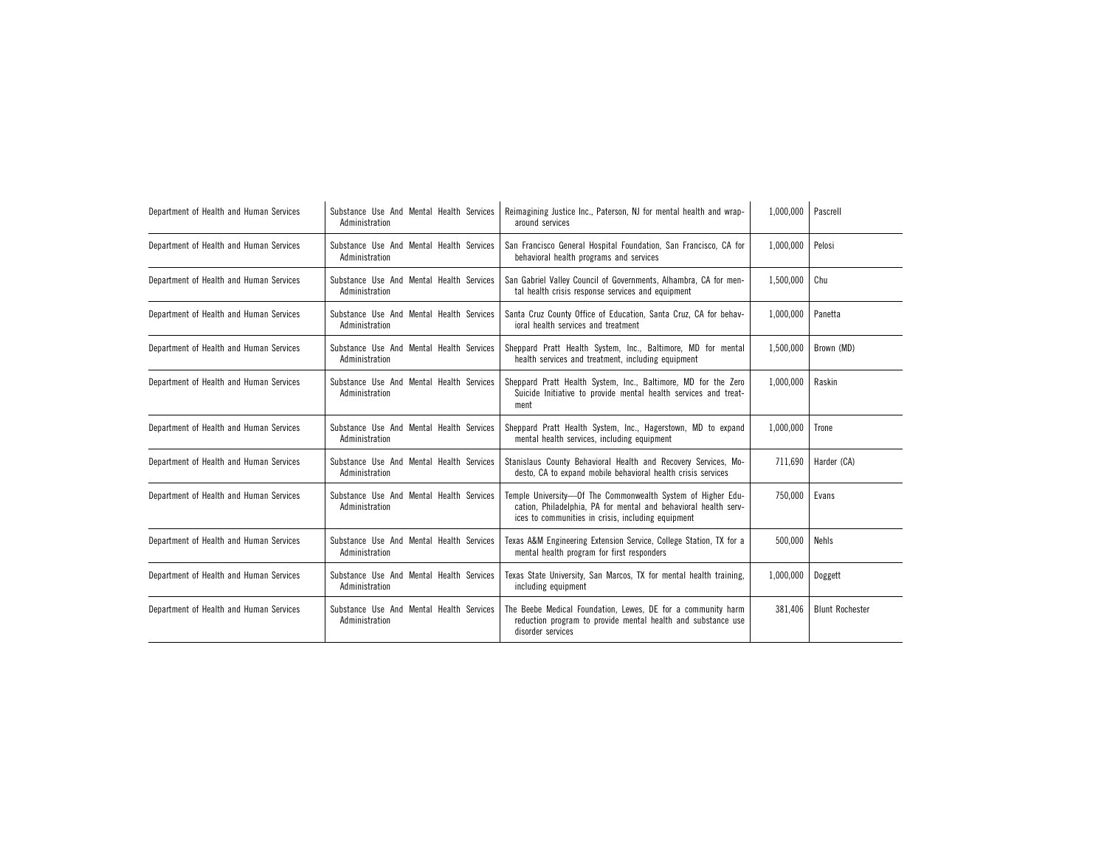| Department of Health and Human Services | Substance Use And Mental Health Services<br>Administration | Reimagining Justice Inc., Paterson, NJ for mental health and wrap-<br>around services                                                                                                | 1,000,000 | Pascrell               |
|-----------------------------------------|------------------------------------------------------------|--------------------------------------------------------------------------------------------------------------------------------------------------------------------------------------|-----------|------------------------|
| Department of Health and Human Services | Substance Use And Mental Health Services<br>Administration | San Francisco General Hospital Foundation, San Francisco, CA for<br>behavioral health programs and services                                                                          | 1,000,000 | Pelosi                 |
| Department of Health and Human Services | Substance Use And Mental Health Services<br>Administration | San Gabriel Valley Council of Governments, Alhambra, CA for men-<br>tal health crisis response services and equipment                                                                | 1,500,000 | Chu                    |
| Department of Health and Human Services | Substance Use And Mental Health Services<br>Administration | Santa Cruz County Office of Education, Santa Cruz, CA for behav-<br>joral health services and treatment                                                                              | 1,000,000 | Panetta                |
| Department of Health and Human Services | Substance Use And Mental Health Services<br>Administration | Sheppard Pratt Health System, Inc., Baltimore, MD for mental<br>health services and treatment, including equipment                                                                   | 1,500,000 | Brown (MD)             |
| Department of Health and Human Services | Substance Use And Mental Health Services<br>Administration | Sheppard Pratt Health System, Inc., Baltimore, MD for the Zero<br>Suicide Initiative to provide mental health services and treat-<br>ment                                            | 1,000,000 | Raskin                 |
| Department of Health and Human Services | Substance Use And Mental Health Services<br>Administration | Sheppard Pratt Health System, Inc., Hagerstown, MD to expand<br>mental health services, including equipment                                                                          | 1,000,000 | Trone                  |
| Department of Health and Human Services | Substance Use And Mental Health Services<br>Administration | Stanislaus County Behavioral Health and Recovery Services, Mo-<br>desto. CA to expand mobile behavioral health crisis services                                                       | 711,690   | Harder (CA)            |
| Department of Health and Human Services | Substance Use And Mental Health Services<br>Administration | Temple University-Of The Commonwealth System of Higher Edu-<br>cation, Philadelphia, PA for mental and behavioral health serv-<br>ices to communities in crisis, including equipment | 750,000   | Evans                  |
| Department of Health and Human Services | Substance Use And Mental Health Services<br>Administration | Texas A&M Engineering Extension Service, College Station, TX for a<br>mental health program for first responders                                                                     | 500,000   | Nehls                  |
| Department of Health and Human Services | Substance Use And Mental Health Services<br>Administration | Texas State University, San Marcos, TX for mental health training,<br>including equipment                                                                                            | 1,000,000 | Doggett                |
| Department of Health and Human Services | Substance Use And Mental Health Services<br>Administration | The Beebe Medical Foundation, Lewes, DE for a community harm<br>reduction program to provide mental health and substance use<br>disorder services                                    | 381,406   | <b>Blunt Rochester</b> |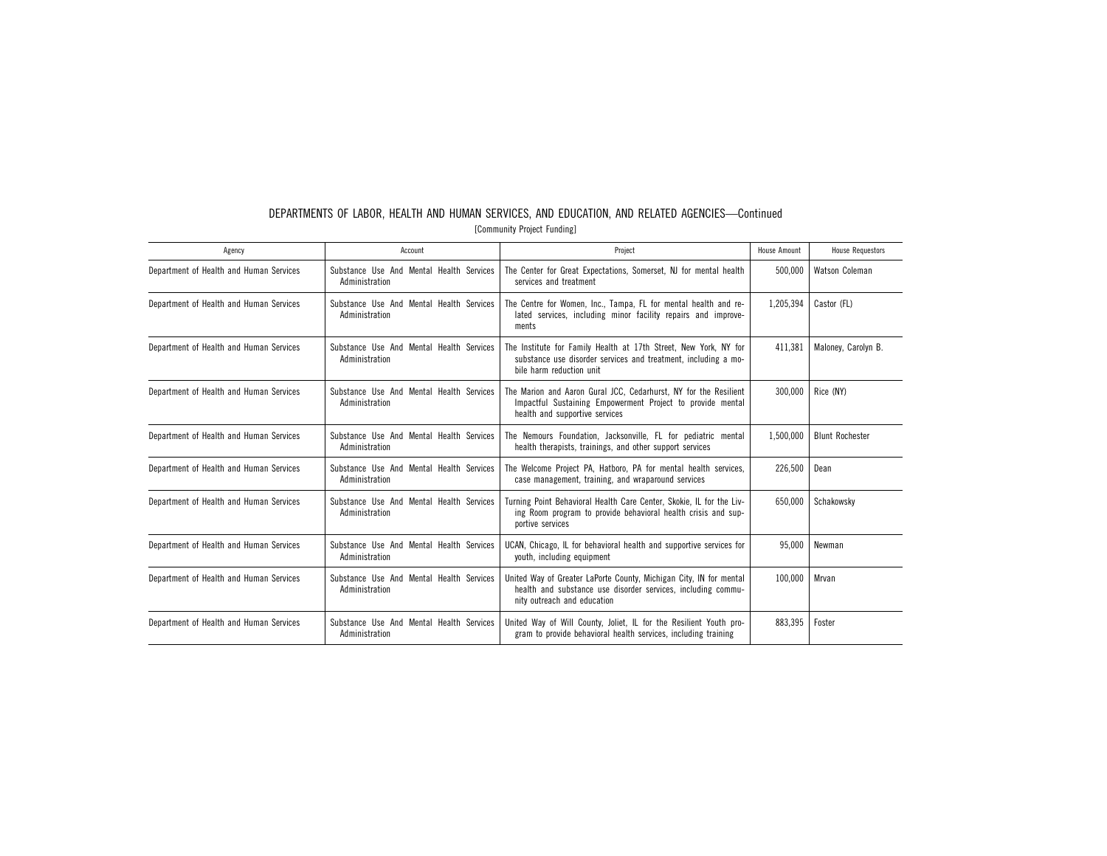| Agency                                  | Account                                                    | Project                                                                                                                                                           | House Amount | <b>House Requestors</b> |
|-----------------------------------------|------------------------------------------------------------|-------------------------------------------------------------------------------------------------------------------------------------------------------------------|--------------|-------------------------|
| Department of Health and Human Services | Substance Use And Mental Health Services<br>Administration | The Center for Great Expectations, Somerset, NJ for mental health<br>services and treatment                                                                       | 500,000      | Watson Coleman          |
| Department of Health and Human Services | Substance Use And Mental Health Services<br>Administration | The Centre for Women, Inc., Tampa, FL for mental health and re-<br>lated services, including minor facility repairs and improve-<br>ments                         | 1,205,394    | Castor (FL)             |
| Department of Health and Human Services | Substance Use And Mental Health Services<br>Administration | The Institute for Family Health at 17th Street, New York, NY for<br>substance use disorder services and treatment, including a mo-<br>bile harm reduction unit    | 411,381      | Maloney, Carolyn B.     |
| Department of Health and Human Services | Substance Use And Mental Health Services<br>Administration | The Marion and Aaron Gural JCC, Cedarhurst, NY for the Resilient<br>Impactful Sustaining Empowerment Project to provide mental<br>health and supportive services  | 300.000      | Rice (NY)               |
| Department of Health and Human Services | Substance Use And Mental Health Services<br>Administration | The Nemours Foundation, Jacksonville, FL for pediatric mental<br>health therapists, trainings, and other support services                                         | 1,500,000    | <b>Blunt Rochester</b>  |
| Department of Health and Human Services | Substance Use And Mental Health Services<br>Administration | The Welcome Project PA, Hatboro, PA for mental health services,<br>case management, training, and wraparound services                                             | 226,500      | Dean                    |
| Department of Health and Human Services | Substance Use And Mental Health Services<br>Administration | Turning Point Behavioral Health Care Center, Skokie, IL for the Liv-<br>ing Room program to provide behavioral health crisis and sup-<br>portive services         | 650.000      | Schakowsky              |
| Department of Health and Human Services | Substance Use And Mental Health Services<br>Administration | UCAN, Chicago, IL for behavioral health and supportive services for<br>youth, including equipment                                                                 | 95.000       | Newman                  |
| Department of Health and Human Services | Substance Use And Mental Health Services<br>Administration | United Way of Greater LaPorte County, Michigan City, IN for mental<br>health and substance use disorder services, including commu-<br>nity outreach and education | 100.000      | Mrvan                   |
| Department of Health and Human Services | Substance Use And Mental Health Services<br>Administration | United Way of Will County, Joliet, IL for the Resilient Youth pro-<br>gram to provide behavioral health services, including training                              | 883.395      | Foster                  |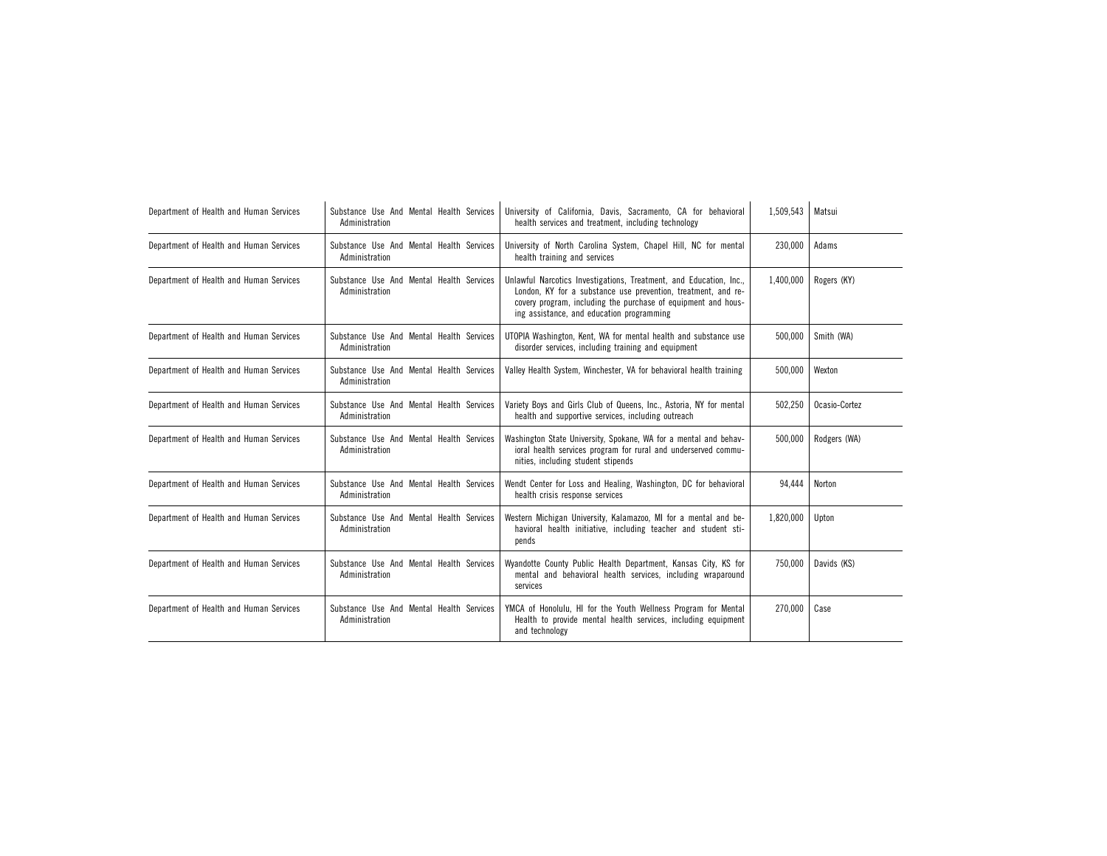| Department of Health and Human Services | Substance Use And Mental Health Services<br>Administration | University of California, Davis, Sacramento, CA for behavioral<br>health services and treatment, including technology                                                                                                                             | 1,509,543 | Matsui        |
|-----------------------------------------|------------------------------------------------------------|---------------------------------------------------------------------------------------------------------------------------------------------------------------------------------------------------------------------------------------------------|-----------|---------------|
| Department of Health and Human Services | Substance Use And Mental Health Services<br>Administration | University of North Carolina System, Chapel Hill, NC for mental<br>health training and services                                                                                                                                                   | 230.000   | Adams         |
| Department of Health and Human Services | Substance Use And Mental Health Services<br>Administration | Unlawful Narcotics Investigations, Treatment, and Education, Inc.,<br>London, KY for a substance use prevention, treatment, and re-<br>covery program, including the purchase of equipment and hous-<br>ing assistance, and education programming | 1,400,000 | Rogers (KY)   |
| Department of Health and Human Services | Substance Use And Mental Health Services<br>Administration | UTOPIA Washington, Kent, WA for mental health and substance use<br>disorder services, including training and equipment                                                                                                                            | 500,000   | Smith (WA)    |
| Department of Health and Human Services | Substance Use And Mental Health Services<br>Administration | Valley Health System, Winchester, VA for behavioral health training                                                                                                                                                                               | 500,000   | Wexton        |
| Department of Health and Human Services | Substance Use And Mental Health Services<br>Administration | Variety Boys and Girls Club of Queens, Inc., Astoria, NY for mental<br>health and supportive services, including outreach                                                                                                                         | 502,250   | Ocasio-Cortez |
| Department of Health and Human Services | Substance Use And Mental Health Services<br>Administration | Washington State University, Spokane, WA for a mental and behav-<br>ioral health services program for rural and underserved commu-<br>nities, including student stipends                                                                          | 500,000   | Rodgers (WA)  |
| Department of Health and Human Services | Substance Use And Mental Health Services<br>Administration | Wendt Center for Loss and Healing, Washington, DC for behavioral<br>health crisis response services                                                                                                                                               | 94.444    | Norton        |
| Department of Health and Human Services | Substance Use And Mental Health Services<br>Administration | Western Michigan University, Kalamazoo, MI for a mental and be-<br>havioral health initiative, including teacher and student sti-<br>pends                                                                                                        | 1,820,000 | Upton         |
| Department of Health and Human Services | Substance Use And Mental Health Services<br>Administration | Wyandotte County Public Health Department, Kansas City, KS for<br>mental and behavioral health services, including wraparound<br>services                                                                                                         | 750,000   | Davids (KS)   |
| Department of Health and Human Services | Substance Use And Mental Health Services<br>Administration | YMCA of Honolulu, HI for the Youth Wellness Program for Mental<br>Health to provide mental health services, including equipment<br>and technology                                                                                                 | 270,000   | Case          |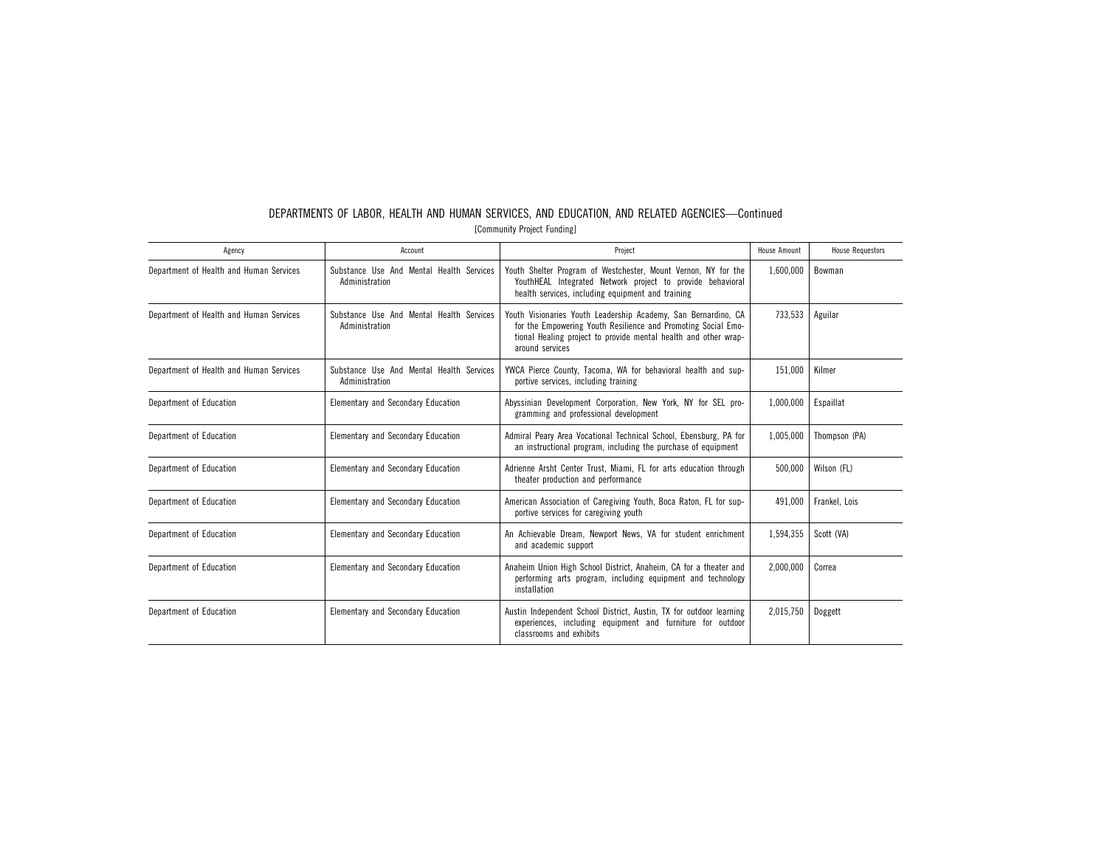| Agency                                  | Account                                                    | Project                                                                                                                                                                                                               | <b>House Amount</b> | <b>House Requestors</b> |
|-----------------------------------------|------------------------------------------------------------|-----------------------------------------------------------------------------------------------------------------------------------------------------------------------------------------------------------------------|---------------------|-------------------------|
| Department of Health and Human Services | Substance Use And Mental Health Services<br>Administration | Youth Shelter Program of Westchester, Mount Vernon, NY for the<br>YouthHEAL Integrated Network project to provide behavioral<br>health services, including equipment and training                                     | 1,600,000           | Bowman                  |
| Department of Health and Human Services | Substance Use And Mental Health Services<br>Administration | Youth Visionaries Youth Leadership Academy, San Bernardino, CA<br>for the Empowering Youth Resilience and Promoting Social Emo-<br>tional Healing project to provide mental health and other wrap-<br>around services | 733,533             | Aguilar                 |
| Department of Health and Human Services | Substance Use And Mental Health Services<br>Administration | YWCA Pierce County, Tacoma, WA for behavioral health and sup-<br>portive services, including training                                                                                                                 | 151,000             | Kilmer                  |
| Department of Education                 | <b>Elementary and Secondary Education</b>                  | Abyssinian Development Corporation, New York, NY for SEL pro-<br>gramming and professional development                                                                                                                | 1,000,000           | Espaillat               |
| Department of Education                 | <b>Elementary and Secondary Education</b>                  | Admiral Peary Area Vocational Technical School, Ebensburg, PA for<br>an instructional program, including the purchase of equipment                                                                                    | 1,005,000           | Thompson (PA)           |
| Department of Education                 | <b>Elementary and Secondary Education</b>                  | Adrienne Arsht Center Trust, Miami, FL for arts education through<br>theater production and performance                                                                                                               | 500,000             | Wilson (FL)             |
| Department of Education                 | Elementary and Secondary Education                         | American Association of Caregiving Youth, Boca Raton, FL for sup-<br>portive services for caregiving youth                                                                                                            | 491,000             | Frankel, Lois           |
| Department of Education                 | <b>Elementary and Secondary Education</b>                  | An Achievable Dream, Newport News, VA for student enrichment<br>and academic support                                                                                                                                  | 1,594,355           | Scott (VA)              |
| Department of Education                 | <b>Elementary and Secondary Education</b>                  | Anaheim Union High School District, Anaheim, CA for a theater and<br>performing arts program, including equipment and technology<br>installation                                                                      | 2,000,000           | Correa                  |
| Department of Education                 | <b>Elementary and Secondary Education</b>                  | Austin Independent School District, Austin, TX for outdoor learning<br>experiences, including equipment and furniture for outdoor<br>classrooms and exhibits                                                          | 2,015,750           | Doggett                 |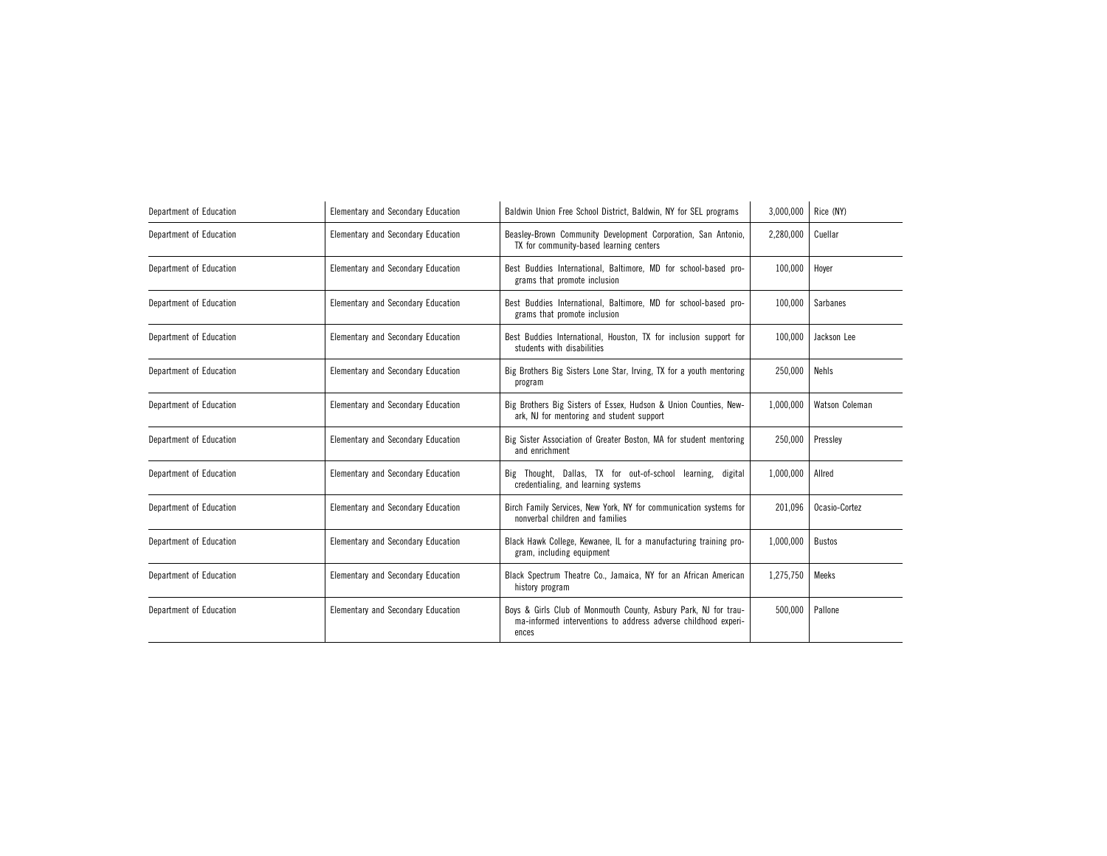| Department of Education | Elementary and Secondary Education | Baldwin Union Free School District, Baldwin, NY for SEL programs                                                                           | 3,000,000 | Rice (NY)      |
|-------------------------|------------------------------------|--------------------------------------------------------------------------------------------------------------------------------------------|-----------|----------------|
| Department of Education | Elementary and Secondary Education | Beasley-Brown Community Development Corporation, San Antonio,<br>TX for community-based learning centers                                   | 2,280,000 | Cuellar        |
| Department of Education | Elementary and Secondary Education | Best Buddies International, Baltimore, MD for school-based pro-<br>grams that promote inclusion                                            | 100.000   | Hover          |
| Department of Education | Elementary and Secondary Education | Best Buddies International, Baltimore, MD for school-based pro-<br>grams that promote inclusion                                            | 100,000   | Sarbanes       |
| Department of Education | Elementary and Secondary Education | Best Buddies International, Houston, TX for inclusion support for<br>students with disabilities                                            | 100,000   | Jackson Lee    |
| Department of Education | Elementary and Secondary Education | Big Brothers Big Sisters Lone Star, Irving, TX for a youth mentoring<br>program                                                            | 250.000   | Nehls          |
| Department of Education | Elementary and Secondary Education | Big Brothers Big Sisters of Essex, Hudson & Union Counties, New-<br>ark, NJ for mentoring and student support                              | 1,000,000 | Watson Coleman |
| Department of Education | Elementary and Secondary Education | Big Sister Association of Greater Boston, MA for student mentoring<br>and enrichment                                                       | 250,000   | Presslev       |
| Department of Education | Elementary and Secondary Education | Big Thought, Dallas, TX for out-of-school learning, digital<br>credentialing, and learning systems                                         | 1,000,000 | Allred         |
| Department of Education | Elementary and Secondary Education | Birch Family Services, New York, NY for communication systems for<br>nonverbal children and families                                       | 201,096   | Ocasio-Cortez  |
| Department of Education | Elementary and Secondary Education | Black Hawk College, Kewanee, IL for a manufacturing training pro-<br>gram, including equipment                                             | 1,000,000 | <b>Bustos</b>  |
| Department of Education | Elementary and Secondary Education | Black Spectrum Theatre Co., Jamaica, NY for an African American<br>history program                                                         | 1,275,750 | Meeks          |
| Department of Education | Elementary and Secondary Education | Boys & Girls Club of Monmouth County, Asbury Park, NJ for trau-<br>ma-informed interventions to address adverse childhood experi-<br>ences | 500,000   | Pallone        |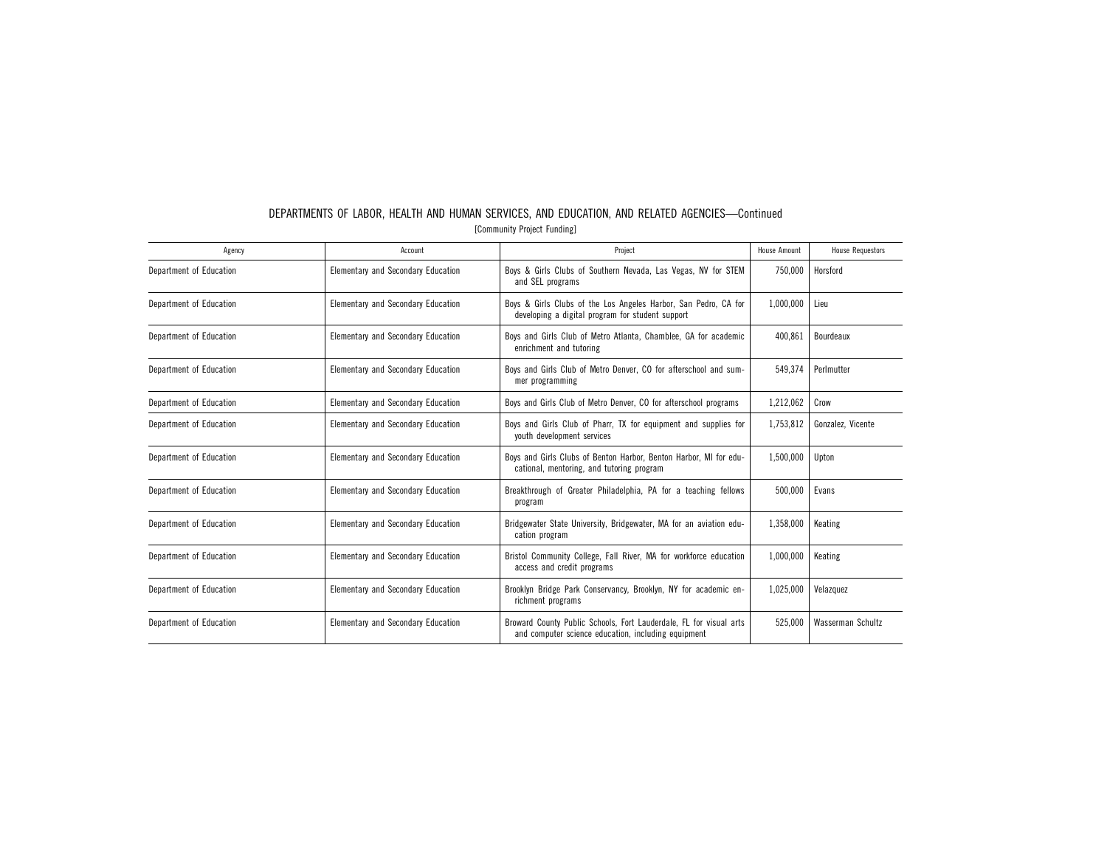| Agency                  | Account                                   | Project                                                                                                                   | <b>House Amount</b> | <b>House Requestors</b> |
|-------------------------|-------------------------------------------|---------------------------------------------------------------------------------------------------------------------------|---------------------|-------------------------|
| Department of Education | <b>Elementary and Secondary Education</b> | Boys & Girls Clubs of Southern Nevada, Las Vegas, NV for STEM<br>and SEL programs                                         | 750.000             | Horsford                |
| Department of Education | <b>Elementary and Secondary Education</b> | Boys & Girls Clubs of the Los Angeles Harbor, San Pedro, CA for<br>developing a digital program for student support       | 1,000,000           | Lieu                    |
| Department of Education | Elementary and Secondary Education        | Boys and Girls Club of Metro Atlanta, Chamblee, GA for academic<br>enrichment and tutoring                                | 400.861             | Bourdeaux               |
| Department of Education | Elementary and Secondary Education        | Boys and Girls Club of Metro Denver, CO for afterschool and sum-<br>mer programming                                       | 549,374             | Perlmutter              |
| Department of Education | <b>Elementary and Secondary Education</b> | Boys and Girls Club of Metro Denver, CO for afterschool programs                                                          | 1,212,062           | Crow                    |
| Department of Education | <b>Elementary and Secondary Education</b> | Boys and Girls Club of Pharr, TX for equipment and supplies for<br>youth development services                             | 1,753,812           | Gonzalez, Vicente       |
| Department of Education | <b>Elementary and Secondary Education</b> | Boys and Girls Clubs of Benton Harbor, Benton Harbor, MI for edu-<br>cational, mentoring, and tutoring program            | 1,500,000           | Upton                   |
| Department of Education | <b>Elementary and Secondary Education</b> | Breakthrough of Greater Philadelphia, PA for a teaching fellows<br>program                                                | 500,000             | Evans                   |
| Department of Education | <b>Elementary and Secondary Education</b> | Bridgewater State University, Bridgewater, MA for an aviation edu-<br>cation program                                      | 1,358,000           | Keating                 |
| Department of Education | Elementary and Secondary Education        | Bristol Community College, Fall River, MA for workforce education<br>access and credit programs                           | 1,000,000           | Keating                 |
| Department of Education | Elementary and Secondary Education        | Brooklyn Bridge Park Conservancy, Brooklyn, NY for academic en-<br>richment programs                                      | 1,025,000           | Velazquez               |
| Department of Education | Elementary and Secondary Education        | Broward County Public Schools, Fort Lauderdale, FL for visual arts<br>and computer science education, including equipment | 525.000             | Wasserman Schultz       |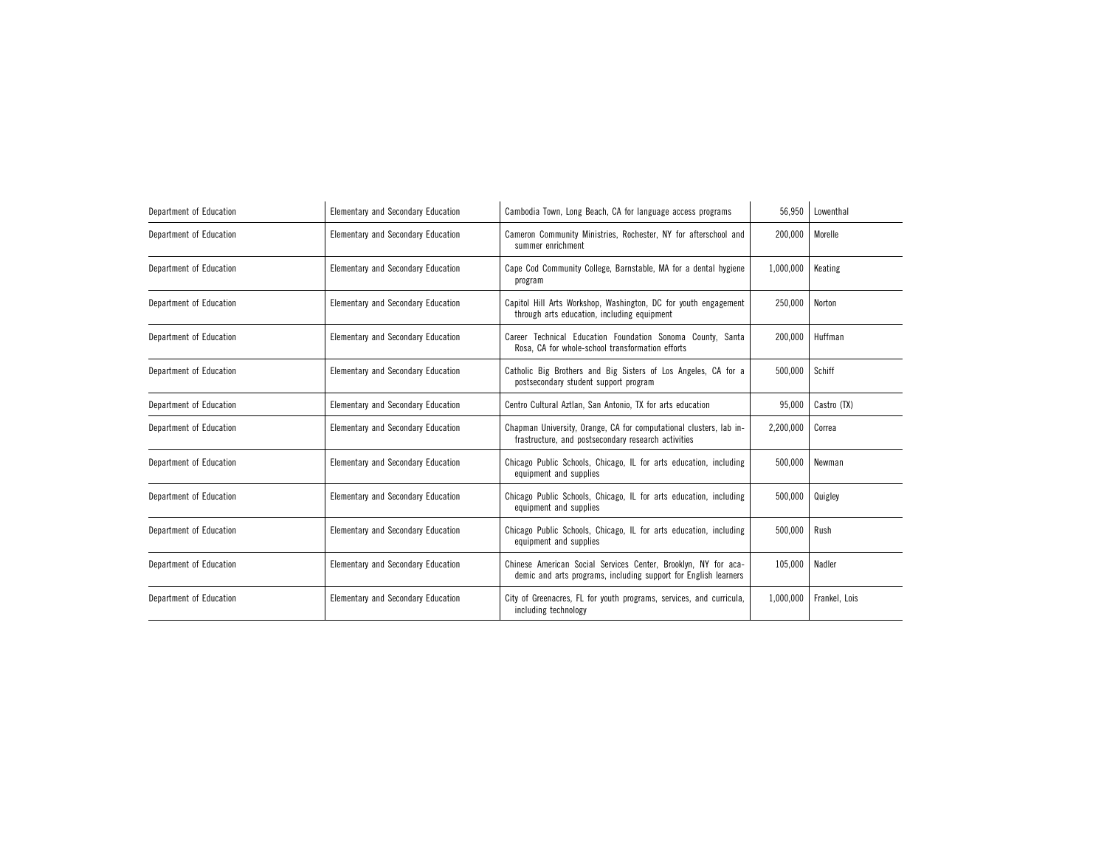| Department of Education | Elementary and Secondary Education | Cambodia Town, Long Beach, CA for language access programs                                                                        | 56,950    | Lowenthal     |
|-------------------------|------------------------------------|-----------------------------------------------------------------------------------------------------------------------------------|-----------|---------------|
| Department of Education | Elementary and Secondary Education | Cameron Community Ministries, Rochester, NY for afterschool and<br>summer enrichment                                              | 200,000   | Morelle       |
| Department of Education | Elementary and Secondary Education | Cape Cod Community College, Barnstable, MA for a dental hygiene<br>program                                                        | 1,000,000 | Keating       |
| Department of Education | Elementary and Secondary Education | Capitol Hill Arts Workshop, Washington, DC for youth engagement<br>through arts education, including equipment                    | 250,000   | Norton        |
| Department of Education | Elementary and Secondary Education | Career Technical Education Foundation Sonoma County, Santa<br>Rosa, CA for whole-school transformation efforts                    | 200,000   | Huffman       |
| Department of Education | Elementary and Secondary Education | Catholic Big Brothers and Big Sisters of Los Angeles, CA for a<br>postsecondary student support program                           | 500,000   | Schiff        |
| Department of Education | Elementary and Secondary Education | Centro Cultural Aztlan, San Antonio, TX for arts education                                                                        | 95,000    | Castro (TX)   |
| Department of Education | Elementary and Secondary Education | Chapman University, Orange, CA for computational clusters, lab in-<br>frastructure, and postsecondary research activities         | 2,200,000 | Correa        |
| Department of Education | Elementary and Secondary Education | Chicago Public Schools, Chicago, IL for arts education, including<br>equipment and supplies                                       | 500,000   | Newman        |
| Department of Education | Elementary and Secondary Education | Chicago Public Schools, Chicago, IL for arts education, including<br>equipment and supplies                                       | 500,000   | Quigley       |
| Department of Education | Elementary and Secondary Education | Chicago Public Schools, Chicago, IL for arts education, including<br>equipment and supplies                                       | 500.000   | Rush          |
| Department of Education | Elementary and Secondary Education | Chinese American Social Services Center, Brooklyn, NY for aca-<br>demic and arts programs, including support for English learners | 105,000   | Nadler        |
| Department of Education | Elementary and Secondary Education | City of Greenacres, FL for youth programs, services, and curricula,<br>including technology                                       | 1,000,000 | Frankel, Lois |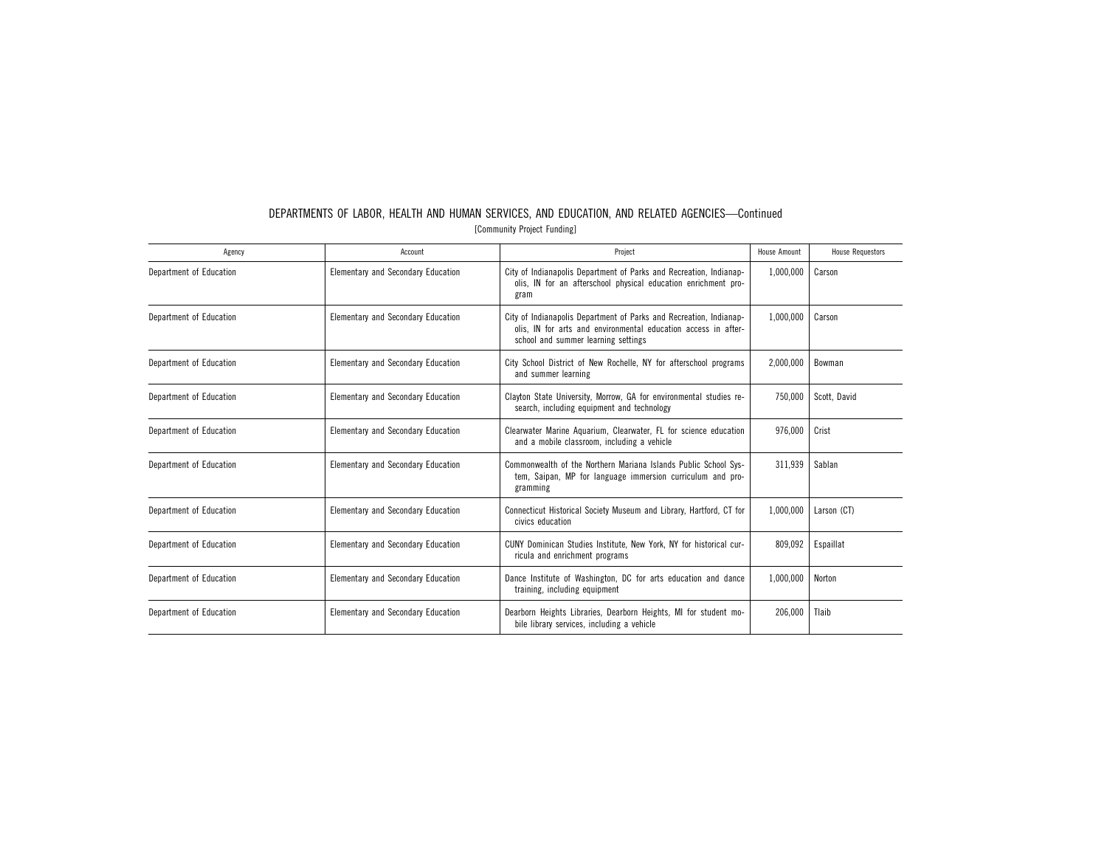| Agency                  | Account                                   | Project                                                                                                                                                                     | <b>House Amount</b> | <b>House Requestors</b> |
|-------------------------|-------------------------------------------|-----------------------------------------------------------------------------------------------------------------------------------------------------------------------------|---------------------|-------------------------|
| Department of Education | <b>Elementary and Secondary Education</b> | City of Indianapolis Department of Parks and Recreation, Indianap-<br>olis, IN for an afterschool physical education enrichment pro-<br>gram                                | 1,000,000           | Carson                  |
| Department of Education | Elementary and Secondary Education        | City of Indianapolis Department of Parks and Recreation, Indianap-<br>olis, IN for arts and environmental education access in after-<br>school and summer learning settings | 1,000,000           | Carson                  |
| Department of Education | <b>Elementary and Secondary Education</b> | City School District of New Rochelle, NY for afterschool programs<br>and summer learning                                                                                    | 2,000,000           | Bowman                  |
| Department of Education | <b>Elementary and Secondary Education</b> | Clayton State University, Morrow, GA for environmental studies re-<br>search, including equipment and technology                                                            | 750,000             | Scott, David            |
| Department of Education | <b>Elementary and Secondary Education</b> | Clearwater Marine Aquarium, Clearwater, FL for science education<br>and a mobile classroom, including a vehicle                                                             | 976,000             | Crist                   |
| Department of Education | Elementary and Secondary Education        | Commonwealth of the Northern Mariana Islands Public School Sys-<br>tem, Saipan, MP for language immersion curriculum and pro-<br>gramming                                   | 311,939             | Sablan                  |
| Department of Education | Elementary and Secondary Education        | Connecticut Historical Society Museum and Library, Hartford, CT for<br>civics education                                                                                     | 1,000,000           | Larson (CT)             |
| Department of Education | <b>Elementary and Secondary Education</b> | CUNY Dominican Studies Institute, New York, NY for historical cur-<br>ricula and enrichment programs                                                                        | 809,092             | Espaillat               |
| Department of Education | Elementary and Secondary Education        | Dance Institute of Washington, DC for arts education and dance<br>training, including equipment                                                                             | 1,000,000           | Norton                  |
| Department of Education | Elementary and Secondary Education        | Dearborn Heights Libraries, Dearborn Heights, MI for student mo-<br>bile library services, including a vehicle                                                              | 206,000             | Tlaib                   |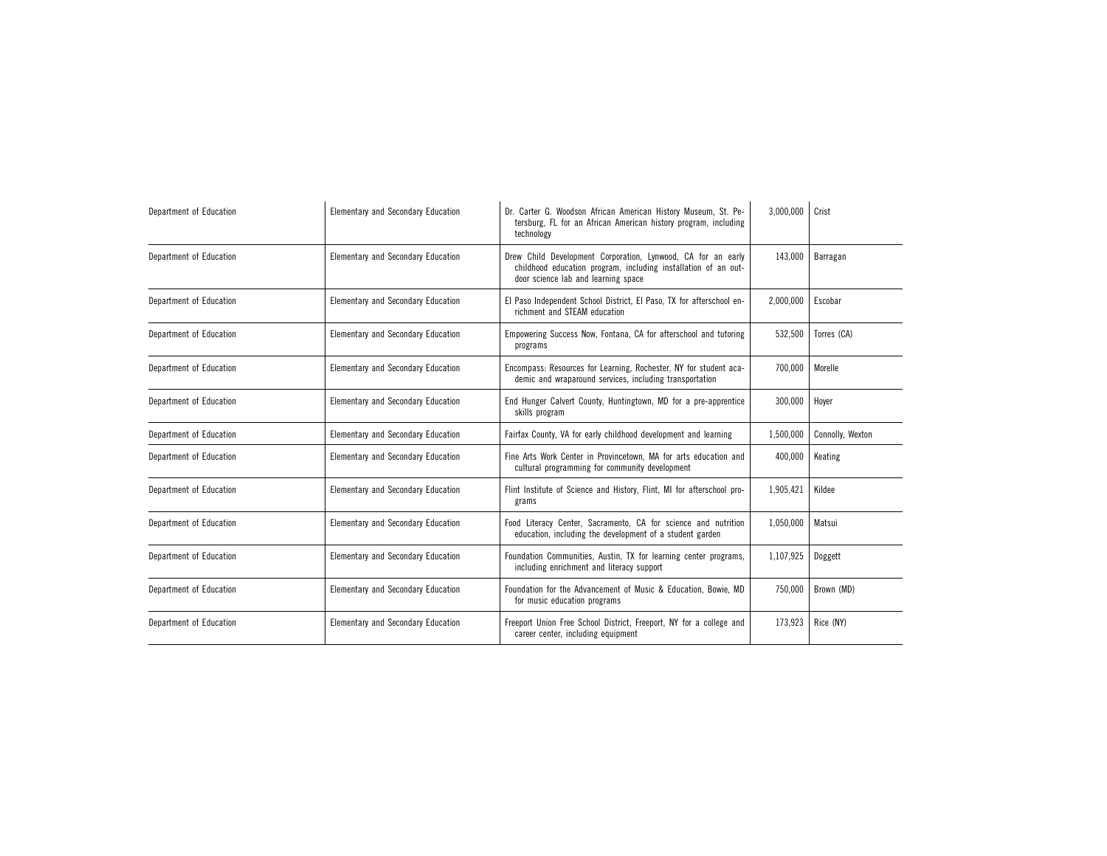| Department of Education | <b>Elementary and Secondary Education</b> | Dr. Carter G. Woodson African American History Museum, St. Pe-<br>tersburg, FL for an African American history program, including<br>technology                       | 3,000,000 | Crist            |
|-------------------------|-------------------------------------------|-----------------------------------------------------------------------------------------------------------------------------------------------------------------------|-----------|------------------|
| Department of Education | <b>Elementary and Secondary Education</b> | Drew Child Development Corporation, Lynwood, CA for an early<br>childhood education program, including installation of an out-<br>door science lab and learning space | 143,000   | Barragan         |
| Department of Education | Elementary and Secondary Education        | El Paso Independent School District, El Paso, TX for afterschool en-<br>richment and STEAM education                                                                  | 2,000,000 | Escobar          |
| Department of Education | <b>Elementary and Secondary Education</b> | Empowering Success Now, Fontana, CA for afterschool and tutoring<br>programs                                                                                          | 532,500   | Torres (CA)      |
| Department of Education | <b>Elementary and Secondary Education</b> | Encompass: Resources for Learning, Rochester, NY for student aca-<br>demic and wraparound services, including transportation                                          | 700,000   | Morelle          |
| Department of Education | <b>Elementary and Secondary Education</b> | End Hunger Calvert County, Huntingtown, MD for a pre-apprentice<br>skills program                                                                                     | 300,000   | Hoyer            |
| Department of Education | Elementary and Secondary Education        | Fairfax County, VA for early childhood development and learning                                                                                                       | 1,500,000 | Connolly, Wexton |
| Department of Education | Elementary and Secondary Education        | Fine Arts Work Center in Provincetown, MA for arts education and<br>cultural programming for community development                                                    | 400,000   | Keating          |
| Department of Education | <b>Elementary and Secondary Education</b> | Flint Institute of Science and History, Flint, MI for afterschool pro-<br>grams                                                                                       | 1,905,421 | Kildee           |
| Department of Education | Elementary and Secondary Education        | Food Literacy Center, Sacramento, CA for science and nutrition<br>education, including the development of a student garden                                            | 1,050,000 | Matsui           |
| Department of Education | <b>Elementary and Secondary Education</b> | Foundation Communities, Austin, TX for learning center programs,<br>including enrichment and literacy support                                                         | 1,107,925 | Doggett          |
| Department of Education | <b>Elementary and Secondary Education</b> | Foundation for the Advancement of Music & Education, Bowie, MD<br>for music education programs                                                                        | 750,000   | Brown (MD)       |
| Department of Education | Elementary and Secondary Education        | Freeport Union Free School District, Freeport, NY for a college and<br>career center, including equipment                                                             | 173,923   | Rice (NY)        |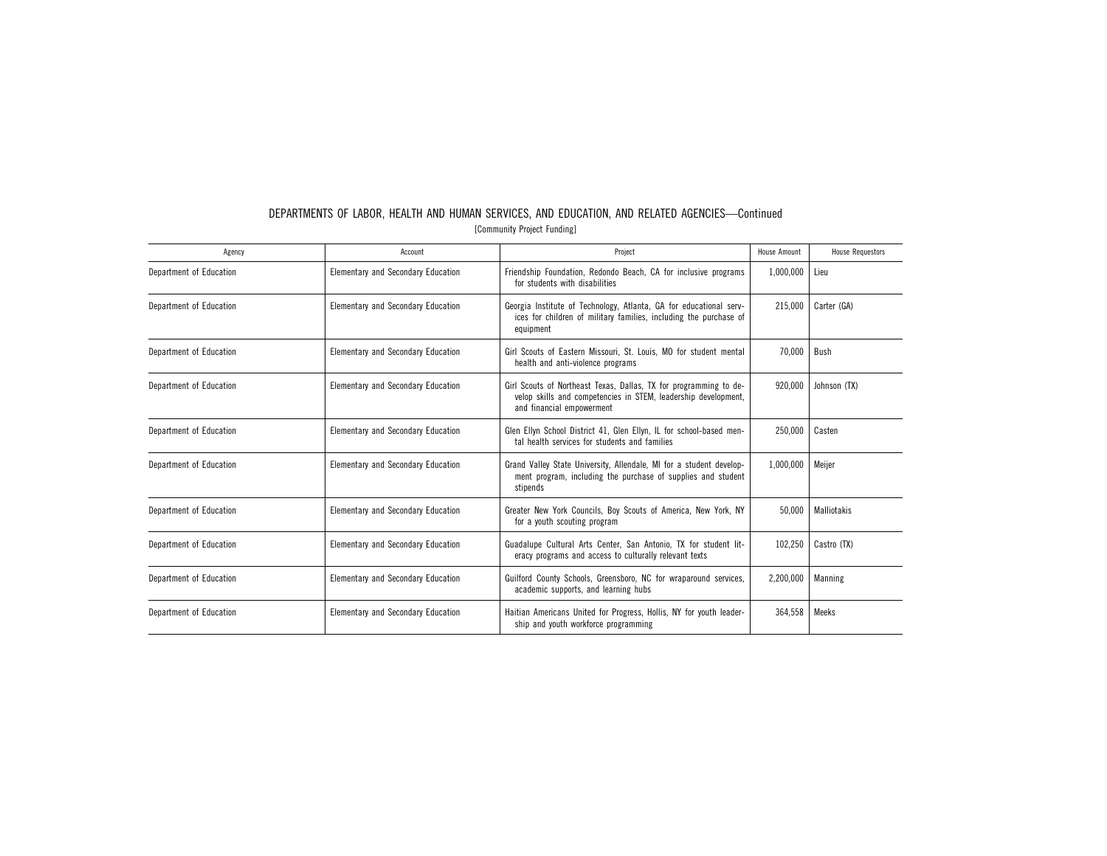| Agency                  | Account                            | Project                                                                                                                                                          | <b>House Amount</b> | <b>House Requestors</b> |
|-------------------------|------------------------------------|------------------------------------------------------------------------------------------------------------------------------------------------------------------|---------------------|-------------------------|
| Department of Education | Elementary and Secondary Education | Friendship Foundation, Redondo Beach, CA for inclusive programs<br>for students with disabilities                                                                | 1,000,000           | Lieu                    |
| Department of Education | Elementary and Secondary Education | Georgia Institute of Technology, Atlanta, GA for educational serv-<br>ices for children of military families, including the purchase of<br>equipment             | 215,000             | Carter (GA)             |
| Department of Education | Elementary and Secondary Education | Girl Scouts of Eastern Missouri, St. Louis, MO for student mental<br>health and anti-violence programs                                                           | 70,000              | Bush                    |
| Department of Education | Elementary and Secondary Education | Girl Scouts of Northeast Texas, Dallas, TX for programming to de-<br>velop skills and competencies in STEM, leadership development,<br>and financial empowerment | 920,000             | Johnson (TX)            |
| Department of Education | Elementary and Secondary Education | Glen Ellyn School District 41, Glen Ellyn, IL for school-based men-<br>tal health services for students and families                                             | 250.000             | Casten                  |
| Department of Education | Elementary and Secondary Education | Grand Valley State University, Allendale, MI for a student develop-<br>ment program, including the purchase of supplies and student<br>stipends                  | 1,000,000           | Meijer                  |
| Department of Education | Elementary and Secondary Education | Greater New York Councils, Boy Scouts of America, New York, NY<br>for a youth scouting program                                                                   | 50.000              | Malliotakis             |
| Department of Education | Elementary and Secondary Education | Guadalupe Cultural Arts Center, San Antonio, TX for student lit-<br>eracy programs and access to culturally relevant texts                                       | 102,250             | Castro (TX)             |
| Department of Education | Elementary and Secondary Education | Guilford County Schools, Greensboro, NC for wraparound services,<br>academic supports, and learning hubs                                                         | 2,200,000           | Manning                 |
| Department of Education | Elementary and Secondary Education | Haitian Americans United for Progress, Hollis, NY for youth leader-<br>ship and youth workforce programming                                                      | 364.558             | Meeks                   |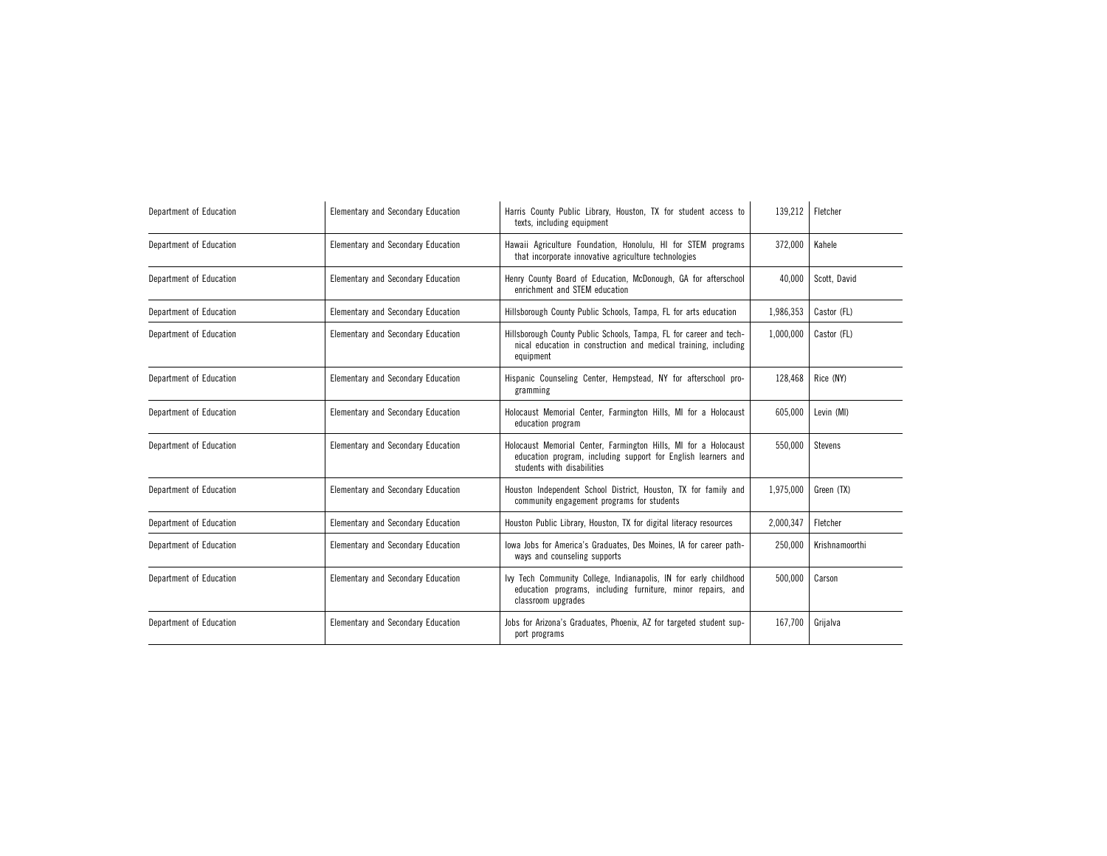| Department of Education | <b>Elementary and Secondary Education</b> | Harris County Public Library, Houston, TX for student access to<br>texts, including equipment                                                                  | 139,212   | Fletcher       |
|-------------------------|-------------------------------------------|----------------------------------------------------------------------------------------------------------------------------------------------------------------|-----------|----------------|
| Department of Education | Elementary and Secondary Education        | Hawaii Agriculture Foundation, Honolulu, HI for STEM programs<br>that incorporate innovative agriculture technologies                                          | 372,000   | Kahele         |
| Department of Education | Elementary and Secondary Education        | Henry County Board of Education, McDonough, GA for afterschool<br>enrichment and STEM education                                                                | 40.000    | Scott. David   |
| Department of Education | <b>Elementary and Secondary Education</b> | Hillsborough County Public Schools, Tampa, FL for arts education                                                                                               | 1,986,353 | Castor (FL)    |
| Department of Education | <b>Elementary and Secondary Education</b> | Hillsborough County Public Schools, Tampa, FL for career and tech-<br>nical education in construction and medical training, including<br>equipment             | 1,000,000 | Castor (FL)    |
| Department of Education | <b>Elementary and Secondary Education</b> | Hispanic Counseling Center, Hempstead, NY for afterschool pro-<br>gramming                                                                                     | 128,468   | Rice (NY)      |
| Department of Education | <b>Elementary and Secondary Education</b> | Holocaust Memorial Center, Farmington Hills, MI for a Holocaust<br>education program                                                                           | 605,000   | Levin (MI)     |
| Department of Education | Elementary and Secondary Education        | Holocaust Memorial Center, Farmington Hills, MI for a Holocaust<br>education program, including support for English learners and<br>students with disabilities | 550,000   | <b>Stevens</b> |
| Department of Education | <b>Elementary and Secondary Education</b> | Houston Independent School District, Houston, TX for family and<br>community engagement programs for students                                                  | 1,975,000 | Green (TX)     |
| Department of Education | <b>Elementary and Secondary Education</b> | Houston Public Library, Houston, TX for digital literacy resources                                                                                             | 2,000,347 | Fletcher       |
| Department of Education | <b>Elementary and Secondary Education</b> | lowa Jobs for America's Graduates, Des Moines, IA for career path-<br>ways and counseling supports                                                             | 250,000   | Krishnamoorthi |
| Department of Education | <b>Elementary and Secondary Education</b> | Ivy Tech Community College, Indianapolis, IN for early childhood<br>education programs, including furniture, minor repairs, and<br>classroom upgrades          | 500,000   | Carson         |
| Department of Education | Elementary and Secondary Education        | Jobs for Arizona's Graduates, Phoenix, AZ for targeted student sup-<br>port programs                                                                           | 167,700   | Grijalva       |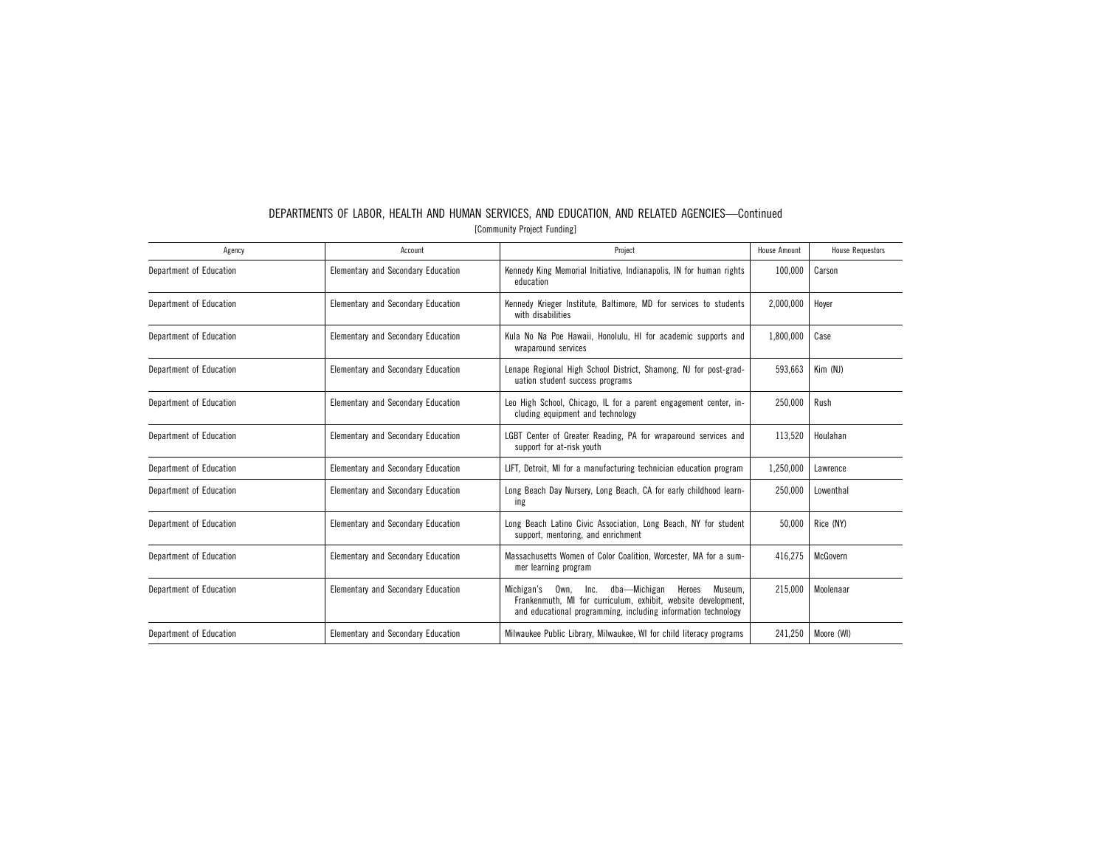| Agency                  | Account                                   | Project                                                                                                                                                                                     | <b>House Amount</b> | <b>House Requestors</b> |
|-------------------------|-------------------------------------------|---------------------------------------------------------------------------------------------------------------------------------------------------------------------------------------------|---------------------|-------------------------|
| Department of Education | Elementary and Secondary Education        | Kennedy King Memorial Initiative, Indianapolis, IN for human rights<br>education                                                                                                            | 100,000             | Carson                  |
| Department of Education | <b>Elementary and Secondary Education</b> | Kennedy Krieger Institute, Baltimore, MD for services to students<br>with disabilities                                                                                                      | 2,000,000           | Hover                   |
| Department of Education | <b>Elementary and Secondary Education</b> | Kula No Na Poe Hawaii, Honolulu, HI for academic supports and<br>wraparound services                                                                                                        | 1,800,000           | Case                    |
| Department of Education | Elementary and Secondary Education        | Lenape Regional High School District, Shamong, NJ for post-grad-<br>uation student success programs                                                                                         | 593,663             | Kim (NJ)                |
| Department of Education | Elementary and Secondary Education        | Leo High School, Chicago, IL for a parent engagement center, in-<br>cluding equipment and technology                                                                                        | 250,000             | Rush                    |
| Department of Education | Elementary and Secondary Education        | LGBT Center of Greater Reading, PA for wraparound services and<br>support for at-risk youth                                                                                                 | 113,520             | Houlahan                |
| Department of Education | <b>Elementary and Secondary Education</b> | LIFT, Detroit, MI for a manufacturing technician education program                                                                                                                          | 1,250,000           | Lawrence                |
| Department of Education | <b>Elementary and Secondary Education</b> | Long Beach Day Nursery, Long Beach, CA for early childhood learn-<br>ing                                                                                                                    | 250,000             | Lowenthal               |
| Department of Education | <b>Elementary and Secondary Education</b> | Long Beach Latino Civic Association, Long Beach, NY for student<br>support, mentoring, and enrichment                                                                                       | 50,000              | Rice (NY)               |
| Department of Education | Elementary and Secondary Education        | Massachusetts Women of Color Coalition, Worcester, MA for a sum-<br>mer learning program                                                                                                    | 416.275             | McGovern                |
| Department of Education | <b>Elementary and Secondary Education</b> | dba-Michigan<br>Michigan's Own, Inc.<br>Museum.<br>Heroes<br>Frankenmuth, MI for curriculum, exhibit, website development,<br>and educational programming, including information technology | 215.000             | Moolenaar               |
| Department of Education | Elementary and Secondary Education        | Milwaukee Public Library, Milwaukee, WI for child literacy programs                                                                                                                         | 241,250             | Moore (WI)              |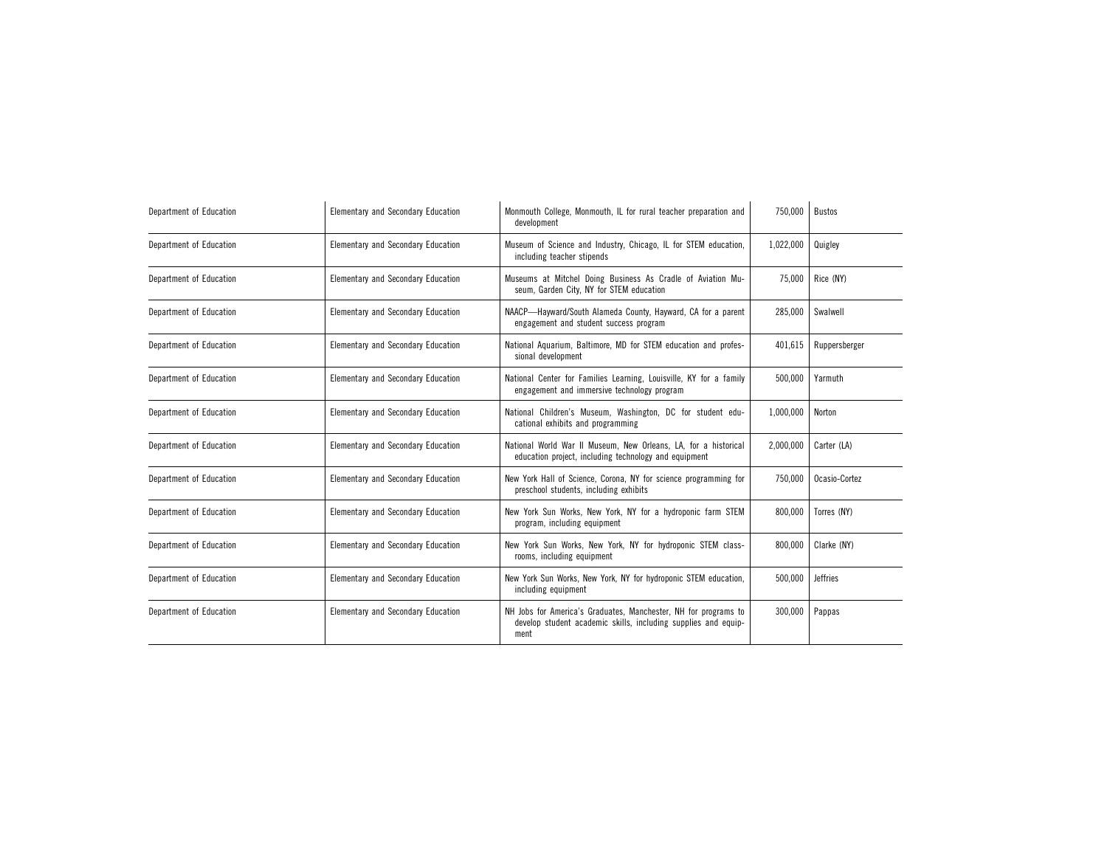| Department of Education | Elementary and Secondary Education | Monmouth College, Monmouth, IL for rural teacher preparation and<br>development                                                           | 750,000   | <b>Bustos</b>   |
|-------------------------|------------------------------------|-------------------------------------------------------------------------------------------------------------------------------------------|-----------|-----------------|
| Department of Education | Elementary and Secondary Education | Museum of Science and Industry, Chicago, IL for STEM education,<br>including teacher stipends                                             | 1,022,000 | Quigley         |
| Department of Education | Elementary and Secondary Education | Museums at Mitchel Doing Business As Cradle of Aviation Mu-<br>seum, Garden City, NY for STEM education                                   | 75,000    | Rice (NY)       |
| Department of Education | Elementary and Secondary Education | NAACP-Hayward/South Alameda County, Hayward, CA for a parent<br>engagement and student success program                                    | 285.000   | Swalwell        |
| Department of Education | Elementary and Secondary Education | National Aquarium, Baltimore, MD for STEM education and profes-<br>sional development                                                     | 401,615   | Ruppersberger   |
| Department of Education | Elementary and Secondary Education | National Center for Families Learning, Louisville, KY for a family<br>engagement and immersive technology program                         | 500.000   | Yarmuth         |
| Department of Education | Elementary and Secondary Education | National Children's Museum, Washington, DC for student edu-<br>cational exhibits and programming                                          | 1,000,000 | Norton          |
| Department of Education | Elementary and Secondary Education | National World War II Museum, New Orleans, LA, for a historical<br>education project, including technology and equipment                  | 2,000,000 | Carter (LA)     |
| Department of Education | Elementary and Secondary Education | New York Hall of Science, Corona, NY for science programming for<br>preschool students, including exhibits                                | 750,000   | Ocasio-Cortez   |
| Department of Education | Elementary and Secondary Education | New York Sun Works, New York, NY for a hydroponic farm STEM<br>program, including equipment                                               | 800.000   | Torres (NY)     |
| Department of Education | Elementary and Secondary Education | New York Sun Works, New York, NY for hydroponic STEM class-<br>rooms, including equipment                                                 | 800,000   | Clarke (NY)     |
| Department of Education | Elementary and Secondary Education | New York Sun Works, New York, NY for hydroponic STEM education,<br>including equipment                                                    | 500.000   | <b>Jeffries</b> |
| Department of Education | Elementary and Secondary Education | NH Jobs for America's Graduates, Manchester, NH for programs to<br>develop student academic skills, including supplies and equip-<br>ment | 300,000   | Pappas          |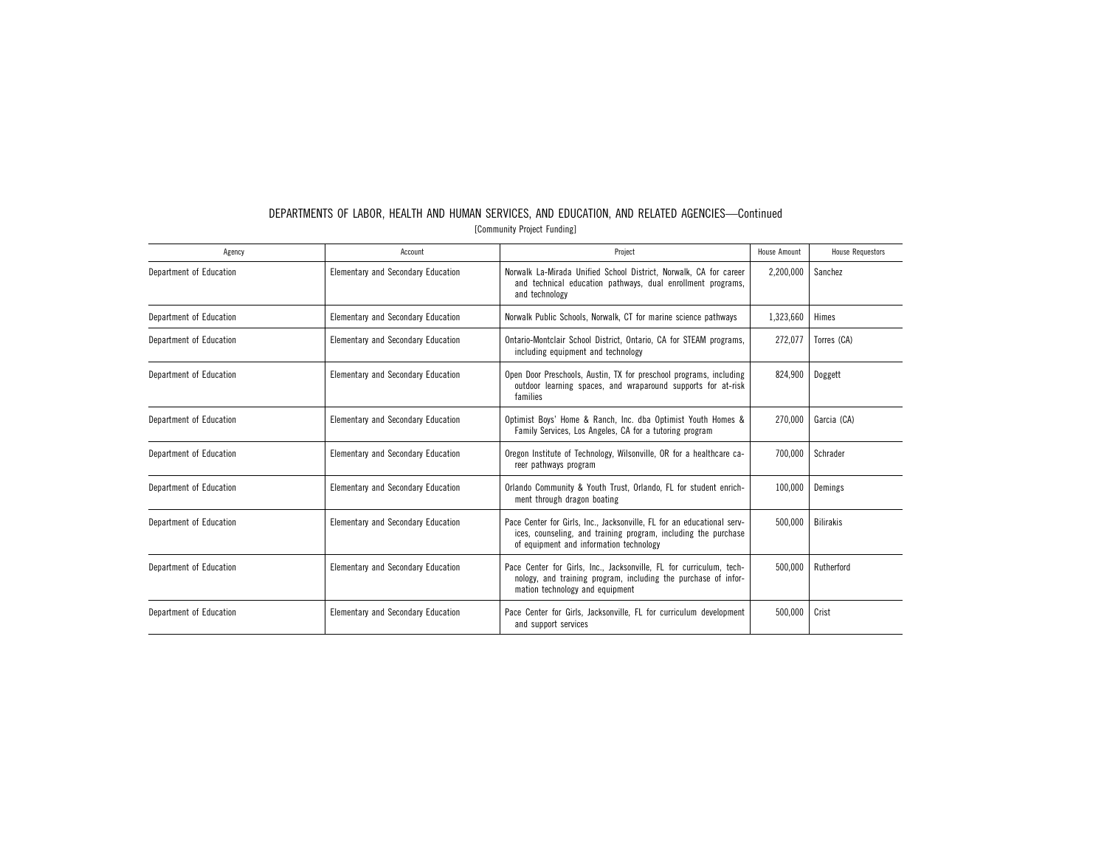| Agency                  | Account                            | Project                                                                                                                                                                             | House Amount | <b>House Requestors</b> |
|-------------------------|------------------------------------|-------------------------------------------------------------------------------------------------------------------------------------------------------------------------------------|--------------|-------------------------|
| Department of Education | Elementary and Secondary Education | Norwalk La-Mirada Unified School District, Norwalk, CA for career<br>and technical education pathways, dual enrollment programs,<br>and technology                                  | 2,200,000    | Sanchez                 |
| Department of Education | Elementary and Secondary Education | Norwalk Public Schools, Norwalk, CT for marine science pathways                                                                                                                     | 1,323,660    | Himes                   |
| Department of Education | Elementary and Secondary Education | Ontario-Montclair School District, Ontario, CA for STEAM programs,<br>including equipment and technology                                                                            | 272,077      | Torres (CA)             |
| Department of Education | Elementary and Secondary Education | Open Door Preschools, Austin, TX for preschool programs, including<br>outdoor learning spaces, and wraparound supports for at-risk<br>families                                      | 824,900      | Doggett                 |
| Department of Education | Elementary and Secondary Education | Optimist Boys' Home & Ranch, Inc. dba Optimist Youth Homes &<br>Family Services, Los Angeles, CA for a tutoring program                                                             | 270,000      | Garcia (CA)             |
| Department of Education | Elementary and Secondary Education | Oregon Institute of Technology, Wilsonville, OR for a healthcare ca-<br>reer pathways program                                                                                       | 700.000      | Schrader                |
| Department of Education | Elementary and Secondary Education | Orlando Community & Youth Trust, Orlando, FL for student enrich-<br>ment through dragon boating                                                                                     | 100,000      | Demings                 |
| Department of Education | Elementary and Secondary Education | Pace Center for Girls, Inc., Jacksonville, FL for an educational serv-<br>ices, counseling, and training program, including the purchase<br>of equipment and information technology | 500,000      | <b>Bilirakis</b>        |
| Department of Education | Elementary and Secondary Education | Pace Center for Girls, Inc., Jacksonville, FL for curriculum, tech-<br>nology, and training program, including the purchase of infor-<br>mation technology and equipment            | 500,000      | Rutherford              |
| Department of Education | Elementary and Secondary Education | Pace Center for Girls, Jacksonville, FL for curriculum development<br>and support services                                                                                          | 500,000      | Crist                   |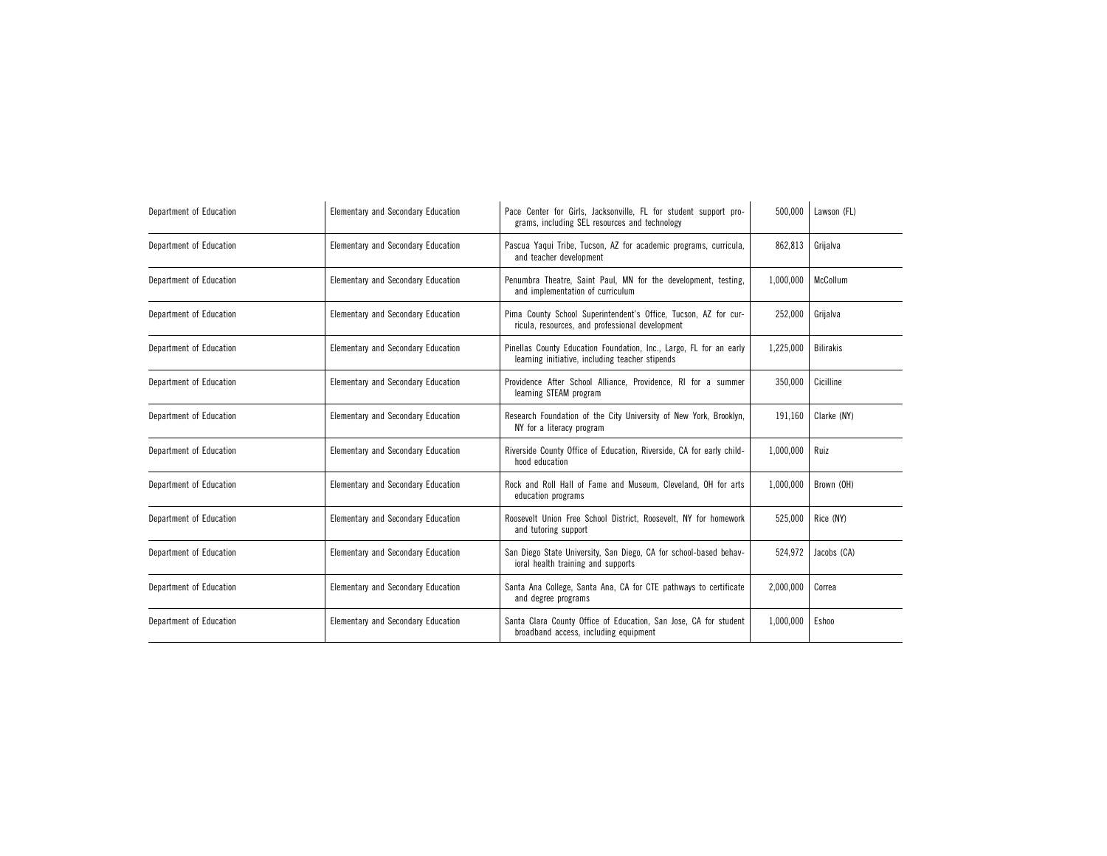| Department of Education | Elementary and Secondary Education | Pace Center for Girls, Jacksonville, FL for student support pro-<br>grams, including SEL resources and technology     | 500,000   | Lawson (FL)      |
|-------------------------|------------------------------------|-----------------------------------------------------------------------------------------------------------------------|-----------|------------------|
| Department of Education | Elementary and Secondary Education | Pascua Yaqui Tribe, Tucson, AZ for academic programs, curricula,<br>and teacher development                           | 862,813   | Grijalva         |
| Department of Education | Elementary and Secondary Education | Penumbra Theatre, Saint Paul, MN for the development, testing,<br>and implementation of curriculum                    | 1,000,000 | McCollum         |
| Department of Education | Elementary and Secondary Education | Pima County School Superintendent's Office, Tucson, AZ for cur-<br>ricula, resources, and professional development    | 252,000   | Grijalva         |
| Department of Education | Elementary and Secondary Education | Pinellas County Education Foundation, Inc., Largo, FL for an early<br>learning initiative, including teacher stipends | 1,225,000 | <b>Bilirakis</b> |
| Department of Education | Elementary and Secondary Education | Providence After School Alliance, Providence, RI for a summer<br>learning STEAM program                               | 350.000   | Cicilline        |
| Department of Education | Elementary and Secondary Education | Research Foundation of the City University of New York, Brooklyn,<br>NY for a literacy program                        | 191.160   | Clarke (NY)      |
| Department of Education | Elementary and Secondary Education | Riverside County Office of Education, Riverside, CA for early child-<br>hood education                                | 1,000,000 | Ruiz             |
| Department of Education | Elementary and Secondary Education | Rock and Roll Hall of Fame and Museum, Cleveland, OH for arts<br>education programs                                   | 1,000,000 | Brown (OH)       |
| Department of Education | Elementary and Secondary Education | Roosevelt Union Free School District, Roosevelt, NY for homework<br>and tutoring support                              | 525,000   | Rice (NY)        |
| Department of Education | Elementary and Secondary Education | San Diego State University, San Diego, CA for school-based behav-<br>ioral health training and supports               | 524.972   | Jacobs (CA)      |
| Department of Education | Elementary and Secondary Education | Santa Ana College, Santa Ana, CA for CTE pathways to certificate<br>and degree programs                               | 2.000.000 | Correa           |
| Department of Education | Elementary and Secondary Education | Santa Clara County Office of Education, San Jose, CA for student<br>broadband access, including equipment             | 1,000,000 | Eshoo            |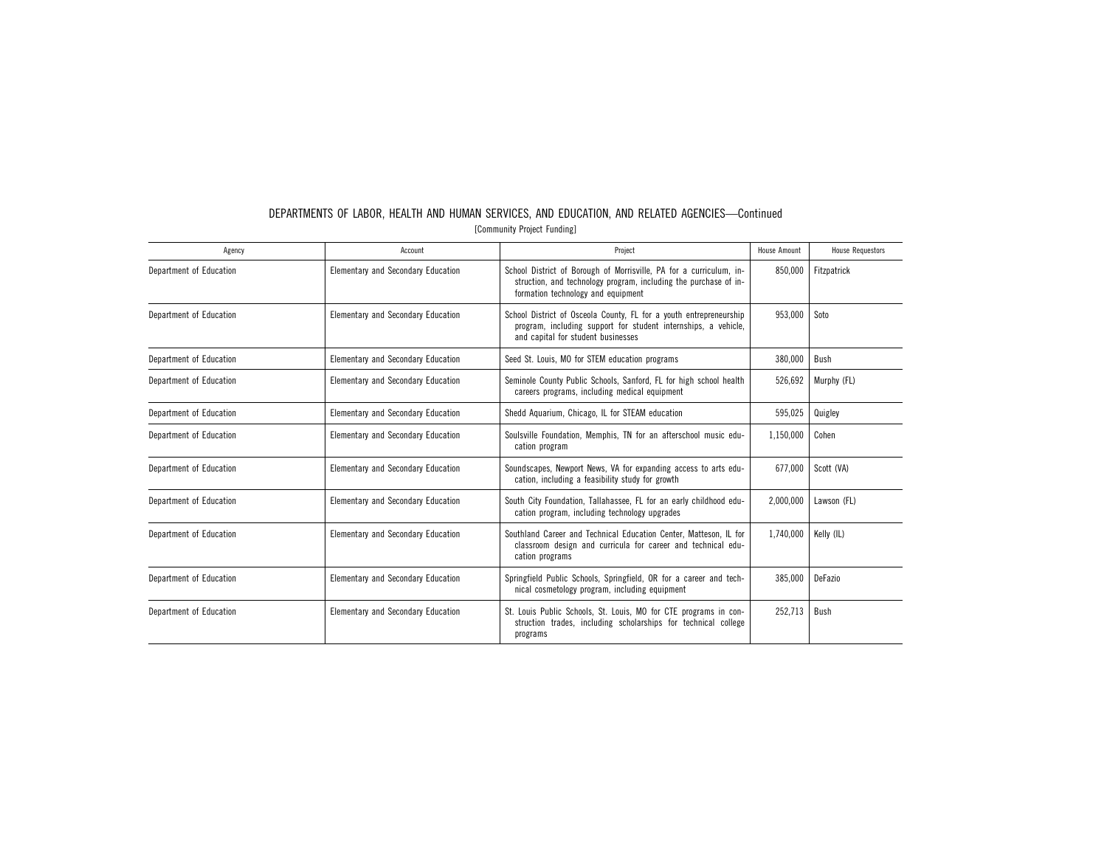| Agency                  | Account                                   | Project                                                                                                                                                                       | <b>House Amount</b> | <b>House Requestors</b> |
|-------------------------|-------------------------------------------|-------------------------------------------------------------------------------------------------------------------------------------------------------------------------------|---------------------|-------------------------|
| Department of Education | Elementary and Secondary Education        | School District of Borough of Morrisville, PA for a curriculum, in-<br>struction, and technology program, including the purchase of in-<br>formation technology and equipment | 850,000             | Fitzpatrick             |
| Department of Education | Elementary and Secondary Education        | School District of Osceola County, FL for a youth entrepreneurship<br>program, including support for student internships, a vehicle,<br>and capital for student businesses    | 953,000             | Soto                    |
| Department of Education | Elementary and Secondary Education        | Seed St. Louis, MO for STEM education programs                                                                                                                                | 380,000             | Bush                    |
| Department of Education | Elementary and Secondary Education        | Seminole County Public Schools, Sanford, FL for high school health<br>careers programs, including medical equipment                                                           | 526,692             | Murphy (FL)             |
| Department of Education | Elementary and Secondary Education        | Shedd Aquarium, Chicago, IL for STEAM education                                                                                                                               | 595,025             | Quigley                 |
| Department of Education | <b>Elementary and Secondary Education</b> | Soulsville Foundation, Memphis, TN for an afterschool music edu-<br>cation program                                                                                            | 1,150,000           | Cohen                   |
| Department of Education | <b>Elementary and Secondary Education</b> | Soundscapes, Newport News, VA for expanding access to arts edu-<br>cation, including a feasibility study for growth                                                           | 677,000             | Scott (VA)              |
| Department of Education | <b>Elementary and Secondary Education</b> | South City Foundation, Tallahassee, FL for an early childhood edu-<br>cation program, including technology upgrades                                                           | 2,000,000           | Lawson (FL)             |
| Department of Education | Elementary and Secondary Education        | Southland Career and Technical Education Center, Matteson, IL for<br>classroom design and curricula for career and technical edu-<br>cation programs                          | 1.740.000           | Kelly (IL)              |
| Department of Education | Elementary and Secondary Education        | Springfield Public Schools, Springfield, OR for a career and tech-<br>nical cosmetology program, including equipment                                                          | 385.000             | DeFazio                 |
| Department of Education | Elementary and Secondary Education        | St. Louis Public Schools, St. Louis, MO for CTE programs in con-<br>struction trades, including scholarships for technical college<br>programs                                | 252,713             | Bush                    |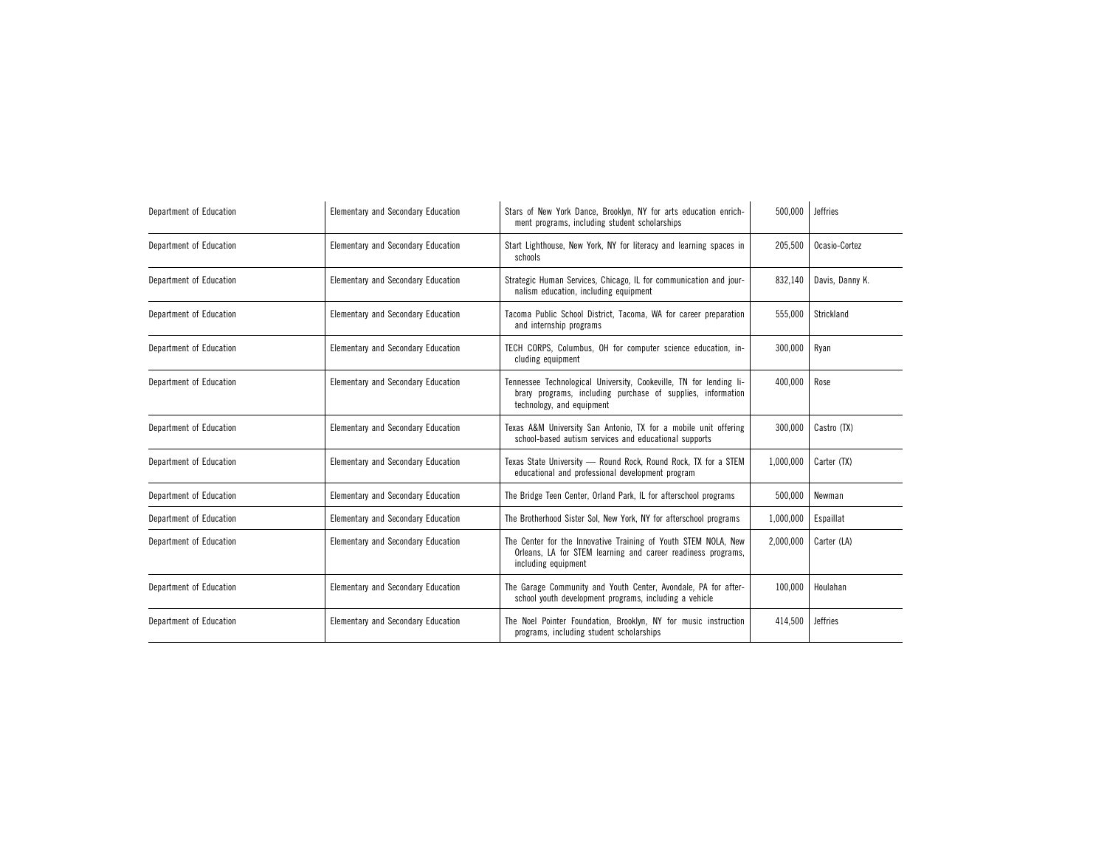| Department of Education | <b>Elementary and Secondary Education</b> | Stars of New York Dance, Brooklyn, NY for arts education enrich-<br>ment programs, including student scholarships                                              | 500,000   | <b>Jeffries</b> |
|-------------------------|-------------------------------------------|----------------------------------------------------------------------------------------------------------------------------------------------------------------|-----------|-----------------|
| Department of Education | <b>Elementary and Secondary Education</b> | Start Lighthouse, New York, NY for literacy and learning spaces in<br>schools                                                                                  | 205,500   | Ocasio-Cortez   |
| Department of Education | Elementary and Secondary Education        | Strategic Human Services, Chicago, IL for communication and jour-<br>nalism education, including equipment                                                     | 832,140   | Davis, Danny K. |
| Department of Education | Elementary and Secondary Education        | Tacoma Public School District, Tacoma, WA for career preparation<br>and internship programs                                                                    | 555,000   | Strickland      |
| Department of Education | Elementary and Secondary Education        | TECH CORPS, Columbus, OH for computer science education, in-<br>cluding equipment                                                                              | 300,000   | Ryan            |
| Department of Education | Elementary and Secondary Education        | Tennessee Technological University, Cookeville, TN for lending li-<br>brary programs, including purchase of supplies, information<br>technology, and equipment | 400,000   | Rose            |
| Department of Education | <b>Elementary and Secondary Education</b> | Texas A&M University San Antonio, TX for a mobile unit offering<br>school-based autism services and educational supports                                       | 300,000   | Castro (TX)     |
| Department of Education | Elementary and Secondary Education        | Texas State University - Round Rock, Round Rock, TX for a STEM<br>educational and professional development program                                             | 1,000,000 | Carter (TX)     |
| Department of Education | <b>Elementary and Secondary Education</b> | The Bridge Teen Center, Orland Park, IL for afterschool programs                                                                                               | 500,000   | Newman          |
| Department of Education | Elementary and Secondary Education        | The Brotherhood Sister Sol, New York, NY for afterschool programs                                                                                              | 1,000,000 | Espaillat       |
| Department of Education | <b>Elementary and Secondary Education</b> | The Center for the Innovative Training of Youth STEM NOLA, New<br>Orleans, LA for STEM learning and career readiness programs,<br>including equipment          | 2,000,000 | Carter (LA)     |
| Department of Education | <b>Elementary and Secondary Education</b> | The Garage Community and Youth Center, Avondale, PA for after-<br>school youth development programs, including a vehicle                                       | 100,000   | Houlahan        |
| Department of Education | Elementary and Secondary Education        | The Noel Pointer Foundation, Brooklyn, NY for music instruction<br>programs, including student scholarships                                                    | 414,500   | <b>Jeffries</b> |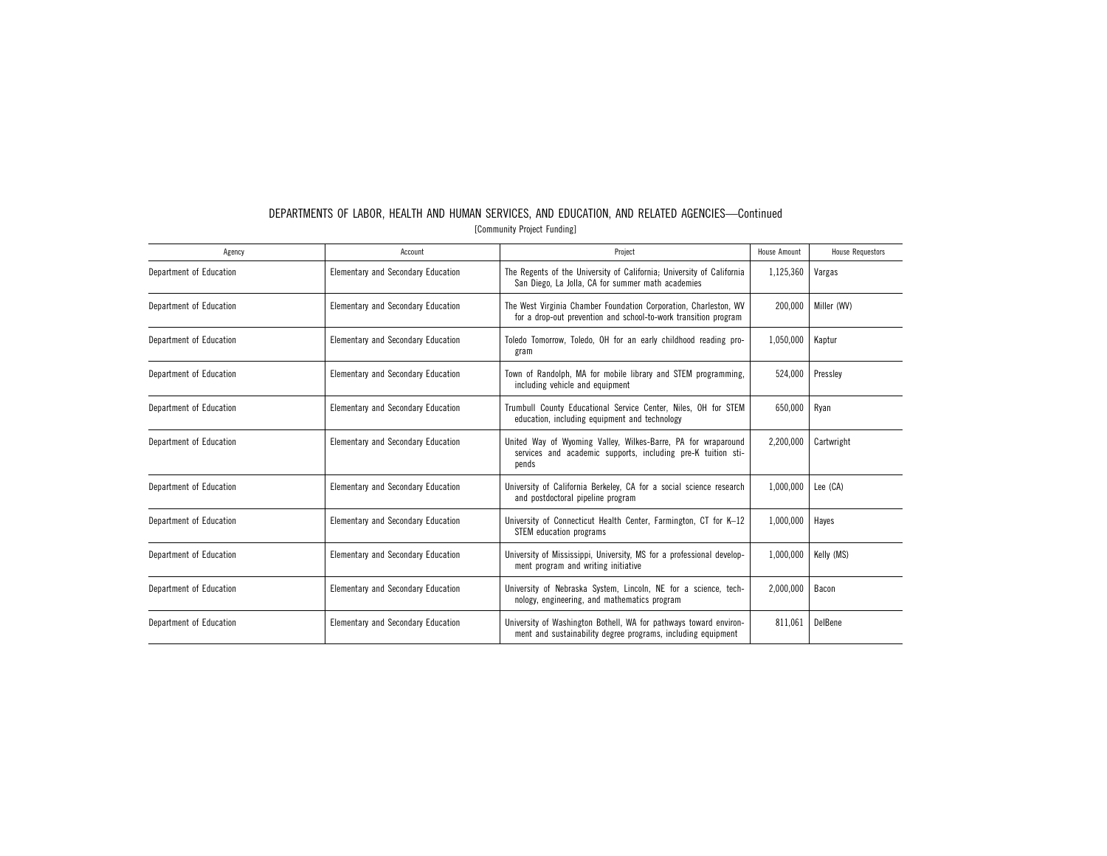|                             | DEPARTMENTS OF LABOR. HEALTH AND HUMAN SERVICES. AND EDUCATION. AND RELATED AGENCIES—Continued |  |  |  |  |  |  |
|-----------------------------|------------------------------------------------------------------------------------------------|--|--|--|--|--|--|
| [Community Project Funding] |                                                                                                |  |  |  |  |  |  |

| Agency                  | Account                                   | Project                                                                                                                                | <b>House Amount</b> | <b>House Requestors</b> |
|-------------------------|-------------------------------------------|----------------------------------------------------------------------------------------------------------------------------------------|---------------------|-------------------------|
| Department of Education | <b>Elementary and Secondary Education</b> | The Regents of the University of California; University of California<br>San Diego, La Jolla, CA for summer math academies             | 1,125,360           | Vargas                  |
| Department of Education | Elementary and Secondary Education        | The West Virginia Chamber Foundation Corporation, Charleston, WV<br>for a drop-out prevention and school-to-work transition program    | 200,000             | Miller (WV)             |
| Department of Education | <b>Elementary and Secondary Education</b> | Toledo Tomorrow, Toledo, OH for an early childhood reading pro-<br>gram                                                                | 1,050,000           | Kaptur                  |
| Department of Education | <b>Elementary and Secondary Education</b> | Town of Randolph, MA for mobile library and STEM programming,<br>including vehicle and equipment                                       | 524,000             | Pressley                |
| Department of Education | Elementary and Secondary Education        | Trumbull County Educational Service Center, Niles, OH for STEM<br>education, including equipment and technology                        | 650,000             | Ryan                    |
| Department of Education | <b>Elementary and Secondary Education</b> | United Way of Wyoming Valley, Wilkes-Barre, PA for wraparound<br>services and academic supports, including pre-K tuition sti-<br>pends | 2,200,000           | Cartwright              |
| Department of Education | Elementary and Secondary Education        | University of California Berkeley, CA for a social science research<br>and postdoctoral pipeline program                               | 1,000,000           | Lee (CA)                |
| Department of Education | Elementary and Secondary Education        | University of Connecticut Health Center, Farmington, CT for K-12<br>STEM education programs                                            | 1,000,000           | Hayes                   |
| Department of Education | <b>Elementary and Secondary Education</b> | University of Mississippi, University, MS for a professional develop-<br>ment program and writing initiative                           | 1,000,000           | Kelly (MS)              |
| Department of Education | <b>Elementary and Secondary Education</b> | University of Nebraska System, Lincoln, NE for a science, tech-<br>nology, engineering, and mathematics program                        | 2,000,000           | Bacon                   |
| Department of Education | Elementary and Secondary Education        | University of Washington Bothell, WA for pathways toward environ-<br>ment and sustainability degree programs, including equipment      | 811.061             | DelBene                 |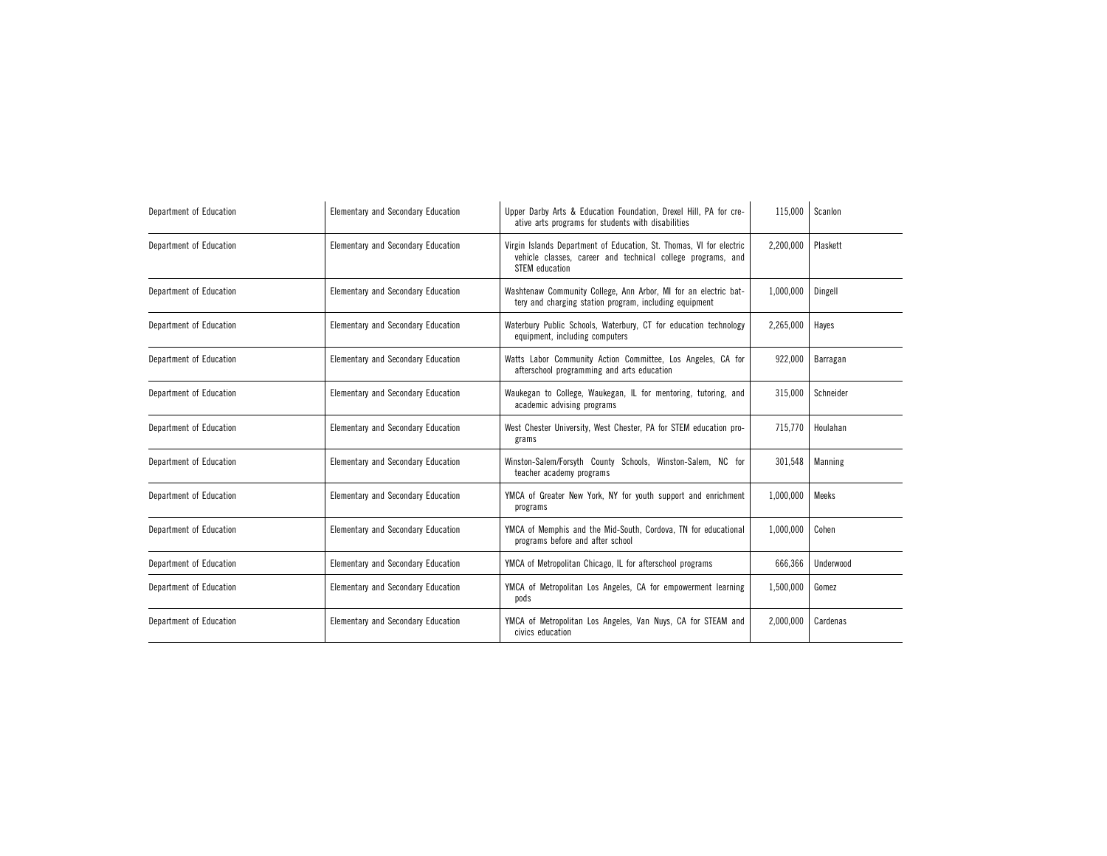| Department of Education | Elementary and Secondary Education | Upper Darby Arts & Education Foundation, Drexel Hill, PA for cre-<br>ative arts programs for students with disabilities                                     | 115,000   | Scanlon   |
|-------------------------|------------------------------------|-------------------------------------------------------------------------------------------------------------------------------------------------------------|-----------|-----------|
| Department of Education | Elementary and Secondary Education | Virgin Islands Department of Education, St. Thomas, VI for electric<br>vehicle classes, career and technical college programs, and<br><b>STEM</b> education | 2,200,000 | Plaskett  |
| Department of Education | Elementary and Secondary Education | Washtenaw Community College, Ann Arbor, MI for an electric bat-<br>tery and charging station program, including equipment                                   | 1,000,000 | Dingell   |
| Department of Education | Elementary and Secondary Education | Waterbury Public Schools, Waterbury, CT for education technology<br>equipment, including computers                                                          | 2,265,000 | Hayes     |
| Department of Education | Elementary and Secondary Education | Watts Labor Community Action Committee, Los Angeles, CA for<br>afterschool programming and arts education                                                   | 922,000   | Barragan  |
| Department of Education | Elementary and Secondary Education | Waukegan to College, Waukegan, IL for mentoring, tutoring, and<br>academic advising programs                                                                | 315,000   | Schneider |
| Department of Education | Elementary and Secondary Education | West Chester University, West Chester, PA for STEM education pro-<br>grams                                                                                  | 715,770   | Houlahan  |
| Department of Education | Elementary and Secondary Education | Winston-Salem/Forsyth County Schools, Winston-Salem, NC for<br>teacher academy programs                                                                     | 301,548   | Manning   |
| Department of Education | Elementary and Secondary Education | YMCA of Greater New York, NY for youth support and enrichment<br>programs                                                                                   | 1,000,000 | Meeks     |
| Department of Education | Elementary and Secondary Education | YMCA of Memphis and the Mid-South, Cordova, TN for educational<br>programs before and after school                                                          | 1,000,000 | Cohen     |
| Department of Education | Elementary and Secondary Education | YMCA of Metropolitan Chicago, IL for afterschool programs                                                                                                   | 666,366   | Underwood |
| Department of Education | Elementary and Secondary Education | YMCA of Metropolitan Los Angeles, CA for empowerment learning<br>pods                                                                                       | 1,500,000 | Gomez     |
| Department of Education | Elementary and Secondary Education | YMCA of Metropolitan Los Angeles, Van Nuys, CA for STEAM and<br>civics education                                                                            | 2,000,000 | Cardenas  |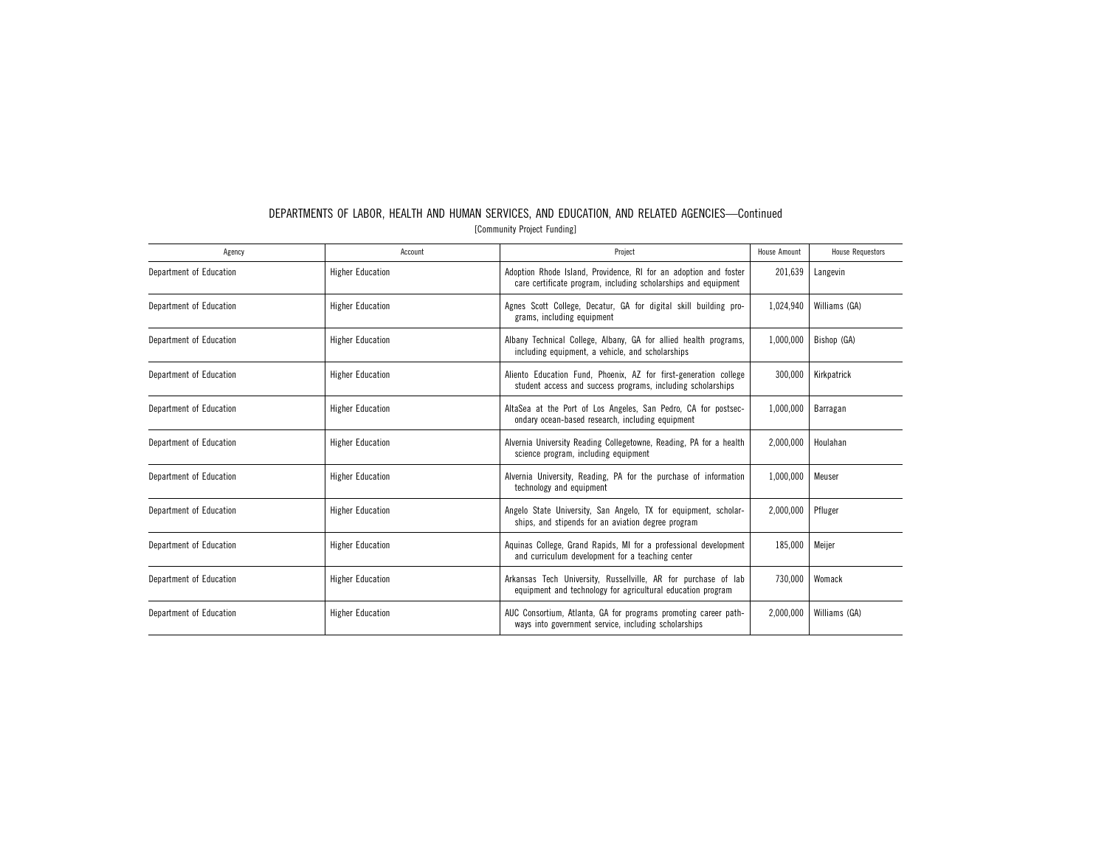| Agency                  | Account                 | Project                                                                                                                            | House Amount | <b>House Requestors</b> |
|-------------------------|-------------------------|------------------------------------------------------------------------------------------------------------------------------------|--------------|-------------------------|
| Department of Education | <b>Higher Education</b> | Adoption Rhode Island, Providence, RI for an adoption and foster<br>care certificate program, including scholarships and equipment | 201,639      | Langevin                |
| Department of Education | <b>Higher Education</b> | Agnes Scott College, Decatur, GA for digital skill building pro-<br>grams, including equipment                                     | 1,024,940    | Williams (GA)           |
| Department of Education | <b>Higher Education</b> | Albany Technical College, Albany, GA for allied health programs,<br>including equipment, a vehicle, and scholarships               | 1,000,000    | Bishop (GA)             |
| Department of Education | <b>Higher Education</b> | Aliento Education Fund, Phoenix, AZ for first-generation college<br>student access and success programs, including scholarships    | 300,000      | Kirkpatrick             |
| Department of Education | <b>Higher Education</b> | AltaSea at the Port of Los Angeles, San Pedro, CA for postsec-<br>ondary ocean-based research, including equipment                 | 1,000,000    | Barragan                |
| Department of Education | <b>Higher Education</b> | Alvernia University Reading Collegetowne, Reading, PA for a health<br>science program, including equipment                         | 2,000,000    | Houlahan                |
| Department of Education | <b>Higher Education</b> | Alvernia University, Reading, PA for the purchase of information<br>technology and equipment                                       | 1.000.000    | Meuser                  |
| Department of Education | <b>Higher Education</b> | Angelo State University, San Angelo, TX for equipment, scholar-<br>ships, and stipends for an aviation degree program              | 2,000,000    | Pfluger                 |
| Department of Education | <b>Higher Education</b> | Aquinas College, Grand Rapids, MI for a professional development<br>and curriculum development for a teaching center               | 185,000      | Meijer                  |
| Department of Education | <b>Higher Education</b> | Arkansas Tech University, Russellville, AR for purchase of lab<br>equipment and technology for agricultural education program      | 730,000      | Womack                  |
| Department of Education | <b>Higher Education</b> | AUC Consortium, Atlanta, GA for programs promoting career path-<br>ways into government service, including scholarships            | 2,000,000    | Williams (GA)           |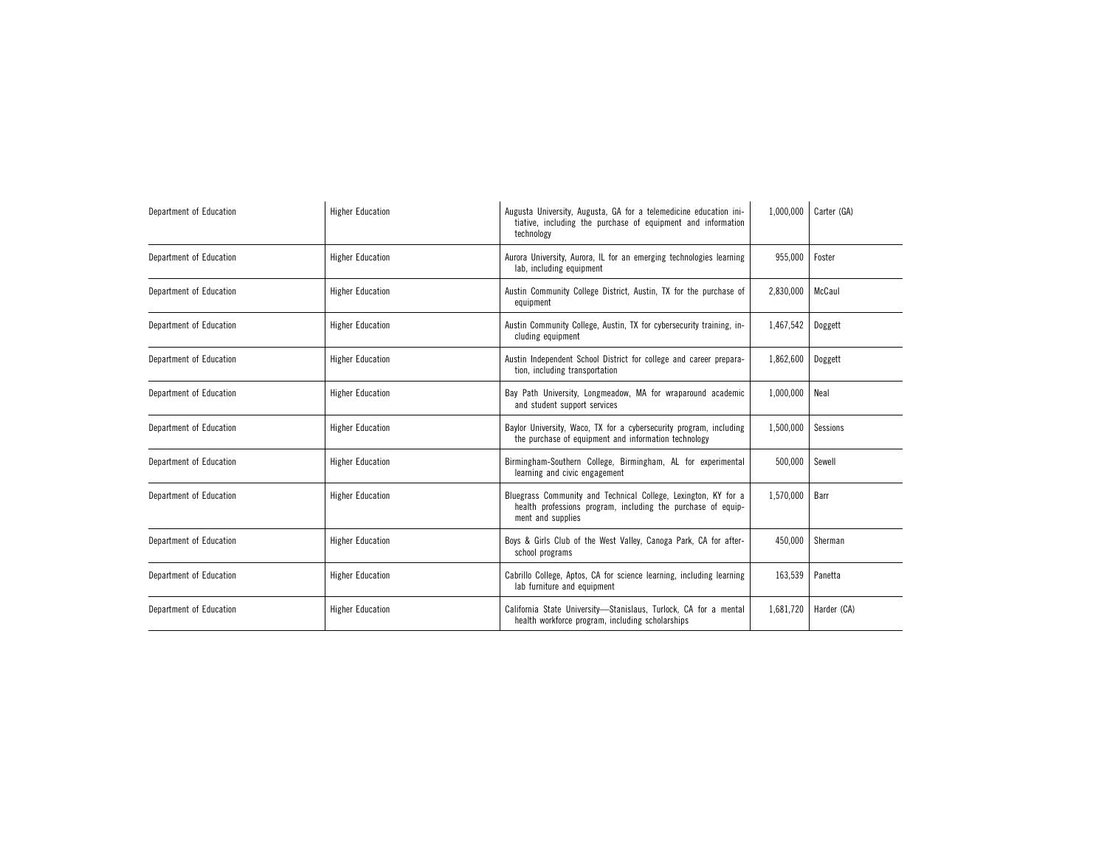| Department of Education | <b>Higher Education</b> | Augusta University, Augusta, GA for a telemedicine education ini-<br>tiative, including the purchase of equipment and information<br>technology     | 1,000,000 | Carter (GA) |
|-------------------------|-------------------------|-----------------------------------------------------------------------------------------------------------------------------------------------------|-----------|-------------|
| Department of Education | <b>Higher Education</b> | Aurora University, Aurora, IL for an emerging technologies learning<br>lab, including equipment                                                     | 955,000   | Foster      |
| Department of Education | <b>Higher Education</b> | Austin Community College District, Austin, TX for the purchase of<br>equipment                                                                      | 2,830,000 | McCaul      |
| Department of Education | <b>Higher Education</b> | Austin Community College, Austin, TX for cybersecurity training, in-<br>cluding equipment                                                           | 1,467,542 | Doggett     |
| Department of Education | <b>Higher Education</b> | Austin Independent School District for college and career prepara-<br>tion, including transportation                                                | 1,862,600 | Doggett     |
| Department of Education | <b>Higher Education</b> | Bay Path University, Longmeadow, MA for wraparound academic<br>and student support services                                                         | 1,000,000 | Neal        |
| Department of Education | <b>Higher Education</b> | Baylor University, Waco, TX for a cybersecurity program, including<br>the purchase of equipment and information technology                          | 1,500,000 | Sessions    |
| Department of Education | <b>Higher Education</b> | Birmingham-Southern College, Birmingham, AL for experimental<br>learning and civic engagement                                                       | 500.000   | Sewell      |
| Department of Education | <b>Higher Education</b> | Bluegrass Community and Technical College, Lexington, KY for a<br>health professions program, including the purchase of equip-<br>ment and supplies | 1,570,000 | Barr        |
| Department of Education | <b>Higher Education</b> | Boys & Girls Club of the West Valley, Canoga Park, CA for after-<br>school programs                                                                 | 450,000   | Sherman     |
| Department of Education | <b>Higher Education</b> | Cabrillo College, Aptos, CA for science learning, including learning<br>lab furniture and equipment                                                 | 163,539   | Panetta     |
| Department of Education | <b>Higher Education</b> | California State University-Stanislaus, Turlock, CA for a mental<br>health workforce program, including scholarships                                | 1,681,720 | Harder (CA) |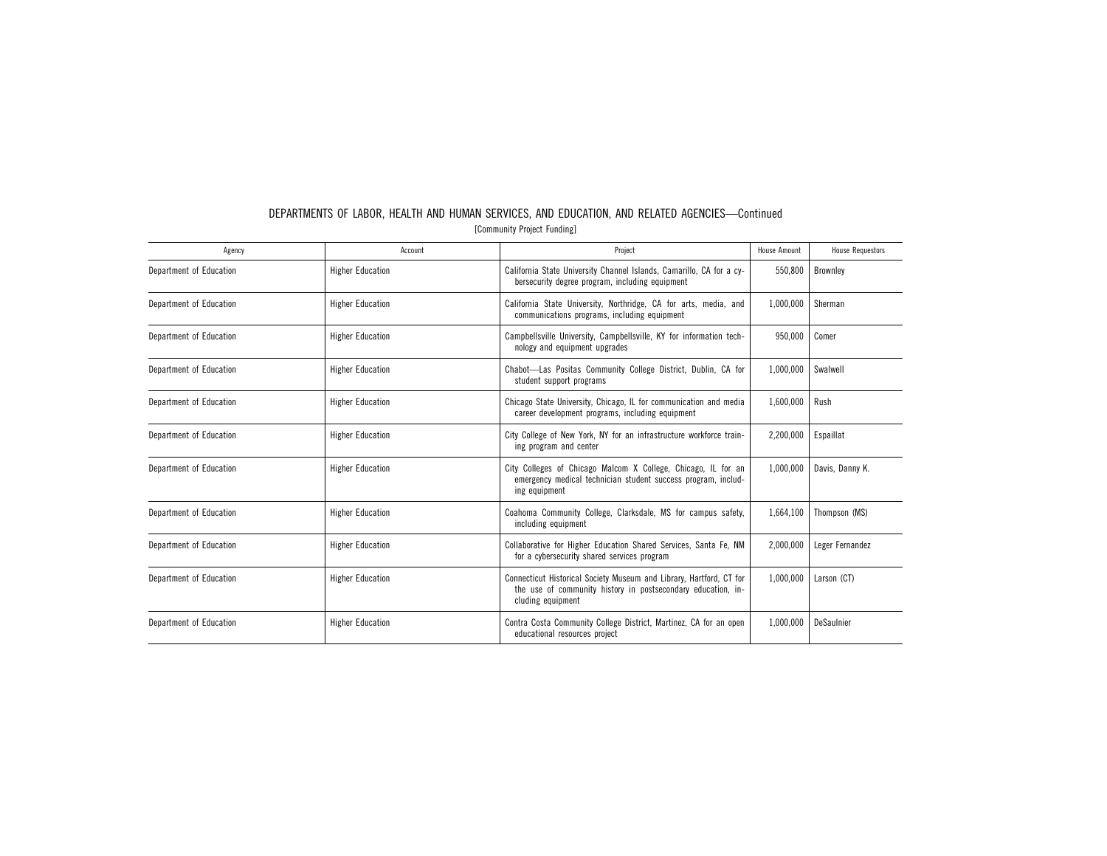| Agency                  | Account                 | Project                                                                                                                                                  | <b>House Amount</b> | <b>House Requestors</b> |
|-------------------------|-------------------------|----------------------------------------------------------------------------------------------------------------------------------------------------------|---------------------|-------------------------|
| Department of Education | <b>Higher Education</b> | California State University Channel Islands, Camarillo, CA for a cy-<br>bersecurity degree program, including equipment                                  | 550.800             | Brownley                |
| Department of Education | <b>Higher Education</b> | California State University, Northridge, CA for arts, media, and<br>communications programs, including equipment                                         | 1,000,000           | Sherman                 |
| Department of Education | <b>Higher Education</b> | Campbellsville University, Campbellsville, KY for information tech-<br>nology and equipment upgrades                                                     | 950,000             | Comer                   |
| Department of Education | <b>Higher Education</b> | Chabot-Las Positas Community College District, Dublin, CA for<br>student support programs                                                                | 1,000,000           | Swalwell                |
| Department of Education | <b>Higher Education</b> | Chicago State University, Chicago, IL for communication and media<br>career development programs, including equipment                                    | 1,600,000           | Rush                    |
| Department of Education | <b>Higher Education</b> | City College of New York, NY for an infrastructure workforce train-<br>ing program and center                                                            | 2,200,000           | Espaillat               |
| Department of Education | <b>Higher Education</b> | City Colleges of Chicago Malcom X College, Chicago, IL for an<br>emergency medical technician student success program, includ-<br>ing equipment          | 1,000,000           | Davis, Danny K.         |
| Department of Education | <b>Higher Education</b> | Coahoma Community College, Clarksdale, MS for campus safety,<br>including equipment                                                                      | 1,664,100           | Thompson (MS)           |
| Department of Education | <b>Higher Education</b> | Collaborative for Higher Education Shared Services, Santa Fe, NM<br>for a cybersecurity shared services program                                          | 2,000,000           | Leger Fernandez         |
| Department of Education | <b>Higher Education</b> | Connecticut Historical Society Museum and Library, Hartford, CT for<br>the use of community history in postsecondary education, in-<br>cluding equipment | 1,000,000           | Larson (CT)             |
| Department of Education | <b>Higher Education</b> | Contra Costa Community College District, Martinez, CA for an open<br>educational resources project                                                       | 1.000.000           | DeSaulnier              |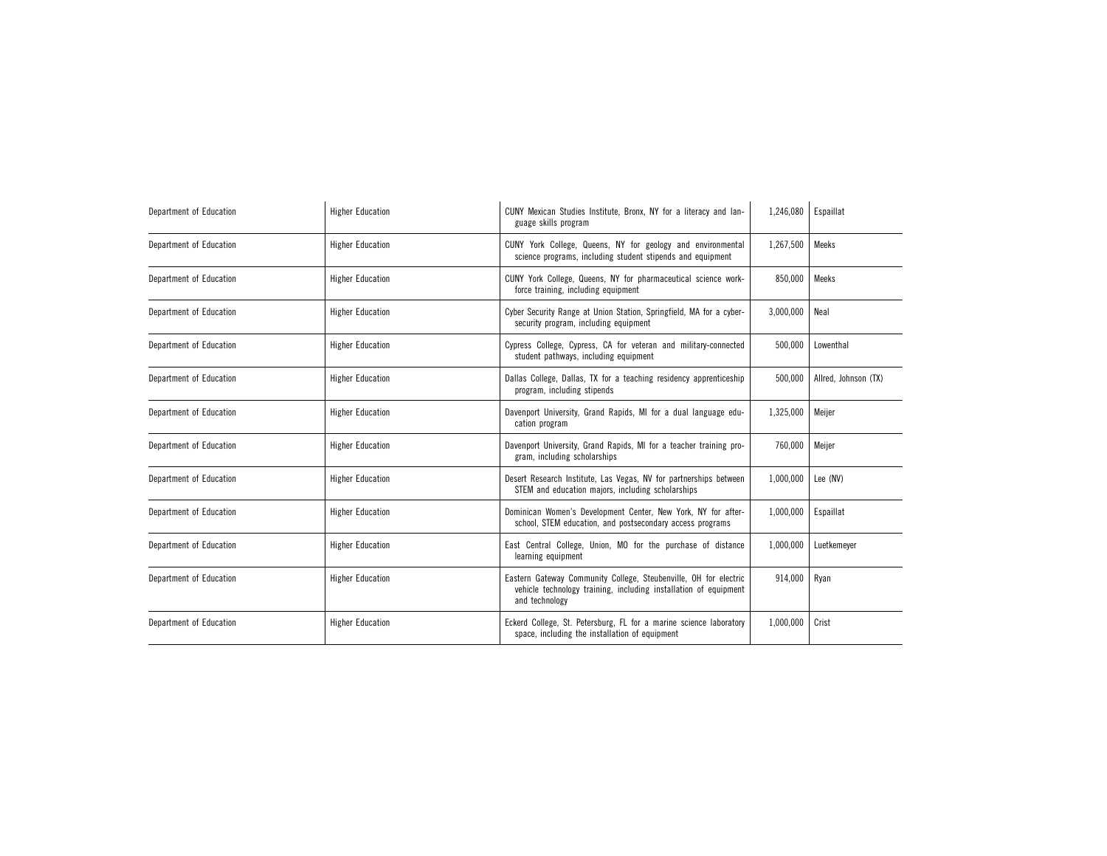| Department of Education | <b>Higher Education</b> | CUNY Mexican Studies Institute, Bronx, NY for a literacy and lan-<br>guage skills program                                                              | 1,246,080 | Espaillat            |
|-------------------------|-------------------------|--------------------------------------------------------------------------------------------------------------------------------------------------------|-----------|----------------------|
| Department of Education | <b>Higher Education</b> | CUNY York College, Queens, NY for geology and environmental<br>science programs, including student stipends and equipment                              | 1,267,500 | Meeks                |
| Department of Education | <b>Higher Education</b> | CUNY York College, Queens, NY for pharmaceutical science work-<br>force training, including equipment                                                  | 850,000   | Meeks                |
| Department of Education | <b>Higher Education</b> | Cyber Security Range at Union Station, Springfield, MA for a cyber-<br>security program, including equipment                                           | 3,000,000 | Neal                 |
| Department of Education | <b>Higher Education</b> | Cypress College, Cypress, CA for veteran and military-connected<br>student pathways, including equipment                                               | 500,000   | Lowenthal            |
| Department of Education | <b>Higher Education</b> | Dallas College, Dallas, TX for a teaching residency apprenticeship<br>program, including stipends                                                      | 500,000   | Allred, Johnson (TX) |
| Department of Education | <b>Higher Education</b> | Davenport University, Grand Rapids, MI for a dual language edu-<br>cation program                                                                      | 1,325,000 | Meijer               |
| Department of Education | <b>Higher Education</b> | Davenport University, Grand Rapids, MI for a teacher training pro-<br>gram, including scholarships                                                     | 760,000   | Meijer               |
| Department of Education | <b>Higher Education</b> | Desert Research Institute, Las Vegas, NV for partnerships between<br>STEM and education majors, including scholarships                                 | 1,000,000 | Lee (NV)             |
| Department of Education | <b>Higher Education</b> | Dominican Women's Development Center, New York, NY for after-<br>school, STEM education, and postsecondary access programs                             | 1,000,000 | Espaillat            |
| Department of Education | <b>Higher Education</b> | East Central College, Union, MO for the purchase of distance<br>learning equipment                                                                     | 1,000,000 | Luetkemeyer          |
| Department of Education | <b>Higher Education</b> | Eastern Gateway Community College, Steubenville, OH for electric<br>vehicle technology training, including installation of equipment<br>and technology | 914,000   | Ryan                 |
| Department of Education | <b>Higher Education</b> | Eckerd College, St. Petersburg, FL for a marine science laboratory<br>space, including the installation of equipment                                   | 1,000,000 | Crist                |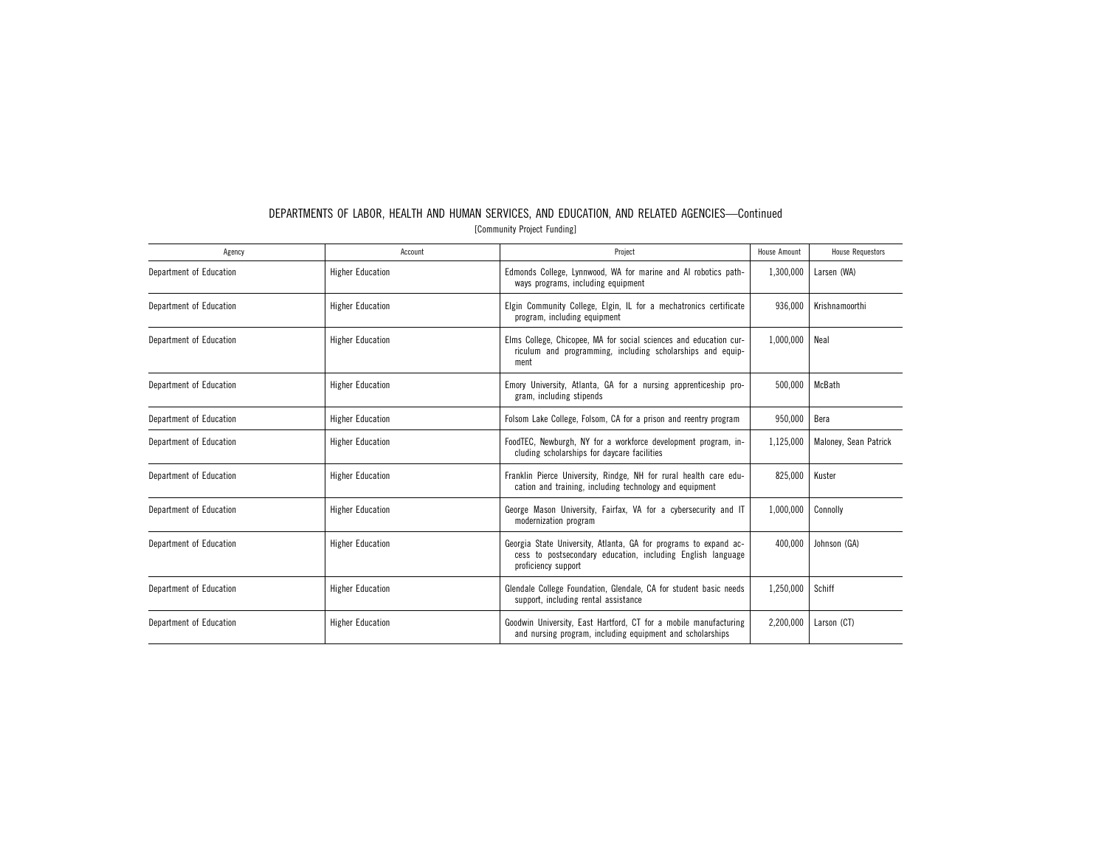| Agency                  | Account                 | Project                                                                                                                                                | <b>House Amount</b> | <b>House Requestors</b> |
|-------------------------|-------------------------|--------------------------------------------------------------------------------------------------------------------------------------------------------|---------------------|-------------------------|
| Department of Education | <b>Higher Education</b> | Edmonds College, Lynnwood, WA for marine and AI robotics path-<br>ways programs, including equipment                                                   | 1,300,000           | Larsen (WA)             |
| Department of Education | <b>Higher Education</b> | Elgin Community College, Elgin, IL for a mechatronics certificate<br>program, including equipment                                                      | 936,000             | Krishnamoorthi          |
| Department of Education | <b>Higher Education</b> | Elms College, Chicopee, MA for social sciences and education cur-<br>riculum and programming, including scholarships and equip-<br>ment                | 1,000,000           | Neal                    |
| Department of Education | <b>Higher Education</b> | Emory University, Atlanta, GA for a nursing apprenticeship pro-<br>gram, including stipends                                                            | 500,000             | McBath                  |
| Department of Education | <b>Higher Education</b> | Folsom Lake College, Folsom, CA for a prison and reentry program                                                                                       | 950,000             | Bera                    |
| Department of Education | <b>Higher Education</b> | FoodTEC, Newburgh, NY for a workforce development program, in-<br>cluding scholarships for daycare facilities                                          | 1,125,000           | Maloney, Sean Patrick   |
| Department of Education | <b>Higher Education</b> | Franklin Pierce University, Rindge, NH for rural health care edu-<br>cation and training, including technology and equipment                           | 825,000             | Kuster                  |
| Department of Education | <b>Higher Education</b> | George Mason University, Fairfax, VA for a cybersecurity and IT<br>modernization program                                                               | 1,000,000           | Connolly                |
| Department of Education | <b>Higher Education</b> | Georgia State University, Atlanta, GA for programs to expand ac-<br>cess to postsecondary education, including English language<br>proficiency support | 400,000             | Johnson (GA)            |
| Department of Education | <b>Higher Education</b> | Glendale College Foundation, Glendale, CA for student basic needs<br>support, including rental assistance                                              | 1,250,000           | Schiff                  |
| Department of Education | <b>Higher Education</b> | Goodwin University, East Hartford, CT for a mobile manufacturing<br>and nursing program, including equipment and scholarships                          | 2,200,000           | Larson (CT)             |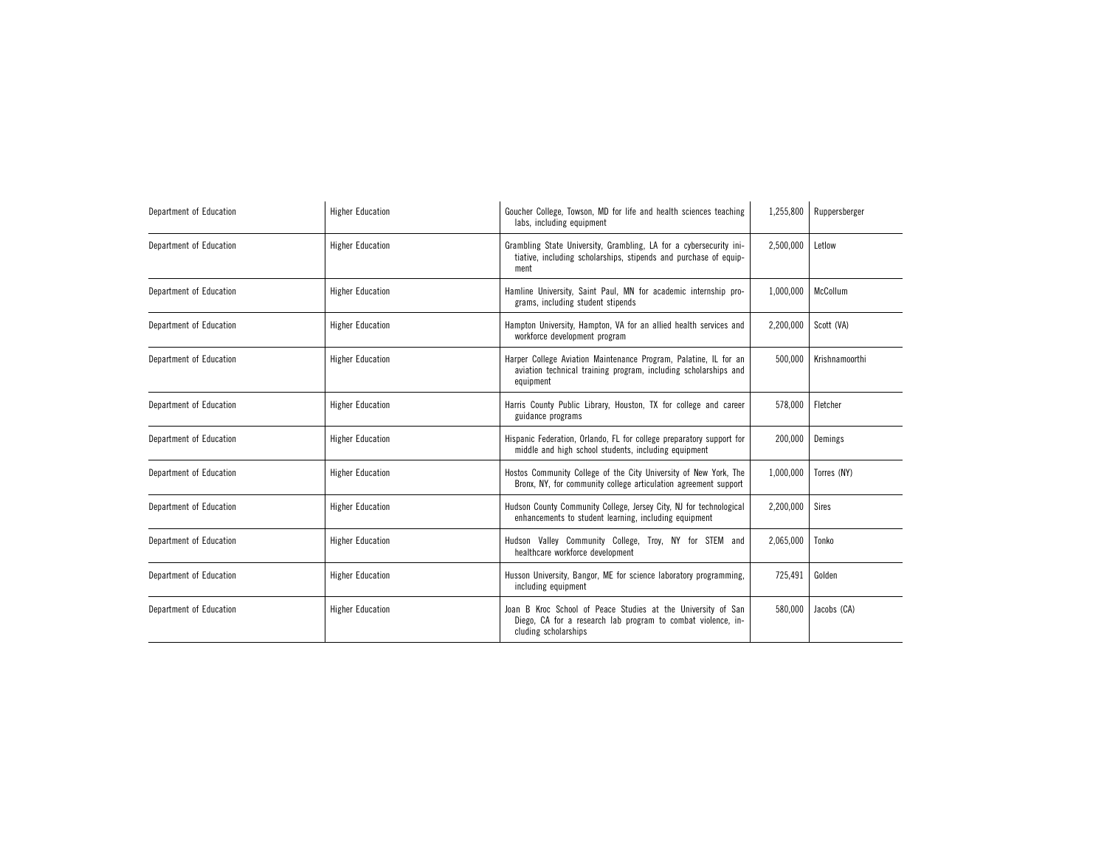| Department of Education | <b>Higher Education</b> | Goucher College, Towson, MD for life and health sciences teaching<br>labs, including equipment                                                       | 1,255,800 | Ruppersberger  |
|-------------------------|-------------------------|------------------------------------------------------------------------------------------------------------------------------------------------------|-----------|----------------|
| Department of Education | <b>Higher Education</b> | Grambling State University, Grambling, LA for a cybersecurity ini-<br>tiative, including scholarships, stipends and purchase of equip-<br>ment       | 2,500,000 | Letlow         |
| Department of Education | <b>Higher Education</b> | Hamline University, Saint Paul, MN for academic internship pro-<br>grams, including student stipends                                                 | 1,000,000 | McCollum       |
| Department of Education | <b>Higher Education</b> | Hampton University, Hampton, VA for an allied health services and<br>workforce development program                                                   | 2,200,000 | Scott (VA)     |
| Department of Education | <b>Higher Education</b> | Harper College Aviation Maintenance Program, Palatine, IL for an<br>aviation technical training program, including scholarships and<br>equipment     | 500.000   | Krishnamoorthi |
| Department of Education | <b>Higher Education</b> | Harris County Public Library, Houston, TX for college and career<br>guidance programs                                                                | 578,000   | Fletcher       |
| Department of Education | <b>Higher Education</b> | Hispanic Federation, Orlando, FL for college preparatory support for<br>middle and high school students, including equipment                         | 200,000   | Demings        |
| Department of Education | <b>Higher Education</b> | Hostos Community College of the City University of New York, The<br>Bronx, NY, for community college articulation agreement support                  | 1,000,000 | Torres (NY)    |
| Department of Education | <b>Higher Education</b> | Hudson County Community College, Jersey City, NJ for technological<br>enhancements to student learning, including equipment                          | 2,200,000 | Sires          |
| Department of Education | <b>Higher Education</b> | Hudson Valley Community College, Troy, NY for STEM and<br>healthcare workforce development                                                           | 2,065,000 | Tonko          |
| Department of Education | <b>Higher Education</b> | Husson University, Bangor, ME for science laboratory programming,<br>including equipment                                                             | 725,491   | Golden         |
| Department of Education | <b>Higher Education</b> | Joan B Kroc School of Peace Studies at the University of San<br>Diego, CA for a research lab program to combat violence, in-<br>cluding scholarships | 580.000   | Jacobs (CA)    |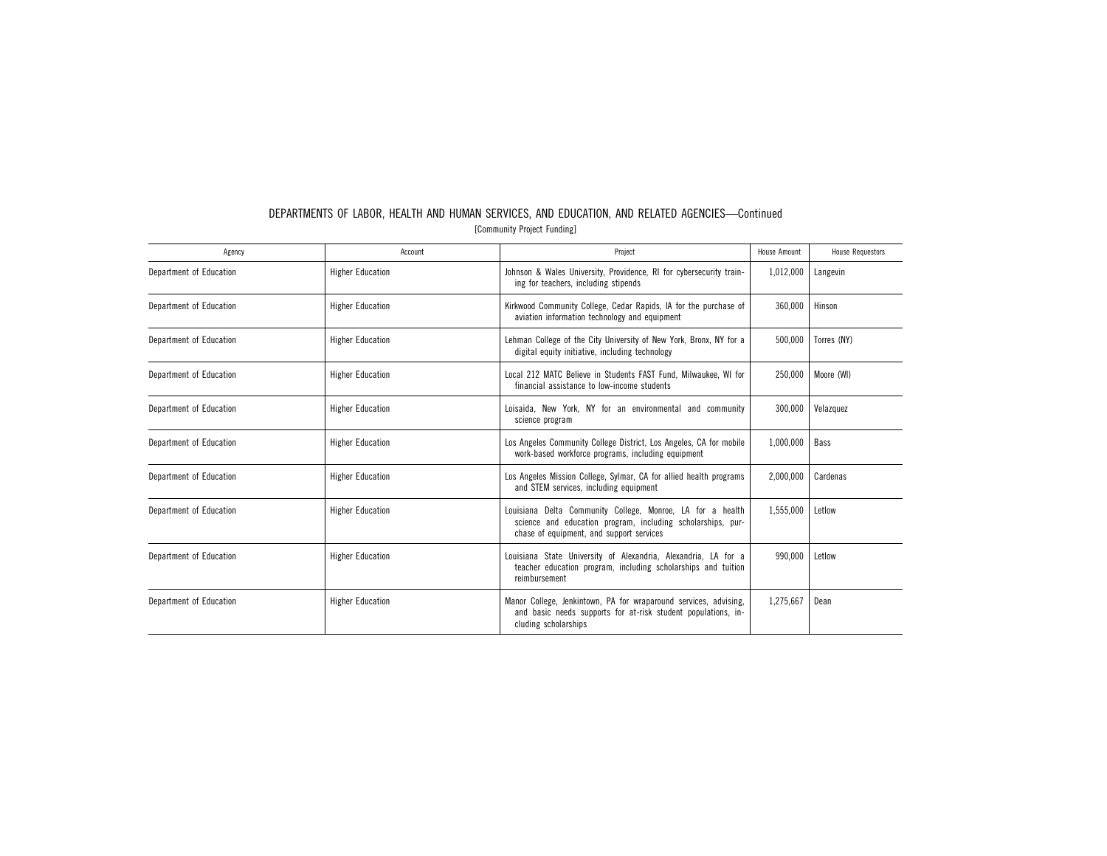| Agency                  | Account                 | Project                                                                                                                                                               | <b>House Amount</b> | <b>House Requestors</b> |
|-------------------------|-------------------------|-----------------------------------------------------------------------------------------------------------------------------------------------------------------------|---------------------|-------------------------|
| Department of Education | <b>Higher Education</b> | Johnson & Wales University, Providence, RI for cybersecurity train-<br>ing for teachers, including stipends                                                           | 1,012,000           | Langevin                |
| Department of Education | <b>Higher Education</b> | Kirkwood Community College, Cedar Rapids, IA for the purchase of<br>aviation information technology and equipment                                                     | 360,000             | Hinson                  |
| Department of Education | <b>Higher Education</b> | Lehman College of the City University of New York, Bronx, NY for a<br>digital equity initiative, including technology                                                 | 500,000             | Torres (NY)             |
| Department of Education | <b>Higher Education</b> | Local 212 MATC Believe in Students FAST Fund, Milwaukee, WI for<br>financial assistance to low-income students                                                        | 250.000             | Moore (WI)              |
| Department of Education | <b>Higher Education</b> | Loisaida, New York, NY for an environmental and community<br>science program                                                                                          | 300,000             | Velazquez               |
| Department of Education | <b>Higher Education</b> | Los Angeles Community College District, Los Angeles, CA for mobile<br>work-based workforce programs, including equipment                                              | 1,000,000           | Bass                    |
| Department of Education | <b>Higher Education</b> | Los Angeles Mission College, Sylmar, CA for allied health programs<br>and STEM services, including equipment                                                          | 2,000,000           | Cardenas                |
| Department of Education | <b>Higher Education</b> | Louisiana Delta Community College, Monroe, LA for a health<br>science and education program, including scholarships, pur-<br>chase of equipment, and support services | 1,555,000           | Letlow                  |
| Department of Education | <b>Higher Education</b> | Louisiana State University of Alexandria, Alexandria, LA for a<br>teacher education program, including scholarships and tuition<br>reimbursement                      | 990,000             | Letlow                  |
| Department of Education | <b>Higher Education</b> | Manor College, Jenkintown, PA for wraparound services, advising,<br>and basic needs supports for at-risk student populations, in-<br>cluding scholarships             | 1,275,667           | Dean                    |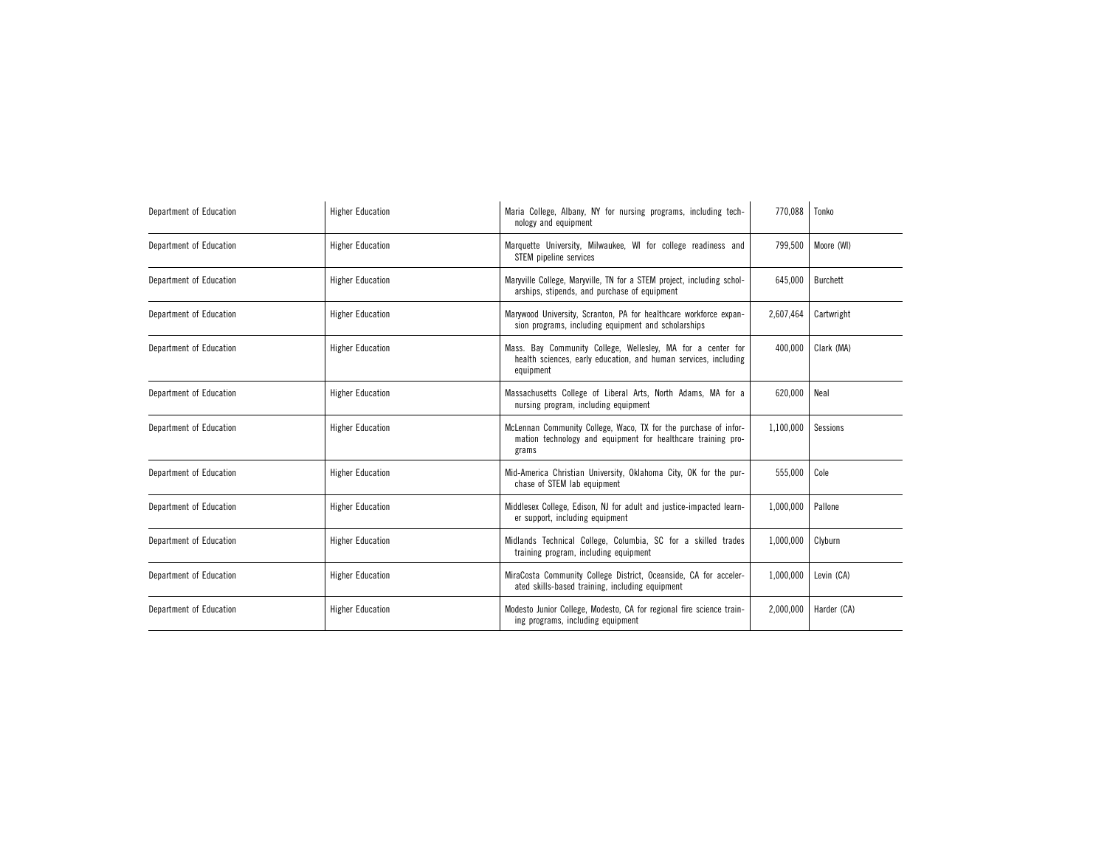| Department of Education | <b>Higher Education</b> | Maria College, Albany, NY for nursing programs, including tech-<br>nology and equipment                                                     | 770.088   | Tonko       |
|-------------------------|-------------------------|---------------------------------------------------------------------------------------------------------------------------------------------|-----------|-------------|
| Department of Education | <b>Higher Education</b> | Marquette University, Milwaukee, WI for college readiness and<br>STEM pipeline services                                                     | 799,500   | Moore (WI)  |
| Department of Education | <b>Higher Education</b> | Maryville College, Maryville, TN for a STEM project, including schol-<br>arships, stipends, and purchase of equipment                       | 645.000   | Burchett    |
| Department of Education | <b>Higher Education</b> | Marywood University, Scranton, PA for healthcare workforce expan-<br>sion programs, including equipment and scholarships                    | 2,607,464 | Cartwright  |
| Department of Education | <b>Higher Education</b> | Mass. Bay Community College, Wellesley, MA for a center for<br>health sciences, early education, and human services, including<br>equipment | 400,000   | Clark (MA)  |
| Department of Education | <b>Higher Education</b> | Massachusetts College of Liberal Arts, North Adams, MA for a<br>nursing program, including equipment                                        | 620,000   | Neal        |
| Department of Education | <b>Higher Education</b> | McLennan Community College, Waco, TX for the purchase of infor-<br>mation technology and equipment for healthcare training pro-<br>grams    | 1,100,000 | Sessions    |
| Department of Education | <b>Higher Education</b> | Mid-America Christian University, Oklahoma City, OK for the pur-<br>chase of STEM lab equipment                                             | 555,000   | Cole        |
| Department of Education | <b>Higher Education</b> | Middlesex College, Edison, NJ for adult and justice-impacted learn-<br>er support, including equipment                                      | 1,000,000 | Pallone     |
| Department of Education | <b>Higher Education</b> | Midlands Technical College, Columbia, SC for a skilled trades<br>training program, including equipment                                      | 1,000,000 | Clyburn     |
| Department of Education | <b>Higher Education</b> | MiraCosta Community College District, Oceanside, CA for acceler-<br>ated skills-based training, including equipment                         | 1,000,000 | Levin (CA)  |
| Department of Education | <b>Higher Education</b> | Modesto Junior College, Modesto, CA for regional fire science train-<br>ing programs, including equipment                                   | 2,000,000 | Harder (CA) |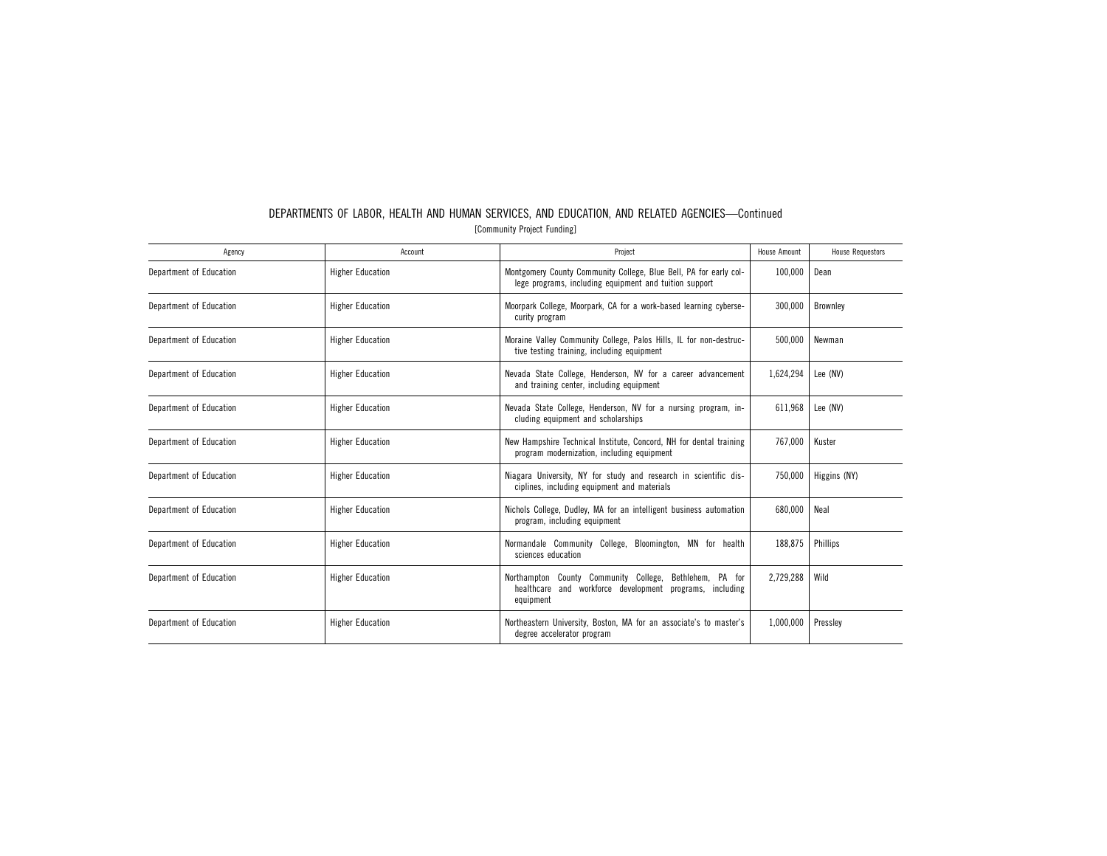| Agency                  | Account                 | Project                                                                                                                             | <b>House Amount</b> | <b>House Requestors</b> |
|-------------------------|-------------------------|-------------------------------------------------------------------------------------------------------------------------------------|---------------------|-------------------------|
| Department of Education | <b>Higher Education</b> | Montgomery County Community College, Blue Bell, PA for early col-<br>lege programs, including equipment and tuition support         | 100,000             | Dean                    |
| Department of Education | <b>Higher Education</b> | Moorpark College, Moorpark, CA for a work-based learning cyberse-<br>curity program                                                 | 300,000             | Brownley                |
| Department of Education | <b>Higher Education</b> | Moraine Valley Community College, Palos Hills, IL for non-destruc-<br>tive testing training, including equipment                    | 500,000             | Newman                  |
| Department of Education | <b>Higher Education</b> | Nevada State College, Henderson, NV for a career advancement<br>and training center, including equipment                            | 1,624,294           | Lee (NV)                |
| Department of Education | <b>Higher Education</b> | Nevada State College, Henderson, NV for a nursing program, in-<br>cluding equipment and scholarships                                | 611.968             | Lee (NV)                |
| Department of Education | <b>Higher Education</b> | New Hampshire Technical Institute, Concord, NH for dental training<br>program modernization, including equipment                    | 767,000             | Kuster                  |
| Department of Education | <b>Higher Education</b> | Niagara University, NY for study and research in scientific dis-<br>ciplines, including equipment and materials                     | 750,000             | Higgins (NY)            |
| Department of Education | <b>Higher Education</b> | Nichols College, Dudley, MA for an intelligent business automation<br>program, including equipment                                  | 680.000             | Neal                    |
| Department of Education | <b>Higher Education</b> | Normandale Community College, Bloomington, MN for health<br>sciences education                                                      | 188,875             | Phillips                |
| Department of Education | <b>Higher Education</b> | Northampton County Community College,<br>Bethlehem, PA for<br>healthcare and workforce development programs, including<br>equipment | 2,729,288           | Wild                    |
| Department of Education | <b>Higher Education</b> | Northeastern University, Boston, MA for an associate's to master's<br>degree accelerator program                                    | 1,000,000           | Pressley                |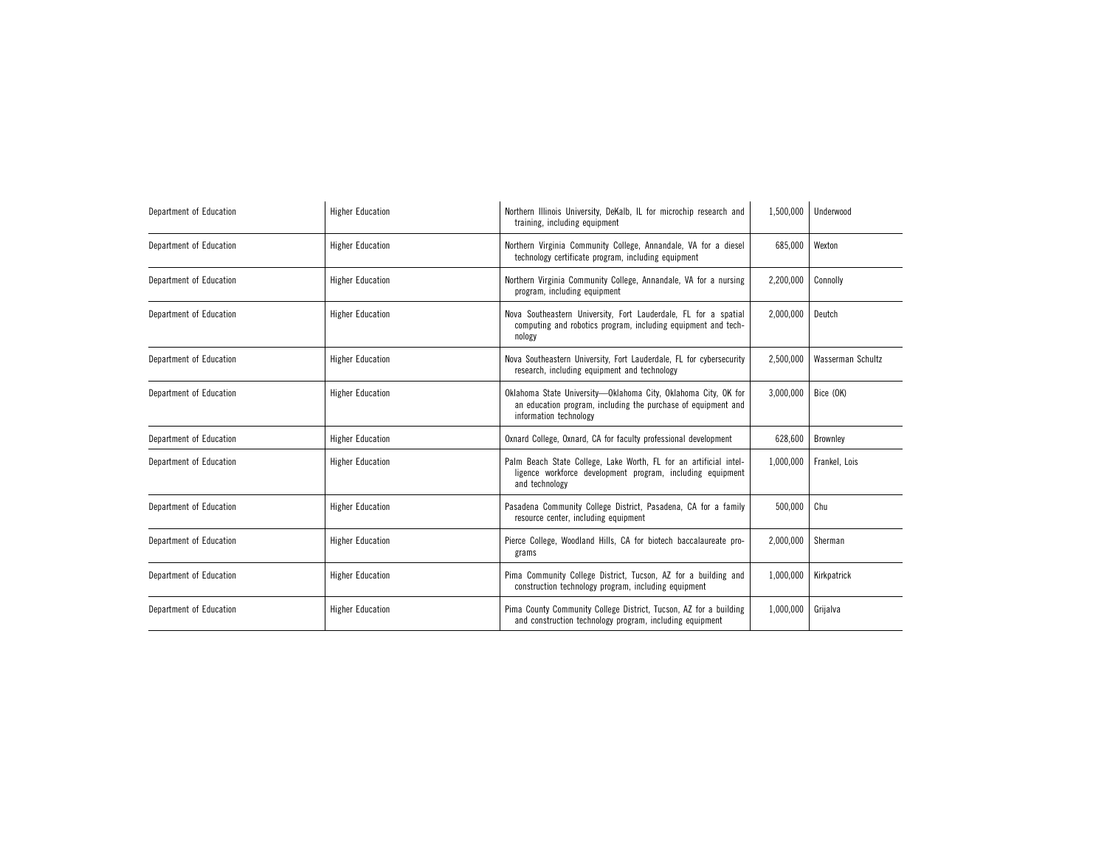| Department of Education | <b>Higher Education</b> | Northern Illinois University, DeKalb, IL for microchip research and<br>training, including equipment                                                      | 1,500,000 | Underwood         |
|-------------------------|-------------------------|-----------------------------------------------------------------------------------------------------------------------------------------------------------|-----------|-------------------|
| Department of Education | <b>Higher Education</b> | Northern Virginia Community College, Annandale, VA for a diesel<br>technology certificate program, including equipment                                    | 685,000   | Wexton            |
| Department of Education | <b>Higher Education</b> | Northern Virginia Community College, Annandale, VA for a nursing<br>program, including equipment                                                          | 2,200,000 | Connolly          |
| Department of Education | <b>Higher Education</b> | Nova Southeastern University, Fort Lauderdale, FL for a spatial<br>computing and robotics program, including equipment and tech-<br>nology                | 2,000,000 | Deutch            |
| Department of Education | <b>Higher Education</b> | Nova Southeastern University, Fort Lauderdale, FL for cybersecurity<br>research, including equipment and technology                                       | 2,500,000 | Wasserman Schultz |
| Department of Education | <b>Higher Education</b> | Oklahoma State University-Oklahoma City, Oklahoma City, OK for<br>an education program, including the purchase of equipment and<br>information technology | 3,000,000 | Bice (OK)         |
| Department of Education | <b>Higher Education</b> | Oxnard College, Oxnard, CA for faculty professional development                                                                                           | 628,600   | Brownley          |
| Department of Education | <b>Higher Education</b> | Palm Beach State College, Lake Worth, FL for an artificial intel-<br>ligence workforce development program, including equipment<br>and technology         | 1,000,000 | Frankel, Lois     |
| Department of Education | <b>Higher Education</b> | Pasadena Community College District, Pasadena, CA for a family<br>resource center, including equipment                                                    | 500,000   | Chu               |
| Department of Education | <b>Higher Education</b> | Pierce College, Woodland Hills, CA for biotech baccalaureate pro-<br>grams                                                                                | 2,000,000 | Sherman           |
| Department of Education | <b>Higher Education</b> | Pima Community College District, Tucson, AZ for a building and<br>construction technology program, including equipment                                    | 1,000,000 | Kirkpatrick       |
| Department of Education | <b>Higher Education</b> | Pima County Community College District, Tucson, AZ for a building<br>and construction technology program, including equipment                             | 1,000,000 | Grijalva          |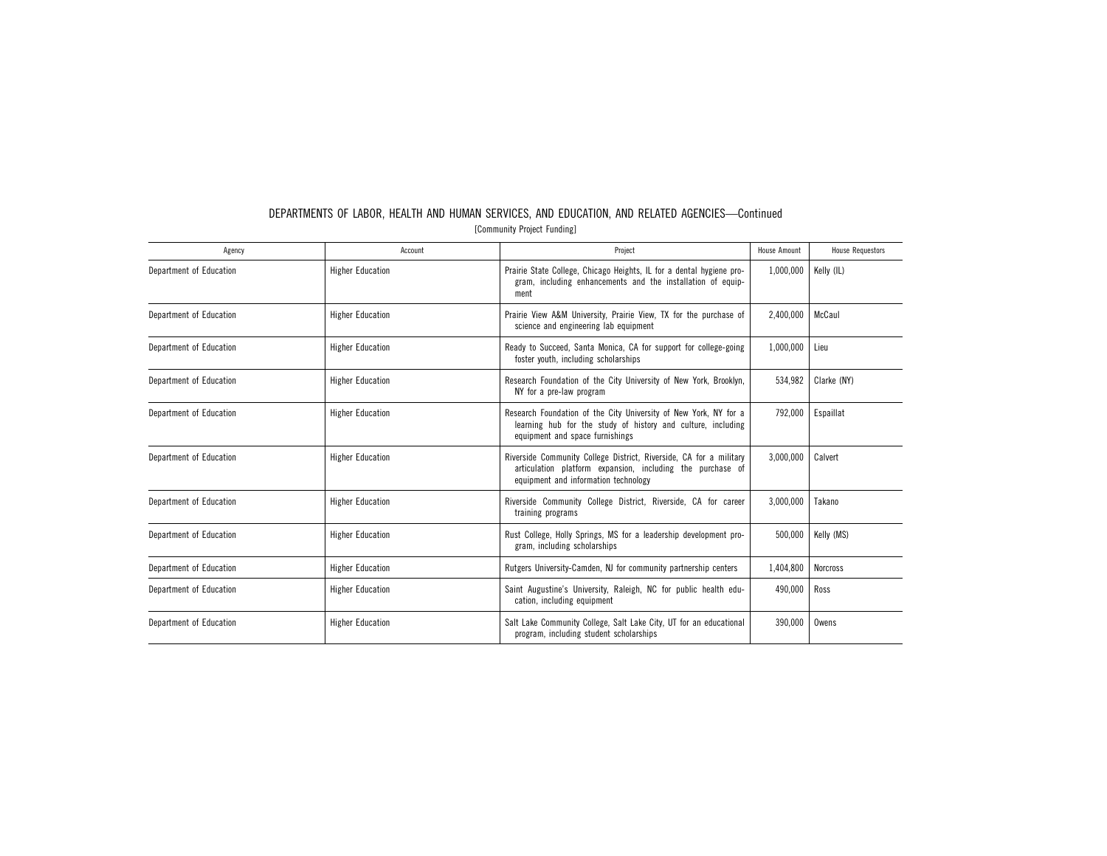| Agency                  | Account                 | Project                                                                                                                                                                  | <b>House Amount</b> | <b>House Requestors</b> |
|-------------------------|-------------------------|--------------------------------------------------------------------------------------------------------------------------------------------------------------------------|---------------------|-------------------------|
| Department of Education | <b>Higher Education</b> | Prairie State College, Chicago Heights, IL for a dental hygiene pro-<br>gram, including enhancements and the installation of equip-<br>ment                              | 1,000,000           | Kelly (IL)              |
| Department of Education | <b>Higher Education</b> | Prairie View A&M University, Prairie View, TX for the purchase of<br>science and engineering lab equipment                                                               | 2,400,000           | McCaul                  |
| Department of Education | <b>Higher Education</b> | Ready to Succeed, Santa Monica, CA for support for college-going<br>foster youth, including scholarships                                                                 | 1,000,000           | Lieu                    |
| Department of Education | <b>Higher Education</b> | Research Foundation of the City University of New York, Brooklyn,<br>NY for a pre-law program                                                                            | 534,982             | Clarke (NY)             |
| Department of Education | <b>Higher Education</b> | Research Foundation of the City University of New York, NY for a<br>learning hub for the study of history and culture, including<br>equipment and space furnishings      | 792,000             | Espaillat               |
| Department of Education | <b>Higher Education</b> | Riverside Community College District, Riverside, CA for a military<br>articulation platform expansion, including the purchase of<br>equipment and information technology | 3,000,000           | Calvert                 |
| Department of Education | <b>Higher Education</b> | Riverside Community College District, Riverside, CA for career<br>training programs                                                                                      | 3,000,000           | Takano                  |
| Department of Education | <b>Higher Education</b> | Rust College, Holly Springs, MS for a leadership development pro-<br>gram, including scholarships                                                                        | 500,000             | Kelly (MS)              |
| Department of Education | <b>Higher Education</b> | Rutgers University-Camden, NJ for community partnership centers                                                                                                          | 1,404,800           | <b>Norcross</b>         |
| Department of Education | <b>Higher Education</b> | Saint Augustine's University, Raleigh, NC for public health edu-<br>cation, including equipment                                                                          | 490.000             | Ross                    |
| Department of Education | <b>Higher Education</b> | Salt Lake Community College, Salt Lake City, UT for an educational<br>program, including student scholarships                                                            | 390,000             | Owens                   |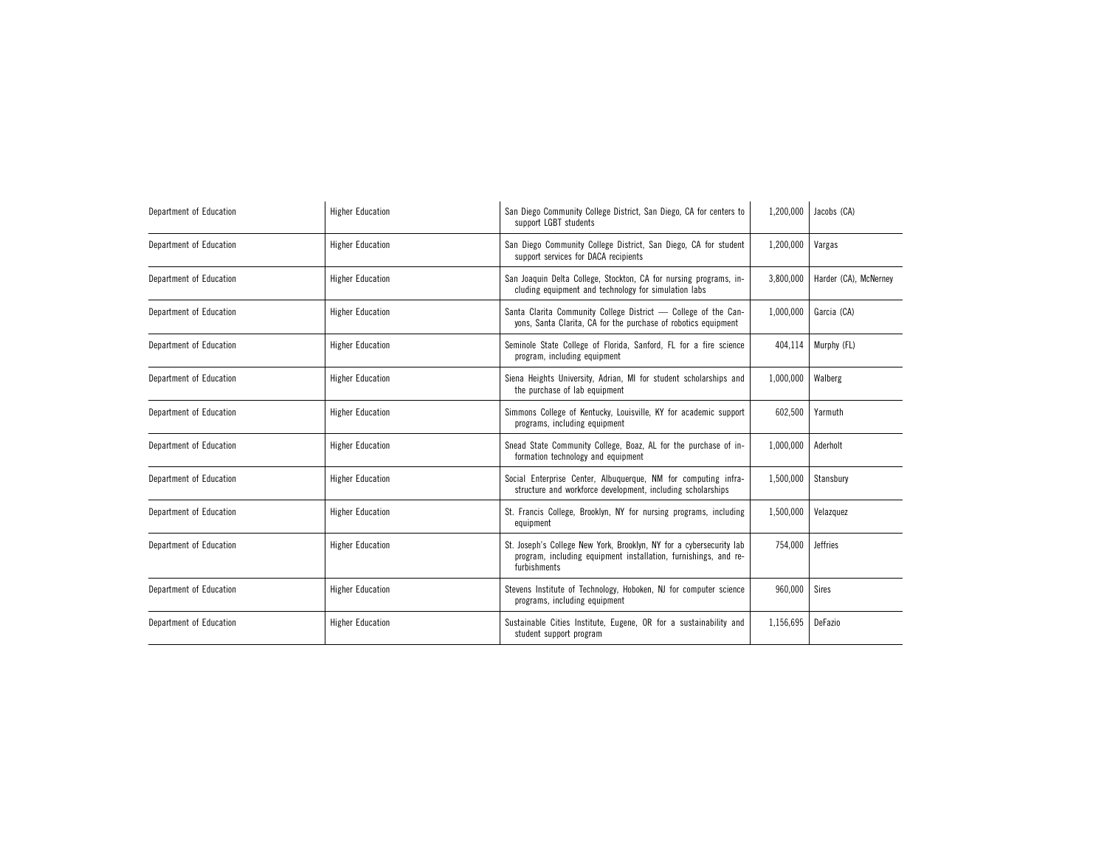| Department of Education | <b>Higher Education</b> | San Diego Community College District, San Diego, CA for centers to<br>support LGBT students                                                            | 1,200,000 | Jacobs (CA)           |
|-------------------------|-------------------------|--------------------------------------------------------------------------------------------------------------------------------------------------------|-----------|-----------------------|
| Department of Education | <b>Higher Education</b> | San Diego Community College District, San Diego, CA for student<br>support services for DACA recipients                                                | 1,200,000 | Vargas                |
| Department of Education | <b>Higher Education</b> | San Joaquin Delta College, Stockton, CA for nursing programs, in-<br>cluding equipment and technology for simulation labs                              | 3,800,000 | Harder (CA), McNerney |
| Department of Education | <b>Higher Education</b> | Santa Clarita Community College District - College of the Can-<br>yons, Santa Clarita, CA for the purchase of robotics equipment                       | 1,000,000 | Garcia (CA)           |
| Department of Education | <b>Higher Education</b> | Seminole State College of Florida, Sanford, FL for a fire science<br>program, including equipment                                                      | 404,114   | Murphy (FL)           |
| Department of Education | <b>Higher Education</b> | Siena Heights University, Adrian, MI for student scholarships and<br>the purchase of lab equipment                                                     | 1,000,000 | Walberg               |
| Department of Education | <b>Higher Education</b> | Simmons College of Kentucky, Louisville, KY for academic support<br>programs, including equipment                                                      | 602,500   | Yarmuth               |
| Department of Education | <b>Higher Education</b> | Snead State Community College, Boaz, AL for the purchase of in-<br>formation technology and equipment                                                  | 1,000,000 | Aderholt              |
| Department of Education | <b>Higher Education</b> | Social Enterprise Center, Albuquerque, NM for computing infra-<br>structure and workforce development, including scholarships                          | 1,500,000 | Stansbury             |
| Department of Education | <b>Higher Education</b> | St. Francis College, Brooklyn, NY for nursing programs, including<br>equipment                                                                         | 1,500,000 | Velazquez             |
| Department of Education | <b>Higher Education</b> | St. Joseph's College New York, Brooklyn, NY for a cybersecurity lab<br>program, including equipment installation, furnishings, and re-<br>furbishments | 754,000   | <b>Jeffries</b>       |
| Department of Education | <b>Higher Education</b> | Stevens Institute of Technology, Hoboken, NJ for computer science<br>programs, including equipment                                                     | 960,000   | Sires                 |
| Department of Education | <b>Higher Education</b> | Sustainable Cities Institute, Eugene, OR for a sustainability and<br>student support program                                                           | 1,156,695 | DeFazio               |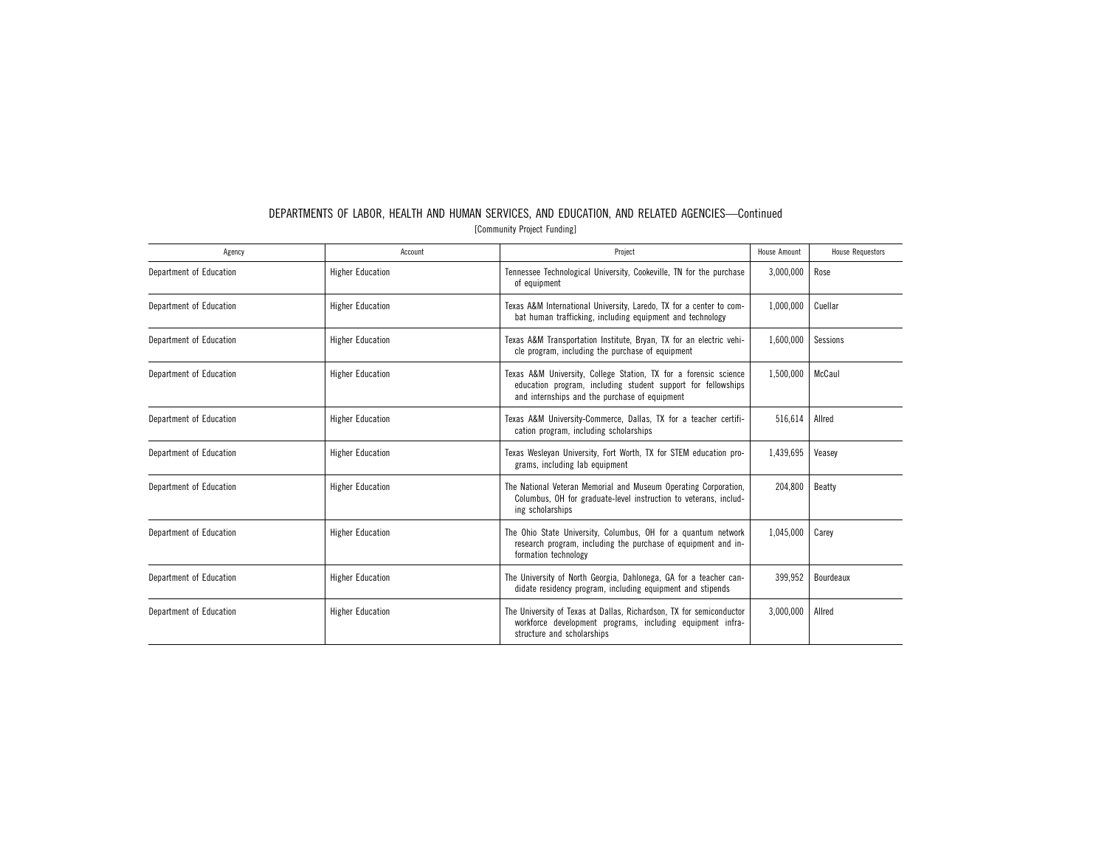| Agency                  | Account                 | Project                                                                                                                                                                           | <b>House Amount</b> | <b>House Requestors</b> |
|-------------------------|-------------------------|-----------------------------------------------------------------------------------------------------------------------------------------------------------------------------------|---------------------|-------------------------|
| Department of Education | <b>Higher Education</b> | Tennessee Technological University, Cookeville, TN for the purchase<br>of equipment                                                                                               | 3,000,000           | Rose                    |
| Department of Education | <b>Higher Education</b> | Texas A&M International University, Laredo, TX for a center to com-<br>bat human trafficking, including equipment and technology                                                  | 1,000,000           | Cuellar                 |
| Department of Education | <b>Higher Education</b> | Texas A&M Transportation Institute, Bryan, TX for an electric vehi-<br>cle program, including the purchase of equipment                                                           | 1,600,000           | Sessions                |
| Department of Education | <b>Higher Education</b> | Texas A&M University, College Station, TX for a forensic science<br>education program, including student support for fellowships<br>and internships and the purchase of equipment | 1,500,000           | McCaul                  |
| Department of Education | <b>Higher Education</b> | Texas A&M University-Commerce, Dallas, TX for a teacher certifi-<br>cation program, including scholarships                                                                        | 516.614             | Allred                  |
| Department of Education | <b>Higher Education</b> | Texas Wesleyan University, Fort Worth, TX for STEM education pro-<br>grams, including lab equipment                                                                               | 1,439,695           | Veasey                  |
| Department of Education | <b>Higher Education</b> | The National Veteran Memorial and Museum Operating Corporation,<br>Columbus, OH for graduate-level instruction to veterans, includ-<br>ing scholarships                           | 204,800             | <b>Beatty</b>           |
| Department of Education | <b>Higher Education</b> | The Ohio State University, Columbus, OH for a quantum network<br>research program, including the purchase of equipment and in-<br>formation technology                            | 1,045,000           | Carey                   |
| Department of Education | <b>Higher Education</b> | The University of North Georgia, Dahlonega, GA for a teacher can-<br>didate residency program, including equipment and stipends                                                   | 399,952             | Bourdeaux               |
| Department of Education | <b>Higher Education</b> | The University of Texas at Dallas, Richardson, TX for semiconductor<br>workforce development programs, including equipment infra-<br>structure and scholarships                   | 3,000,000           | Allred                  |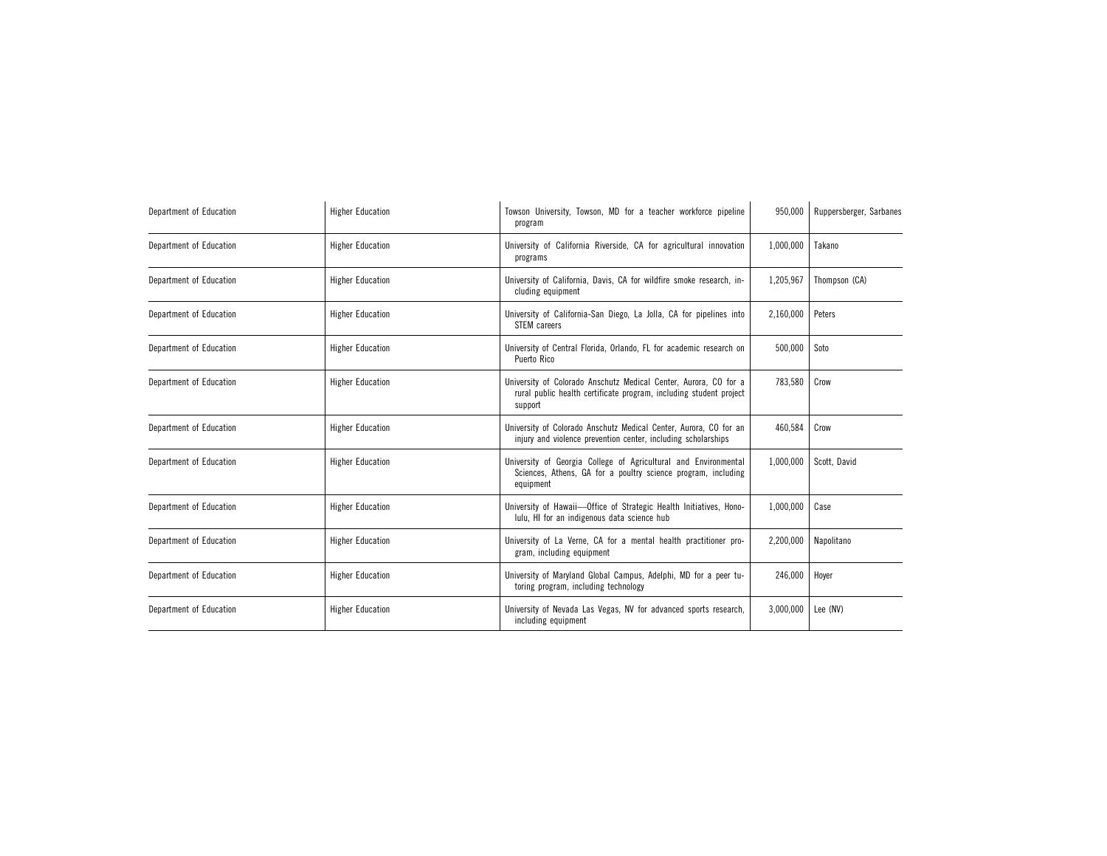| Department of Education | <b>Higher Education</b> | Towson University, Towson, MD for a teacher workforce pipeline<br>program                                                                         | 950,000   | Ruppersberger, Sarbanes |
|-------------------------|-------------------------|---------------------------------------------------------------------------------------------------------------------------------------------------|-----------|-------------------------|
| Department of Education | <b>Higher Education</b> | University of California Riverside, CA for agricultural innovation<br>programs                                                                    | 1,000,000 | Takano                  |
| Department of Education | <b>Higher Education</b> | University of California, Davis, CA for wildfire smoke research, in-<br>cluding equipment                                                         | 1,205,967 | Thompson (CA)           |
| Department of Education | <b>Higher Education</b> | University of California-San Diego, La Jolla, CA for pipelines into<br>STEM careers                                                               | 2,160,000 | Peters                  |
| Department of Education | <b>Higher Education</b> | University of Central Florida, Orlando, FL for academic research on<br>Puerto Rico                                                                | 500,000   | Soto                    |
| Department of Education | <b>Higher Education</b> | University of Colorado Anschutz Medical Center, Aurora, CO for a<br>rural public health certificate program, including student project<br>support | 783,580   | Crow                    |
| Department of Education | <b>Higher Education</b> | University of Colorado Anschutz Medical Center, Aurora, CO for an<br>injury and violence prevention center, including scholarships                | 460,584   | Crow                    |
| Department of Education | <b>Higher Education</b> | University of Georgia College of Agricultural and Environmental<br>Sciences, Athens, GA for a poultry science program, including<br>equipment     | 1,000,000 | Scott, David            |
| Department of Education | <b>Higher Education</b> | University of Hawaii-Office of Strategic Health Initiatives, Hono-<br>lulu, HI for an indigenous data science hub                                 | 1,000,000 | Case                    |
| Department of Education | <b>Higher Education</b> | University of La Verne, CA for a mental health practitioner pro-<br>gram, including equipment                                                     | 2,200,000 | Napolitano              |
| Department of Education | <b>Higher Education</b> | University of Maryland Global Campus, Adelphi, MD for a peer tu-<br>toring program, including technology                                          | 246,000   | Hoyer                   |
| Department of Education | <b>Higher Education</b> | University of Nevada Las Vegas, NV for advanced sports research,<br>including equipment                                                           | 3,000,000 | Lee (NV)                |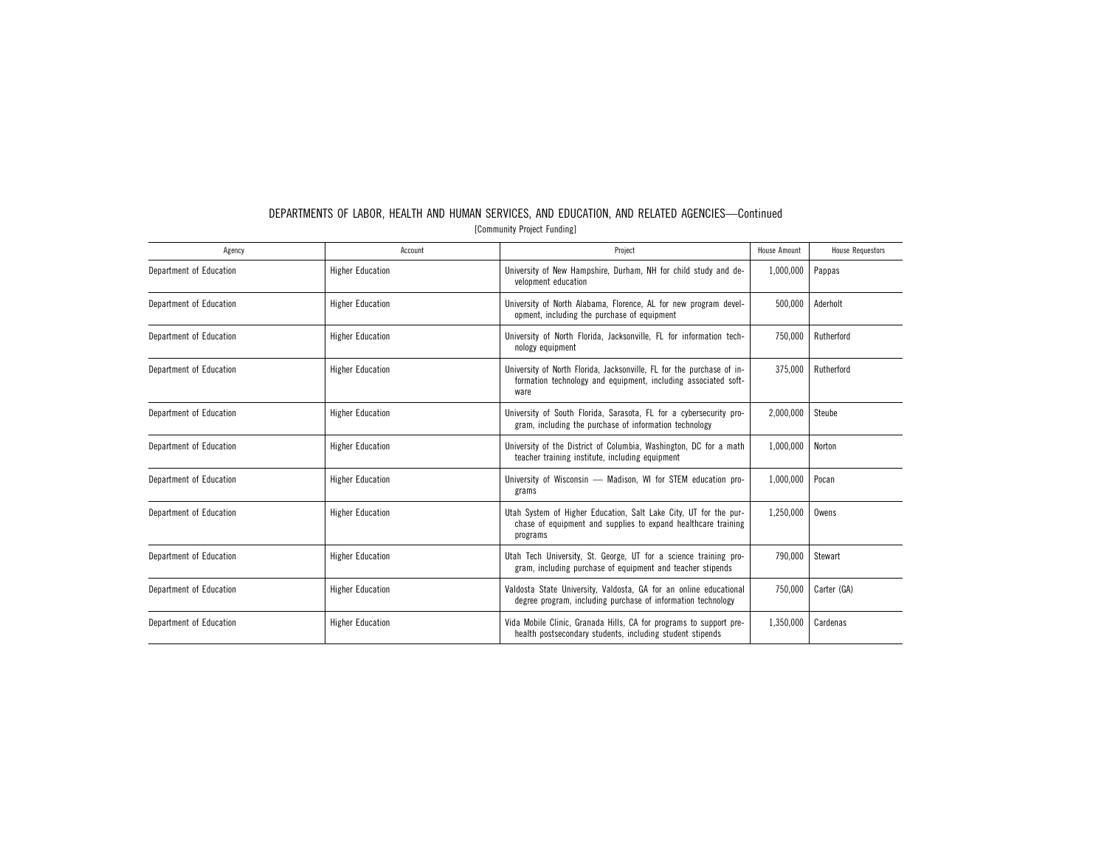| Agency                  | Account                 | Project                                                                                                                                         | <b>House Amount</b> | <b>House Requestors</b> |
|-------------------------|-------------------------|-------------------------------------------------------------------------------------------------------------------------------------------------|---------------------|-------------------------|
| Department of Education | <b>Higher Education</b> | University of New Hampshire, Durham, NH for child study and de-<br>velopment education                                                          | 1,000,000           | Pappas                  |
| Department of Education | <b>Higher Education</b> | University of North Alabama, Florence, AL for new program devel-<br>opment, including the purchase of equipment                                 | 500.000             | Aderholt                |
| Department of Education | <b>Higher Education</b> | University of North Florida, Jacksonville, FL for information tech-<br>nology equipment                                                         | 750,000             | Rutherford              |
| Department of Education | <b>Higher Education</b> | University of North Florida, Jacksonville, FL for the purchase of in-<br>formation technology and equipment, including associated soft-<br>ware | 375,000             | Rutherford              |
| Department of Education | <b>Higher Education</b> | University of South Florida, Sarasota, FL for a cybersecurity pro-<br>gram, including the purchase of information technology                    | 2,000,000           | Steube                  |
| Department of Education | <b>Higher Education</b> | University of the District of Columbia, Washington, DC for a math<br>teacher training institute, including equipment                            | 1,000,000           | Norton                  |
| Department of Education | <b>Higher Education</b> | University of Wisconsin - Madison, WI for STEM education pro-<br>grams                                                                          | 1,000,000           | Pocan                   |
| Department of Education | <b>Higher Education</b> | Utah System of Higher Education, Salt Lake City, UT for the pur-<br>chase of equipment and supplies to expand healthcare training<br>programs   | 1,250,000           | Owens                   |
| Department of Education | <b>Higher Education</b> | Utah Tech University, St. George, UT for a science training pro-<br>gram, including purchase of equipment and teacher stipends                  | 790,000             | Stewart                 |
| Department of Education | <b>Higher Education</b> | Valdosta State University, Valdosta, GA for an online educational<br>degree program, including purchase of information technology               | 750.000             | Carter (GA)             |
| Department of Education | <b>Higher Education</b> | Vida Mobile Clinic, Granada Hills, CA for programs to support pre-<br>health postsecondary students, including student stipends                 | 1,350,000           | Cardenas                |